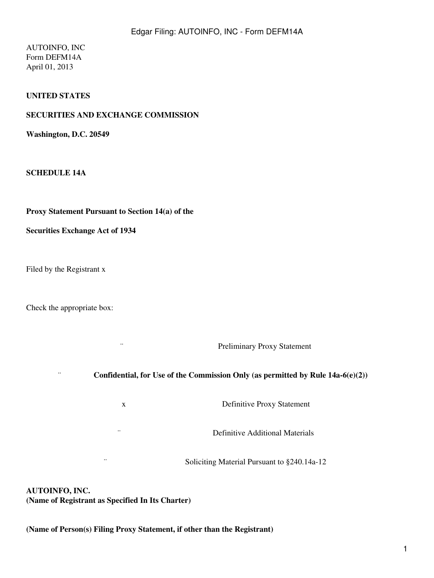AUTOINFO, INC Form DEFM14A April 01, 2013

#### **UNITED STATES**

#### **SECURITIES AND EXCHANGE COMMISSION**

**Washington, D.C. 20549**

**SCHEDULE 14A**

**Proxy Statement Pursuant to Section 14(a) of the**

**Securities Exchange Act of 1934**

Filed by the Registrant x

Check the appropriate box:

¨ Preliminary Proxy Statement

#### ¨ **Confidential, for Use of the Commission Only (as permitted by Rule 14a-6(e)(2))**

x Definitive Proxy Statement

¨ Definitive Additional Materials

¨ Soliciting Material Pursuant to §240.14a-12

#### **AUTOINFO, INC.**

**(Name of Registrant as Specified In Its Charter)**

**(Name of Person(s) Filing Proxy Statement, if other than the Registrant)**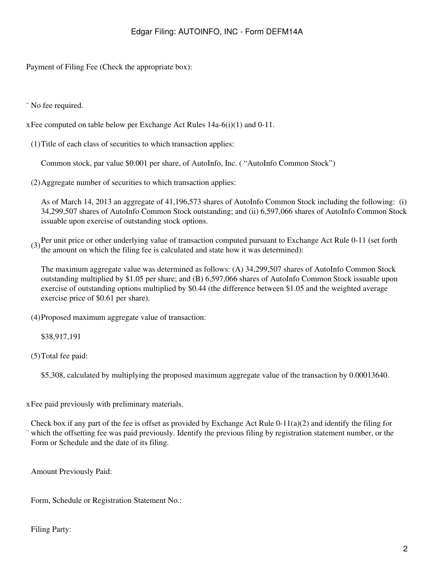Payment of Filing Fee (Check the appropriate box):

¨ No fee required.

xFee computed on table below per Exchange Act Rules 14a-6(i)(1) and 0-11.

(1)Title of each class of securities to which transaction applies:

Common stock, par value \$0.001 per share, of AutoInfo, Inc. ( "AutoInfo Common Stock")

(2)Aggregate number of securities to which transaction applies:

As of March 14, 2013 an aggregate of 41,196,573 shares of AutoInfo Common Stock including the following: (i) 34,299,507 shares of AutoInfo Common Stock outstanding; and (ii) 6,597,066 shares of AutoInfo Common Stock issuable upon exercise of outstanding stock options.

(3) Per unit price or other underlying value of transaction computed pursuant to Exchange Act Rule 0-11 (set forth the filing fee is calculated and state how it was determined):

The maximum aggregate value was determined as follows: (A) 34,299,507 shares of AutoInfo Common Stock outstanding multiplied by \$1.05 per share; and (B) 6,597,066 shares of AutoInfo Common Stock issuable upon exercise of outstanding options multiplied by \$0.44 (the difference between \$1.05 and the weighted average exercise price of \$0.61 per share).

(4)Proposed maximum aggregate value of transaction:

\$38,917,191

(5)Total fee paid:

\$5,308, calculated by multiplying the proposed maximum aggregate value of the transaction by 0.00013640.

xFee paid previously with preliminary materials.

¨ Check box if any part of the fee is offset as provided by Exchange Act Rule  $0-11(a)(2)$  and identify the filing for which the offsetting fee was paid previously. Identify the previous filing by registration statement number, or the Form or Schedule and the date of its filing.

Amount Previously Paid:

Form, Schedule or Registration Statement No.:

Filing Party: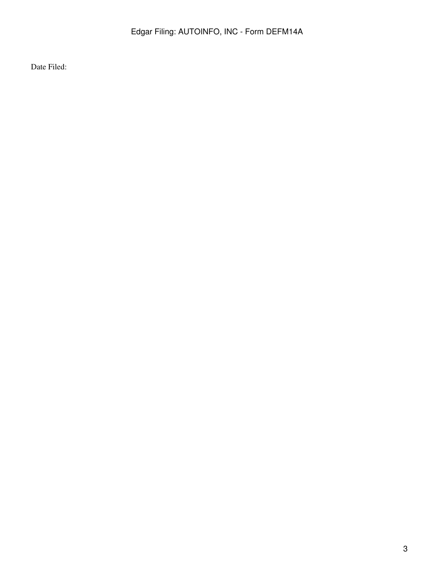Date Filed: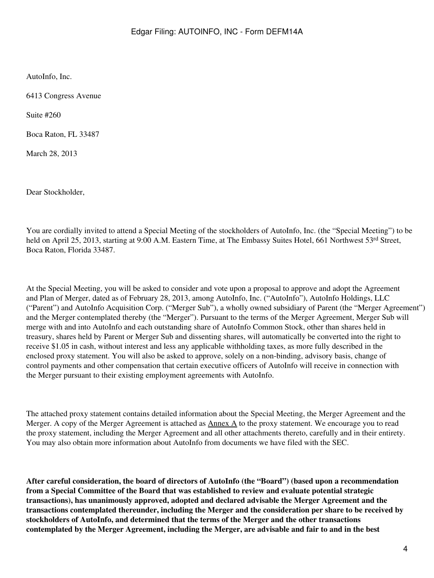AutoInfo, Inc.

6413 Congress Avenue

Suite #260

Boca Raton, FL 33487

March 28, 2013

Dear Stockholder,

You are cordially invited to attend a Special Meeting of the stockholders of AutoInfo, Inc. (the "Special Meeting") to be held on April 25, 2013, starting at 9:00 A.M. Eastern Time, at The Embassy Suites Hotel, 661 Northwest 53<sup>rd</sup> Street, Boca Raton, Florida 33487.

At the Special Meeting, you will be asked to consider and vote upon a proposal to approve and adopt the Agreement and Plan of Merger, dated as of February 28, 2013, among AutoInfo, Inc. ("AutoInfo"), AutoInfo Holdings, LLC ("Parent") and AutoInfo Acquisition Corp. ("Merger Sub"), a wholly owned subsidiary of Parent (the "Merger Agreement") and the Merger contemplated thereby (the "Merger"). Pursuant to the terms of the Merger Agreement, Merger Sub will merge with and into AutoInfo and each outstanding share of AutoInfo Common Stock, other than shares held in treasury, shares held by Parent or Merger Sub and dissenting shares, will automatically be converted into the right to receive \$1.05 in cash, without interest and less any applicable withholding taxes, as more fully described in the enclosed proxy statement. You will also be asked to approve, solely on a non-binding, advisory basis, change of control payments and other compensation that certain executive officers of AutoInfo will receive in connection with the Merger pursuant to their existing employment agreements with AutoInfo.

The attached proxy statement contains detailed information about the Special Meeting, the Merger Agreement and the Merger. A copy of the Merger Agreement is attached as Annex A to the proxy statement. We encourage you to read the proxy statement, including the Merger Agreement and all other attachments thereto, carefully and in their entirety. You may also obtain more information about AutoInfo from documents we have filed with the SEC.

**After careful consideration, the board of directors of AutoInfo (the "Board") (based upon a recommendation from a Special Committee of the Board that was established to review and evaluate potential strategic transactions), has unanimously approved, adopted and declared advisable the Merger Agreement and the transactions contemplated thereunder, including the Merger and the consideration per share to be received by stockholders of AutoInfo, and determined that the terms of the Merger and the other transactions contemplated by the Merger Agreement, including the Merger, are advisable and fair to and in the best**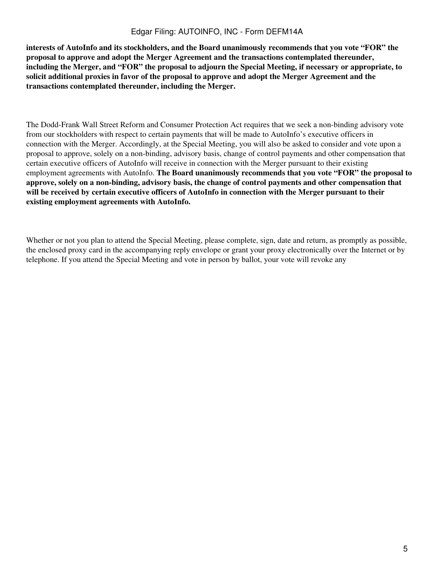**interests of AutoInfo and its stockholders, and the Board unanimously recommends that you vote "FOR" the proposal to approve and adopt the Merger Agreement and the transactions contemplated thereunder, including the Merger, and "FOR" the proposal to adjourn the Special Meeting, if necessary or appropriate, to solicit additional proxies in favor of the proposal to approve and adopt the Merger Agreement and the transactions contemplated thereunder, including the Merger.**

The Dodd-Frank Wall Street Reform and Consumer Protection Act requires that we seek a non-binding advisory vote from our stockholders with respect to certain payments that will be made to AutoInfo's executive officers in connection with the Merger. Accordingly, at the Special Meeting, you will also be asked to consider and vote upon a proposal to approve, solely on a non-binding, advisory basis, change of control payments and other compensation that certain executive officers of AutoInfo will receive in connection with the Merger pursuant to their existing employment agreements with AutoInfo. **The Board unanimously recommends that you vote "FOR" the proposal to approve, solely on a non-binding, advisory basis, the change of control payments and other compensation that will be received by certain executive officers of AutoInfo in connection with the Merger pursuant to their existing employment agreements with AutoInfo.**

Whether or not you plan to attend the Special Meeting, please complete, sign, date and return, as promptly as possible, the enclosed proxy card in the accompanying reply envelope or grant your proxy electronically over the Internet or by telephone. If you attend the Special Meeting and vote in person by ballot, your vote will revoke any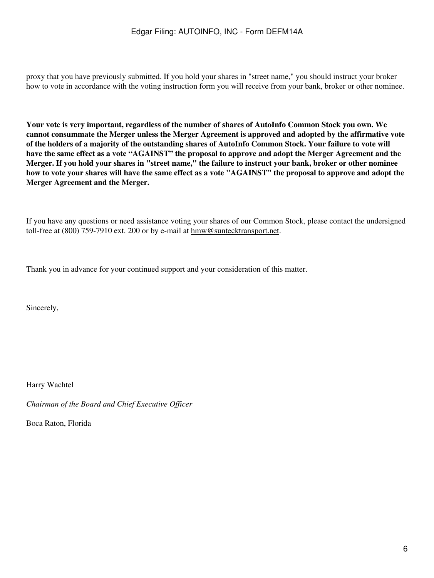proxy that you have previously submitted. If you hold your shares in "street name," you should instruct your broker how to vote in accordance with the voting instruction form you will receive from your bank, broker or other nominee.

**Your vote is very important, regardless of the number of shares of AutoInfo Common Stock you own. We cannot consummate the Merger unless the Merger Agreement is approved and adopted by the affirmative vote of the holders of a majority of the outstanding shares of AutoInfo Common Stock. Your failure to vote will have the same effect as a vote "AGAINST" the proposal to approve and adopt the Merger Agreement and the Merger. If you hold your shares in "street name," the failure to instruct your bank, broker or other nominee how to vote your shares will have the same effect as a vote "AGAINST" the proposal to approve and adopt the Merger Agreement and the Merger.**

If you have any questions or need assistance voting your shares of our Common Stock, please contact the undersigned toll-free at (800) 759-7910 ext. 200 or by e-mail at hmw@suntecktransport.net.

Thank you in advance for your continued support and your consideration of this matter.

Sincerely,

Harry Wachtel

*Chairman of the Board and Chief Executive Officer*

Boca Raton, Florida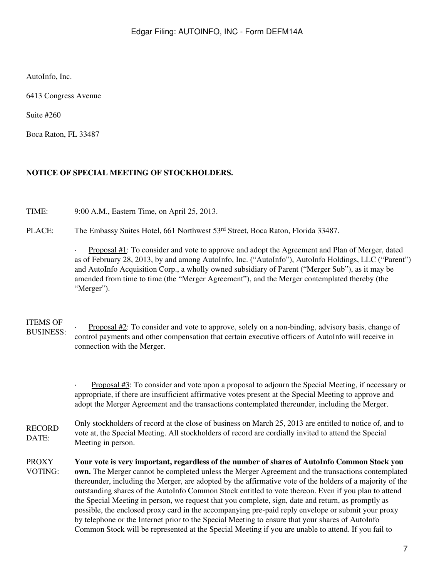AutoInfo, Inc.

6413 Congress Avenue

Suite #260

Boca Raton, FL 33487

## **NOTICE OF SPECIAL MEETING OF STOCKHOLDERS.**

TIME: 9:00 A.M., Eastern Time, on April 25, 2013.

PLACE: The Embassy Suites Hotel, 661 Northwest 53rd Street, Boca Raton, Florida 33487.

· Proposal #1: To consider and vote to approve and adopt the Agreement and Plan of Merger, dated as of February 28, 2013, by and among AutoInfo, Inc. ("AutoInfo"), AutoInfo Holdings, LLC ("Parent") and AutoInfo Acquisition Corp., a wholly owned subsidiary of Parent ("Merger Sub"), as it may be amended from time to time (the "Merger Agreement"), and the Merger contemplated thereby (the "Merger").

ITEMS OF BUSINESS: · Proposal #2: To consider and vote to approve, solely on a non-binding, advisory basis, change of control payments and other compensation that certain executive officers of AutoInfo will receive in connection with the Merger.

Proposal  $\#3$ : To consider and vote upon a proposal to adjourn the Special Meeting, if necessary or appropriate, if there are insufficient affirmative votes present at the Special Meeting to approve and adopt the Merger Agreement and the transactions contemplated thereunder, including the Merger.

- RECORD DATE: Only stockholders of record at the close of business on March 25, 2013 are entitled to notice of, and to vote at, the Special Meeting. All stockholders of record are cordially invited to attend the Special Meeting in person.
- PROXY VOTING: **Your vote is very important, regardless of the number of shares of AutoInfo Common Stock you own.** The Merger cannot be completed unless the Merger Agreement and the transactions contemplated thereunder, including the Merger, are adopted by the affirmative vote of the holders of a majority of the outstanding shares of the AutoInfo Common Stock entitled to vote thereon. Even if you plan to attend the Special Meeting in person, we request that you complete, sign, date and return, as promptly as possible, the enclosed proxy card in the accompanying pre-paid reply envelope or submit your proxy by telephone or the Internet prior to the Special Meeting to ensure that your shares of AutoInfo Common Stock will be represented at the Special Meeting if you are unable to attend. If you fail to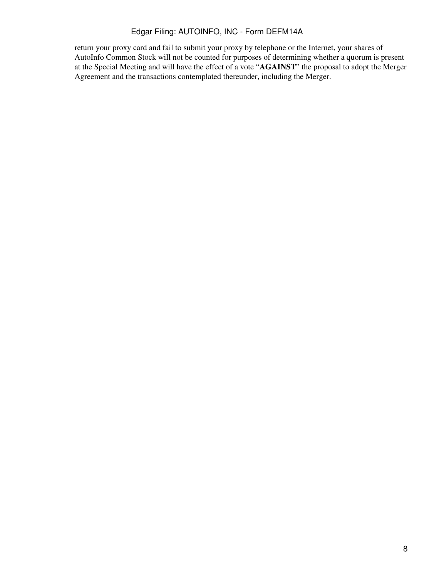return your proxy card and fail to submit your proxy by telephone or the Internet, your shares of AutoInfo Common Stock will not be counted for purposes of determining whether a quorum is present at the Special Meeting and will have the effect of a vote "**AGAINST**" the proposal to adopt the Merger Agreement and the transactions contemplated thereunder, including the Merger.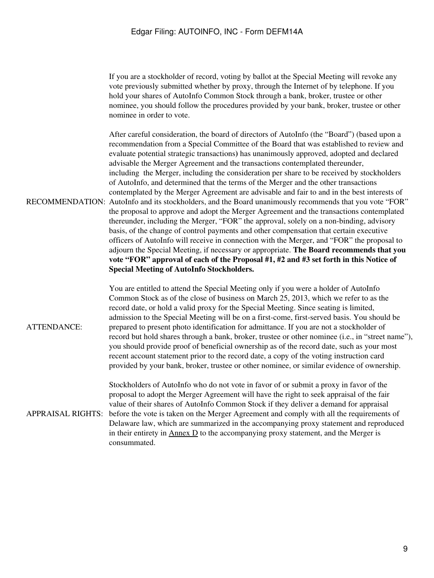If you are a stockholder of record, voting by ballot at the Special Meeting will revoke any vote previously submitted whether by proxy, through the Internet of by telephone. If you hold your shares of AutoInfo Common Stock through a bank, broker, trustee or other nominee, you should follow the procedures provided by your bank, broker, trustee or other nominee in order to vote.

RECOMMENDATION: AutoInfo and its stockholders, and the Board unanimously recommends that you vote "FOR" After careful consideration, the board of directors of AutoInfo (the "Board") (based upon a recommendation from a Special Committee of the Board that was established to review and evaluate potential strategic transactions**)** has unanimously approved, adopted and declared advisable the Merger Agreement and the transactions contemplated thereunder, including the Merger, including the consideration per share to be received by stockholders of AutoInfo, and determined that the terms of the Merger and the other transactions contemplated by the Merger Agreement are advisable and fair to and in the best interests of the proposal to approve and adopt the Merger Agreement and the transactions contemplated thereunder, including the Merger, "FOR" the approval, solely on a non-binding, advisory basis, of the change of control payments and other compensation that certain executive officers of AutoInfo will receive in connection with the Merger, and "FOR" the proposal to adjourn the Special Meeting, if necessary or appropriate. **The Board recommends that you vote "FOR" approval of each of the Proposal #1, #2 and #3 set forth in this Notice of Special Meeting of AutoInfo Stockholders.**

> You are entitled to attend the Special Meeting only if you were a holder of AutoInfo Common Stock as of the close of business on March 25, 2013, which we refer to as the record date, or hold a valid proxy for the Special Meeting. Since seating is limited, admission to the Special Meeting will be on a first-come, first-served basis. You should be prepared to present photo identification for admittance. If you are not a stockholder of record but hold shares through a bank, broker, trustee or other nominee (i.e., in "street name"), you should provide proof of beneficial ownership as of the record date, such as your most recent account statement prior to the record date, a copy of the voting instruction card provided by your bank, broker, trustee or other nominee, or similar evidence of ownership.

APPRAISAL RIGHTS: Stockholders of AutoInfo who do not vote in favor of or submit a proxy in favor of the proposal to adopt the Merger Agreement will have the right to seek appraisal of the fair value of their shares of AutoInfo Common Stock if they deliver a demand for appraisal before the vote is taken on the Merger Agreement and comply with all the requirements of Delaware law, which are summarized in the accompanying proxy statement and reproduced in their entirety in  $\Delta$ nnex  $\overline{D}$  to the accompanying proxy statement, and the Merger is consummated.

ATTENDANCE: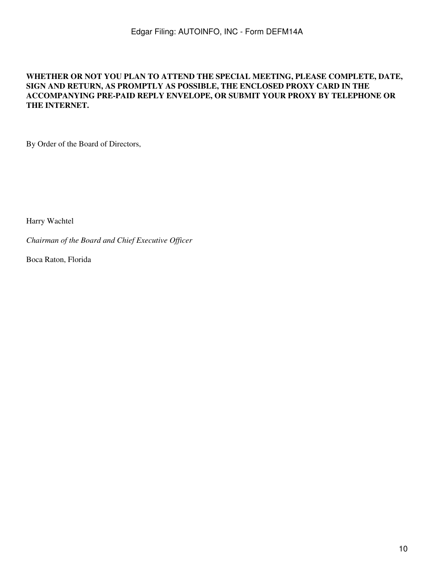## **WHETHER OR NOT YOU PLAN TO ATTEND THE SPECIAL MEETING, PLEASE COMPLETE, DATE, SIGN AND RETURN, AS PROMPTLY AS POSSIBLE, THE ENCLOSED PROXY CARD IN THE ACCOMPANYING PRE-PAID REPLY ENVELOPE, OR SUBMIT YOUR PROXY BY TELEPHONE OR THE INTERNET.**

By Order of the Board of Directors,

Harry Wachtel

*Chairman of the Board and Chief Executive Officer*

Boca Raton, Florida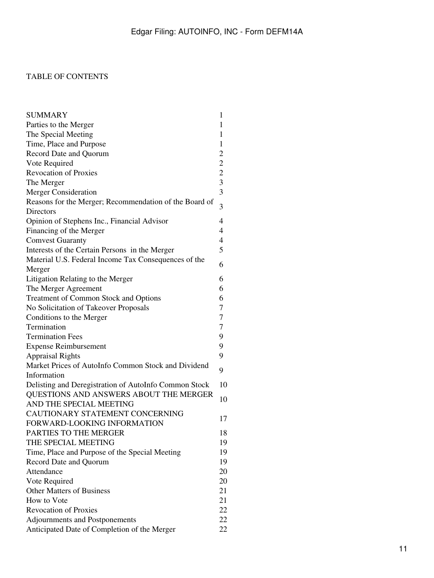## TABLE OF CONTENTS

| <b>SUMMARY</b>                                         | 1                |
|--------------------------------------------------------|------------------|
| Parties to the Merger                                  | 1                |
| The Special Meeting                                    | 1                |
| Time, Place and Purpose                                | 1                |
| Record Date and Quorum                                 | $\overline{c}$   |
| Vote Required                                          | $\overline{c}$   |
| <b>Revocation of Proxies</b>                           | $\overline{c}$   |
| The Merger                                             | $\overline{3}$   |
| <b>Merger Consideration</b>                            | $\overline{3}$   |
| Reasons for the Merger; Recommendation of the Board of |                  |
| Directors                                              | 3                |
| Opinion of Stephens Inc., Financial Advisor            | 4                |
| Financing of the Merger                                | $\overline{4}$   |
| <b>Comvest Guaranty</b>                                | $\overline{4}$   |
| Interests of the Certain Persons in the Merger         | 5                |
| Material U.S. Federal Income Tax Consequences of the   |                  |
| Merger                                                 | 6                |
| Litigation Relating to the Merger                      | 6                |
| The Merger Agreement                                   | 6                |
| Treatment of Common Stock and Options                  | 6                |
| No Solicitation of Takeover Proposals                  | $\boldsymbol{7}$ |
| Conditions to the Merger                               | $\tau$           |
| Termination                                            | $\overline{7}$   |
| <b>Termination Fees</b>                                | 9                |
| <b>Expense Reimbursement</b>                           | 9                |
| <b>Appraisal Rights</b>                                | 9                |
| Market Prices of AutoInfo Common Stock and Dividend    | 9                |
| Information                                            |                  |
| Delisting and Deregistration of AutoInfo Common Stock  | 10               |
| QUESTIONS AND ANSWERS ABOUT THE MERGER                 | 10               |
| AND THE SPECIAL MEETING                                |                  |
| CAUTIONARY STATEMENT CONCERNING                        | 17               |
| FORWARD-LOOKING INFORMATION                            |                  |
| PARTIES TO THE MERGER                                  | 18               |
| THE SPECIAL MEETING                                    | 19               |
| Time, Place and Purpose of the Special Meeting         | 19               |
| Record Date and Quorum                                 | 19               |
| Attendance                                             | 20               |
| Vote Required                                          | 20               |
| <b>Other Matters of Business</b>                       | 21               |
| How to Vote                                            | 21               |
| <b>Revocation of Proxies</b>                           | 22               |
| <b>Adjournments and Postponements</b>                  | 22               |
| Anticipated Date of Completion of the Merger           | 22               |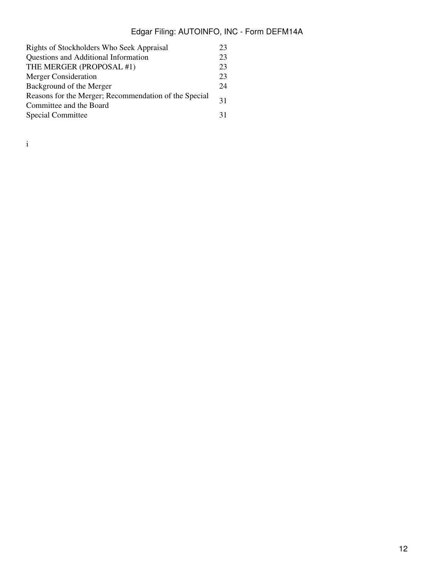12

| Rights of Stockholders Who Seek Appraisal                                        | 23 |
|----------------------------------------------------------------------------------|----|
| Questions and Additional Information                                             | 23 |
| THE MERGER (PROPOSAL #1)                                                         | 23 |
| <b>Merger Consideration</b>                                                      | 23 |
| Background of the Merger                                                         | 24 |
| Reasons for the Merger; Recommendation of the Special<br>Committee and the Board | 31 |
| <b>Special Committee</b>                                                         | 31 |

i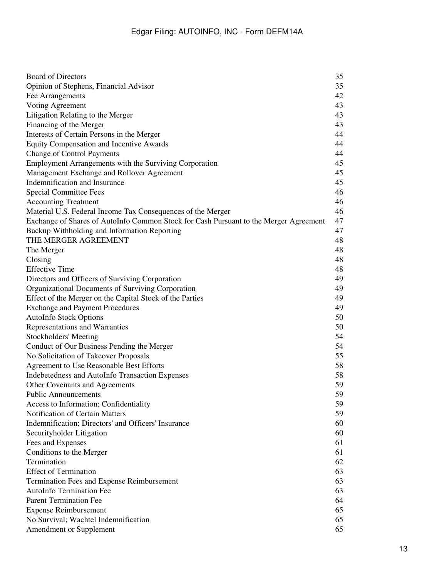| <b>Board of Directors</b>                                                             | 35 |
|---------------------------------------------------------------------------------------|----|
| Opinion of Stephens, Financial Advisor                                                | 35 |
| Fee Arrangements                                                                      | 42 |
| Voting Agreement                                                                      | 43 |
| Litigation Relating to the Merger                                                     | 43 |
| Financing of the Merger                                                               | 43 |
| Interests of Certain Persons in the Merger                                            | 44 |
| <b>Equity Compensation and Incentive Awards</b>                                       | 44 |
| <b>Change of Control Payments</b>                                                     | 44 |
| Employment Arrangements with the Surviving Corporation                                | 45 |
| Management Exchange and Rollover Agreement                                            | 45 |
| Indemnification and Insurance                                                         | 45 |
| <b>Special Committee Fees</b>                                                         | 46 |
| <b>Accounting Treatment</b>                                                           | 46 |
| Material U.S. Federal Income Tax Consequences of the Merger                           | 46 |
| Exchange of Shares of AutoInfo Common Stock for Cash Pursuant to the Merger Agreement | 47 |
| Backup Withholding and Information Reporting                                          | 47 |
| THE MERGER AGREEMENT                                                                  | 48 |
| The Merger                                                                            | 48 |
| Closing                                                                               | 48 |
| <b>Effective Time</b>                                                                 | 48 |
| Directors and Officers of Surviving Corporation                                       | 49 |
| Organizational Documents of Surviving Corporation                                     | 49 |
|                                                                                       | 49 |
| Effect of the Merger on the Capital Stock of the Parties                              |    |
| <b>Exchange and Payment Procedures</b>                                                | 49 |
| <b>AutoInfo Stock Options</b>                                                         | 50 |
| Representations and Warranties                                                        | 50 |
| <b>Stockholders' Meeting</b>                                                          | 54 |
| Conduct of Our Business Pending the Merger                                            | 54 |
| No Solicitation of Takeover Proposals                                                 | 55 |
| Agreement to Use Reasonable Best Efforts                                              | 58 |
| Indebetedness and AutoInfo Transaction Expenses                                       | 58 |
| Other Covenants and Agreements                                                        | 59 |
| <b>Public Announcements</b>                                                           | 59 |
| Access to Information; Confidentiality                                                | 59 |
| Notification of Certain Matters                                                       | 59 |
| Indemnification; Directors' and Officers' Insurance                                   | 60 |
| Securityholder Litigation                                                             | 60 |
| Fees and Expenses                                                                     | 61 |
| Conditions to the Merger                                                              | 61 |
| Termination                                                                           | 62 |
| <b>Effect of Termination</b>                                                          | 63 |
| Termination Fees and Expense Reimbursement                                            | 63 |
| <b>AutoInfo Termination Fee</b>                                                       | 63 |
| <b>Parent Termination Fee</b>                                                         | 64 |
| <b>Expense Reimbursement</b>                                                          | 65 |
| No Survival; Wachtel Indemnification                                                  | 65 |
| Amendment or Supplement                                                               | 65 |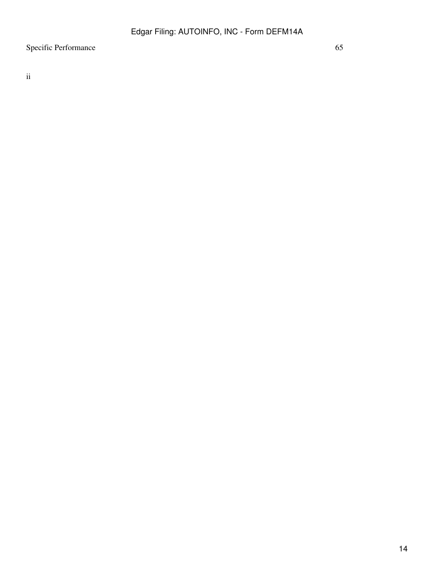## Specific Performance 65

ii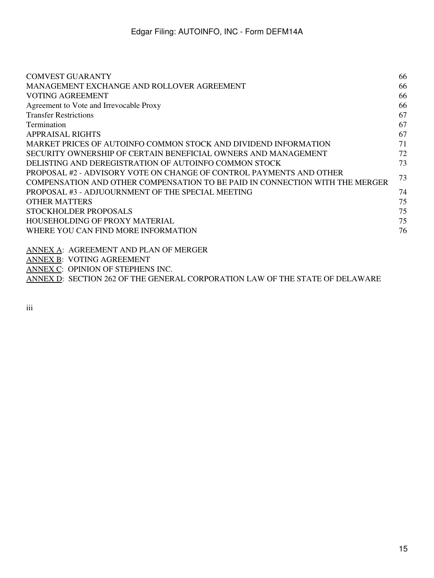| <b>COMVEST GUARANTY</b>                                                      | 66 |
|------------------------------------------------------------------------------|----|
| MANAGEMENT EXCHANGE AND ROLLOVER AGREEMENT                                   | 66 |
| <b>VOTING AGREEMENT</b>                                                      | 66 |
| Agreement to Vote and Irrevocable Proxy                                      | 66 |
| <b>Transfer Restrictions</b>                                                 | 67 |
| <b>Termination</b>                                                           | 67 |
| APPRAISAL RIGHTS                                                             | 67 |
| MARKET PRICES OF AUTOINFO COMMON STOCK AND DIVIDEND INFORMATION              | 71 |
| SECURITY OWNERSHIP OF CERTAIN BENEFICIAL OWNERS AND MANAGEMENT               | 72 |
| DELISTING AND DEREGISTRATION OF AUTOINFO COMMON STOCK                        | 73 |
| PROPOSAL #2 - ADVISORY VOTE ON CHANGE OF CONTROL PAYMENTS AND OTHER          | 73 |
| COMPENSATION AND OTHER COMPENSATION TO BE PAID IN CONNECTION WITH THE MERGER |    |
| PROPOSAL #3 - ADJUOURNMENT OF THE SPECIAL MEETING                            | 74 |
| <b>OTHER MATTERS</b>                                                         | 75 |
| STOCKHOLDER PROPOSALS                                                        | 75 |
| <b>HOUSEHOLDING OF PROXY MATERIAL</b>                                        | 75 |
| WHERE YOU CAN FIND MORE INFORMATION                                          | 76 |
|                                                                              |    |

ANNEX A: AGREEMENT AND PLAN OF MERGER

ANNEX B: VOTING AGREEMENT

ANNEX C: OPINION OF STEPHENS INC.

ANNEX **D**: SECTION 262 OF THE GENERAL CORPORATION LAW OF THE STATE OF DELAWARE

iii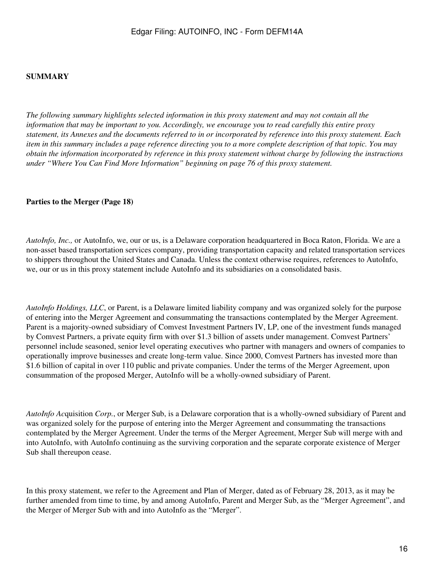#### **SUMMARY**

*The following summary highlights selected information in this proxy statement and may not contain all the information that may be important to you. Accordingly, we encourage you to read carefully this entire proxy statement, its Annexes and the documents referred to in or incorporated by reference into this proxy statement. Each item in this summary includes a page reference directing you to a more complete description of that topic. You may obtain the information incorporated by reference in this proxy statement without charge by following the instructions under "Where You Can Find More Information" beginning on page 76 of this proxy statement.*

#### **Parties to the Merger (Page 18)**

*AutoInfo, Inc.,* or AutoInfo, we, our or us, is a Delaware corporation headquartered in Boca Raton, Florida. We are a non-asset based transportation services company, providing transportation capacity and related transportation services to shippers throughout the United States and Canada. Unless the context otherwise requires, references to AutoInfo, we, our or us in this proxy statement include AutoInfo and its subsidiaries on a consolidated basis.

*AutoInfo Holdings, LLC*, or Parent, is a Delaware limited liability company and was organized solely for the purpose of entering into the Merger Agreement and consummating the transactions contemplated by the Merger Agreement. Parent is a majority-owned subsidiary of Comvest Investment Partners IV, LP, one of the investment funds managed by Comvest Partners, a private equity firm with over \$1.3 billion of assets under management. Comvest Partners' personnel include seasoned, senior level operating executives who partner with managers and owners of companies to operationally improve businesses and create long-term value. Since 2000, Comvest Partners has invested more than \$1.6 billion of capital in over 110 public and private companies. Under the terms of the Merger Agreement, upon consummation of the proposed Merger, AutoInfo will be a wholly-owned subsidiary of Parent.

*AutoInfo Ac*quisition *Corp.*, or Merger Sub, is a Delaware corporation that is a wholly-owned subsidiary of Parent and was organized solely for the purpose of entering into the Merger Agreement and consummating the transactions contemplated by the Merger Agreement. Under the terms of the Merger Agreement, Merger Sub will merge with and into AutoInfo, with AutoInfo continuing as the surviving corporation and the separate corporate existence of Merger Sub shall thereupon cease.

In this proxy statement, we refer to the Agreement and Plan of Merger, dated as of February 28, 2013, as it may be further amended from time to time, by and among AutoInfo, Parent and Merger Sub, as the "Merger Agreement", and the Merger of Merger Sub with and into AutoInfo as the "Merger".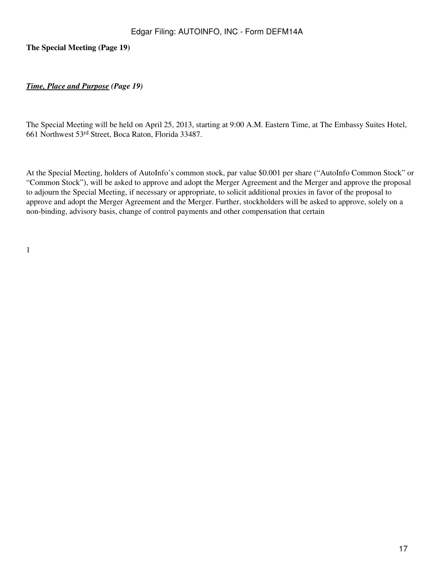**The Special Meeting (Page 19)**

#### *Time, Place and Purpose (Page 19)*

The Special Meeting will be held on April 25, 2013, starting at 9:00 A.M. Eastern Time, at The Embassy Suites Hotel, 661 Northwest 53rd Street, Boca Raton, Florida 33487.

At the Special Meeting, holders of AutoInfo's common stock, par value \$0.001 per share ("AutoInfo Common Stock" or "Common Stock"), will be asked to approve and adopt the Merger Agreement and the Merger and approve the proposal to adjourn the Special Meeting, if necessary or appropriate, to solicit additional proxies in favor of the proposal to approve and adopt the Merger Agreement and the Merger. Further, stockholders will be asked to approve, solely on a non-binding, advisory basis, change of control payments and other compensation that certain

1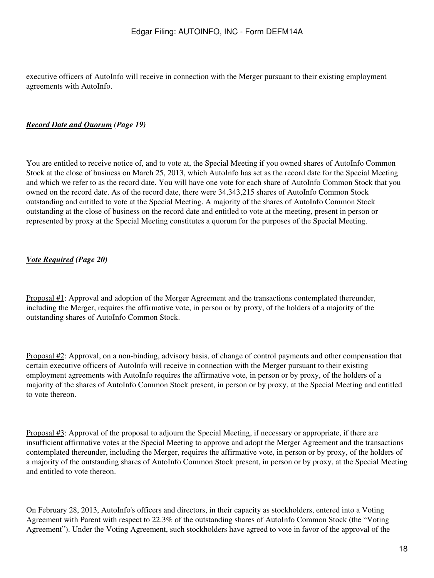executive officers of AutoInfo will receive in connection with the Merger pursuant to their existing employment agreements with AutoInfo.

#### *Record Date and Quorum (Page 19)*

You are entitled to receive notice of, and to vote at, the Special Meeting if you owned shares of AutoInfo Common Stock at the close of business on March 25, 2013, which AutoInfo has set as the record date for the Special Meeting and which we refer to as the record date. You will have one vote for each share of AutoInfo Common Stock that you owned on the record date. As of the record date, there were 34,343,215 shares of AutoInfo Common Stock outstanding and entitled to vote at the Special Meeting. A majority of the shares of AutoInfo Common Stock outstanding at the close of business on the record date and entitled to vote at the meeting, present in person or represented by proxy at the Special Meeting constitutes a quorum for the purposes of the Special Meeting.

#### *Vote Required (Page 20)*

Proposal #1: Approval and adoption of the Merger Agreement and the transactions contemplated thereunder, including the Merger, requires the affirmative vote, in person or by proxy, of the holders of a majority of the outstanding shares of AutoInfo Common Stock.

Proposal #2: Approval, on a non-binding, advisory basis, of change of control payments and other compensation that certain executive officers of AutoInfo will receive in connection with the Merger pursuant to their existing employment agreements with AutoInfo requires the affirmative vote, in person or by proxy, of the holders of a majority of the shares of AutoInfo Common Stock present, in person or by proxy, at the Special Meeting and entitled to vote thereon.

Proposal #3: Approval of the proposal to adjourn the Special Meeting, if necessary or appropriate, if there are insufficient affirmative votes at the Special Meeting to approve and adopt the Merger Agreement and the transactions contemplated thereunder, including the Merger, requires the affirmative vote, in person or by proxy, of the holders of a majority of the outstanding shares of AutoInfo Common Stock present, in person or by proxy, at the Special Meeting and entitled to vote thereon.

On February 28, 2013, AutoInfo's officers and directors, in their capacity as stockholders, entered into a Voting Agreement with Parent with respect to 22.3% of the outstanding shares of AutoInfo Common Stock (the "Voting Agreement"). Under the Voting Agreement, such stockholders have agreed to vote in favor of the approval of the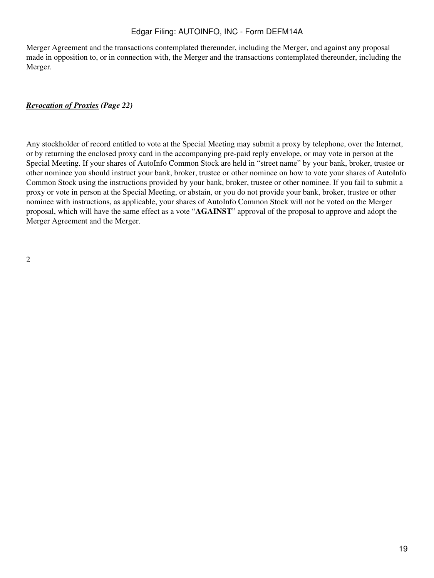Merger Agreement and the transactions contemplated thereunder, including the Merger, and against any proposal made in opposition to, or in connection with, the Merger and the transactions contemplated thereunder, including the Merger.

#### *Revocation of Proxies (Page 22)*

Any stockholder of record entitled to vote at the Special Meeting may submit a proxy by telephone, over the Internet, or by returning the enclosed proxy card in the accompanying pre-paid reply envelope, or may vote in person at the Special Meeting. If your shares of AutoInfo Common Stock are held in "street name" by your bank, broker, trustee or other nominee you should instruct your bank, broker, trustee or other nominee on how to vote your shares of AutoInfo Common Stock using the instructions provided by your bank, broker, trustee or other nominee. If you fail to submit a proxy or vote in person at the Special Meeting, or abstain, or you do not provide your bank, broker, trustee or other nominee with instructions, as applicable, your shares of AutoInfo Common Stock will not be voted on the Merger proposal, which will have the same effect as a vote "**AGAINST**" approval of the proposal to approve and adopt the Merger Agreement and the Merger.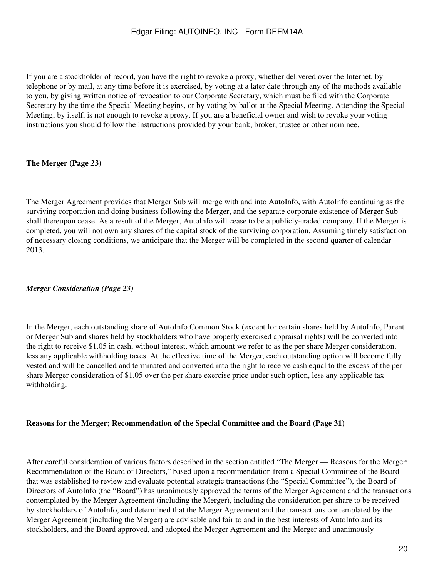If you are a stockholder of record, you have the right to revoke a proxy, whether delivered over the Internet, by telephone or by mail, at any time before it is exercised, by voting at a later date through any of the methods available to you, by giving written notice of revocation to our Corporate Secretary, which must be filed with the Corporate Secretary by the time the Special Meeting begins, or by voting by ballot at the Special Meeting. Attending the Special Meeting, by itself, is not enough to revoke a proxy. If you are a beneficial owner and wish to revoke your voting instructions you should follow the instructions provided by your bank, broker, trustee or other nominee.

## **The Merger (Page 23)**

The Merger Agreement provides that Merger Sub will merge with and into AutoInfo, with AutoInfo continuing as the surviving corporation and doing business following the Merger, and the separate corporate existence of Merger Sub shall thereupon cease. As a result of the Merger, AutoInfo will cease to be a publicly-traded company. If the Merger is completed, you will not own any shares of the capital stock of the surviving corporation. Assuming timely satisfaction of necessary closing conditions, we anticipate that the Merger will be completed in the second quarter of calendar 2013.

#### *Merger Consideration (Page 23)*

In the Merger, each outstanding share of AutoInfo Common Stock (except for certain shares held by AutoInfo, Parent or Merger Sub and shares held by stockholders who have properly exercised appraisal rights) will be converted into the right to receive \$1.05 in cash, without interest, which amount we refer to as the per share Merger consideration, less any applicable withholding taxes. At the effective time of the Merger, each outstanding option will become fully vested and will be cancelled and terminated and converted into the right to receive cash equal to the excess of the per share Merger consideration of \$1.05 over the per share exercise price under such option, less any applicable tax withholding.

## **Reasons for the Merger; Recommendation of the Special Committee and the Board (Page 31)**

After careful consideration of various factors described in the section entitled "The Merger — Reasons for the Merger; Recommendation of the Board of Directors," based upon a recommendation from a Special Committee of the Board that was established to review and evaluate potential strategic transactions (the "Special Committee"), the Board of Directors of AutoInfo (the "Board") has unanimously approved the terms of the Merger Agreement and the transactions contemplated by the Merger Agreement (including the Merger), including the consideration per share to be received by stockholders of AutoInfo, and determined that the Merger Agreement and the transactions contemplated by the Merger Agreement (including the Merger) are advisable and fair to and in the best interests of AutoInfo and its stockholders, and the Board approved, and adopted the Merger Agreement and the Merger and unanimously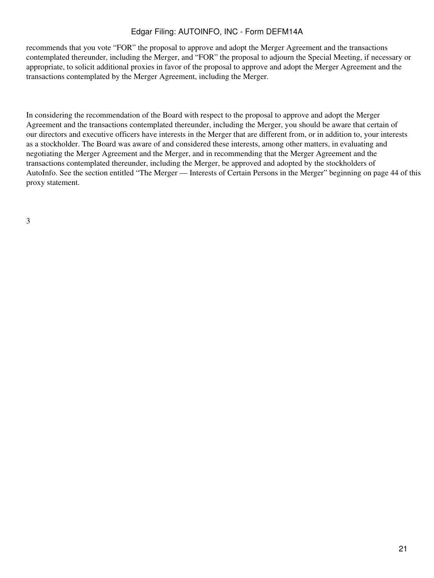recommends that you vote "FOR" the proposal to approve and adopt the Merger Agreement and the transactions contemplated thereunder, including the Merger, and "FOR" the proposal to adjourn the Special Meeting, if necessary or appropriate, to solicit additional proxies in favor of the proposal to approve and adopt the Merger Agreement and the transactions contemplated by the Merger Agreement, including the Merger.

In considering the recommendation of the Board with respect to the proposal to approve and adopt the Merger Agreement and the transactions contemplated thereunder, including the Merger, you should be aware that certain of our directors and executive officers have interests in the Merger that are different from, or in addition to, your interests as a stockholder. The Board was aware of and considered these interests, among other matters, in evaluating and negotiating the Merger Agreement and the Merger, and in recommending that the Merger Agreement and the transactions contemplated thereunder, including the Merger, be approved and adopted by the stockholders of AutoInfo. See the section entitled "The Merger — Interests of Certain Persons in the Merger" beginning on page 44 of this proxy statement.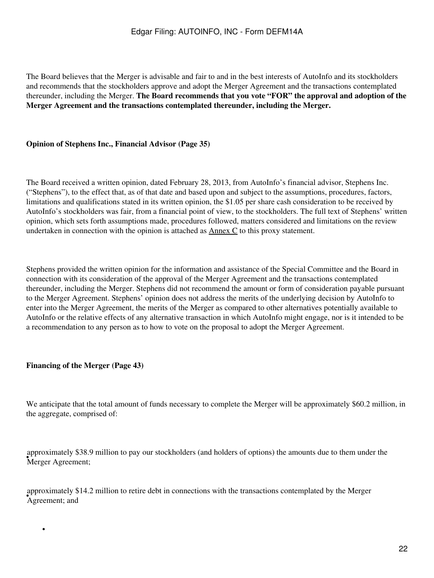The Board believes that the Merger is advisable and fair to and in the best interests of AutoInfo and its stockholders and recommends that the stockholders approve and adopt the Merger Agreement and the transactions contemplated thereunder, including the Merger. **The Board recommends that you vote "FOR" the approval and adoption of the Merger Agreement and the transactions contemplated thereunder, including the Merger.**

#### **Opinion of Stephens Inc., Financial Advisor (Page 35)**

The Board received a written opinion, dated February 28, 2013, from AutoInfo's financial advisor, Stephens Inc. ("Stephens"), to the effect that, as of that date and based upon and subject to the assumptions, procedures, factors, limitations and qualifications stated in its written opinion, the \$1.05 per share cash consideration to be received by AutoInfo's stockholders was fair, from a financial point of view, to the stockholders. The full text of Stephens' written opinion, which sets forth assumptions made, procedures followed, matters considered and limitations on the review undertaken in connection with the opinion is attached as Annex C to this proxy statement.

Stephens provided the written opinion for the information and assistance of the Special Committee and the Board in connection with its consideration of the approval of the Merger Agreement and the transactions contemplated thereunder, including the Merger. Stephens did not recommend the amount or form of consideration payable pursuant to the Merger Agreement. Stephens' opinion does not address the merits of the underlying decision by AutoInfo to enter into the Merger Agreement, the merits of the Merger as compared to other alternatives potentially available to AutoInfo or the relative effects of any alternative transaction in which AutoInfo might engage, nor is it intended to be a recommendation to any person as to how to vote on the proposal to adopt the Merger Agreement.

#### **Financing of the Merger (Page 43)**

•

We anticipate that the total amount of funds necessary to complete the Merger will be approximately \$60.2 million, in the aggregate, comprised of:

**Merger Agreement;** approximately \$38.9 million to pay our stockholders (and holders of options) the amounts due to them under the

Agreement; and approximately \$14.2 million to retire debt in connections with the transactions contemplated by the Merger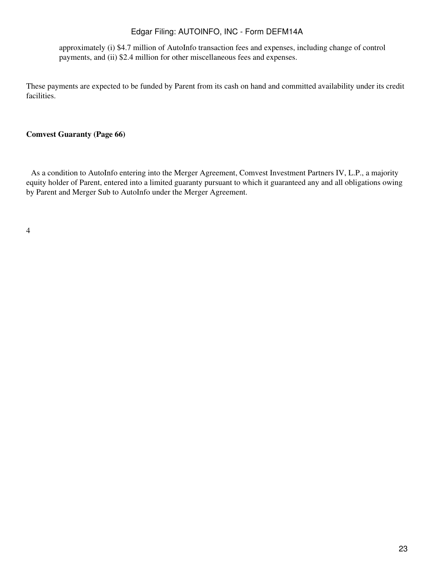approximately (i) \$4.7 million of AutoInfo transaction fees and expenses, including change of control payments, and (ii) \$2.4 million for other miscellaneous fees and expenses.

These payments are expected to be funded by Parent from its cash on hand and committed availability under its credit facilities.

#### **Comvest Guaranty (Page 66)**

As a condition to AutoInfo entering into the Merger Agreement, Comvest Investment Partners IV, L.P., a majority equity holder of Parent, entered into a limited guaranty pursuant to which it guaranteed any and all obligations owing by Parent and Merger Sub to AutoInfo under the Merger Agreement.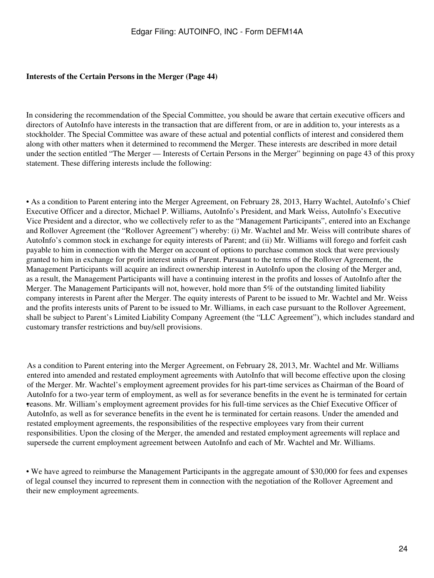#### **Interests of the Certain Persons in the Merger (Page 44)**

In considering the recommendation of the Special Committee, you should be aware that certain executive officers and directors of AutoInfo have interests in the transaction that are different from, or are in addition to, your interests as a stockholder. The Special Committee was aware of these actual and potential conflicts of interest and considered them along with other matters when it determined to recommend the Merger. These interests are described in more detail under the section entitled "The Merger — Interests of Certain Persons in the Merger" beginning on page 43 of this proxy statement. These differing interests include the following:

• As a condition to Parent entering into the Merger Agreement, on February 28, 2013, Harry Wachtel, AutoInfo's Chief Executive Officer and a director, Michael P. Williams, AutoInfo's President, and Mark Weiss, AutoInfo's Executive Vice President and a director, who we collectively refer to as the "Management Participants", entered into an Exchange and Rollover Agreement (the "Rollover Agreement") whereby: (i) Mr. Wachtel and Mr. Weiss will contribute shares of AutoInfo's common stock in exchange for equity interests of Parent; and (ii) Mr. Williams will forego and forfeit cash payable to him in connection with the Merger on account of options to purchase common stock that were previously granted to him in exchange for profit interest units of Parent. Pursuant to the terms of the Rollover Agreement, the Management Participants will acquire an indirect ownership interest in AutoInfo upon the closing of the Merger and, as a result, the Management Participants will have a continuing interest in the profits and losses of AutoInfo after the Merger. The Management Participants will not, however, hold more than 5% of the outstanding limited liability company interests in Parent after the Merger. The equity interests of Parent to be issued to Mr. Wachtel and Mr. Weiss and the profits interests units of Parent to be issued to Mr. Williams, in each case pursuant to the Rollover Agreement, shall be subject to Parent's Limited Liability Company Agreement (the "LLC Agreement"), which includes standard and customary transfer restrictions and buy/sell provisions.

• reasons. Mr. William's employment agreement provides for his full-time services as the Chief Executive Officer of As a condition to Parent entering into the Merger Agreement, on February 28, 2013, Mr. Wachtel and Mr. Williams entered into amended and restated employment agreements with AutoInfo that will become effective upon the closing of the Merger. Mr. Wachtel's employment agreement provides for his part-time services as Chairman of the Board of AutoInfo for a two-year term of employment, as well as for severance benefits in the event he is terminated for certain AutoInfo, as well as for severance benefits in the event he is terminated for certain reasons. Under the amended and restated employment agreements, the responsibilities of the respective employees vary from their current responsibilities. Upon the closing of the Merger, the amended and restated employment agreements will replace and supersede the current employment agreement between AutoInfo and each of Mr. Wachtel and Mr. Williams.

• We have agreed to reimburse the Management Participants in the aggregate amount of \$30,000 for fees and expenses of legal counsel they incurred to represent them in connection with the negotiation of the Rollover Agreement and their new employment agreements.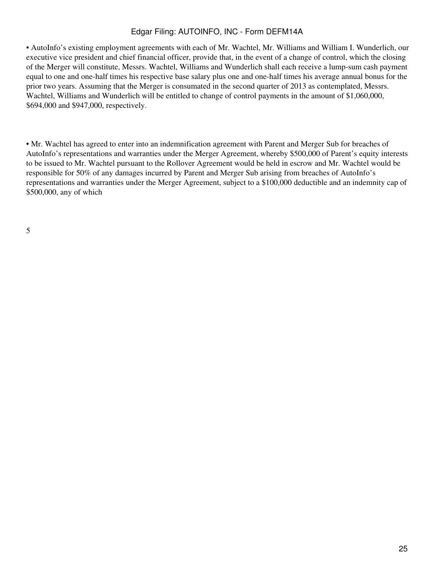• AutoInfo's existing employment agreements with each of Mr. Wachtel, Mr. Williams and William I. Wunderlich, our executive vice president and chief financial officer, provide that, in the event of a change of control, which the closing of the Merger will constitute, Messrs. Wachtel, Williams and Wunderlich shall each receive a lump-sum cash payment equal to one and one-half times his respective base salary plus one and one-half times his average annual bonus for the prior two years. Assuming that the Merger is consumated in the second quarter of 2013 as contemplated, Messrs. Wachtel, Williams and Wunderlich will be entitled to change of control payments in the amount of \$1,060,000, \$694,000 and \$947,000, respectively.

• Mr. Wachtel has agreed to enter into an indemnification agreement with Parent and Merger Sub for breaches of AutoInfo's representations and warranties under the Merger Agreement, whereby \$500,000 of Parent's equity interests to be issued to Mr. Wachtel pursuant to the Rollover Agreement would be held in escrow and Mr. Wachtel would be responsible for 50% of any damages incurred by Parent and Merger Sub arising from breaches of AutoInfo's representations and warranties under the Merger Agreement, subject to a \$100,000 deductible and an indemnity cap of \$500,000, any of which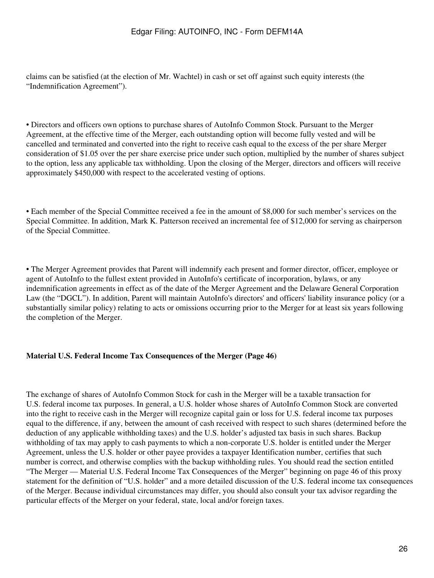claims can be satisfied (at the election of Mr. Wachtel) in cash or set off against such equity interests (the "Indemnification Agreement").

• Directors and officers own options to purchase shares of AutoInfo Common Stock. Pursuant to the Merger Agreement, at the effective time of the Merger, each outstanding option will become fully vested and will be cancelled and terminated and converted into the right to receive cash equal to the excess of the per share Merger consideration of \$1.05 over the per share exercise price under such option, multiplied by the number of shares subject to the option, less any applicable tax withholding. Upon the closing of the Merger, directors and officers will receive approximately \$450,000 with respect to the accelerated vesting of options.

• Each member of the Special Committee received a fee in the amount of \$8,000 for such member's services on the Special Committee. In addition, Mark K. Patterson received an incremental fee of \$12,000 for serving as chairperson of the Special Committee.

• The Merger Agreement provides that Parent will indemnify each present and former director, officer, employee or agent of AutoInfo to the fullest extent provided in AutoInfo's certificate of incorporation, bylaws, or any indemnification agreements in effect as of the date of the Merger Agreement and the Delaware General Corporation Law (the "DGCL"). In addition, Parent will maintain AutoInfo's directors' and officers' liability insurance policy (or a substantially similar policy) relating to acts or omissions occurring prior to the Merger for at least six years following the completion of the Merger.

#### **Material U.S. Federal Income Tax Consequences of the Merger (Page 46)**

The exchange of shares of AutoInfo Common Stock for cash in the Merger will be a taxable transaction for U.S. federal income tax purposes. In general, a U.S. holder whose shares of AutoInfo Common Stock are converted into the right to receive cash in the Merger will recognize capital gain or loss for U.S. federal income tax purposes equal to the difference, if any, between the amount of cash received with respect to such shares (determined before the deduction of any applicable withholding taxes) and the U.S. holder's adjusted tax basis in such shares. Backup withholding of tax may apply to cash payments to which a non-corporate U.S. holder is entitled under the Merger Agreement, unless the U.S. holder or other payee provides a taxpayer Identification number, certifies that such number is correct, and otherwise complies with the backup withholding rules. You should read the section entitled "The Merger — Material U.S. Federal Income Tax Consequences of the Merger" beginning on page 46 of this proxy statement for the definition of "U.S. holder" and a more detailed discussion of the U.S. federal income tax consequences of the Merger. Because individual circumstances may differ, you should also consult your tax advisor regarding the particular effects of the Merger on your federal, state, local and/or foreign taxes.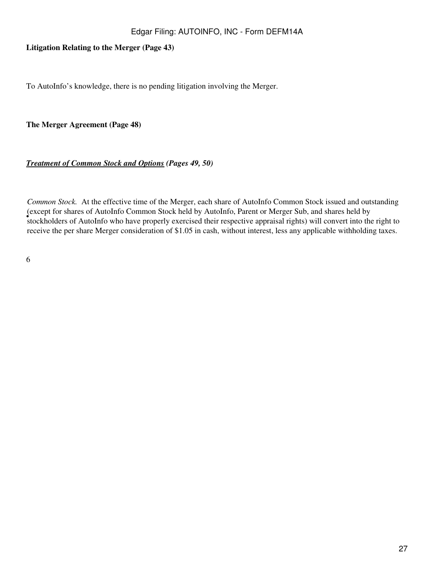## **Litigation Relating to the Merger (Page 43)**

To AutoInfo's knowledge, there is no pending litigation involving the Merger.

**The Merger Agreement (Page 48)**

## *Treatment of Common Stock and Options (Pages 49, 50)*

• stockholders of AutoInfo who have properly exercised their respective appraisal rights) will convert into the right to *Common Stock.* At the effective time of the Merger, each share of AutoInfo Common Stock issued and outstanding (except for shares of AutoInfo Common Stock held by AutoInfo, Parent or Merger Sub, and shares held by receive the per share Merger consideration of \$1.05 in cash, without interest, less any applicable withholding taxes.

6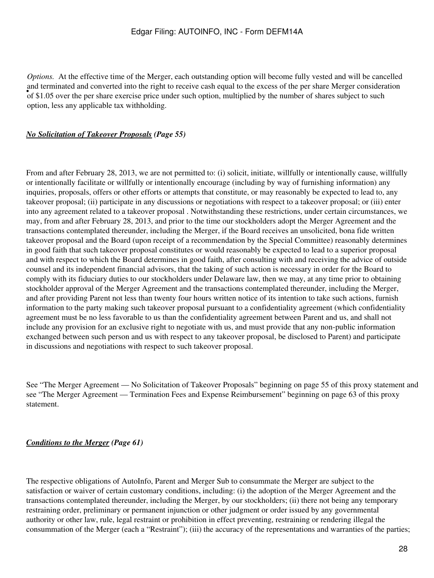The commatter and converted thro the right to receive easil equal to the excess of the per share merger consider<br>of \$1.05 over the per share exercise price under such option, multiplied by the number of shares subject to s *Options.* At the effective time of the Merger, each outstanding option will become fully vested and will be cancelled and terminated and converted into the right to receive cash equal to the excess of the per share Merger consideration option, less any applicable tax withholding.

#### *No Solicitation of Takeover Proposals (Page 55)*

From and after February 28, 2013, we are not permitted to: (i) solicit, initiate, willfully or intentionally cause, willfully or intentionally facilitate or willfully or intentionally encourage (including by way of furnishing information) any inquiries, proposals, offers or other efforts or attempts that constitute, or may reasonably be expected to lead to, any takeover proposal; (ii) participate in any discussions or negotiations with respect to a takeover proposal; or (iii) enter into any agreement related to a takeover proposal . Notwithstanding these restrictions, under certain circumstances, we may, from and after February 28, 2013, and prior to the time our stockholders adopt the Merger Agreement and the transactions contemplated thereunder, including the Merger, if the Board receives an unsolicited, bona fide written takeover proposal and the Board (upon receipt of a recommendation by the Special Committee) reasonably determines in good faith that such takeover proposal constitutes or would reasonably be expected to lead to a superior proposal and with respect to which the Board determines in good faith, after consulting with and receiving the advice of outside counsel and its independent financial advisors, that the taking of such action is necessary in order for the Board to comply with its fiduciary duties to our stockholders under Delaware law, then we may, at any time prior to obtaining stockholder approval of the Merger Agreement and the transactions contemplated thereunder, including the Merger, and after providing Parent not less than twenty four hours written notice of its intention to take such actions, furnish information to the party making such takeover proposal pursuant to a confidentiality agreement (which confidentiality agreement must be no less favorable to us than the confidentiality agreement between Parent and us, and shall not include any provision for an exclusive right to negotiate with us, and must provide that any non-public information exchanged between such person and us with respect to any takeover proposal, be disclosed to Parent) and participate in discussions and negotiations with respect to such takeover proposal.

See "The Merger Agreement — No Solicitation of Takeover Proposals" beginning on page 55 of this proxy statement and see "The Merger Agreement — Termination Fees and Expense Reimbursement" beginning on page 63 of this proxy statement.

#### *Conditions to the Merger (Page 61)*

The respective obligations of AutoInfo, Parent and Merger Sub to consummate the Merger are subject to the satisfaction or waiver of certain customary conditions, including: (i) the adoption of the Merger Agreement and the transactions contemplated thereunder, including the Merger, by our stockholders; (ii) there not being any temporary restraining order, preliminary or permanent injunction or other judgment or order issued by any governmental authority or other law, rule, legal restraint or prohibition in effect preventing, restraining or rendering illegal the consummation of the Merger (each a "Restraint"); (iii) the accuracy of the representations and warranties of the parties;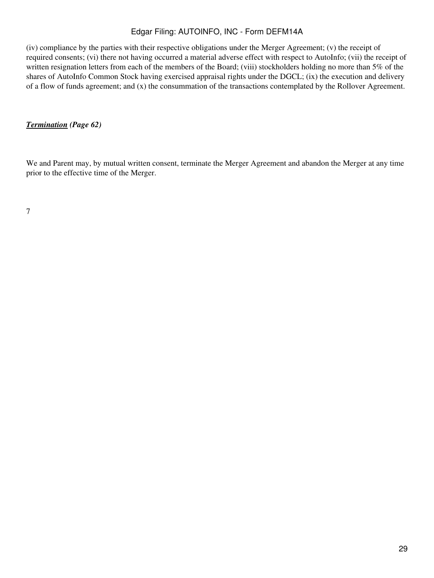(iv) compliance by the parties with their respective obligations under the Merger Agreement; (v) the receipt of required consents; (vi) there not having occurred a material adverse effect with respect to AutoInfo; (vii) the receipt of written resignation letters from each of the members of the Board; (viii) stockholders holding no more than 5% of the shares of AutoInfo Common Stock having exercised appraisal rights under the DGCL; (ix) the execution and delivery of a flow of funds agreement; and (x) the consummation of the transactions contemplated by the Rollover Agreement.

#### *Termination (Page 62)*

We and Parent may, by mutual written consent, terminate the Merger Agreement and abandon the Merger at any time prior to the effective time of the Merger.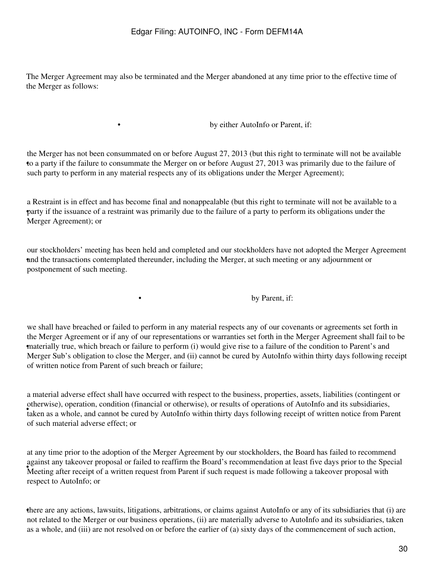The Merger Agreement may also be terminated and the Merger abandoned at any time prior to the effective time of the Merger as follows:

#### • by either AutoInfo or Parent, if:

• to a party if the failure to consummate the Merger on or before August 27, 2013 was primarily due to the failure of the Merger has not been consummated on or before August 27, 2013 (but this right to terminate will not be available such party to perform in any material respects any of its obligations under the Merger Agreement);

• party if the issuance of a restraint was primarily due to the failure of a party to perform its obligations under the a Restraint is in effect and has become final and nonappealable (but this right to terminate will not be available to a Merger Agreement); or

• and the transactions contemplated thereunder, including the Merger, at such meeting or any adjournment or our stockholders' meeting has been held and completed and our stockholders have not adopted the Merger Agreement postponement of such meeting.

• by Parent, if:

• materially true, which breach or failure to perform (i) would give rise to a failure of the condition to Parent's and we shall have breached or failed to perform in any material respects any of our covenants or agreements set forth in the Merger Agreement or if any of our representations or warranties set forth in the Merger Agreement shall fail to be Merger Sub's obligation to close the Merger, and (ii) cannot be cured by AutoInfo within thirty days following receipt of written notice from Parent of such breach or failure;

• taken as a whole, and cannot be cured by AutoInfo within thirty days following receipt of written notice from Parent a material adverse effect shall have occurred with respect to the business, properties, assets, liabilities (contingent or otherwise), operation, condition (financial or otherwise), or results of operations of AutoInfo and its subsidiaries, of such material adverse effect; or

against any takeover proposal or ranea to rearring the Board's recommendation at least five days prior to the spe<br>Meeting after receipt of a written request from Parent if such request is made following a takeover proposal at any time prior to the adoption of the Merger Agreement by our stockholders, the Board has failed to recommend against any takeover proposal or failed to reaffirm the Board's recommendation at least five days prior to the Special respect to AutoInfo; or

•there are any actions, lawsuits, litigations, arbitrations, or claims against AutoInfo or any of its subsidiaries that (i) are not related to the Merger or our business operations, (ii) are materially adverse to AutoInfo and its subsidiaries, taken as a whole, and (iii) are not resolved on or before the earlier of (a) sixty days of the commencement of such action,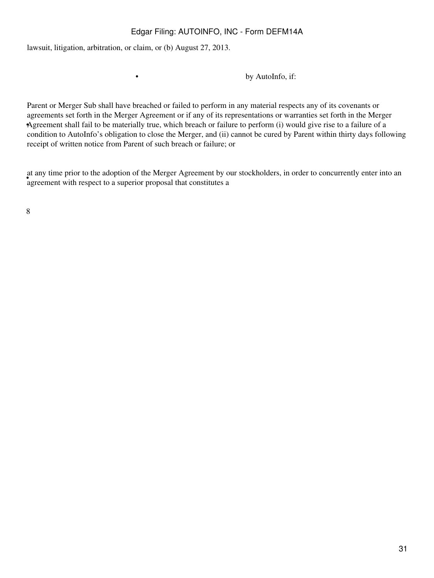lawsuit, litigation, arbitration, or claim, or (b) August 27, 2013.

• by AutoInfo, if:

• Agreement shall fail to be materially true, which breach or failure to perform (i) would give rise to a failure of a Parent or Merger Sub shall have breached or failed to perform in any material respects any of its covenants or agreements set forth in the Merger Agreement or if any of its representations or warranties set forth in the Merger condition to AutoInfo's obligation to close the Merger, and (ii) cannot be cured by Parent within thirty days following receipt of written notice from Parent of such breach or failure; or

at any time prior to the adoption of the Merger Agreement by eagreement with respect to a superior proposal that constitutes a at any time prior to the adoption of the Merger Agreement by our stockholders, in order to concurrently enter into an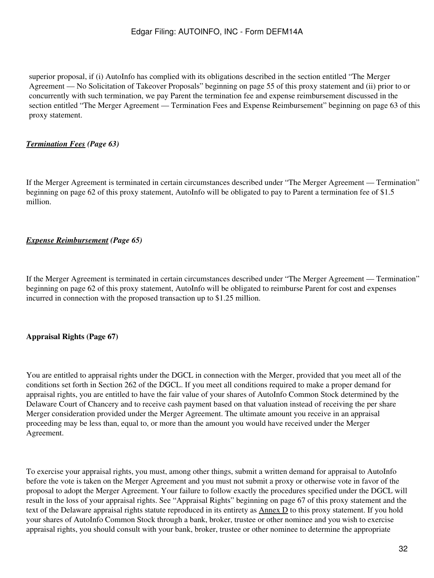superior proposal, if (i) AutoInfo has complied with its obligations described in the section entitled "The Merger Agreement — No Solicitation of Takeover Proposals" beginning on page 55 of this proxy statement and (ii) prior to or concurrently with such termination, we pay Parent the termination fee and expense reimbursement discussed in the section entitled "The Merger Agreement — Termination Fees and Expense Reimbursement" beginning on page 63 of this proxy statement.

#### *Termination Fees (Page 63)*

If the Merger Agreement is terminated in certain circumstances described under "The Merger Agreement — Termination" beginning on page 62 of this proxy statement, AutoInfo will be obligated to pay to Parent a termination fee of \$1.5 million.

#### *Expense Reimbursement (Page 65)*

If the Merger Agreement is terminated in certain circumstances described under "The Merger Agreement — Termination" beginning on page 62 of this proxy statement, AutoInfo will be obligated to reimburse Parent for cost and expenses incurred in connection with the proposed transaction up to \$1.25 million.

## **Appraisal Rights (Page 67)**

You are entitled to appraisal rights under the DGCL in connection with the Merger, provided that you meet all of the conditions set forth in Section 262 of the DGCL. If you meet all conditions required to make a proper demand for appraisal rights, you are entitled to have the fair value of your shares of AutoInfo Common Stock determined by the Delaware Court of Chancery and to receive cash payment based on that valuation instead of receiving the per share Merger consideration provided under the Merger Agreement. The ultimate amount you receive in an appraisal proceeding may be less than, equal to, or more than the amount you would have received under the Merger Agreement.

To exercise your appraisal rights, you must, among other things, submit a written demand for appraisal to AutoInfo before the vote is taken on the Merger Agreement and you must not submit a proxy or otherwise vote in favor of the proposal to adopt the Merger Agreement. Your failure to follow exactly the procedures specified under the DGCL will result in the loss of your appraisal rights. See "Appraisal Rights" beginning on page 67 of this proxy statement and the text of the Delaware appraisal rights statute reproduced in its entirety as Annex D to this proxy statement. If you hold your shares of AutoInfo Common Stock through a bank, broker, trustee or other nominee and you wish to exercise appraisal rights, you should consult with your bank, broker, trustee or other nominee to determine the appropriate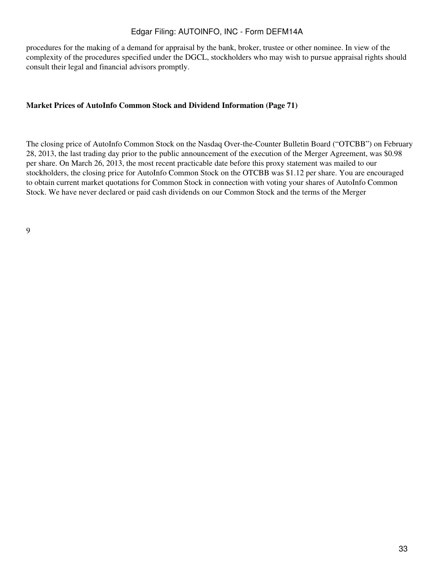procedures for the making of a demand for appraisal by the bank, broker, trustee or other nominee. In view of the complexity of the procedures specified under the DGCL, stockholders who may wish to pursue appraisal rights should consult their legal and financial advisors promptly.

#### **Market Prices of AutoInfo Common Stock and Dividend Information (Page 71)**

The closing price of AutoInfo Common Stock on the Nasdaq Over-the-Counter Bulletin Board ("OTCBB") on February 28, 2013, the last trading day prior to the public announcement of the execution of the Merger Agreement, was \$0.98 per share. On March 26, 2013, the most recent practicable date before this proxy statement was mailed to our stockholders, the closing price for AutoInfo Common Stock on the OTCBB was \$1.12 per share. You are encouraged to obtain current market quotations for Common Stock in connection with voting your shares of AutoInfo Common Stock. We have never declared or paid cash dividends on our Common Stock and the terms of the Merger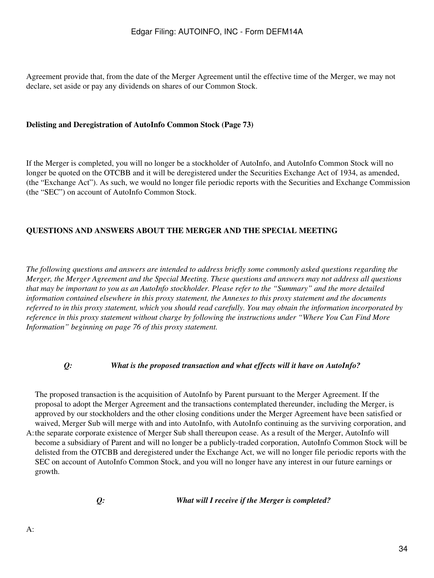Agreement provide that, from the date of the Merger Agreement until the effective time of the Merger, we may not declare, set aside or pay any dividends on shares of our Common Stock.

#### **Delisting and Deregistration of AutoInfo Common Stock (Page 73)**

If the Merger is completed, you will no longer be a stockholder of AutoInfo, and AutoInfo Common Stock will no longer be quoted on the OTCBB and it will be deregistered under the Securities Exchange Act of 1934, as amended, (the "Exchange Act"). As such, we would no longer file periodic reports with the Securities and Exchange Commission (the "SEC") on account of AutoInfo Common Stock.

## **QUESTIONS AND ANSWERS ABOUT THE MERGER AND THE SPECIAL MEETING**

*The following questions and answers are intended to address briefly some commonly asked questions regarding the Merger, the Merger Agreement and the Special Meeting. These questions and answers may not address all questions that may be important to you as an AutoInfo stockholder. Please refer to the "Summary" and the more detailed information contained elsewhere in this proxy statement, the Annexes to this proxy statement and the documents referred to in this proxy statement, which you should read carefully. You may obtain the information incorporated by reference in this proxy statement without charge by following the instructions under "Where You Can Find More Information" beginning on page 76 of this proxy statement.*

#### *Q: What is the proposed transaction and what effects will it have on AutoInfo?*

A: the separate corporate existence of Merger Sub shall thereupon cease. As a result of the Merger, AutoInfo will The proposed transaction is the acquisition of AutoInfo by Parent pursuant to the Merger Agreement. If the proposal to adopt the Merger Agreement and the transactions contemplated thereunder, including the Merger, is approved by our stockholders and the other closing conditions under the Merger Agreement have been satisfied or waived, Merger Sub will merge with and into AutoInfo, with AutoInfo continuing as the surviving corporation, and become a subsidiary of Parent and will no longer be a publicly-traded corporation, AutoInfo Common Stock will be delisted from the OTCBB and deregistered under the Exchange Act, we will no longer file periodic reports with the SEC on account of AutoInfo Common Stock, and you will no longer have any interest in our future earnings or growth.

*Q: What will I receive if the Merger is completed?*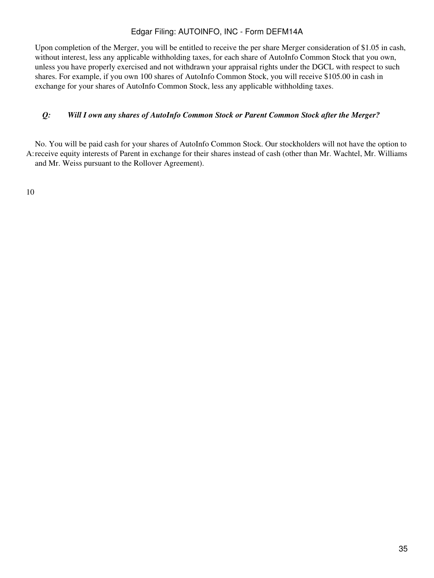Upon completion of the Merger, you will be entitled to receive the per share Merger consideration of \$1.05 in cash, without interest, less any applicable withholding taxes, for each share of AutoInfo Common Stock that you own, unless you have properly exercised and not withdrawn your appraisal rights under the DGCL with respect to such shares. For example, if you own 100 shares of AutoInfo Common Stock, you will receive \$105.00 in cash in exchange for your shares of AutoInfo Common Stock, less any applicable withholding taxes.

## *Q: Will I own any shares of AutoInfo Common Stock or Parent Common Stock after the Merger?*

A: receive equity interests of Parent in exchange for their shares instead of cash (other than Mr. Wachtel, Mr. Williams No. You will be paid cash for your shares of AutoInfo Common Stock. Our stockholders will not have the option to and Mr. Weiss pursuant to the Rollover Agreement).

10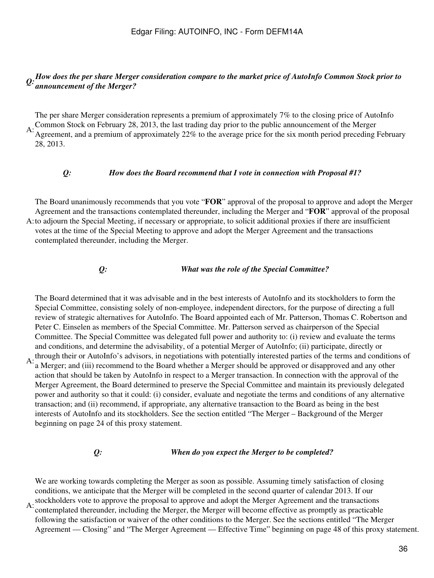# *Q:How does the per share Merger consideration compare to the market price of AutoInfo Common Stock prior to announcement of the Merger?*

A: Common Stock on February 28, 2013, the last trading day prior to the public announcement of the Merger The per share Merger consideration represents a premium of approximately 7% to the closing price of AutoInfo Agreement, and a premium of approximately 22% to the average price for the six month period preceding February 28, 2013.

#### *Q: How does the Board recommend that I vote in connection with Proposal #1?*

A: to adjourn the Special Meeting, if necessary or appropriate, to solicit additional proxies if there are insufficient The Board unanimously recommends that you vote "**FOR**" approval of the proposal to approve and adopt the Merger Agreement and the transactions contemplated thereunder, including the Merger and "**FOR**" approval of the proposal votes at the time of the Special Meeting to approve and adopt the Merger Agreement and the transactions contemplated thereunder, including the Merger.

#### *Q: What was the role of the Special Committee?*

A: through their or AutoInfo's advisors, in negotiations with potentially interested parties of the terms and conditions of A: a Margar and (iii) recommend to the Board whether a Margar should be enriqued and disconnected The Board determined that it was advisable and in the best interests of AutoInfo and its stockholders to form the Special Committee, consisting solely of non-employee, independent directors, for the purpose of directing a full review of strategic alternatives for AutoInfo. The Board appointed each of Mr. Patterson, Thomas C. Robertson and Peter C. Einselen as members of the Special Committee. Mr. Patterson served as chairperson of the Special Committee. The Special Committee was delegated full power and authority to: (i) review and evaluate the terms and conditions, and determine the advisability, of a potential Merger of AutoInfo; (ii) participate, directly or a Merger; and (iii) recommend to the Board whether a Merger should be approved or disapproved and any other action that should be taken by AutoInfo in respect to a Merger transaction. In connection with the approval of the Merger Agreement, the Board determined to preserve the Special Committee and maintain its previously delegated power and authority so that it could: (i) consider, evaluate and negotiate the terms and conditions of any alternative transaction; and (ii) recommend, if appropriate, any alternative transaction to the Board as being in the best interests of AutoInfo and its stockholders. See the section entitled "The Merger – Background of the Merger beginning on page 24 of this proxy statement.

#### *Q: When do you expect the Merger to be completed?*

A: stockholders vote to approve the proposal to approve and adopt the Merger Agreement and the transactions A:<br>A: contemplated thereunder including the Merger, the Merger will become effective as groundly as provided We are working towards completing the Merger as soon as possible. Assuming timely satisfaction of closing conditions, we anticipate that the Merger will be completed in the second quarter of calendar 2013. If our contemplated thereunder, including the Merger, the Merger will become effective as promptly as practicable following the satisfaction or waiver of the other conditions to the Merger. See the sections entitled "The Merger Agreement — Closing" and "The Merger Agreement — Effective Time" beginning on page 48 of this proxy statement.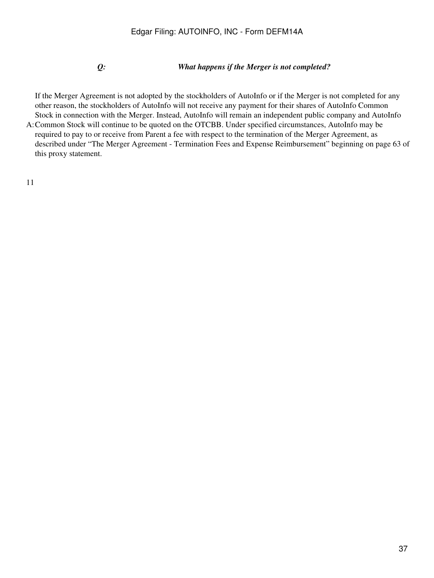# *Q: What happens if the Merger is not completed?*

If the Merger Agreement is not adopted by the stockholders of AutoInfo or if the Merger is not completed for any other reason, the stockholders of AutoInfo will not receive any payment for their shares of AutoInfo Common Stock in connection with the Merger. Instead, AutoInfo will remain an independent public company and AutoInfo

A: Common Stock will continue to be quoted on the OTCBB. Under specified circumstances, AutoInfo may be required to pay to or receive from Parent a fee with respect to the termination of the Merger Agreement, as described under "The Merger Agreement - Termination Fees and Expense Reimbursement" beginning on page 63 of this proxy statement.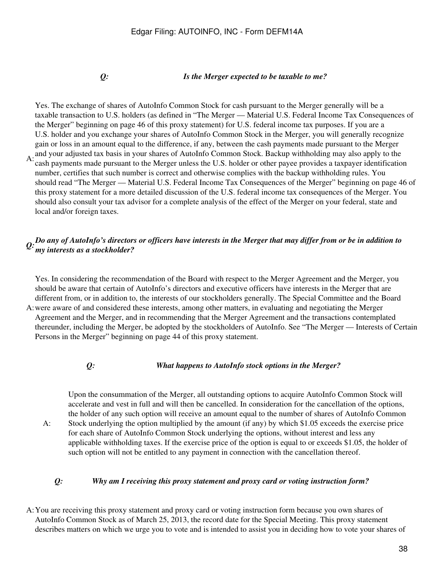#### *Q: Is the Merger expected to be taxable to me?*

A: and your adjusted tax basis in your shares of AutoInfo Common Stock. Backup withholding may also apply to the<br>A: seek novements made nursuant to the Margarunless the U.S. holder or other naves nevides a terms in dentifi Yes. The exchange of shares of AutoInfo Common Stock for cash pursuant to the Merger generally will be a taxable transaction to U.S. holders (as defined in "The Merger — Material U.S. Federal Income Tax Consequences of the Merger" beginning on page 46 of this proxy statement) for U.S. federal income tax purposes. If you are a U.S. holder and you exchange your shares of AutoInfo Common Stock in the Merger, you will generally recognize gain or loss in an amount equal to the difference, if any, between the cash payments made pursuant to the Merger cash payments made pursuant to the Merger unless the U.S. holder or other payee provides a taxpayer identification number, certifies that such number is correct and otherwise complies with the backup withholding rules. You should read "The Merger — Material U.S. Federal Income Tax Consequences of the Merger" beginning on page 46 of this proxy statement for a more detailed discussion of the U.S. federal income tax consequences of the Merger. You should also consult your tax advisor for a complete analysis of the effect of the Merger on your federal, state and local and/or foreign taxes.

# *Q:Do any of AutoInfo's directors or officers have interests in the Merger that may differ from or be in addition to my interests as a stockholder?*

A: were aware of and considered these interests, among other matters, in evaluating and negotiating the Merger Yes. In considering the recommendation of the Board with respect to the Merger Agreement and the Merger, you should be aware that certain of AutoInfo's directors and executive officers have interests in the Merger that are different from, or in addition to, the interests of our stockholders generally. The Special Committee and the Board Agreement and the Merger, and in recommending that the Merger Agreement and the transactions contemplated thereunder, including the Merger, be adopted by the stockholders of AutoInfo. See "The Merger — Interests of Certain Persons in the Merger" beginning on page 44 of this proxy statement.

 $A$ :

#### *Q: What happens to AutoInfo stock options in the Merger?*

Upon the consummation of the Merger, all outstanding options to acquire AutoInfo Common Stock will accelerate and vest in full and will then be cancelled. In consideration for the cancellation of the options, the holder of any such option will receive an amount equal to the number of shares of AutoInfo Common Stock underlying the option multiplied by the amount (if any) by which \$1.05 exceeds the exercise price for each share of AutoInfo Common Stock underlying the options, without interest and less any

applicable withholding taxes. If the exercise price of the option is equal to or exceeds \$1.05, the holder of such option will not be entitled to any payment in connection with the cancellation thereof.

## *Q: Why am I receiving this proxy statement and proxy card or voting instruction form?*

A:You are receiving this proxy statement and proxy card or voting instruction form because you own shares of AutoInfo Common Stock as of March 25, 2013, the record date for the Special Meeting. This proxy statement describes matters on which we urge you to vote and is intended to assist you in deciding how to vote your shares of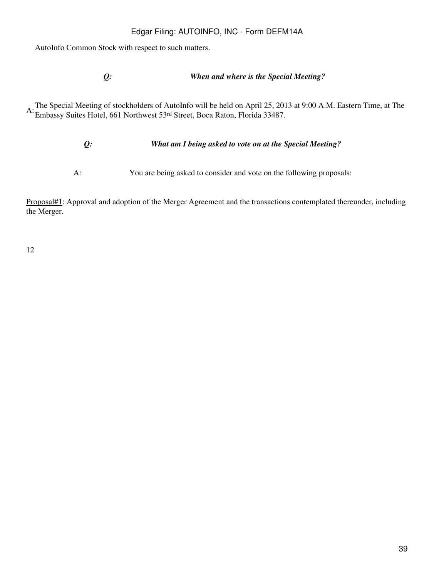AutoInfo Common Stock with respect to such matters.

## *Q: When and where is the Special Meeting?*

A: The Special Meeting of stockholders of AutoInfo will be held on April 25, 2013 at 9:00 A.M. Eastern Time, at The Embassy Suites Hotel, 661 Northwest 53<sup>rd</sup> Street, Boca Raton, Florida 33487.

*Q: What am I being asked to vote on at the Special Meeting?*

A: You are being asked to consider and vote on the following proposals:

Proposal#1: Approval and adoption of the Merger Agreement and the transactions contemplated thereunder, including the Merger.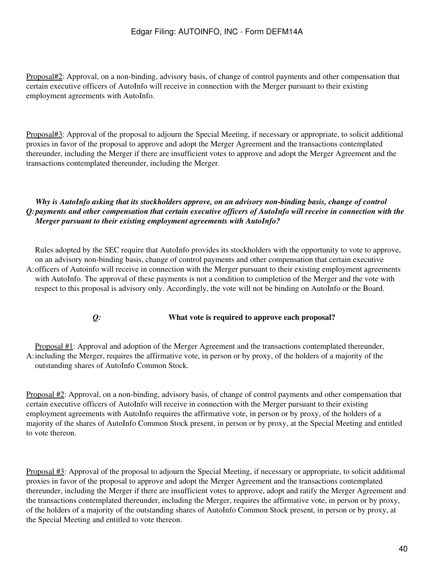Proposal#2: Approval, on a non-binding, advisory basis, of change of control payments and other compensation that certain executive officers of AutoInfo will receive in connection with the Merger pursuant to their existing employment agreements with AutoInfo.

Proposal#3: Approval of the proposal to adjourn the Special Meeting, if necessary or appropriate, to solicit additional proxies in favor of the proposal to approve and adopt the Merger Agreement and the transactions contemplated thereunder, including the Merger if there are insufficient votes to approve and adopt the Merger Agreement and the transactions contemplated thereunder, including the Merger.

## *Q: payments and other compensation that certain executive officers of AutoInfo will receive in connection with the Why is AutoInfo asking that its stockholders approve, on an advisory non-binding basis, change of control Merger pursuant to their existing employment agreements with AutoInfo?*

A: officers of Autoinfo will receive in connection with the Merger pursuant to their existing employment agreements Rules adopted by the SEC require that AutoInfo provides its stockholders with the opportunity to vote to approve, on an advisory non-binding basis, change of control payments and other compensation that certain executive with AutoInfo. The approval of these payments is not a condition to completion of the Merger and the vote with respect to this proposal is advisory only. Accordingly, the vote will not be binding on AutoInfo or the Board.

*Q:* **What vote is required to approve each proposal?**

A: including the Merger, requires the affirmative vote, in person or by proxy, of the holders of a majority of the Proposal #1: Approval and adoption of the Merger Agreement and the transactions contemplated thereunder, outstanding shares of AutoInfo Common Stock.

Proposal #2: Approval, on a non-binding, advisory basis, of change of control payments and other compensation that certain executive officers of AutoInfo will receive in connection with the Merger pursuant to their existing employment agreements with AutoInfo requires the affirmative vote, in person or by proxy, of the holders of a majority of the shares of AutoInfo Common Stock present, in person or by proxy, at the Special Meeting and entitled to vote thereon.

Proposal #3: Approval of the proposal to adjourn the Special Meeting, if necessary or appropriate, to solicit additional proxies in favor of the proposal to approve and adopt the Merger Agreement and the transactions contemplated thereunder, including the Merger if there are insufficient votes to approve, adopt and ratify the Merger Agreement and the transactions contemplated thereunder, including the Merger, requires the affirmative vote, in person or by proxy, of the holders of a majority of the outstanding shares of AutoInfo Common Stock present, in person or by proxy, at the Special Meeting and entitled to vote thereon.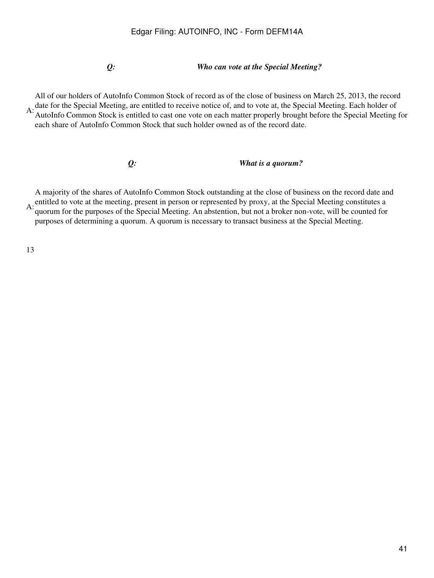*Q: Who can vote at the Special Meeting?*

A: date for the Special Meeting, are entitled to receive notice of, and to vote at, the Special Meeting. Each holder of A: AutoInfo Common Steels is antitled to east ane vate an each meter meansly hought hofers the Special All of our holders of AutoInfo Common Stock of record as of the close of business on March 25, 2013, the record AutoInfo Common Stock is entitled to cast one vote on each matter properly brought before the Special Meeting for each share of AutoInfo Common Stock that such holder owned as of the record date.

## *Q: What is a quorum?*

A: entitled to vote at the meeting, present in person or represented by proxy, at the Special Meeting constitutes a<br>A: enormy for the numerous of the Special Meeting. An ebstertier, but not a broken non-veta, will be count A majority of the shares of AutoInfo Common Stock outstanding at the close of business on the record date and quorum for the purposes of the Special Meeting. An abstention, but not a broker non-vote, will be counted for purposes of determining a quorum. A quorum is necessary to transact business at the Special Meeting.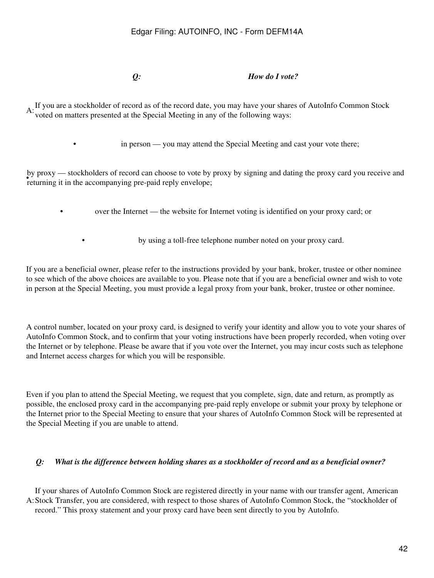*Q: How do I vote?*

A: If you are a stockholder of record as of the record date, you may have your shares of AutoInfo Common Stock voted on matters presented at the Special Meeting in any of the following ways:

• in person — you may attend the Special Meeting and cast your vote there;

 $\epsilon$ y proxy — stockholders of record can enobse to vote by<br>returning it in the accompanying pre-paid reply envelope; by proxy — stockholders of record can choose to vote by proxy by signing and dating the proxy card you receive and

• over the Internet — the website for Internet voting is identified on your proxy card; or

• by using a toll-free telephone number noted on your proxy card.

If you are a beneficial owner, please refer to the instructions provided by your bank, broker, trustee or other nominee to see which of the above choices are available to you. Please note that if you are a beneficial owner and wish to vote in person at the Special Meeting, you must provide a legal proxy from your bank, broker, trustee or other nominee.

A control number, located on your proxy card, is designed to verify your identity and allow you to vote your shares of AutoInfo Common Stock, and to confirm that your voting instructions have been properly recorded, when voting over the Internet or by telephone. Please be aware that if you vote over the Internet, you may incur costs such as telephone and Internet access charges for which you will be responsible.

Even if you plan to attend the Special Meeting, we request that you complete, sign, date and return, as promptly as possible, the enclosed proxy card in the accompanying pre-paid reply envelope or submit your proxy by telephone or the Internet prior to the Special Meeting to ensure that your shares of AutoInfo Common Stock will be represented at the Special Meeting if you are unable to attend.

## *Q: What is the difference between holding shares as a stockholder of record and as a beneficial owner?*

A: Stock Transfer, you are considered, with respect to those shares of AutoInfo Common Stock, the "stockholder of If your shares of AutoInfo Common Stock are registered directly in your name with our transfer agent, American record." This proxy statement and your proxy card have been sent directly to you by AutoInfo.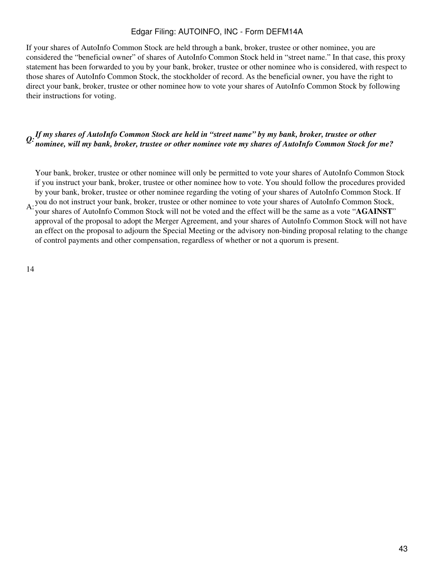If your shares of AutoInfo Common Stock are held through a bank, broker, trustee or other nominee, you are considered the "beneficial owner" of shares of AutoInfo Common Stock held in "street name." In that case, this proxy statement has been forwarded to you by your bank, broker, trustee or other nominee who is considered, with respect to those shares of AutoInfo Common Stock, the stockholder of record. As the beneficial owner, you have the right to direct your bank, broker, trustee or other nominee how to vote your shares of AutoInfo Common Stock by following their instructions for voting.

# Q: If my shares of AutoInfo Common Stock are held in "street name" by my bank, broker, trustee or other<br>C: nominee, will my bank, broker, trustee or other nominee vote my shares of AutoInfo Common Stock for me?

A: you do not instruct your bank, broker, trustee or other nominee to vote your shares of AutoInfo Common Stock,<br>A: your shares of AutoInfo Common Stock will not be yoted and the effect will be the same as a yote "ACAINST" Your bank, broker, trustee or other nominee will only be permitted to vote your shares of AutoInfo Common Stock if you instruct your bank, broker, trustee or other nominee how to vote. You should follow the procedures provided by your bank, broker, trustee or other nominee regarding the voting of your shares of AutoInfo Common Stock. If your shares of AutoInfo Common Stock will not be voted and the effect will be the same as a vote "**AGAINST**" approval of the proposal to adopt the Merger Agreement, and your shares of AutoInfo Common Stock will not have an effect on the proposal to adjourn the Special Meeting or the advisory non-binding proposal relating to the change of control payments and other compensation, regardless of whether or not a quorum is present.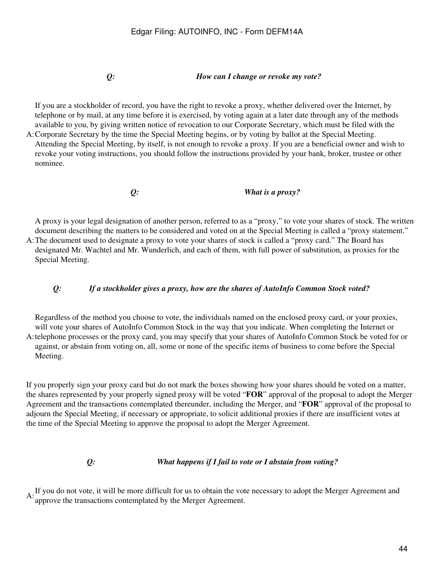#### *Q: How can I change or revoke my vote?*

A: Corporate Secretary by the time the Special Meeting begins, or by voting by ballot at the Special Meeting. If you are a stockholder of record, you have the right to revoke a proxy, whether delivered over the Internet, by telephone or by mail, at any time before it is exercised, by voting again at a later date through any of the methods available to you, by giving written notice of revocation to our Corporate Secretary, which must be filed with the Attending the Special Meeting, by itself, is not enough to revoke a proxy. If you are a beneficial owner and wish to revoke your voting instructions, you should follow the instructions provided by your bank, broker, trustee or other nominee.

# *Q: What is a proxy?*

A: The document used to designate a proxy to vote your shares of stock is called a "proxy card." The Board has A proxy is your legal designation of another person, referred to as a "proxy," to vote your shares of stock. The written document describing the matters to be considered and voted on at the Special Meeting is called a "proxy statement." designated Mr. Wachtel and Mr. Wunderlich, and each of them, with full power of substitution, as proxies for the Special Meeting.

## *Q: If a stockholder gives a proxy, how are the shares of AutoInfo Common Stock voted?*

A: telephone processes or the proxy card, you may specify that your shares of AutoInfo Common Stock be voted for or Regardless of the method you choose to vote, the individuals named on the enclosed proxy card, or your proxies, will vote your shares of AutoInfo Common Stock in the way that you indicate. When completing the Internet or against, or abstain from voting on, all, some or none of the specific items of business to come before the Special Meeting.

If you properly sign your proxy card but do not mark the boxes showing how your shares should be voted on a matter, the shares represented by your properly signed proxy will be voted "**FOR**" approval of the proposal to adopt the Merger Agreement and the transactions contemplated thereunder, including the Merger, and "**FOR**" approval of the proposal to adjourn the Special Meeting, if necessary or appropriate, to solicit additional proxies if there are insufficient votes at the time of the Special Meeting to approve the proposal to adopt the Merger Agreement.

#### *Q: What happens if I fail to vote or I abstain from voting?*

A: If you do not vote, it will be more difficult for us to obtain the vote necessary to adopt the Merger Agreement and approve the transactions contemplated by the Merger Agreement.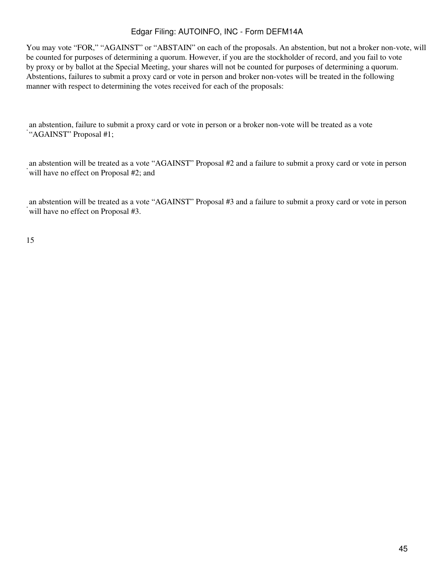You may vote "FOR," "AGAINST" or "ABSTAIN" on each of the proposals. An abstention, but not a broker non-vote, will be counted for purposes of determining a quorum. However, if you are the stockholder of record, and you fail to vote by proxy or by ballot at the Special Meeting, your shares will not be counted for purposes of determining a quorum. Abstentions, failures to submit a proxy card or vote in person and broker non-votes will be treated in the following manner with respect to determining the votes received for each of the proposals:

· "AGAINST" Proposal #1; an abstention, failure to submit a proxy card or vote in person or a broker non-vote will be treated as a vote

will have no effect on Proposal #2; and an abstention will be treated as a vote "AGAINST" Proposal #2 and a failure to submit a proxy card or vote in person

will have no effect on Proposal #3. an abstention will be treated as a vote "AGAINST" Proposal #3 and a failure to submit a proxy card or vote in person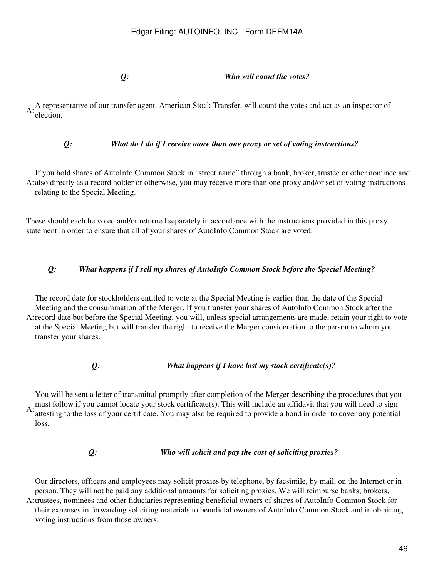*Q: Who will count the votes?*

A: A representative of our transfer agent, American Stock Transfer, will count the votes and act as an inspector of election.

#### *Q: What do I do if I receive more than one proxy or set of voting instructions?*

A: also directly as a record holder or otherwise, you may receive more than one proxy and/or set of voting instructions If you hold shares of AutoInfo Common Stock in "street name" through a bank, broker, trustee or other nominee and relating to the Special Meeting.

These should each be voted and/or returned separately in accordance with the instructions provided in this proxy statement in order to ensure that all of your shares of AutoInfo Common Stock are voted.

#### *Q: What happens if I sell my shares of AutoInfo Common Stock before the Special Meeting?*

A: record date but before the Special Meeting, you will, unless special arrangements are made, retain your right to vote The record date for stockholders entitled to vote at the Special Meeting is earlier than the date of the Special Meeting and the consummation of the Merger. If you transfer your shares of AutoInfo Common Stock after the at the Special Meeting but will transfer the right to receive the Merger consideration to the person to whom you transfer your shares.

#### *Q: What happens if I have lost my stock certificate(s)?*

A: must follow if you cannot locate your stock certificate(s). This will include an affidavit that you will need to sign<br>A: ettering to the loss of your equificate. You may also be mayined to provide a bond in order to so You will be sent a letter of transmittal promptly after completion of the Merger describing the procedures that you attesting to the loss of your certificate. You may also be required to provide a bond in order to cover any potential loss.

#### *Q: Who will solicit and pay the cost of soliciting proxies?*

A: trustees, nominees and other fiduciaries representing beneficial owners of shares of AutoInfo Common Stock for Our directors, officers and employees may solicit proxies by telephone, by facsimile, by mail, on the Internet or in person. They will not be paid any additional amounts for soliciting proxies. We will reimburse banks, brokers, their expenses in forwarding soliciting materials to beneficial owners of AutoInfo Common Stock and in obtaining voting instructions from those owners.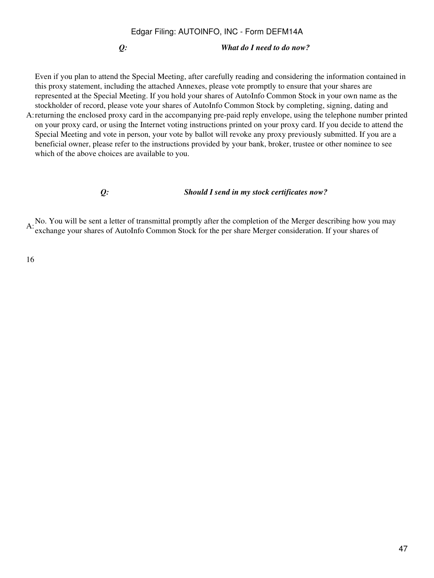*Q: What do I need to do now?*

A: returning the enclosed proxy card in the accompanying pre-paid reply envelope, using the telephone number printed Even if you plan to attend the Special Meeting, after carefully reading and considering the information contained in this proxy statement, including the attached Annexes, please vote promptly to ensure that your shares are represented at the Special Meeting. If you hold your shares of AutoInfo Common Stock in your own name as the stockholder of record, please vote your shares of AutoInfo Common Stock by completing, signing, dating and on your proxy card, or using the Internet voting instructions printed on your proxy card. If you decide to attend the Special Meeting and vote in person, your vote by ballot will revoke any proxy previously submitted. If you are a beneficial owner, please refer to the instructions provided by your bank, broker, trustee or other nominee to see which of the above choices are available to you.

## *Q: Should I send in my stock certificates now?*

A: No. You will be sent a letter of transmittal promptly after the completion of the Merger describing how you may exchange your shares of AutoInfo Common Stock for the per share Merger consideration. If your shares of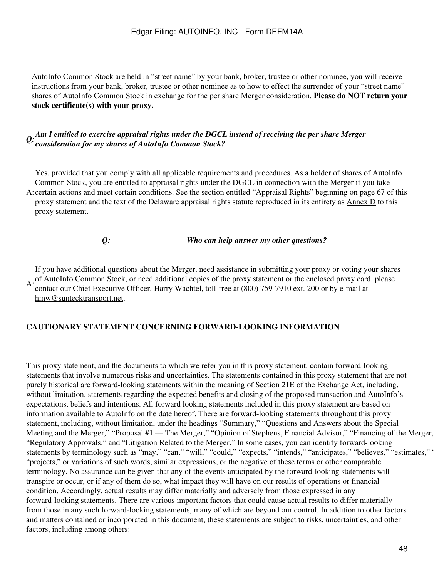AutoInfo Common Stock are held in "street name" by your bank, broker, trustee or other nominee, you will receive instructions from your bank, broker, trustee or other nominee as to how to effect the surrender of your "street name" shares of AutoInfo Common Stock in exchange for the per share Merger consideration. **Please do NOT return your stock certificate(s) with your proxy.**

*Q:Am I entitled to exercise appraisal rights under the DGCL instead of receiving the per share Merger consideration for my shares of AutoInfo Common Stock?*

A: certain actions and meet certain conditions. See the section entitled "Appraisal Rights" beginning on page 67 of this Yes, provided that you comply with all applicable requirements and procedures. As a holder of shares of AutoInfo Common Stock, you are entitled to appraisal rights under the DGCL in connection with the Merger if you take proxy statement and the text of the Delaware appraisal rights statute reproduced in its entirety as Annex D to this proxy statement.

*Q: Who can help answer my other questions?*

A: of AutoInfo Common Stock, or need additional copies of the proxy statement or the enclosed proxy card, please<br>A: context our Chief Executive Officer, Herry Weektal, tall free at (800) 750, 7010 cut, 200 cu by a meil at If you have additional questions about the Merger, need assistance in submitting your proxy or voting your shares contact our Chief Executive Officer, Harry Wachtel, toll-free at (800) 759-7910 ext. 200 or by e-mail at hmw@suntecktransport.net.

#### **CAUTIONARY STATEMENT CONCERNING FORWARD-LOOKING INFORMATION**

This proxy statement, and the documents to which we refer you in this proxy statement, contain forward-looking statements that involve numerous risks and uncertainties. The statements contained in this proxy statement that are not purely historical are forward-looking statements within the meaning of Section 21E of the Exchange Act, including, without limitation, statements regarding the expected benefits and closing of the proposed transaction and AutoInfo's expectations, beliefs and intentions. All forward looking statements included in this proxy statement are based on information available to AutoInfo on the date hereof. There are forward-looking statements throughout this proxy statement, including, without limitation, under the headings "Summary," "Questions and Answers about the Special Meeting and the Merger," "Proposal #1 — The Merger," "Opinion of Stephens, Financial Advisor," "Financing of the Merger, "Regulatory Approvals," and "Litigation Related to the Merger." In some cases, you can identify forward-looking statements by terminology such as "may," "can," "will," "could," "expects," "intends," "anticipates," "believes," "estimates," " "projects," or variations of such words, similar expressions, or the negative of these terms or other comparable terminology. No assurance can be given that any of the events anticipated by the forward-looking statements will transpire or occur, or if any of them do so, what impact they will have on our results of operations or financial condition. Accordingly, actual results may differ materially and adversely from those expressed in any forward-looking statements. There are various important factors that could cause actual results to differ materially from those in any such forward-looking statements, many of which are beyond our control. In addition to other factors and matters contained or incorporated in this document, these statements are subject to risks, uncertainties, and other factors, including among others: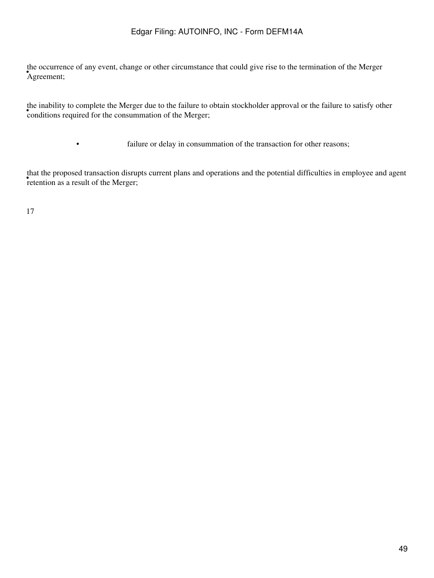• Agreement; the occurrence of any event, change or other circumstance that could give rise to the termination of the Merger

**EXECUTE THE CONDUCT CONSUMER CONSUMER** FOR CONDITIONS TO CONSUMING THE CONSUMINUES. the inability to complete the Merger due to the failure to obtain stockholder approval or the failure to satisfy other

• failure or delay in consummation of the transaction for other reasons;

**Fracture proposed transaction districts** that the proposed transaction disrupts current plans and operations and the potential difficulties in employee and agent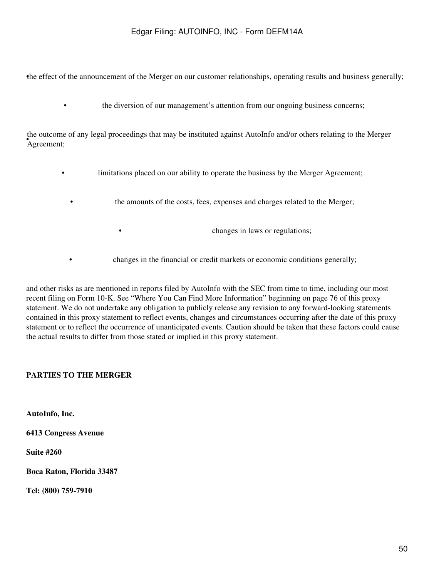•the effect of the announcement of the Merger on our customer relationships, operating results and business generally;

• the diversion of our management's attention from our ongoing business concerns;

• Agreement; the outcome of any legal proceedings that may be instituted against AutoInfo and/or others relating to the Merger

- limitations placed on our ability to operate the business by the Merger Agreement;
	- the amounts of the costs, fees, expenses and charges related to the Merger;

• **changes in laws or regulations;** 

• changes in the financial or credit markets or economic conditions generally;

and other risks as are mentioned in reports filed by AutoInfo with the SEC from time to time, including our most recent filing on Form 10-K. See "Where You Can Find More Information" beginning on page 76 of this proxy statement. We do not undertake any obligation to publicly release any revision to any forward-looking statements contained in this proxy statement to reflect events, changes and circumstances occurring after the date of this proxy statement or to reflect the occurrence of unanticipated events. Caution should be taken that these factors could cause the actual results to differ from those stated or implied in this proxy statement.

## **PARTIES TO THE MERGER**

**AutoInfo, Inc.**

**6413 Congress Avenue**

**Suite #260**

**Boca Raton, Florida 33487**

**Tel: (800) 759-7910**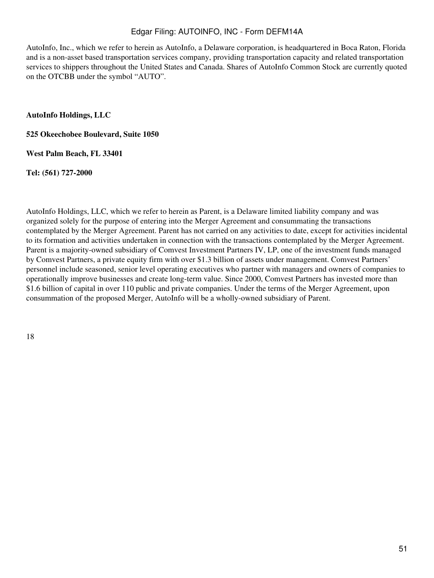AutoInfo, Inc., which we refer to herein as AutoInfo, a Delaware corporation, is headquartered in Boca Raton, Florida and is a non-asset based transportation services company, providing transportation capacity and related transportation services to shippers throughout the United States and Canada. Shares of AutoInfo Common Stock are currently quoted on the OTCBB under the symbol "AUTO".

#### **AutoInfo Holdings, LLC**

**525 Okeechobee Boulevard, Suite 1050**

#### **West Palm Beach, FL 33401**

#### **Tel: (561) 727-2000**

AutoInfo Holdings, LLC, which we refer to herein as Parent, is a Delaware limited liability company and was organized solely for the purpose of entering into the Merger Agreement and consummating the transactions contemplated by the Merger Agreement. Parent has not carried on any activities to date, except for activities incidental to its formation and activities undertaken in connection with the transactions contemplated by the Merger Agreement. Parent is a majority-owned subsidiary of Comvest Investment Partners IV, LP, one of the investment funds managed by Comvest Partners, a private equity firm with over \$1.3 billion of assets under management. Comvest Partners' personnel include seasoned, senior level operating executives who partner with managers and owners of companies to operationally improve businesses and create long-term value. Since 2000, Comvest Partners has invested more than \$1.6 billion of capital in over 110 public and private companies. Under the terms of the Merger Agreement, upon consummation of the proposed Merger, AutoInfo will be a wholly-owned subsidiary of Parent.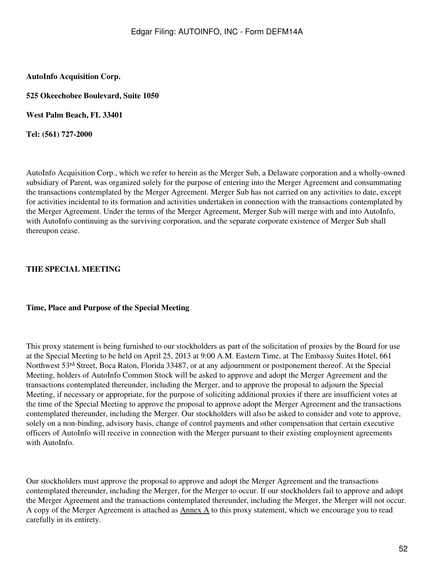## **AutoInfo Acquisition Corp.**

#### **525 Okeechobee Boulevard, Suite 1050**

**West Palm Beach, FL 33401**

**Tel: (561) 727-2000**

AutoInfo Acquisition Corp., which we refer to herein as the Merger Sub, a Delaware corporation and a wholly-owned subsidiary of Parent, was organized solely for the purpose of entering into the Merger Agreement and consummating the transactions contemplated by the Merger Agreement. Merger Sub has not carried on any activities to date, except for activities incidental to its formation and activities undertaken in connection with the transactions contemplated by the Merger Agreement. Under the terms of the Merger Agreement, Merger Sub will merge with and into AutoInfo, with AutoInfo continuing as the surviving corporation, and the separate corporate existence of Merger Sub shall thereupon cease.

#### **THE SPECIAL MEETING**

#### **Time, Place and Purpose of the Special Meeting**

This proxy statement is being furnished to our stockholders as part of the solicitation of proxies by the Board for use at the Special Meeting to be held on April 25, 2013 at 9:00 A.M. Eastern Time, at The Embassy Suites Hotel, 661 Northwest 53rd Street, Boca Raton, Florida 33487, or at any adjournment or postponement thereof. At the Special Meeting, holders of AutoInfo Common Stock will be asked to approve and adopt the Merger Agreement and the transactions contemplated thereunder, including the Merger, and to approve the proposal to adjourn the Special Meeting, if necessary or appropriate, for the purpose of soliciting additional proxies if there are insufficient votes at the time of the Special Meeting to approve the proposal to approve adopt the Merger Agreement and the transactions contemplated thereunder, including the Merger. Our stockholders will also be asked to consider and vote to approve, solely on a non-binding, advisory basis, change of control payments and other compensation that certain executive officers of AutoInfo will receive in connection with the Merger pursuant to their existing employment agreements with AutoInfo.

Our stockholders must approve the proposal to approve and adopt the Merger Agreement and the transactions contemplated thereunder, including the Merger, for the Merger to occur. If our stockholders fail to approve and adopt the Merger Agreement and the transactions contemplated thereunder, including the Merger, the Merger will not occur. A copy of the Merger Agreement is attached as Annex A to this proxy statement, which we encourage you to read carefully in its entirety.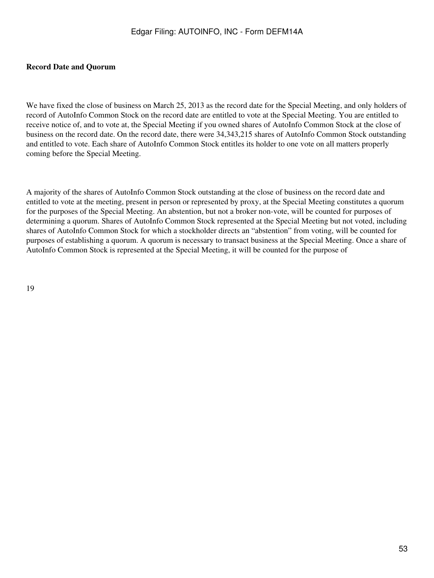## **Record Date and Quorum**

We have fixed the close of business on March 25, 2013 as the record date for the Special Meeting, and only holders of record of AutoInfo Common Stock on the record date are entitled to vote at the Special Meeting. You are entitled to receive notice of, and to vote at, the Special Meeting if you owned shares of AutoInfo Common Stock at the close of business on the record date. On the record date, there were 34,343,215 shares of AutoInfo Common Stock outstanding and entitled to vote. Each share of AutoInfo Common Stock entitles its holder to one vote on all matters properly coming before the Special Meeting.

A majority of the shares of AutoInfo Common Stock outstanding at the close of business on the record date and entitled to vote at the meeting, present in person or represented by proxy, at the Special Meeting constitutes a quorum for the purposes of the Special Meeting. An abstention, but not a broker non-vote, will be counted for purposes of determining a quorum. Shares of AutoInfo Common Stock represented at the Special Meeting but not voted, including shares of AutoInfo Common Stock for which a stockholder directs an "abstention" from voting, will be counted for purposes of establishing a quorum. A quorum is necessary to transact business at the Special Meeting. Once a share of AutoInfo Common Stock is represented at the Special Meeting, it will be counted for the purpose of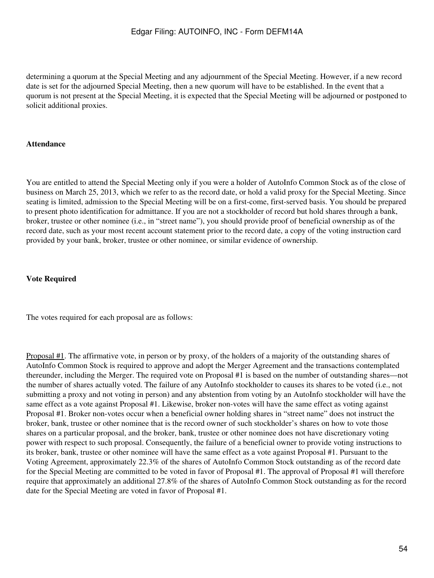determining a quorum at the Special Meeting and any adjournment of the Special Meeting. However, if a new record date is set for the adjourned Special Meeting, then a new quorum will have to be established. In the event that a quorum is not present at the Special Meeting, it is expected that the Special Meeting will be adjourned or postponed to solicit additional proxies.

#### **Attendance**

You are entitled to attend the Special Meeting only if you were a holder of AutoInfo Common Stock as of the close of business on March 25, 2013, which we refer to as the record date, or hold a valid proxy for the Special Meeting. Since seating is limited, admission to the Special Meeting will be on a first-come, first-served basis. You should be prepared to present photo identification for admittance. If you are not a stockholder of record but hold shares through a bank, broker, trustee or other nominee (i.e., in "street name"), you should provide proof of beneficial ownership as of the record date, such as your most recent account statement prior to the record date, a copy of the voting instruction card provided by your bank, broker, trustee or other nominee, or similar evidence of ownership.

## **Vote Required**

The votes required for each proposal are as follows:

Proposal #1. The affirmative vote, in person or by proxy, of the holders of a majority of the outstanding shares of AutoInfo Common Stock is required to approve and adopt the Merger Agreement and the transactions contemplated thereunder, including the Merger. The required vote on Proposal #1 is based on the number of outstanding shares—not the number of shares actually voted. The failure of any AutoInfo stockholder to causes its shares to be voted (i.e., not submitting a proxy and not voting in person) and any abstention from voting by an AutoInfo stockholder will have the same effect as a vote against Proposal #1. Likewise, broker non-votes will have the same effect as voting against Proposal #1. Broker non-votes occur when a beneficial owner holding shares in "street name" does not instruct the broker, bank, trustee or other nominee that is the record owner of such stockholder's shares on how to vote those shares on a particular proposal, and the broker, bank, trustee or other nominee does not have discretionary voting power with respect to such proposal. Consequently, the failure of a beneficial owner to provide voting instructions to its broker, bank, trustee or other nominee will have the same effect as a vote against Proposal #1. Pursuant to the Voting Agreement, approximately 22.3% of the shares of AutoInfo Common Stock outstanding as of the record date for the Special Meeting are committed to be voted in favor of Proposal #1. The approval of Proposal #1 will therefore require that approximately an additional 27.8% of the shares of AutoInfo Common Stock outstanding as for the record date for the Special Meeting are voted in favor of Proposal #1.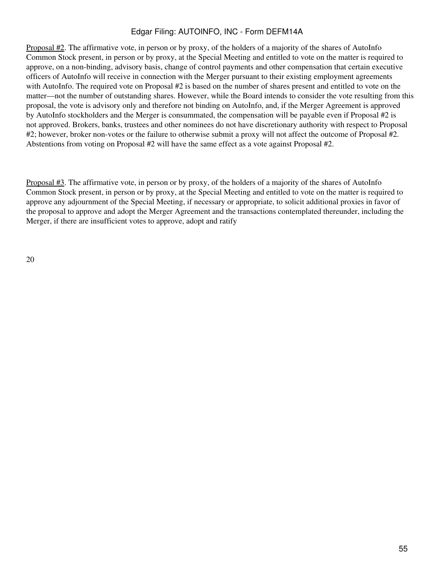Proposal #2. The affirmative vote, in person or by proxy, of the holders of a majority of the shares of AutoInfo Common Stock present, in person or by proxy, at the Special Meeting and entitled to vote on the matter is required to approve, on a non-binding, advisory basis, change of control payments and other compensation that certain executive officers of AutoInfo will receive in connection with the Merger pursuant to their existing employment agreements with AutoInfo. The required vote on Proposal #2 is based on the number of shares present and entitled to vote on the matter—not the number of outstanding shares. However, while the Board intends to consider the vote resulting from this proposal, the vote is advisory only and therefore not binding on AutoInfo, and, if the Merger Agreement is approved by AutoInfo stockholders and the Merger is consummated, the compensation will be payable even if Proposal #2 is not approved. Brokers, banks, trustees and other nominees do not have discretionary authority with respect to Proposal #2; however, broker non-votes or the failure to otherwise submit a proxy will not affect the outcome of Proposal #2. Abstentions from voting on Proposal #2 will have the same effect as a vote against Proposal #2.

Proposal #3. The affirmative vote, in person or by proxy, of the holders of a majority of the shares of AutoInfo Common Stock present, in person or by proxy, at the Special Meeting and entitled to vote on the matter is required to approve any adjournment of the Special Meeting, if necessary or appropriate, to solicit additional proxies in favor of the proposal to approve and adopt the Merger Agreement and the transactions contemplated thereunder, including the Merger, if there are insufficient votes to approve, adopt and ratify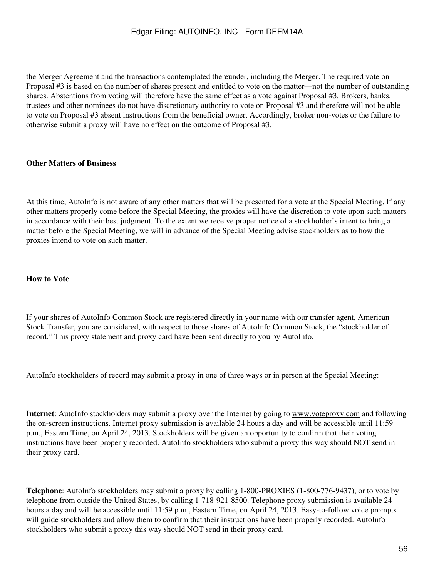the Merger Agreement and the transactions contemplated thereunder, including the Merger. The required vote on Proposal #3 is based on the number of shares present and entitled to vote on the matter—not the number of outstanding shares. Abstentions from voting will therefore have the same effect as a vote against Proposal #3. Brokers, banks, trustees and other nominees do not have discretionary authority to vote on Proposal #3 and therefore will not be able to vote on Proposal #3 absent instructions from the beneficial owner. Accordingly, broker non-votes or the failure to otherwise submit a proxy will have no effect on the outcome of Proposal #3.

#### **Other Matters of Business**

At this time, AutoInfo is not aware of any other matters that will be presented for a vote at the Special Meeting. If any other matters properly come before the Special Meeting, the proxies will have the discretion to vote upon such matters in accordance with their best judgment. To the extent we receive proper notice of a stockholder's intent to bring a matter before the Special Meeting, we will in advance of the Special Meeting advise stockholders as to how the proxies intend to vote on such matter.

#### **How to Vote**

If your shares of AutoInfo Common Stock are registered directly in your name with our transfer agent, American Stock Transfer, you are considered, with respect to those shares of AutoInfo Common Stock, the "stockholder of record." This proxy statement and proxy card have been sent directly to you by AutoInfo.

AutoInfo stockholders of record may submit a proxy in one of three ways or in person at the Special Meeting:

**Internet**: AutoInfo stockholders may submit a proxy over the Internet by going to www.voteproxy.com and following the on-screen instructions. Internet proxy submission is available 24 hours a day and will be accessible until 11:59 p.m., Eastern Time, on April 24, 2013. Stockholders will be given an opportunity to confirm that their voting instructions have been properly recorded. AutoInfo stockholders who submit a proxy this way should NOT send in their proxy card.

**Telephone**: AutoInfo stockholders may submit a proxy by calling 1-800-PROXIES (1-800-776-9437), or to vote by telephone from outside the United States, by calling 1-718-921-8500. Telephone proxy submission is available 24 hours a day and will be accessible until 11:59 p.m., Eastern Time, on April 24, 2013. Easy-to-follow voice prompts will guide stockholders and allow them to confirm that their instructions have been properly recorded. AutoInfo stockholders who submit a proxy this way should NOT send in their proxy card.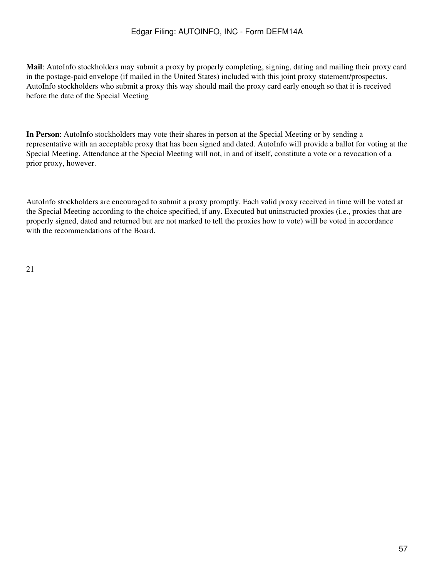**Mail**: AutoInfo stockholders may submit a proxy by properly completing, signing, dating and mailing their proxy card in the postage-paid envelope (if mailed in the United States) included with this joint proxy statement/prospectus. AutoInfo stockholders who submit a proxy this way should mail the proxy card early enough so that it is received before the date of the Special Meeting

**In Person**: AutoInfo stockholders may vote their shares in person at the Special Meeting or by sending a representative with an acceptable proxy that has been signed and dated. AutoInfo will provide a ballot for voting at the Special Meeting. Attendance at the Special Meeting will not, in and of itself, constitute a vote or a revocation of a prior proxy, however.

AutoInfo stockholders are encouraged to submit a proxy promptly. Each valid proxy received in time will be voted at the Special Meeting according to the choice specified, if any. Executed but uninstructed proxies (i.e., proxies that are properly signed, dated and returned but are not marked to tell the proxies how to vote) will be voted in accordance with the recommendations of the Board.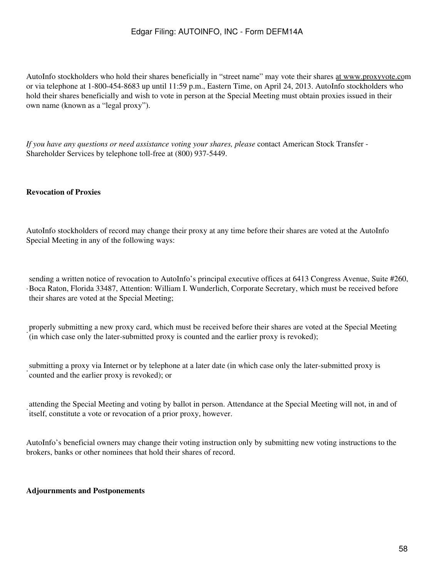AutoInfo stockholders who hold their shares beneficially in "street name" may vote their shares at www.proxyvote.com or via telephone at 1-800-454-8683 up until 11:59 p.m., Eastern Time, on April 24, 2013. AutoInfo stockholders who hold their shares beneficially and wish to vote in person at the Special Meeting must obtain proxies issued in their own name (known as a "legal proxy").

*If you have any questions or need assistance voting your shares, please* contact American Stock Transfer - Shareholder Services by telephone toll-free at (800) 937-5449.

#### **Revocation of Proxies**

AutoInfo stockholders of record may change their proxy at any time before their shares are voted at the AutoInfo Special Meeting in any of the following ways:

· Boca Raton, Florida 33487, Attention: William I. Wunderlich, Corporate Secretary, which must be received before sending a written notice of revocation to AutoInfo's principal executive offices at 6413 Congress Avenue, Suite #260, their shares are voted at the Special Meeting;

· (in which case only the later-submitted proxy is counted and the earlier proxy is revoked); properly submitting a new proxy card, which must be received before their shares are voted at the Special Meeting

· counted and the earlier proxy is revoked); or submitting a proxy via Internet or by telephone at a later date (in which case only the later-submitted proxy is

itself, constitute a vote or revocation of a prior proxy, however. attending the Special Meeting and voting by ballot in person. Attendance at the Special Meeting will not, in and of

AutoInfo's beneficial owners may change their voting instruction only by submitting new voting instructions to the brokers, banks or other nominees that hold their shares of record.

#### **Adjournments and Postponements**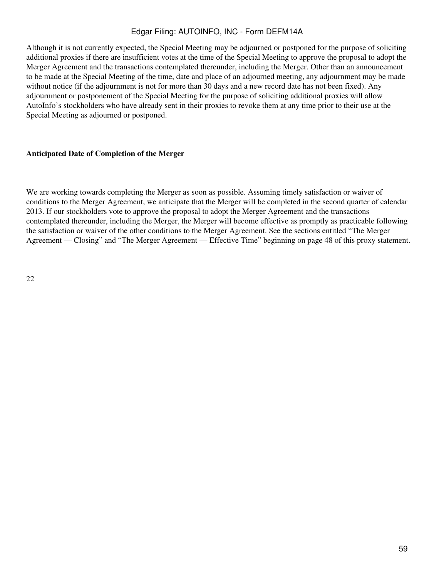Although it is not currently expected, the Special Meeting may be adjourned or postponed for the purpose of soliciting additional proxies if there are insufficient votes at the time of the Special Meeting to approve the proposal to adopt the Merger Agreement and the transactions contemplated thereunder, including the Merger. Other than an announcement to be made at the Special Meeting of the time, date and place of an adjourned meeting, any adjournment may be made without notice (if the adjournment is not for more than 30 days and a new record date has not been fixed). Any adjournment or postponement of the Special Meeting for the purpose of soliciting additional proxies will allow AutoInfo's stockholders who have already sent in their proxies to revoke them at any time prior to their use at the Special Meeting as adjourned or postponed.

#### **Anticipated Date of Completion of the Merger**

We are working towards completing the Merger as soon as possible. Assuming timely satisfaction or waiver of conditions to the Merger Agreement, we anticipate that the Merger will be completed in the second quarter of calendar 2013. If our stockholders vote to approve the proposal to adopt the Merger Agreement and the transactions contemplated thereunder, including the Merger, the Merger will become effective as promptly as practicable following the satisfaction or waiver of the other conditions to the Merger Agreement. See the sections entitled "The Merger Agreement — Closing" and "The Merger Agreement — Effective Time" beginning on page 48 of this proxy statement.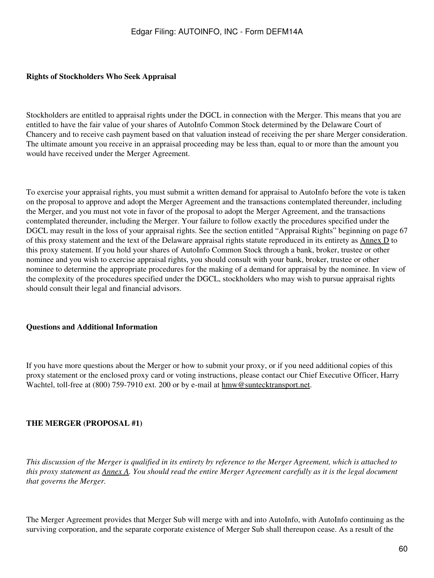#### **Rights of Stockholders Who Seek Appraisal**

Stockholders are entitled to appraisal rights under the DGCL in connection with the Merger. This means that you are entitled to have the fair value of your shares of AutoInfo Common Stock determined by the Delaware Court of Chancery and to receive cash payment based on that valuation instead of receiving the per share Merger consideration. The ultimate amount you receive in an appraisal proceeding may be less than, equal to or more than the amount you would have received under the Merger Agreement.

To exercise your appraisal rights, you must submit a written demand for appraisal to AutoInfo before the vote is taken on the proposal to approve and adopt the Merger Agreement and the transactions contemplated thereunder, including the Merger, and you must not vote in favor of the proposal to adopt the Merger Agreement, and the transactions contemplated thereunder, including the Merger. Your failure to follow exactly the procedures specified under the DGCL may result in the loss of your appraisal rights. See the section entitled "Appraisal Rights" beginning on page 67 of this proxy statement and the text of the Delaware appraisal rights statute reproduced in its entirety as Annex D to this proxy statement. If you hold your shares of AutoInfo Common Stock through a bank, broker, trustee or other nominee and you wish to exercise appraisal rights, you should consult with your bank, broker, trustee or other nominee to determine the appropriate procedures for the making of a demand for appraisal by the nominee. In view of the complexity of the procedures specified under the DGCL, stockholders who may wish to pursue appraisal rights should consult their legal and financial advisors.

#### **Questions and Additional Information**

If you have more questions about the Merger or how to submit your proxy, or if you need additional copies of this proxy statement or the enclosed proxy card or voting instructions, please contact our Chief Executive Officer, Harry Wachtel, toll-free at (800) 759-7910 ext. 200 or by e-mail at hmw@suntecktransport.net.

## **THE MERGER (PROPOSAL #1)**

*This discussion of the Merger is qualified in its entirety by reference to the Merger Agreement, which is attached to this proxy statement as Annex A. You should read the entire Merger Agreement carefully as it is the legal document that governs the Merger.*

The Merger Agreement provides that Merger Sub will merge with and into AutoInfo, with AutoInfo continuing as the surviving corporation, and the separate corporate existence of Merger Sub shall thereupon cease. As a result of the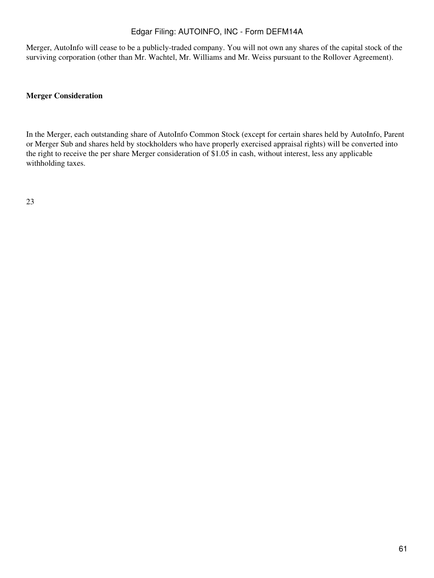Merger, AutoInfo will cease to be a publicly-traded company. You will not own any shares of the capital stock of the surviving corporation (other than Mr. Wachtel, Mr. Williams and Mr. Weiss pursuant to the Rollover Agreement).

## **Merger Consideration**

In the Merger, each outstanding share of AutoInfo Common Stock (except for certain shares held by AutoInfo, Parent or Merger Sub and shares held by stockholders who have properly exercised appraisal rights) will be converted into the right to receive the per share Merger consideration of \$1.05 in cash, without interest, less any applicable withholding taxes.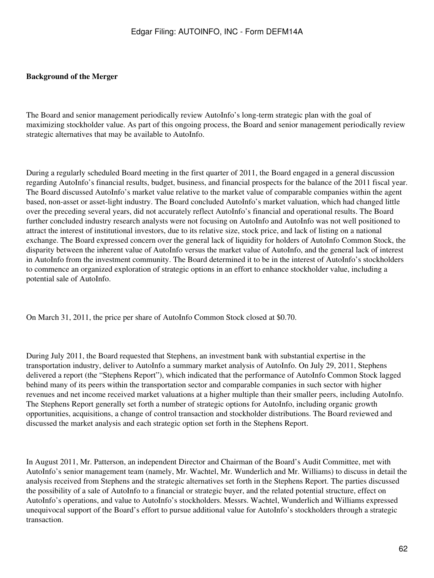#### **Background of the Merger**

The Board and senior management periodically review AutoInfo's long-term strategic plan with the goal of maximizing stockholder value. As part of this ongoing process, the Board and senior management periodically review strategic alternatives that may be available to AutoInfo.

During a regularly scheduled Board meeting in the first quarter of 2011, the Board engaged in a general discussion regarding AutoInfo's financial results, budget, business, and financial prospects for the balance of the 2011 fiscal year. The Board discussed AutoInfo's market value relative to the market value of comparable companies within the agent based, non-asset or asset-light industry. The Board concluded AutoInfo's market valuation, which had changed little over the preceding several years, did not accurately reflect AutoInfo's financial and operational results. The Board further concluded industry research analysts were not focusing on AutoInfo and AutoInfo was not well positioned to attract the interest of institutional investors, due to its relative size, stock price, and lack of listing on a national exchange. The Board expressed concern over the general lack of liquidity for holders of AutoInfo Common Stock, the disparity between the inherent value of AutoInfo versus the market value of AutoInfo, and the general lack of interest in AutoInfo from the investment community. The Board determined it to be in the interest of AutoInfo's stockholders to commence an organized exploration of strategic options in an effort to enhance stockholder value, including a potential sale of AutoInfo.

On March 31, 2011, the price per share of AutoInfo Common Stock closed at \$0.70.

During July 2011, the Board requested that Stephens, an investment bank with substantial expertise in the transportation industry, deliver to AutoInfo a summary market analysis of AutoInfo. On July 29, 2011, Stephens delivered a report (the "Stephens Report"), which indicated that the performance of AutoInfo Common Stock lagged behind many of its peers within the transportation sector and comparable companies in such sector with higher revenues and net income received market valuations at a higher multiple than their smaller peers, including AutoInfo. The Stephens Report generally set forth a number of strategic options for AutoInfo, including organic growth opportunities, acquisitions, a change of control transaction and stockholder distributions. The Board reviewed and discussed the market analysis and each strategic option set forth in the Stephens Report.

In August 2011, Mr. Patterson, an independent Director and Chairman of the Board's Audit Committee, met with AutoInfo's senior management team (namely, Mr. Wachtel, Mr. Wunderlich and Mr. Williams) to discuss in detail the analysis received from Stephens and the strategic alternatives set forth in the Stephens Report. The parties discussed the possibility of a sale of AutoInfo to a financial or strategic buyer, and the related potential structure, effect on AutoInfo's operations, and value to AutoInfo's stockholders. Messrs. Wachtel, Wunderlich and Williams expressed unequivocal support of the Board's effort to pursue additional value for AutoInfo's stockholders through a strategic transaction.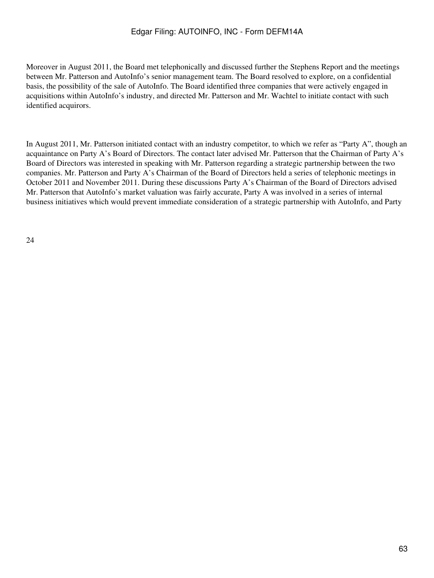Moreover in August 2011, the Board met telephonically and discussed further the Stephens Report and the meetings between Mr. Patterson and AutoInfo's senior management team. The Board resolved to explore, on a confidential basis, the possibility of the sale of AutoInfo. The Board identified three companies that were actively engaged in acquisitions within AutoInfo's industry, and directed Mr. Patterson and Mr. Wachtel to initiate contact with such identified acquirors.

In August 2011, Mr. Patterson initiated contact with an industry competitor, to which we refer as "Party A", though an acquaintance on Party A's Board of Directors. The contact later advised Mr. Patterson that the Chairman of Party A's Board of Directors was interested in speaking with Mr. Patterson regarding a strategic partnership between the two companies. Mr. Patterson and Party A's Chairman of the Board of Directors held a series of telephonic meetings in October 2011 and November 2011. During these discussions Party A's Chairman of the Board of Directors advised Mr. Patterson that AutoInfo's market valuation was fairly accurate, Party A was involved in a series of internal business initiatives which would prevent immediate consideration of a strategic partnership with AutoInfo, and Party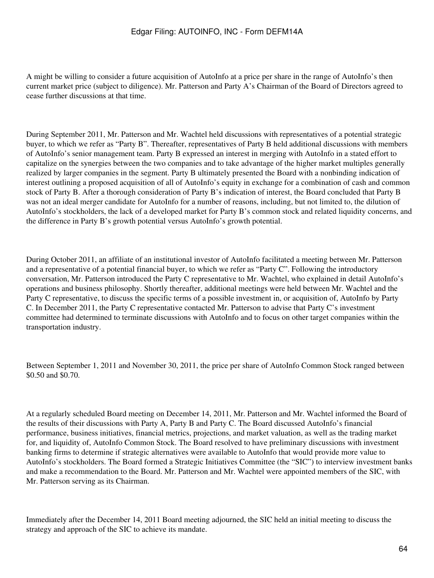A might be willing to consider a future acquisition of AutoInfo at a price per share in the range of AutoInfo's then current market price (subject to diligence). Mr. Patterson and Party A's Chairman of the Board of Directors agreed to cease further discussions at that time.

During September 2011, Mr. Patterson and Mr. Wachtel held discussions with representatives of a potential strategic buyer, to which we refer as "Party B". Thereafter, representatives of Party B held additional discussions with members of AutoInfo's senior management team. Party B expressed an interest in merging with AutoInfo in a stated effort to capitalize on the synergies between the two companies and to take advantage of the higher market multiples generally realized by larger companies in the segment. Party B ultimately presented the Board with a nonbinding indication of interest outlining a proposed acquisition of all of AutoInfo's equity in exchange for a combination of cash and common stock of Party B. After a thorough consideration of Party B's indication of interest, the Board concluded that Party B was not an ideal merger candidate for AutoInfo for a number of reasons, including, but not limited to, the dilution of AutoInfo's stockholders, the lack of a developed market for Party B's common stock and related liquidity concerns, and the difference in Party B's growth potential versus AutoInfo's growth potential.

During October 2011, an affiliate of an institutional investor of AutoInfo facilitated a meeting between Mr. Patterson and a representative of a potential financial buyer, to which we refer as "Party C". Following the introductory conversation, Mr. Patterson introduced the Party C representative to Mr. Wachtel, who explained in detail AutoInfo's operations and business philosophy. Shortly thereafter, additional meetings were held between Mr. Wachtel and the Party C representative, to discuss the specific terms of a possible investment in, or acquisition of, AutoInfo by Party C. In December 2011, the Party C representative contacted Mr. Patterson to advise that Party C's investment committee had determined to terminate discussions with AutoInfo and to focus on other target companies within the transportation industry.

Between September 1, 2011 and November 30, 2011, the price per share of AutoInfo Common Stock ranged between \$0.50 and \$0.70.

At a regularly scheduled Board meeting on December 14, 2011, Mr. Patterson and Mr. Wachtel informed the Board of the results of their discussions with Party A, Party B and Party C. The Board discussed AutoInfo's financial performance, business initiatives, financial metrics, projections, and market valuation, as well as the trading market for, and liquidity of, AutoInfo Common Stock. The Board resolved to have preliminary discussions with investment banking firms to determine if strategic alternatives were available to AutoInfo that would provide more value to AutoInfo's stockholders. The Board formed a Strategic Initiatives Committee (the "SIC") to interview investment banks and make a recommendation to the Board. Mr. Patterson and Mr. Wachtel were appointed members of the SIC, with Mr. Patterson serving as its Chairman.

Immediately after the December 14, 2011 Board meeting adjourned, the SIC held an initial meeting to discuss the strategy and approach of the SIC to achieve its mandate.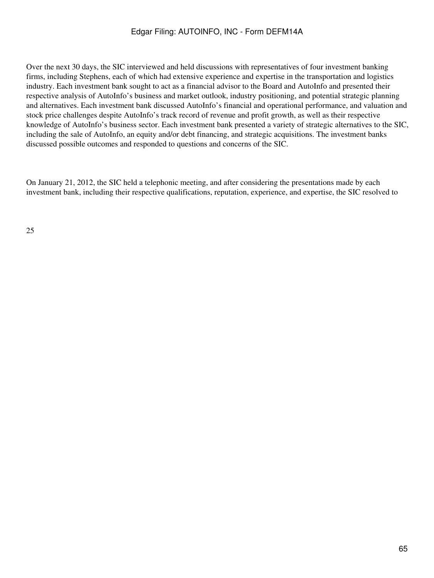Over the next 30 days, the SIC interviewed and held discussions with representatives of four investment banking firms, including Stephens, each of which had extensive experience and expertise in the transportation and logistics industry. Each investment bank sought to act as a financial advisor to the Board and AutoInfo and presented their respective analysis of AutoInfo's business and market outlook, industry positioning, and potential strategic planning and alternatives. Each investment bank discussed AutoInfo's financial and operational performance, and valuation and stock price challenges despite AutoInfo's track record of revenue and profit growth, as well as their respective knowledge of AutoInfo's business sector. Each investment bank presented a variety of strategic alternatives to the SIC, including the sale of AutoInfo, an equity and/or debt financing, and strategic acquisitions. The investment banks discussed possible outcomes and responded to questions and concerns of the SIC.

On January 21, 2012, the SIC held a telephonic meeting, and after considering the presentations made by each investment bank, including their respective qualifications, reputation, experience, and expertise, the SIC resolved to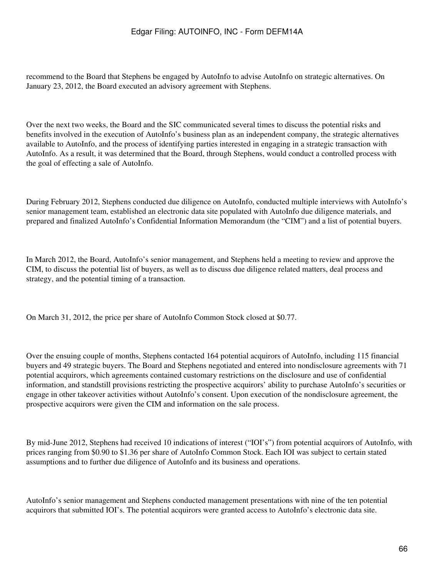recommend to the Board that Stephens be engaged by AutoInfo to advise AutoInfo on strategic alternatives. On January 23, 2012, the Board executed an advisory agreement with Stephens.

Over the next two weeks, the Board and the SIC communicated several times to discuss the potential risks and benefits involved in the execution of AutoInfo's business plan as an independent company, the strategic alternatives available to AutoInfo, and the process of identifying parties interested in engaging in a strategic transaction with AutoInfo. As a result, it was determined that the Board, through Stephens, would conduct a controlled process with the goal of effecting a sale of AutoInfo.

During February 2012, Stephens conducted due diligence on AutoInfo, conducted multiple interviews with AutoInfo's senior management team, established an electronic data site populated with AutoInfo due diligence materials, and prepared and finalized AutoInfo's Confidential Information Memorandum (the "CIM") and a list of potential buyers.

In March 2012, the Board, AutoInfo's senior management, and Stephens held a meeting to review and approve the CIM, to discuss the potential list of buyers, as well as to discuss due diligence related matters, deal process and strategy, and the potential timing of a transaction.

On March 31, 2012, the price per share of AutoInfo Common Stock closed at \$0.77.

Over the ensuing couple of months, Stephens contacted 164 potential acquirors of AutoInfo, including 115 financial buyers and 49 strategic buyers. The Board and Stephens negotiated and entered into nondisclosure agreements with 71 potential acquirors, which agreements contained customary restrictions on the disclosure and use of confidential information, and standstill provisions restricting the prospective acquirors' ability to purchase AutoInfo's securities or engage in other takeover activities without AutoInfo's consent. Upon execution of the nondisclosure agreement, the prospective acquirors were given the CIM and information on the sale process.

By mid-June 2012, Stephens had received 10 indications of interest ("IOI's") from potential acquirors of AutoInfo, with prices ranging from \$0.90 to \$1.36 per share of AutoInfo Common Stock. Each IOI was subject to certain stated assumptions and to further due diligence of AutoInfo and its business and operations.

AutoInfo's senior management and Stephens conducted management presentations with nine of the ten potential acquirors that submitted IOI's. The potential acquirors were granted access to AutoInfo's electronic data site.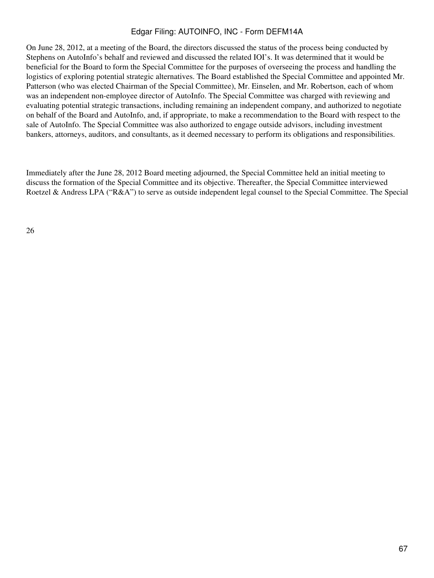On June 28, 2012, at a meeting of the Board, the directors discussed the status of the process being conducted by Stephens on AutoInfo's behalf and reviewed and discussed the related IOI's. It was determined that it would be beneficial for the Board to form the Special Committee for the purposes of overseeing the process and handling the logistics of exploring potential strategic alternatives. The Board established the Special Committee and appointed Mr. Patterson (who was elected Chairman of the Special Committee), Mr. Einselen, and Mr. Robertson, each of whom was an independent non-employee director of AutoInfo. The Special Committee was charged with reviewing and evaluating potential strategic transactions, including remaining an independent company, and authorized to negotiate on behalf of the Board and AutoInfo, and, if appropriate, to make a recommendation to the Board with respect to the sale of AutoInfo. The Special Committee was also authorized to engage outside advisors, including investment bankers, attorneys, auditors, and consultants, as it deemed necessary to perform its obligations and responsibilities.

Immediately after the June 28, 2012 Board meeting adjourned, the Special Committee held an initial meeting to discuss the formation of the Special Committee and its objective. Thereafter, the Special Committee interviewed Roetzel & Andress LPA ("R&A") to serve as outside independent legal counsel to the Special Committee. The Special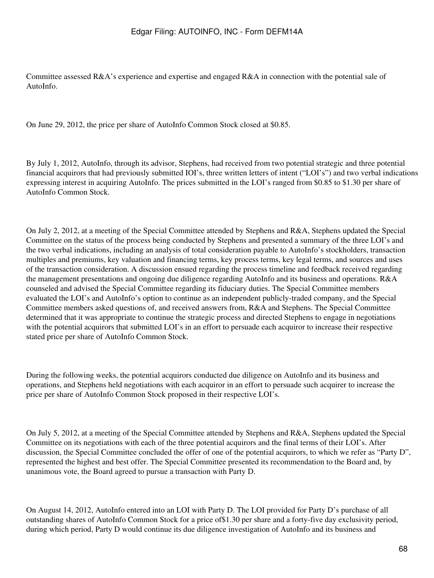Committee assessed R&A's experience and expertise and engaged R&A in connection with the potential sale of AutoInfo.

On June 29, 2012, the price per share of AutoInfo Common Stock closed at \$0.85.

By July 1, 2012, AutoInfo, through its advisor, Stephens, had received from two potential strategic and three potential financial acquirors that had previously submitted IOI's, three written letters of intent ("LOI's") and two verbal indications expressing interest in acquiring AutoInfo. The prices submitted in the LOI's ranged from \$0.85 to \$1.30 per share of AutoInfo Common Stock.

On July 2, 2012, at a meeting of the Special Committee attended by Stephens and R&A, Stephens updated the Special Committee on the status of the process being conducted by Stephens and presented a summary of the three LOI's and the two verbal indications, including an analysis of total consideration payable to AutoInfo's stockholders, transaction multiples and premiums, key valuation and financing terms, key process terms, key legal terms, and sources and uses of the transaction consideration. A discussion ensued regarding the process timeline and feedback received regarding the management presentations and ongoing due diligence regarding AutoInfo and its business and operations. R&A counseled and advised the Special Committee regarding its fiduciary duties. The Special Committee members evaluated the LOI's and AutoInfo's option to continue as an independent publicly-traded company, and the Special Committee members asked questions of, and received answers from, R&A and Stephens. The Special Committee determined that it was appropriate to continue the strategic process and directed Stephens to engage in negotiations with the potential acquirors that submitted LOI's in an effort to persuade each acquiror to increase their respective stated price per share of AutoInfo Common Stock.

During the following weeks, the potential acquirors conducted due diligence on AutoInfo and its business and operations, and Stephens held negotiations with each acquiror in an effort to persuade such acquirer to increase the price per share of AutoInfo Common Stock proposed in their respective LOI's.

On July 5, 2012, at a meeting of the Special Committee attended by Stephens and R&A, Stephens updated the Special Committee on its negotiations with each of the three potential acquirors and the final terms of their LOI's. After discussion, the Special Committee concluded the offer of one of the potential acquirors, to which we refer as "Party D", represented the highest and best offer. The Special Committee presented its recommendation to the Board and, by unanimous vote, the Board agreed to pursue a transaction with Party D.

On August 14, 2012, AutoInfo entered into an LOI with Party D. The LOI provided for Party D's purchase of all outstanding shares of AutoInfo Common Stock for a price of\$1.30 per share and a forty-five day exclusivity period, during which period, Party D would continue its due diligence investigation of AutoInfo and its business and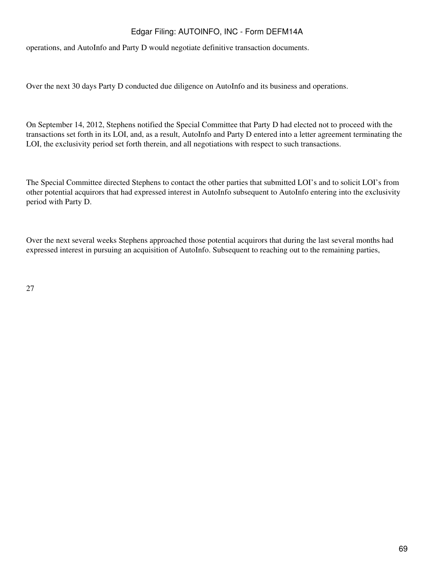operations, and AutoInfo and Party D would negotiate definitive transaction documents.

Over the next 30 days Party D conducted due diligence on AutoInfo and its business and operations.

On September 14, 2012, Stephens notified the Special Committee that Party D had elected not to proceed with the transactions set forth in its LOI, and, as a result, AutoInfo and Party D entered into a letter agreement terminating the LOI, the exclusivity period set forth therein, and all negotiations with respect to such transactions.

The Special Committee directed Stephens to contact the other parties that submitted LOI's and to solicit LOI's from other potential acquirors that had expressed interest in AutoInfo subsequent to AutoInfo entering into the exclusivity period with Party D.

Over the next several weeks Stephens approached those potential acquirors that during the last several months had expressed interest in pursuing an acquisition of AutoInfo. Subsequent to reaching out to the remaining parties,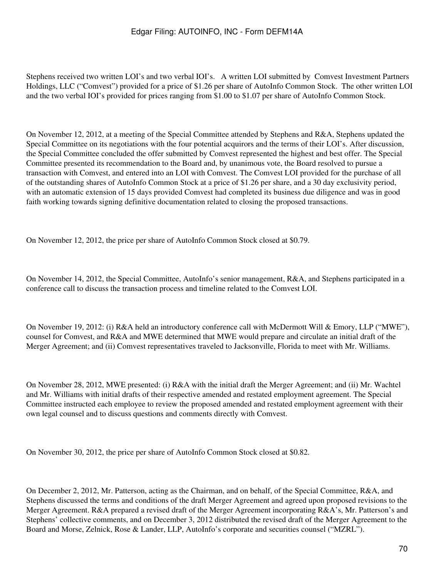Stephens received two written LOI's and two verbal IOI's. A written LOI submitted by Comvest Investment Partners Holdings, LLC ("Comvest") provided for a price of \$1.26 per share of AutoInfo Common Stock. The other written LOI and the two verbal IOI's provided for prices ranging from \$1.00 to \$1.07 per share of AutoInfo Common Stock.

On November 12, 2012, at a meeting of the Special Committee attended by Stephens and R&A, Stephens updated the Special Committee on its negotiations with the four potential acquirors and the terms of their LOI's. After discussion, the Special Committee concluded the offer submitted by Comvest represented the highest and best offer. The Special Committee presented its recommendation to the Board and, by unanimous vote, the Board resolved to pursue a transaction with Comvest, and entered into an LOI with Comvest. The Comvest LOI provided for the purchase of all of the outstanding shares of AutoInfo Common Stock at a price of \$1.26 per share, and a 30 day exclusivity period, with an automatic extension of 15 days provided Comvest had completed its business due diligence and was in good faith working towards signing definitive documentation related to closing the proposed transactions.

On November 12, 2012, the price per share of AutoInfo Common Stock closed at \$0.79.

On November 14, 2012, the Special Committee, AutoInfo's senior management, R&A, and Stephens participated in a conference call to discuss the transaction process and timeline related to the Comvest LOI.

On November 19, 2012: (i) R&A held an introductory conference call with McDermott Will & Emory, LLP ("MWE"), counsel for Comvest, and R&A and MWE determined that MWE would prepare and circulate an initial draft of the Merger Agreement; and (ii) Comvest representatives traveled to Jacksonville, Florida to meet with Mr. Williams.

On November 28, 2012, MWE presented: (i) R&A with the initial draft the Merger Agreement; and (ii) Mr. Wachtel and Mr. Williams with initial drafts of their respective amended and restated employment agreement. The Special Committee instructed each employee to review the proposed amended and restated employment agreement with their own legal counsel and to discuss questions and comments directly with Comvest.

On November 30, 2012, the price per share of AutoInfo Common Stock closed at \$0.82.

On December 2, 2012, Mr. Patterson, acting as the Chairman, and on behalf, of the Special Committee, R&A, and Stephens discussed the terms and conditions of the draft Merger Agreement and agreed upon proposed revisions to the Merger Agreement. R&A prepared a revised draft of the Merger Agreement incorporating R&A's, Mr. Patterson's and Stephens' collective comments, and on December 3, 2012 distributed the revised draft of the Merger Agreement to the Board and Morse, Zelnick, Rose & Lander, LLP, AutoInfo's corporate and securities counsel ("MZRL").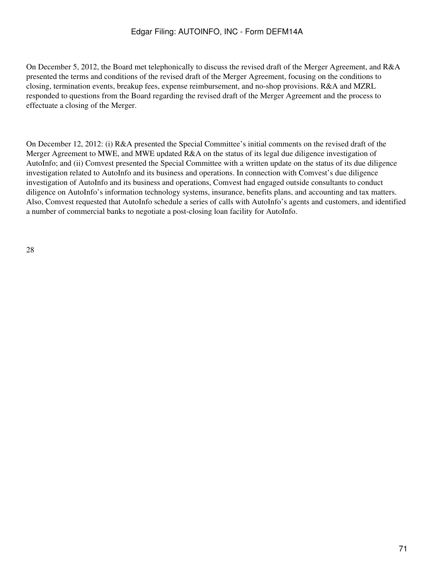On December 5, 2012, the Board met telephonically to discuss the revised draft of the Merger Agreement, and R&A presented the terms and conditions of the revised draft of the Merger Agreement, focusing on the conditions to closing, termination events, breakup fees, expense reimbursement, and no-shop provisions. R&A and MZRL responded to questions from the Board regarding the revised draft of the Merger Agreement and the process to effectuate a closing of the Merger.

On December 12, 2012: (i) R&A presented the Special Committee's initial comments on the revised draft of the Merger Agreement to MWE, and MWE updated R&A on the status of its legal due diligence investigation of AutoInfo; and (ii) Comvest presented the Special Committee with a written update on the status of its due diligence investigation related to AutoInfo and its business and operations. In connection with Comvest's due diligence investigation of AutoInfo and its business and operations, Comvest had engaged outside consultants to conduct diligence on AutoInfo's information technology systems, insurance, benefits plans, and accounting and tax matters. Also, Comvest requested that AutoInfo schedule a series of calls with AutoInfo's agents and customers, and identified a number of commercial banks to negotiate a post-closing loan facility for AutoInfo.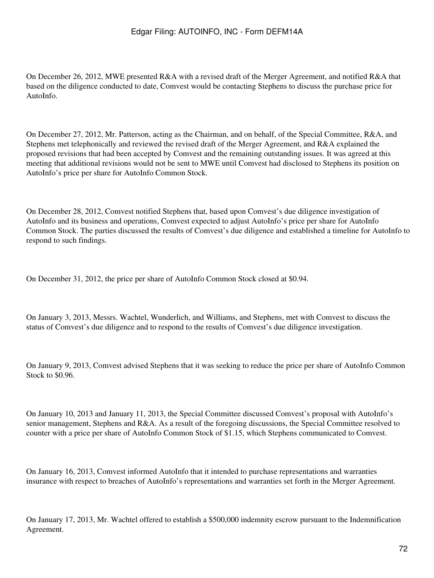On December 26, 2012, MWE presented R&A with a revised draft of the Merger Agreement, and notified R&A that based on the diligence conducted to date, Comvest would be contacting Stephens to discuss the purchase price for AutoInfo.

On December 27, 2012, Mr. Patterson, acting as the Chairman, and on behalf, of the Special Committee, R&A, and Stephens met telephonically and reviewed the revised draft of the Merger Agreement, and R&A explained the proposed revisions that had been accepted by Comvest and the remaining outstanding issues. It was agreed at this meeting that additional revisions would not be sent to MWE until Comvest had disclosed to Stephens its position on AutoInfo's price per share for AutoInfo Common Stock.

On December 28, 2012, Comvest notified Stephens that, based upon Comvest's due diligence investigation of AutoInfo and its business and operations, Comvest expected to adjust AutoInfo's price per share for AutoInfo Common Stock. The parties discussed the results of Comvest's due diligence and established a timeline for AutoInfo to respond to such findings.

On December 31, 2012, the price per share of AutoInfo Common Stock closed at \$0.94.

On January 3, 2013, Messrs. Wachtel, Wunderlich, and Williams, and Stephens, met with Comvest to discuss the status of Comvest's due diligence and to respond to the results of Comvest's due diligence investigation.

On January 9, 2013, Comvest advised Stephens that it was seeking to reduce the price per share of AutoInfo Common Stock to \$0.96.

On January 10, 2013 and January 11, 2013, the Special Committee discussed Comvest's proposal with AutoInfo's senior management, Stephens and R&A. As a result of the foregoing discussions, the Special Committee resolved to counter with a price per share of AutoInfo Common Stock of \$1.15, which Stephens communicated to Comvest.

On January 16, 2013, Comvest informed AutoInfo that it intended to purchase representations and warranties insurance with respect to breaches of AutoInfo's representations and warranties set forth in the Merger Agreement.

On January 17, 2013, Mr. Wachtel offered to establish a \$500,000 indemnity escrow pursuant to the Indemnification Agreement.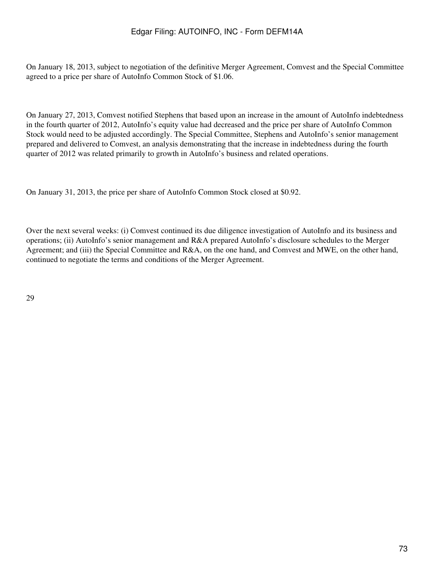On January 18, 2013, subject to negotiation of the definitive Merger Agreement, Comvest and the Special Committee agreed to a price per share of AutoInfo Common Stock of \$1.06.

On January 27, 2013, Comvest notified Stephens that based upon an increase in the amount of AutoInfo indebtedness in the fourth quarter of 2012, AutoInfo's equity value had decreased and the price per share of AutoInfo Common Stock would need to be adjusted accordingly. The Special Committee, Stephens and AutoInfo's senior management prepared and delivered to Comvest, an analysis demonstrating that the increase in indebtedness during the fourth quarter of 2012 was related primarily to growth in AutoInfo's business and related operations.

On January 31, 2013, the price per share of AutoInfo Common Stock closed at \$0.92.

Over the next several weeks: (i) Comvest continued its due diligence investigation of AutoInfo and its business and operations; (ii) AutoInfo's senior management and R&A prepared AutoInfo's disclosure schedules to the Merger Agreement; and (iii) the Special Committee and R&A, on the one hand, and Comvest and MWE, on the other hand, continued to negotiate the terms and conditions of the Merger Agreement.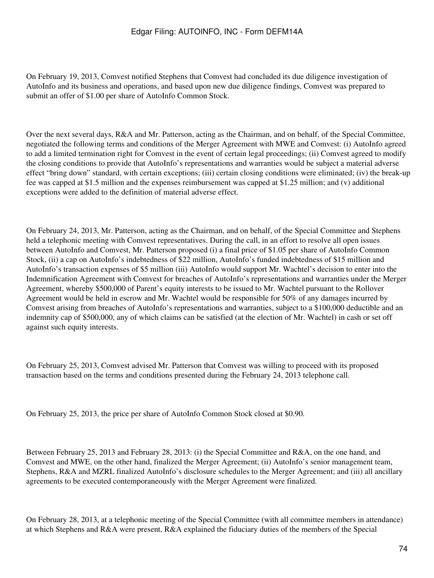On February 19, 2013, Comvest notified Stephens that Comvest had concluded its due diligence investigation of AutoInfo and its business and operations, and based upon new due diligence findings, Comvest was prepared to submit an offer of \$1.00 per share of AutoInfo Common Stock.

Over the next several days, R&A and Mr. Patterson, acting as the Chairman, and on behalf, of the Special Committee, negotiated the following terms and conditions of the Merger Agreement with MWE and Comvest: (i) AutoInfo agreed to add a limited termination right for Comvest in the event of certain legal proceedings; (ii) Comvest agreed to modify the closing conditions to provide that AutoInfo's representations and warranties would be subject a material adverse effect "bring down" standard, with certain exceptions; (iii) certain closing conditions were eliminated; (iv) the break-up fee was capped at \$1.5 million and the expenses reimbursement was capped at \$1.25 million; and (v) additional exceptions were added to the definition of material adverse effect.

On February 24, 2013, Mr. Patterson, acting as the Chairman, and on behalf, of the Special Committee and Stephens held a telephonic meeting with Comvest representatives. During the call, in an effort to resolve all open issues between AutoInfo and Comvest, Mr. Patterson proposed (i) a final price of \$1.05 per share of AutoInfo Common Stock, (ii) a cap on AutoInfo's indebtedness of \$22 million, AutoInfo's funded indebtedness of \$15 million and AutoInfo's transaction expenses of \$5 million (iii) AutoInfo would support Mr. Wachtel's decision to enter into the Indemnification Agreement with Comvest for breaches of AutoInfo's representations and warranties under the Merger Agreement, whereby \$500,000 of Parent's equity interests to be issued to Mr. Wachtel pursuant to the Rollover Agreement would be held in escrow and Mr. Wachtel would be responsible for 50% of any damages incurred by Comvest arising from breaches of AutoInfo's representations and warranties, subject to a \$100,000 deductible and an indemnity cap of \$500,000, any of which claims can be satisfied (at the election of Mr. Wachtel) in cash or set off against such equity interests.

On February 25, 2013, Comvest advised Mr. Patterson that Comvest was willing to proceed with its proposed transaction based on the terms and conditions presented during the February 24, 2013 telephone call.

On February 25, 2013, the price per share of AutoInfo Common Stock closed at \$0.90.

Between February 25, 2013 and February 28, 2013: (i) the Special Committee and R&A, on the one hand, and Comvest and MWE, on the other hand, finalized the Merger Agreement; (ii) AutoInfo's senior management team, Stephens, R&A and MZRL finalized AutoInfo's disclosure schedules to the Merger Agreement; and (iii) all ancillary agreements to be executed contemporaneously with the Merger Agreement were finalized.

On February 28, 2013, at a telephonic meeting of the Special Committee (with all committee members in attendance) at which Stephens and R&A were present, R&A explained the fiduciary duties of the members of the Special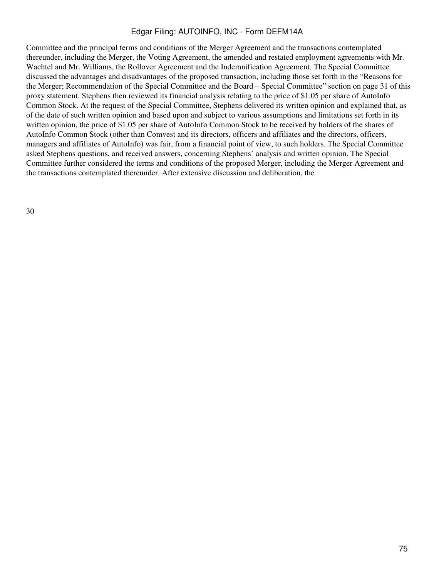Committee and the principal terms and conditions of the Merger Agreement and the transactions contemplated thereunder, including the Merger, the Voting Agreement, the amended and restated employment agreements with Mr. Wachtel and Mr. Williams, the Rollover Agreement and the Indemnification Agreement. The Special Committee discussed the advantages and disadvantages of the proposed transaction, including those set forth in the "Reasons for the Merger; Recommendation of the Special Committee and the Board – Special Committee" section on page 31 of this proxy statement. Stephens then reviewed its financial analysis relating to the price of \$1.05 per share of AutoInfo Common Stock. At the request of the Special Committee, Stephens delivered its written opinion and explained that, as of the date of such written opinion and based upon and subject to various assumptions and limitations set forth in its written opinion, the price of \$1.05 per share of AutoInfo Common Stock to be received by holders of the shares of AutoInfo Common Stock (other than Comvest and its directors, officers and affiliates and the directors, officers, managers and affiliates of AutoInfo) was fair, from a financial point of view, to such holders. The Special Committee asked Stephens questions, and received answers, concerning Stephens' analysis and written opinion. The Special Committee further considered the terms and conditions of the proposed Merger, including the Merger Agreement and the transactions contemplated thereunder. After extensive discussion and deliberation, the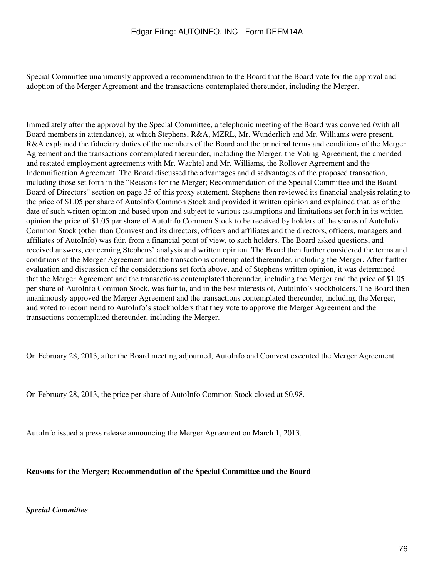Special Committee unanimously approved a recommendation to the Board that the Board vote for the approval and adoption of the Merger Agreement and the transactions contemplated thereunder, including the Merger.

Immediately after the approval by the Special Committee, a telephonic meeting of the Board was convened (with all Board members in attendance), at which Stephens, R&A, MZRL, Mr. Wunderlich and Mr. Williams were present. R&A explained the fiduciary duties of the members of the Board and the principal terms and conditions of the Merger Agreement and the transactions contemplated thereunder, including the Merger, the Voting Agreement, the amended and restated employment agreements with Mr. Wachtel and Mr. Williams, the Rollover Agreement and the Indemnification Agreement. The Board discussed the advantages and disadvantages of the proposed transaction, including those set forth in the "Reasons for the Merger; Recommendation of the Special Committee and the Board – Board of Directors" section on page 35 of this proxy statement. Stephens then reviewed its financial analysis relating to the price of \$1.05 per share of AutoInfo Common Stock and provided it written opinion and explained that, as of the date of such written opinion and based upon and subject to various assumptions and limitations set forth in its written opinion the price of \$1.05 per share of AutoInfo Common Stock to be received by holders of the shares of AutoInfo Common Stock (other than Comvest and its directors, officers and affiliates and the directors, officers, managers and affiliates of AutoInfo) was fair, from a financial point of view, to such holders. The Board asked questions, and received answers, concerning Stephens' analysis and written opinion. The Board then further considered the terms and conditions of the Merger Agreement and the transactions contemplated thereunder, including the Merger. After further evaluation and discussion of the considerations set forth above, and of Stephens written opinion, it was determined that the Merger Agreement and the transactions contemplated thereunder, including the Merger and the price of \$1.05 per share of AutoInfo Common Stock, was fair to, and in the best interests of, AutoInfo's stockholders. The Board then unanimously approved the Merger Agreement and the transactions contemplated thereunder, including the Merger, and voted to recommend to AutoInfo's stockholders that they vote to approve the Merger Agreement and the transactions contemplated thereunder, including the Merger.

On February 28, 2013, after the Board meeting adjourned, AutoInfo and Comvest executed the Merger Agreement.

On February 28, 2013, the price per share of AutoInfo Common Stock closed at \$0.98.

AutoInfo issued a press release announcing the Merger Agreement on March 1, 2013.

### **Reasons for the Merger; Recommendation of the Special Committee and the Board**

*Special Committee*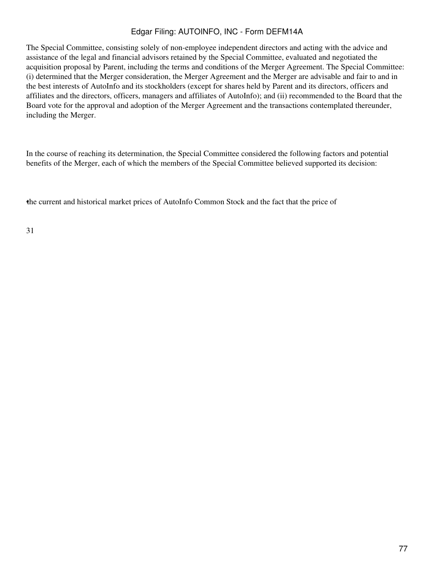The Special Committee, consisting solely of non-employee independent directors and acting with the advice and assistance of the legal and financial advisors retained by the Special Committee, evaluated and negotiated the acquisition proposal by Parent, including the terms and conditions of the Merger Agreement. The Special Committee: (i) determined that the Merger consideration, the Merger Agreement and the Merger are advisable and fair to and in the best interests of AutoInfo and its stockholders (except for shares held by Parent and its directors, officers and affiliates and the directors, officers, managers and affiliates of AutoInfo); and (ii) recommended to the Board that the Board vote for the approval and adoption of the Merger Agreement and the transactions contemplated thereunder, including the Merger.

In the course of reaching its determination, the Special Committee considered the following factors and potential benefits of the Merger, each of which the members of the Special Committee believed supported its decision:

•the current and historical market prices of AutoInfo Common Stock and the fact that the price of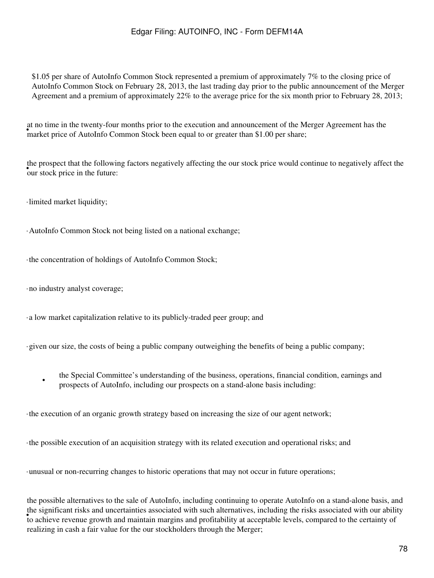\$1.05 per share of AutoInfo Common Stock represented a premium of approximately 7% to the closing price of AutoInfo Common Stock on February 28, 2013, the last trading day prior to the public announcement of the Merger Agreement and a premium of approximately 22% to the average price for the six month prior to February 28, 2013;

which is the two metallic metallic metallic market price of AutoInfo Common Stock been equal to or greater than \$1.00 per share; at no time in the twenty-four months prior to the execution and announcement of the Merger Agreement has the

• The prospect that the followed the prospect that the following factors negatively affecting the our stock price would continue to negatively affect the

·limited market liquidity;

·AutoInfo Common Stock not being listed on a national exchange;

·the concentration of holdings of AutoInfo Common Stock;

·no industry analyst coverage;

•

·a low market capitalization relative to its publicly-traded peer group; and

·given our size, the costs of being a public company outweighing the benefits of being a public company;

the Special Committee's understanding of the business, operations, financial condition, earnings and prospects of AutoInfo, including our prospects on a stand-alone basis including:

·the execution of an organic growth strategy based on increasing the size of our agent network;

·the possible execution of an acquisition strategy with its related execution and operational risks; and

·unusual or non-recurring changes to historic operations that may not occur in future operations;

the significant risks and directionness associated with such ancihatives, including the risks associated with our ability to achieve revenue growth and maintain margins and profitability at acceptable levels, compared to t the possible alternatives to the sale of AutoInfo, including continuing to operate AutoInfo on a stand-alone basis, and the significant risks and uncertainties associated with such alternatives, including the risks associated with our ability realizing in cash a fair value for the our stockholders through the Merger;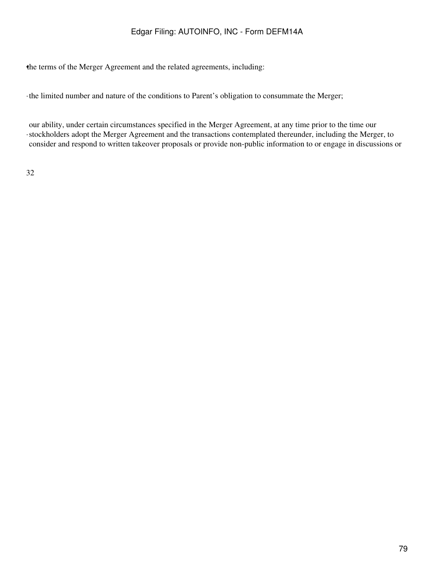•the terms of the Merger Agreement and the related agreements, including:

·the limited number and nature of the conditions to Parent's obligation to consummate the Merger;

· stockholders adopt the Merger Agreement and the transactions contemplated thereunder, including the Merger, to our ability, under certain circumstances specified in the Merger Agreement, at any time prior to the time our consider and respond to written takeover proposals or provide non-public information to or engage in discussions or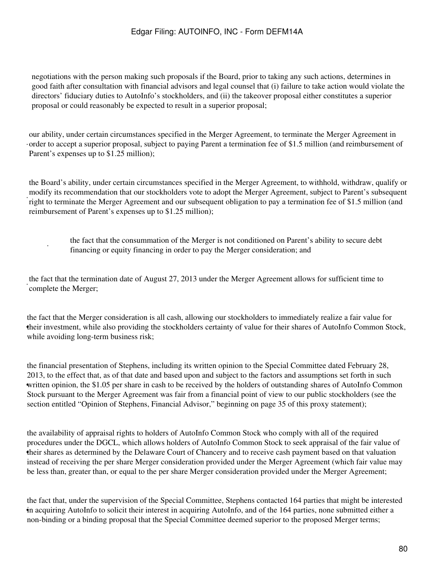negotiations with the person making such proposals if the Board, prior to taking any such actions, determines in good faith after consultation with financial advisors and legal counsel that (i) failure to take action would violate the directors' fiduciary duties to AutoInfo's stockholders, and (ii) the takeover proposal either constitutes a superior proposal or could reasonably be expected to result in a superior proposal;

· order to accept a superior proposal, subject to paying Parent a termination fee of \$1.5 million (and reimbursement of our ability, under certain circumstances specified in the Merger Agreement, to terminate the Merger Agreement in Parent's expenses up to \$1.25 million);

· the Board's ability, under certain circumstances specified in the Merger Agreement, to withhold, withdraw, qualify or modify its recommendation that our stockholders vote to adopt the Merger Agreement, subject to Parent's subsequent right to terminate the Merger Agreement and our subsequent obligation to pay a termination fee of \$1.5 million (and reimbursement of Parent's expenses up to \$1.25 million);

the fact that the consummation of the Merger is not conditioned on Parent's ability to secure debt financing or equity financing in order to pay the Merger consideration; and

· complete the Merger; the fact that the termination date of August 27, 2013 under the Merger Agreement allows for sufficient time to

·

• their investment, while also providing the stockholders certainty of value for their shares of AutoInfo Common Stock, the fact that the Merger consideration is all cash, allowing our stockholders to immediately realize a fair value for while avoiding long-term business risk;

• written opinion, the \$1.05 per share in cash to be received by the holders of outstanding shares of AutoInfo Common the financial presentation of Stephens, including its written opinion to the Special Committee dated February 28, 2013, to the effect that, as of that date and based upon and subject to the factors and assumptions set forth in such Stock pursuant to the Merger Agreement was fair from a financial point of view to our public stockholders (see the section entitled "Opinion of Stephens, Financial Advisor," beginning on page 35 of this proxy statement);

• their shares as determined by the Delaware Court of Chancery and to receive cash payment based on that valuation the availability of appraisal rights to holders of AutoInfo Common Stock who comply with all of the required procedures under the DGCL, which allows holders of AutoInfo Common Stock to seek appraisal of the fair value of instead of receiving the per share Merger consideration provided under the Merger Agreement (which fair value may be less than, greater than, or equal to the per share Merger consideration provided under the Merger Agreement;

• in acquiring AutoInfo to solicit their interest in acquiring AutoInfo, and of the 164 parties, none submitted either a the fact that, under the supervision of the Special Committee, Stephens contacted 164 parties that might be interested non-binding or a binding proposal that the Special Committee deemed superior to the proposed Merger terms;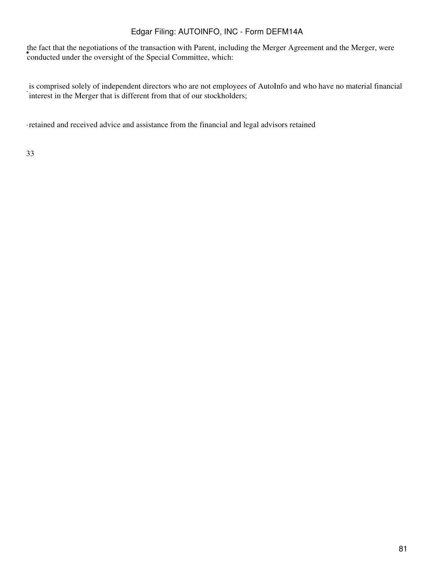**EXECUTE THE CONDUCTED STATE OF THE CONDUCTED** Conducted under the oversight of the Special Committee, which: the fact that the negotiations of the transaction with Parent, including the Merger Agreement and the Merger, were

Is comprised solery of independent directors who die not employees<br>interest in the Merger that is different from that of our stockholders; is comprised solely of independent directors who are not employees of AutoInfo and who have no material financial

·retained and received advice and assistance from the financial and legal advisors retained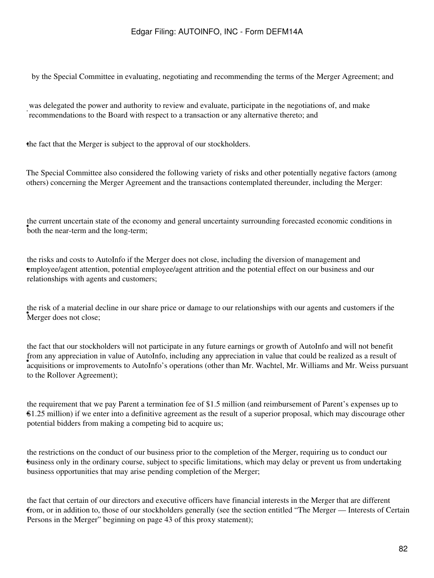by the Special Committee in evaluating, negotiating and recommending the terms of the Merger Agreement; and

· was delegated the power and authority to review and evaluate, participate in the negotiations of, and make recommendations to the Board with respect to a transaction or any alternative thereto; and

the fact that the Merger is subject to the approval of our stockholders.

The Special Committee also considered the following variety of risks and other potentially negative factors (among others) concerning the Merger Agreement and the transactions contemplated thereunder, including the Merger:

both the near-term and the long-term; the current uncertain state of the economy and general uncertainty surrounding forecasted economic conditions in

employee/agent attention, potential employee/agent attrition and the potential effect on our business and our the risks and costs to AutoInfo if the Merger does not close, including the diversion of management and relationships with agents and customers;

Merger does not close; the risk of a material decline in our share price or damage to our relationships with our agents and customers if the

From any appreciation in varie of Automo, menaing any appreciation in varie that coald be realized as a result of acquisitions or improvements to AutoInfo's operations (other than Mr. Wachtel, Mr. Williams and Mr. Weiss pu the fact that our stockholders will not participate in any future earnings or growth of AutoInfo and will not benefit from any appreciation in value of AutoInfo, including any appreciation in value that could be realized as a result of to the Rollover Agreement);

• \$1.25 million) if we enter into a definitive agreement as the result of a superior proposal, which may discourage other the requirement that we pay Parent a termination fee of \$1.5 million (and reimbursement of Parent's expenses up to potential bidders from making a competing bid to acquire us;

• business only in the ordinary course, subject to specific limitations, which may delay or prevent us from undertaking the restrictions on the conduct of our business prior to the completion of the Merger, requiring us to conduct our business opportunities that may arise pending completion of the Merger;

from, or in addition to, those of our stockholders generally (see the section entitled "The Merger — Interests of Certain the fact that certain of our directors and executive officers have financial interests in the Merger that are different Persons in the Merger" beginning on page 43 of this proxy statement);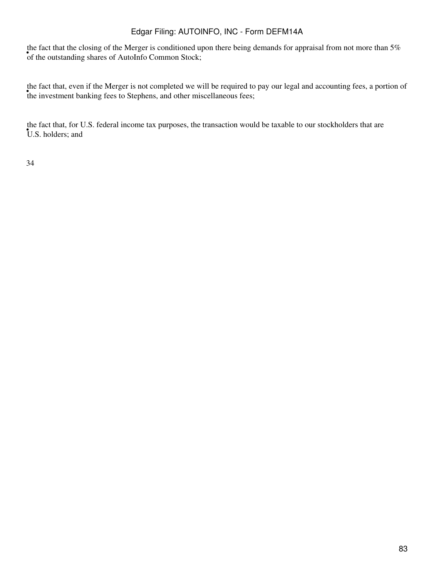of the outstanding shares of AutoInfo Common Stock; the fact that the closing of the Merger is conditioned upon there being demands for appraisal from not more than 5%

the fact that, even if the inverger is not completed we will be required to<br>the investment banking fees to Stephens, and other miscellaneous fees; the fact that, even if the Merger is not completed we will be required to pay our legal and accounting fees, a portion of

U.S. holders; and the fact that, for U.S. federal income tax purposes, the transaction would be taxable to our stockholders that are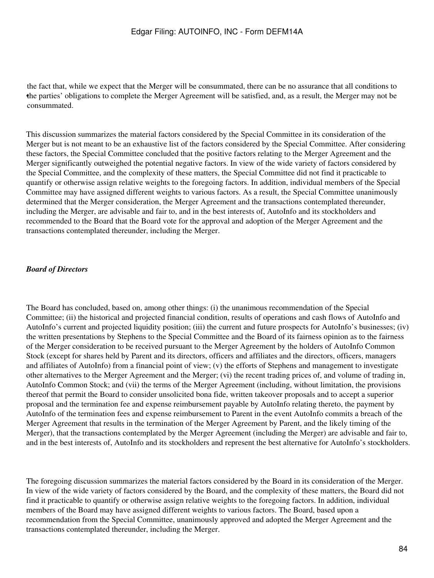• the parties' obligations to complete the Merger Agreement will be satisfied, and, as a result, the Merger may not be the fact that, while we expect that the Merger will be consummated, there can be no assurance that all conditions to consummated.

This discussion summarizes the material factors considered by the Special Committee in its consideration of the Merger but is not meant to be an exhaustive list of the factors considered by the Special Committee. After considering these factors, the Special Committee concluded that the positive factors relating to the Merger Agreement and the Merger significantly outweighed the potential negative factors. In view of the wide variety of factors considered by the Special Committee, and the complexity of these matters, the Special Committee did not find it practicable to quantify or otherwise assign relative weights to the foregoing factors. In addition, individual members of the Special Committee may have assigned different weights to various factors. As a result, the Special Committee unanimously determined that the Merger consideration, the Merger Agreement and the transactions contemplated thereunder, including the Merger, are advisable and fair to, and in the best interests of, AutoInfo and its stockholders and recommended to the Board that the Board vote for the approval and adoption of the Merger Agreement and the transactions contemplated thereunder, including the Merger.

#### *Board of Directors*

The Board has concluded, based on, among other things: (i) the unanimous recommendation of the Special Committee; (ii) the historical and projected financial condition, results of operations and cash flows of AutoInfo and AutoInfo's current and projected liquidity position; (iii) the current and future prospects for AutoInfo's businesses; (iv) the written presentations by Stephens to the Special Committee and the Board of its fairness opinion as to the fairness of the Merger consideration to be received pursuant to the Merger Agreement by the holders of AutoInfo Common Stock (except for shares held by Parent and its directors, officers and affiliates and the directors, officers, managers and affiliates of AutoInfo) from a financial point of view; (v) the efforts of Stephens and management to investigate other alternatives to the Merger Agreement and the Merger; (vi) the recent trading prices of, and volume of trading in, AutoInfo Common Stock; and (vii) the terms of the Merger Agreement (including, without limitation, the provisions thereof that permit the Board to consider unsolicited bona fide, written takeover proposals and to accept a superior proposal and the termination fee and expense reimbursement payable by AutoInfo relating thereto, the payment by AutoInfo of the termination fees and expense reimbursement to Parent in the event AutoInfo commits a breach of the Merger Agreement that results in the termination of the Merger Agreement by Parent, and the likely timing of the Merger), that the transactions contemplated by the Merger Agreement (including the Merger) are advisable and fair to, and in the best interests of, AutoInfo and its stockholders and represent the best alternative for AutoInfo's stockholders.

The foregoing discussion summarizes the material factors considered by the Board in its consideration of the Merger. In view of the wide variety of factors considered by the Board, and the complexity of these matters, the Board did not find it practicable to quantify or otherwise assign relative weights to the foregoing factors. In addition, individual members of the Board may have assigned different weights to various factors. The Board, based upon a recommendation from the Special Committee, unanimously approved and adopted the Merger Agreement and the transactions contemplated thereunder, including the Merger.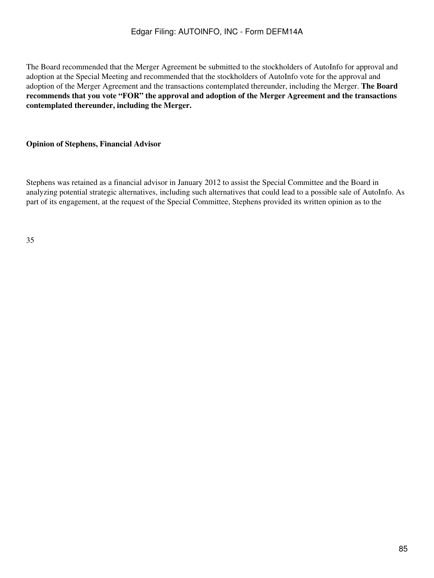The Board recommended that the Merger Agreement be submitted to the stockholders of AutoInfo for approval and adoption at the Special Meeting and recommended that the stockholders of AutoInfo vote for the approval and adoption of the Merger Agreement and the transactions contemplated thereunder, including the Merger. **The Board recommends that you vote "FOR" the approval and adoption of the Merger Agreement and the transactions contemplated thereunder, including the Merger.**

### **Opinion of Stephens, Financial Advisor**

Stephens was retained as a financial advisor in January 2012 to assist the Special Committee and the Board in analyzing potential strategic alternatives, including such alternatives that could lead to a possible sale of AutoInfo. As part of its engagement, at the request of the Special Committee, Stephens provided its written opinion as to the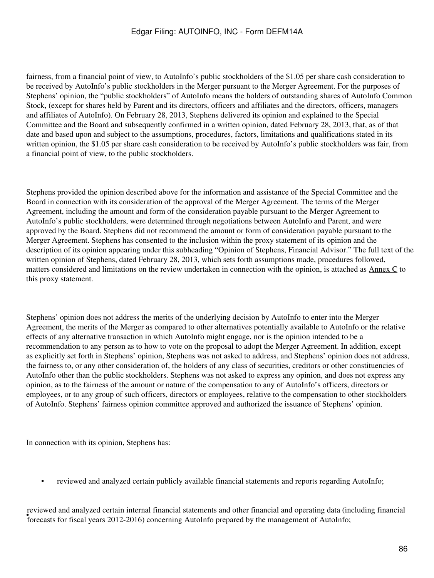fairness, from a financial point of view, to AutoInfo's public stockholders of the \$1.05 per share cash consideration to be received by AutoInfo's public stockholders in the Merger pursuant to the Merger Agreement. For the purposes of Stephens' opinion, the "public stockholders" of AutoInfo means the holders of outstanding shares of AutoInfo Common Stock, (except for shares held by Parent and its directors, officers and affiliates and the directors, officers, managers and affiliates of AutoInfo). On February 28, 2013, Stephens delivered its opinion and explained to the Special Committee and the Board and subsequently confirmed in a written opinion, dated February 28, 2013, that, as of that date and based upon and subject to the assumptions, procedures, factors, limitations and qualifications stated in its written opinion, the \$1.05 per share cash consideration to be received by AutoInfo's public stockholders was fair, from a financial point of view, to the public stockholders.

Stephens provided the opinion described above for the information and assistance of the Special Committee and the Board in connection with its consideration of the approval of the Merger Agreement. The terms of the Merger Agreement, including the amount and form of the consideration payable pursuant to the Merger Agreement to AutoInfo's public stockholders, were determined through negotiations between AutoInfo and Parent, and were approved by the Board. Stephens did not recommend the amount or form of consideration payable pursuant to the Merger Agreement. Stephens has consented to the inclusion within the proxy statement of its opinion and the description of its opinion appearing under this subheading "Opinion of Stephens, Financial Advisor." The full text of the written opinion of Stephens, dated February 28, 2013, which sets forth assumptions made, procedures followed, matters considered and limitations on the review undertaken in connection with the opinion, is attached as Annex C to this proxy statement.

Stephens' opinion does not address the merits of the underlying decision by AutoInfo to enter into the Merger Agreement, the merits of the Merger as compared to other alternatives potentially available to AutoInfo or the relative effects of any alternative transaction in which AutoInfo might engage, nor is the opinion intended to be a recommendation to any person as to how to vote on the proposal to adopt the Merger Agreement. In addition, except as explicitly set forth in Stephens' opinion, Stephens was not asked to address, and Stephens' opinion does not address, the fairness to, or any other consideration of, the holders of any class of securities, creditors or other constituencies of AutoInfo other than the public stockholders. Stephens was not asked to express any opinion, and does not express any opinion, as to the fairness of the amount or nature of the compensation to any of AutoInfo's officers, directors or employees, or to any group of such officers, directors or employees, relative to the compensation to other stockholders of AutoInfo. Stephens' fairness opinion committee approved and authorized the issuance of Stephens' opinion.

In connection with its opinion, Stephens has:

reviewed and analyzed certain publicly available financial statements and reports regarding AutoInfo;

• forecasts for fiscal years 2012-2016) concerning AutoInfo prepared by the management of AutoInfo; reviewed and analyzed certain internal financial statements and other financial and operating data (including financial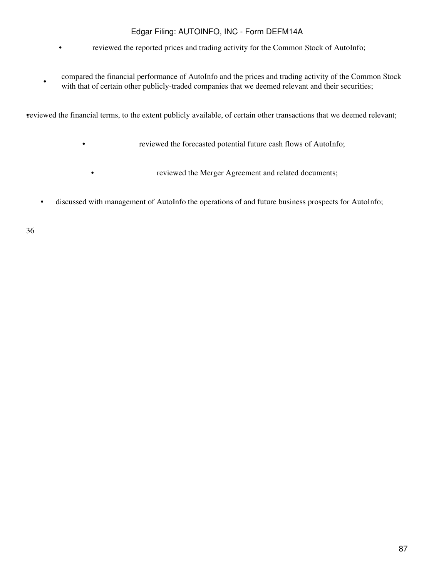- reviewed the reported prices and trading activity for the Common Stock of AutoInfo;
- compared the financial performance of AutoInfo and the prices and trading activity of the Common Stock with that of certain other publicly-traded companies that we deemed relevant and their securities;

•reviewed the financial terms, to the extent publicly available, of certain other transactions that we deemed relevant;

• reviewed the forecasted potential future cash flows of AutoInfo;

• reviewed the Merger Agreement and related documents;

• discussed with management of AutoInfo the operations of and future business prospects for AutoInfo;

36

•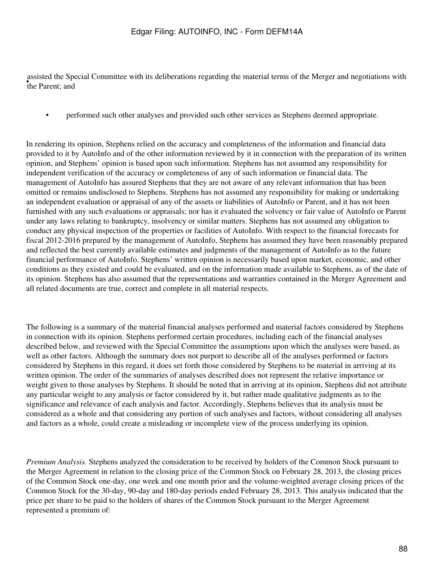the Parent; and assisted the Special Committee with its deliberations regarding the material terms of the Merger and negotiations with

• performed such other analyses and provided such other services as Stephens deemed appropriate.

In rendering its opinion, Stephens relied on the accuracy and completeness of the information and financial data provided to it by AutoInfo and of the other information reviewed by it in connection with the preparation of its written opinion, and Stephens' opinion is based upon such information. Stephens has not assumed any responsibility for independent verification of the accuracy or completeness of any of such information or financial data. The management of AutoInfo has assured Stephens that they are not aware of any relevant information that has been omitted or remains undisclosed to Stephens. Stephens has not assumed any responsibility for making or undertaking an independent evaluation or appraisal of any of the assets or liabilities of AutoInfo or Parent, and it has not been furnished with any such evaluations or appraisals; nor has it evaluated the solvency or fair value of AutoInfo or Parent under any laws relating to bankruptcy, insolvency or similar matters. Stephens has not assumed any obligation to conduct any physical inspection of the properties or facilities of AutoInfo. With respect to the financial forecasts for fiscal 2012-2016 prepared by the management of AutoInfo, Stephens has assumed they have been reasonably prepared and reflected the best currently available estimates and judgments of the management of AutoInfo as to the future financial performance of AutoInfo. Stephens' written opinion is necessarily based upon market, economic, and other conditions as they existed and could be evaluated, and on the information made available to Stephens, as of the date of its opinion. Stephens has also assumed that the representations and warranties contained in the Merger Agreement and all related documents are true, correct and complete in all material respects.

The following is a summary of the material financial analyses performed and material factors considered by Stephens in connection with its opinion. Stephens performed certain procedures, including each of the financial analyses described below, and reviewed with the Special Committee the assumptions upon which the analyses were based, as well as other factors. Although the summary does not purport to describe all of the analyses performed or factors considered by Stephens in this regard, it does set forth those considered by Stephens to be material in arriving at its written opinion. The order of the summaries of analyses described does not represent the relative importance or weight given to those analyses by Stephens. It should be noted that in arriving at its opinion, Stephens did not attribute any particular weight to any analysis or factor considered by it, but rather made qualitative judgments as to the significance and relevance of each analysis and factor. Accordingly, Stephens believes that its analysis must be considered as a whole and that considering any portion of such analyses and factors, without considering all analyses and factors as a whole, could create a misleading or incomplete view of the process underlying its opinion.

*Premium Analysis.* Stephens analyzed the consideration to be received by holders of the Common Stock pursuant to the Merger Agreement in relation to the closing price of the Common Stock on February 28, 2013, the closing prices of the Common Stock one-day, one week and one month prior and the volume-weighted average closing prices of the Common Stock for the 30-day, 90-day and 180-day periods ended February 28, 2013. This analysis indicated that the price per share to be paid to the holders of shares of the Common Stock pursuant to the Merger Agreement represented a premium of: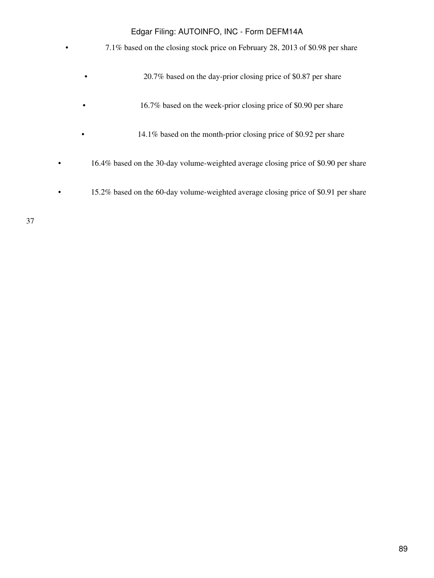• 7.1% based on the closing stock price on February 28, 2013 of \$0.98 per share

• 20.7% based on the day-prior closing price of \$0.87 per share

- 16.7% based on the week-prior closing price of \$0.90 per share
	- 14.1% based on the month-prior closing price of \$0.92 per share
- 16.4% based on the 30-day volume-weighted average closing price of \$0.90 per share
- 15.2% based on the 60-day volume-weighted average closing price of \$0.91 per share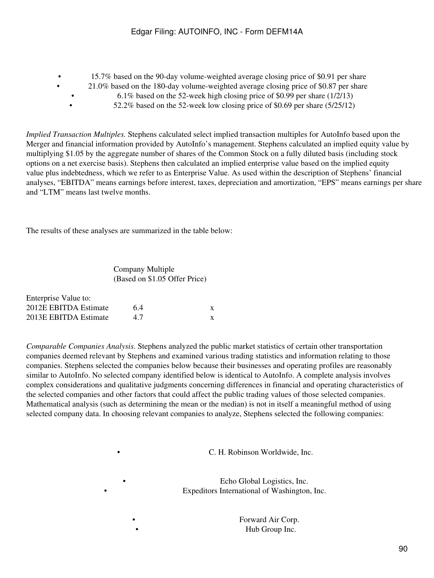- 15.7% based on the 90-day volume-weighted average closing price of \$0.91 per share
- 21.0% based on the 180-day volume-weighted average closing price of \$0.87 per share
	- 6.1% based on the 52-week high closing price of \$0.99 per share (1/2/13)
		- 52.2% based on the 52-week low closing price of \$0.69 per share (5/25/12)

*Implied Transaction Multiples.* Stephens calculated select implied transaction multiples for AutoInfo based upon the Merger and financial information provided by AutoInfo's management. Stephens calculated an implied equity value by multiplying \$1.05 by the aggregate number of shares of the Common Stock on a fully diluted basis (including stock options on a net exercise basis). Stephens then calculated an implied enterprise value based on the implied equity value plus indebtedness, which we refer to as Enterprise Value. As used within the description of Stephens' financial analyses, "EBITDA" means earnings before interest, taxes, depreciation and amortization, "EPS" means earnings per share and "LTM" means last twelve months.

The results of these analyses are summarized in the table below:

Company Multiple (Based on \$1.05 Offer Price)

| Enterprise Value to:  |    |  |
|-----------------------|----|--|
| 2012E EBITDA Estimate | 64 |  |
| 2013E EBITDA Estimate | 47 |  |

*Comparable Companies Analysis.* Stephens analyzed the public market statistics of certain other transportation companies deemed relevant by Stephens and examined various trading statistics and information relating to those companies. Stephens selected the companies below because their businesses and operating profiles are reasonably similar to AutoInfo. No selected company identified below is identical to AutoInfo. A complete analysis involves complex considerations and qualitative judgments concerning differences in financial and operating characteristics of the selected companies and other factors that could affect the public trading values of those selected companies. Mathematical analysis (such as determining the mean or the median) is not in itself a meaningful method of using selected company data. In choosing relevant companies to analyze, Stephens selected the following companies:

• C. H. Robinson Worldwide, Inc.

• Echo Global Logistics, Inc. • Expeditors International of Washington, Inc.

> • Forward Air Corp. • Hub Group Inc.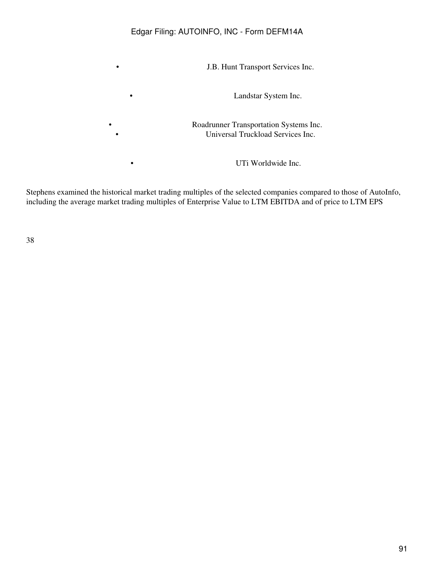• J.B. Hunt Transport Services Inc.

• Landstar System Inc.

• Roadrunner Transportation Systems Inc. • Universal Truckload Services Inc.

• UTi Worldwide Inc.

Stephens examined the historical market trading multiples of the selected companies compared to those of AutoInfo, including the average market trading multiples of Enterprise Value to LTM EBITDA and of price to LTM EPS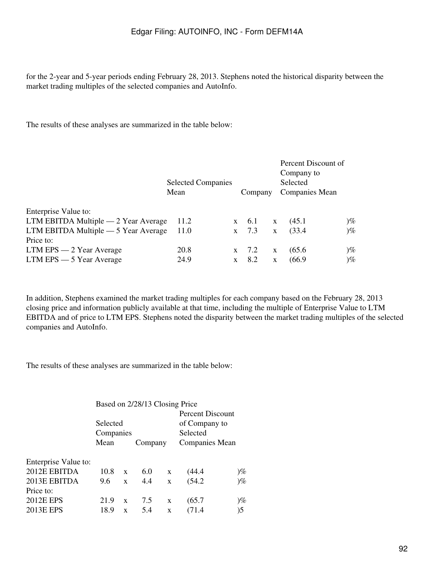for the 2-year and 5-year periods ending February 28, 2013. Stephens noted the historical disparity between the market trading multiples of the selected companies and AutoInfo.

The results of these analyses are summarized in the table below:

|                                       |                           |              |           |              | Percent Discount of |               |
|---------------------------------------|---------------------------|--------------|-----------|--------------|---------------------|---------------|
|                                       |                           |              |           |              | Company to          |               |
|                                       | <b>Selected Companies</b> |              |           |              | Selected            |               |
|                                       | Mean                      |              | Company   |              | Companies Mean      |               |
| Enterprise Value to:                  |                           |              |           |              |                     |               |
| LTM EBITDA Multiple $-2$ Year Average | 11.2                      |              | $x = 6.1$ | $\mathbf{X}$ | (45.1)              | $)\%$         |
| LTM EBITDA Multiple $-5$ Year Average | 11.0                      | $\mathbf{x}$ | 7.3       | X            | (33.4)              | $\partial\%$  |
| Price to:                             |                           |              |           |              |                     |               |
| $LTM$ EPS $-2$ Year Average           | 20.8                      | $\mathbf{X}$ | 7.2       | X            | (65.6)              | $)\%$         |
| $LTM$ EPS $-5$ Year Average           | 24.9                      | $\mathbf{x}$ | 8.2       | $\mathbf{X}$ | (66.9)              | $\frac{9}{6}$ |

In addition, Stephens examined the market trading multiples for each company based on the February 28, 2013 closing price and information publicly available at that time, including the multiple of Enterprise Value to LTM EBITDA and of price to LTM EPS. Stephens noted the disparity between the market trading multiples of the selected companies and AutoInfo.

The results of these analyses are summarized in the table below:

|                      | Based on 2/28/13 Closing Price |              |         |              |                                               |       |  |
|----------------------|--------------------------------|--------------|---------|--------------|-----------------------------------------------|-------|--|
|                      | Selected<br>Companies          |              |         |              | Percent Discount<br>of Company to<br>Selected |       |  |
|                      | Mean                           |              | Company |              | Companies Mean                                |       |  |
| Enterprise Value to: |                                |              |         |              |                                               |       |  |
| 2012E EBITDA         | 10.8                           | $\mathbf{x}$ | 6.0     | $\mathbf{x}$ | (44.4)                                        | $)\%$ |  |
| 2013E EBITDA         | 9.6                            | $\mathbf{x}$ | 4.4     | X            | (54.2)                                        | $)\%$ |  |
| Price to:            |                                |              |         |              |                                               |       |  |
| <b>2012E EPS</b>     | 21.9                           | $\mathbf{x}$ | 7.5     | X            | (65.7)                                        | $)\%$ |  |
| 2013E EPS            | 18.9                           | $\mathbf{x}$ | 5.4     | X            | (71.4                                         | )5    |  |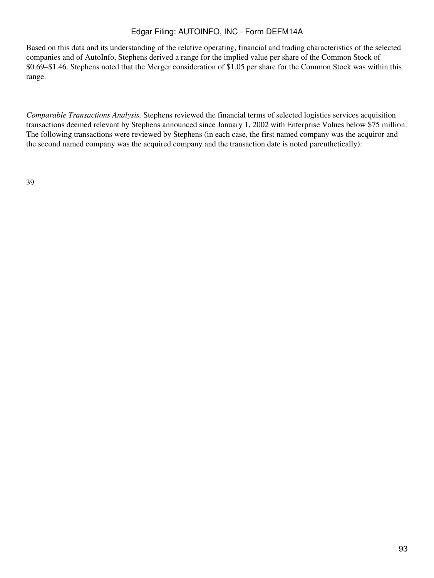Based on this data and its understanding of the relative operating, financial and trading characteristics of the selected companies and of AutoInfo, Stephens derived a range for the implied value per share of the Common Stock of \$0.69–\$1.46. Stephens noted that the Merger consideration of \$1.05 per share for the Common Stock was within this range.

*Comparable Transactions Analysis.* Stephens reviewed the financial terms of selected logistics services acquisition transactions deemed relevant by Stephens announced since January 1, 2002 with Enterprise Values below \$75 million. The following transactions were reviewed by Stephens (in each case, the first named company was the acquiror and the second named company was the acquired company and the transaction date is noted parenthetically):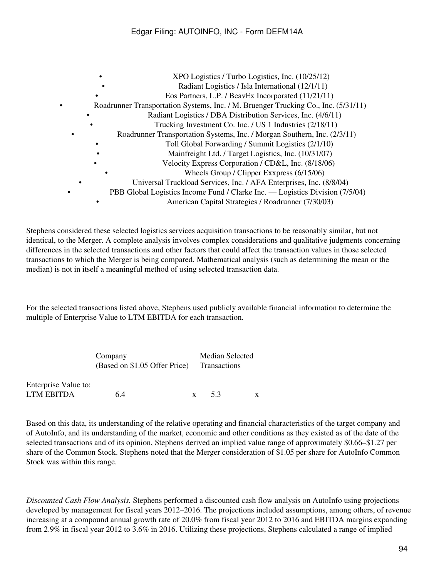| XPO Logistics / Turbo Logistics, Inc. (10/25/12)                                   |
|------------------------------------------------------------------------------------|
| Radiant Logistics / Isla International (12/1/11)                                   |
| Eos Partners, L.P. / BeavEx Incorporated (11/21/11)                                |
| Roadrunner Transportation Systems, Inc. / M. Bruenger Trucking Co., Inc. (5/31/11) |
| Radiant Logistics / DBA Distribution Services, Inc. (4/6/11)                       |
| Trucking Investment Co. Inc. / US 1 Industries (2/18/11)                           |
| Roadrunner Transportation Systems, Inc. / Morgan Southern, Inc. (2/3/11)           |
| Toll Global Forwarding / Summit Logistics (2/1/10)                                 |
| Mainfreight Ltd. / Target Logistics, Inc. (10/31/07)                               |
| Velocity Express Corporation / CD&L, Inc. (8/18/06)                                |
| Wheels Group / Clipper Exxpress (6/15/06)                                          |
| Universal Truckload Services, Inc. / AFA Enterprises, Inc. (8/8/04)                |
| PBB Global Logistics Income Fund / Clarke Inc. — Logistics Division (7/5/04)       |
| American Capital Strategies / Roadrunner (7/30/03)                                 |

Stephens considered these selected logistics services acquisition transactions to be reasonably similar, but not identical, to the Merger. A complete analysis involves complex considerations and qualitative judgments concerning differences in the selected transactions and other factors that could affect the transaction values in those selected transactions to which the Merger is being compared. Mathematical analysis (such as determining the mean or the median) is not in itself a meaningful method of using selected transaction data.

For the selected transactions listed above, Stephens used publicly available financial information to determine the multiple of Enterprise Value to LTM EBITDA for each transaction.

|                      | Company                       | Median Selected |  |  |
|----------------------|-------------------------------|-----------------|--|--|
|                      | (Based on \$1.05 Offer Price) | Transactions    |  |  |
| Enterprise Value to: |                               |                 |  |  |
| LTM EBITDA           | 64                            | 5.3             |  |  |

Based on this data, its understanding of the relative operating and financial characteristics of the target company and of AutoInfo, and its understanding of the market, economic and other conditions as they existed as of the date of the selected transactions and of its opinion, Stephens derived an implied value range of approximately \$0.66–\$1.27 per share of the Common Stock. Stephens noted that the Merger consideration of \$1.05 per share for AutoInfo Common Stock was within this range.

*Discounted Cash Flow Analysis.* Stephens performed a discounted cash flow analysis on AutoInfo using projections developed by management for fiscal years 2012–2016. The projections included assumptions, among others, of revenue increasing at a compound annual growth rate of 20.0% from fiscal year 2012 to 2016 and EBITDA margins expanding from 2.9% in fiscal year 2012 to 3.6% in 2016. Utilizing these projections, Stephens calculated a range of implied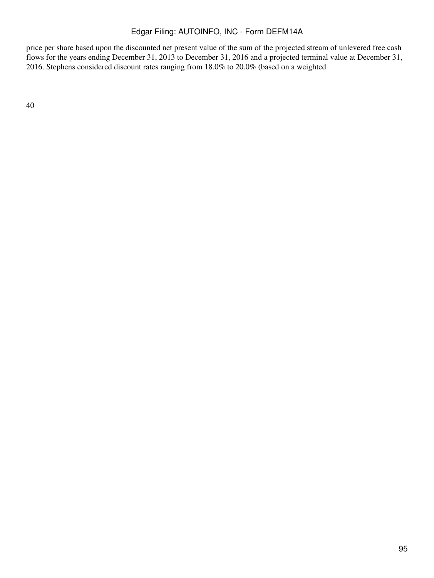price per share based upon the discounted net present value of the sum of the projected stream of unlevered free cash flows for the years ending December 31, 2013 to December 31, 2016 and a projected terminal value at December 31, 2016. Stephens considered discount rates ranging from 18.0% to 20.0% (based on a weighted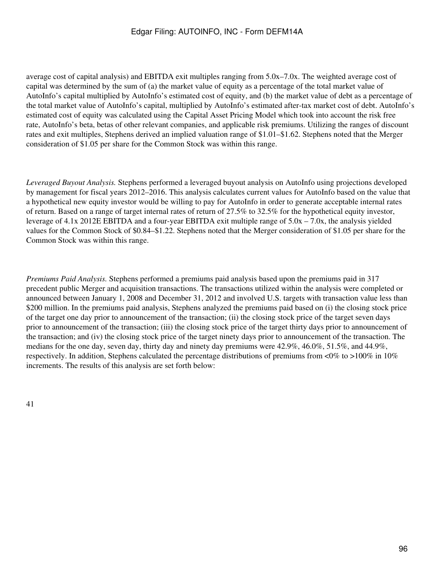average cost of capital analysis) and EBITDA exit multiples ranging from 5.0x–7.0x. The weighted average cost of capital was determined by the sum of (a) the market value of equity as a percentage of the total market value of AutoInfo's capital multiplied by AutoInfo's estimated cost of equity, and (b) the market value of debt as a percentage of the total market value of AutoInfo's capital, multiplied by AutoInfo's estimated after-tax market cost of debt. AutoInfo's estimated cost of equity was calculated using the Capital Asset Pricing Model which took into account the risk free rate, AutoInfo's beta, betas of other relevant companies, and applicable risk premiums. Utilizing the ranges of discount rates and exit multiples, Stephens derived an implied valuation range of \$1.01–\$1.62. Stephens noted that the Merger consideration of \$1.05 per share for the Common Stock was within this range.

*Leveraged Buyout Analysis.* Stephens performed a leveraged buyout analysis on AutoInfo using projections developed by management for fiscal years 2012–2016. This analysis calculates current values for AutoInfo based on the value that a hypothetical new equity investor would be willing to pay for AutoInfo in order to generate acceptable internal rates of return. Based on a range of target internal rates of return of 27.5% to 32.5% for the hypothetical equity investor, leverage of 4.1x 2012E EBITDA and a four-year EBITDA exit multiple range of 5.0x – 7.0x, the analysis yielded values for the Common Stock of \$0.84–\$1.22. Stephens noted that the Merger consideration of \$1.05 per share for the Common Stock was within this range.

*Premiums Paid Analysis.* Stephens performed a premiums paid analysis based upon the premiums paid in 317 precedent public Merger and acquisition transactions. The transactions utilized within the analysis were completed or announced between January 1, 2008 and December 31, 2012 and involved U.S. targets with transaction value less than \$200 million. In the premiums paid analysis, Stephens analyzed the premiums paid based on (i) the closing stock price of the target one day prior to announcement of the transaction; (ii) the closing stock price of the target seven days prior to announcement of the transaction; (iii) the closing stock price of the target thirty days prior to announcement of the transaction; and (iv) the closing stock price of the target ninety days prior to announcement of the transaction. The medians for the one day, seven day, thirty day and ninety day premiums were 42.9%, 46.0%, 51.5%, and 44.9%, respectively. In addition, Stephens calculated the percentage distributions of premiums from <0% to >100% in 10% increments. The results of this analysis are set forth below: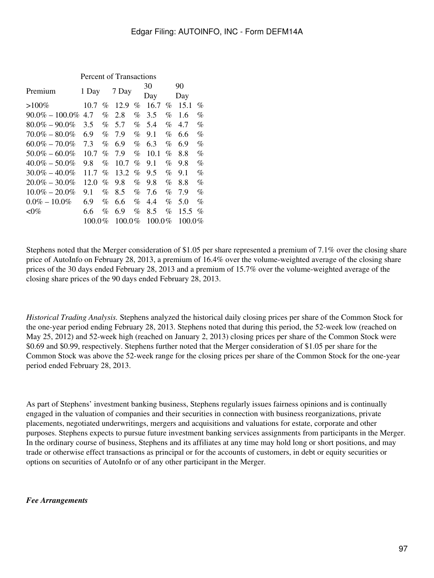| Percent of Transactions |        |      |           |      |           |      |           |      |
|-------------------------|--------|------|-----------|------|-----------|------|-----------|------|
| Premium                 | 1 Day  |      | 7 Day     |      | 30<br>Day |      | 90<br>Day |      |
| $>100\%$                | 10.7   | %    | 12.9      | %    | 16.7      | %    | 15.1      | $\%$ |
| $90.0\% - 100.0\%$      | 4.7    | %    | 2.8       | %    | 3.5       | %    | 1.6       | %    |
| $80.0\% - 90.0\%$       | 3.5    | %    | 5.7       | %    | 5.4       | $\%$ | 4.7       | $\%$ |
| $70.0\% - 80.0\%$       | 6.9    | %    | 7.9       | %    | 9.1       | %    | 6.6       | $\%$ |
| $60.0\% - 70.0\%$       | 7.3    | $\%$ | 6.9       | %    | 6.3       | $\%$ | 6.9       | $\%$ |
| $50.0\% - 60.0\%$       | 10.7   | %    | 7.9       | %    | 10.1      | $\%$ | 8.8       | $\%$ |
| $40.0\% - 50.0\%$       | 9.8    | %    | 10.7      | %    | 9.1       | %    | 9.8       | %    |
| $30.0\% - 40.0\%$       | 11.7   | %    | 13.2      | %    | 9.5       | %    | 9.1       | $\%$ |
| $20.0\% - 30.0\%$       | 12.0   | $\%$ | 9.8       | $\%$ | 9.8       | $\%$ | 8.8       | $\%$ |
| $10.0\% - 20.0\%$       | 9.1    | %    | 8.5       | %    | 7.6       | $\%$ | 7.9       | $\%$ |
| $0.0\% - 10.0\%$        | 6.9    | %    | 6.6       | %    | 4.4       | $\%$ | 5.0       | %    |
| $\langle 0\%$           | 6.6    | $\%$ | 6.9       | $\%$ | 8.5       | $\%$ | 15.5      | $\%$ |
|                         | 100.0% |      | $100.0\%$ |      | $100.0\%$ |      | $100.0\%$ |      |

Stephens noted that the Merger consideration of \$1.05 per share represented a premium of 7.1% over the closing share price of AutoInfo on February 28, 2013, a premium of 16.4% over the volume-weighted average of the closing share prices of the 30 days ended February 28, 2013 and a premium of 15.7% over the volume-weighted average of the closing share prices of the 90 days ended February 28, 2013.

*Historical Trading Analysis.* Stephens analyzed the historical daily closing prices per share of the Common Stock for the one-year period ending February 28, 2013. Stephens noted that during this period, the 52-week low (reached on May 25, 2012) and 52-week high (reached on January 2, 2013) closing prices per share of the Common Stock were \$0.69 and \$0.99, respectively. Stephens further noted that the Merger consideration of \$1.05 per share for the Common Stock was above the 52-week range for the closing prices per share of the Common Stock for the one-year period ended February 28, 2013.

As part of Stephens' investment banking business, Stephens regularly issues fairness opinions and is continually engaged in the valuation of companies and their securities in connection with business reorganizations, private placements, negotiated underwritings, mergers and acquisitions and valuations for estate, corporate and other purposes. Stephens expects to pursue future investment banking services assignments from participants in the Merger. In the ordinary course of business, Stephens and its affiliates at any time may hold long or short positions, and may trade or otherwise effect transactions as principal or for the accounts of customers, in debt or equity securities or options on securities of AutoInfo or of any other participant in the Merger.

## *Fee Arrangements*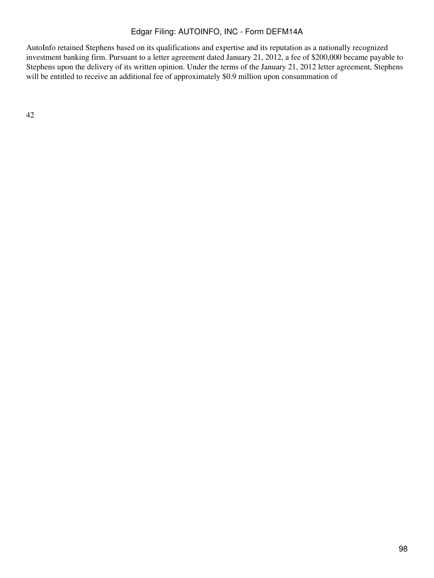AutoInfo retained Stephens based on its qualifications and expertise and its reputation as a nationally recognized investment banking firm. Pursuant to a letter agreement dated January 21, 2012, a fee of \$200,000 became payable to Stephens upon the delivery of its written opinion. Under the terms of the January 21, 2012 letter agreement, Stephens will be entitled to receive an additional fee of approximately \$0.9 million upon consummation of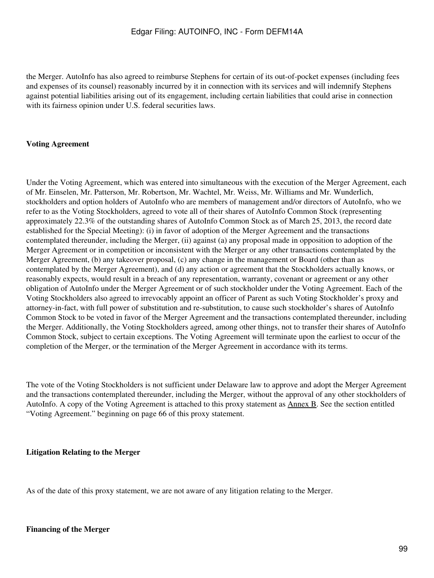the Merger. AutoInfo has also agreed to reimburse Stephens for certain of its out-of-pocket expenses (including fees and expenses of its counsel) reasonably incurred by it in connection with its services and will indemnify Stephens against potential liabilities arising out of its engagement, including certain liabilities that could arise in connection with its fairness opinion under U.S. federal securities laws.

#### **Voting Agreement**

Under the Voting Agreement, which was entered into simultaneous with the execution of the Merger Agreement, each of Mr. Einselen, Mr. Patterson, Mr. Robertson, Mr. Wachtel, Mr. Weiss, Mr. Williams and Mr. Wunderlich, stockholders and option holders of AutoInfo who are members of management and/or directors of AutoInfo, who we refer to as the Voting Stockholders, agreed to vote all of their shares of AutoInfo Common Stock (representing approximately 22.3% of the outstanding shares of AutoInfo Common Stock as of March 25, 2013, the record date established for the Special Meeting): (i) in favor of adoption of the Merger Agreement and the transactions contemplated thereunder, including the Merger, (ii) against (a) any proposal made in opposition to adoption of the Merger Agreement or in competition or inconsistent with the Merger or any other transactions contemplated by the Merger Agreement, (b) any takeover proposal, (c) any change in the management or Board (other than as contemplated by the Merger Agreement), and (d) any action or agreement that the Stockholders actually knows, or reasonably expects, would result in a breach of any representation, warranty, covenant or agreement or any other obligation of AutoInfo under the Merger Agreement or of such stockholder under the Voting Agreement. Each of the Voting Stockholders also agreed to irrevocably appoint an officer of Parent as such Voting Stockholder's proxy and attorney-in-fact, with full power of substitution and re-substitution, to cause such stockholder's shares of AutoInfo Common Stock to be voted in favor of the Merger Agreement and the transactions contemplated thereunder, including the Merger. Additionally, the Voting Stockholders agreed, among other things, not to transfer their shares of AutoInfo Common Stock, subject to certain exceptions. The Voting Agreement will terminate upon the earliest to occur of the completion of the Merger, or the termination of the Merger Agreement in accordance with its terms.

The vote of the Voting Stockholders is not sufficient under Delaware law to approve and adopt the Merger Agreement and the transactions contemplated thereunder, including the Merger, without the approval of any other stockholders of AutoInfo. A copy of the Voting Agreement is attached to this proxy statement as Annex B. See the section entitled "Voting Agreement." beginning on page 66 of this proxy statement.

#### **Litigation Relating to the Merger**

As of the date of this proxy statement, we are not aware of any litigation relating to the Merger.

### **Financing of the Merger**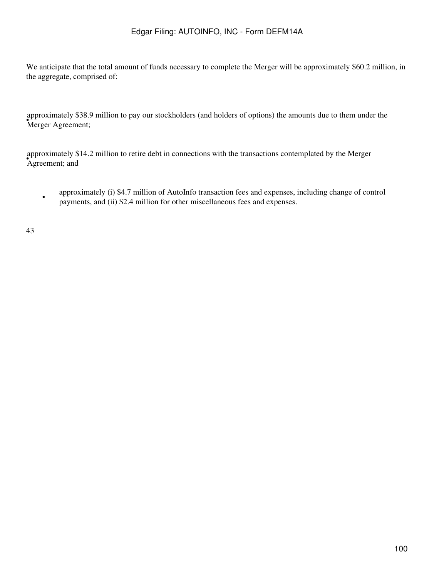We anticipate that the total amount of funds necessary to complete the Merger will be approximately \$60.2 million, in the aggregate, comprised of:

**Merger Agreement;** approximately \$38.9 million to pay our stockholders (and holders of options) the amounts due to them under the

Agreement; and approximately \$14.2 million to retire debt in connections with the transactions contemplated by the Merger

• approximately (i) \$4.7 million of AutoInfo transaction fees and expenses, including change of control payments, and (ii) \$2.4 million for other miscellaneous fees and expenses.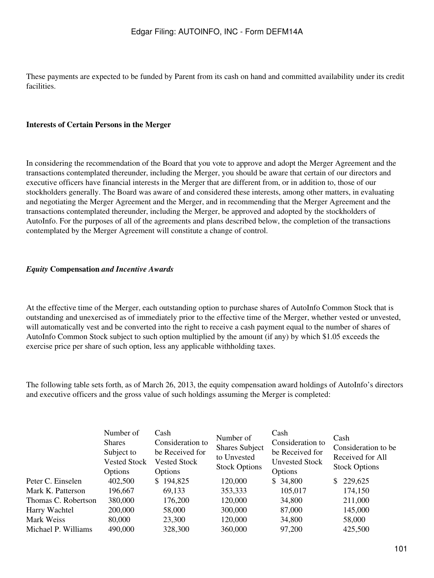These payments are expected to be funded by Parent from its cash on hand and committed availability under its credit **facilities** 

### **Interests of Certain Persons in the Merger**

In considering the recommendation of the Board that you vote to approve and adopt the Merger Agreement and the transactions contemplated thereunder, including the Merger, you should be aware that certain of our directors and executive officers have financial interests in the Merger that are different from, or in addition to, those of our stockholders generally. The Board was aware of and considered these interests, among other matters, in evaluating and negotiating the Merger Agreement and the Merger, and in recommending that the Merger Agreement and the transactions contemplated thereunder, including the Merger, be approved and adopted by the stockholders of AutoInfo. For the purposes of all of the agreements and plans described below, the completion of the transactions contemplated by the Merger Agreement will constitute a change of control.

### *Equity* **Compensation** *and Incentive Awards*

At the effective time of the Merger, each outstanding option to purchase shares of AutoInfo Common Stock that is outstanding and unexercised as of immediately prior to the effective time of the Merger, whether vested or unvested, will automatically vest and be converted into the right to receive a cash payment equal to the number of shares of AutoInfo Common Stock subject to such option multiplied by the amount (if any) by which \$1.05 exceeds the exercise price per share of such option, less any applicable withholding taxes.

The following table sets forth, as of March 26, 2013, the equity compensation award holdings of AutoInfo's directors and executive officers and the gross value of such holdings assuming the Merger is completed:

|                     | Number of<br><b>Shares</b><br>Subject to<br><b>Vested Stock</b><br>Options | Cash<br>Consideration to<br>be Received for<br><b>Vested Stock</b><br>Options | Number of<br><b>Shares Subject</b><br>to Unvested<br><b>Stock Options</b> | Cash<br>Consideration to<br>be Received for<br><b>Unvested Stock</b><br>Options | Cash<br>Consideration to be<br>Received for All<br><b>Stock Options</b> |
|---------------------|----------------------------------------------------------------------------|-------------------------------------------------------------------------------|---------------------------------------------------------------------------|---------------------------------------------------------------------------------|-------------------------------------------------------------------------|
| Peter C. Einselen   | 402,500                                                                    | \$194,825                                                                     | 120,000                                                                   | \$34,800                                                                        | 229,625                                                                 |
| Mark K. Patterson   | 196,667                                                                    | 69,133                                                                        | 353,333                                                                   | 105,017                                                                         | 174,150                                                                 |
| Thomas C. Robertson | 380,000                                                                    | 176,200                                                                       | 120,000                                                                   | 34,800                                                                          | 211,000                                                                 |
| Harry Wachtel       | 200,000                                                                    | 58,000                                                                        | 300,000                                                                   | 87,000                                                                          | 145,000                                                                 |
| Mark Weiss          | 80,000                                                                     | 23,300                                                                        | 120,000                                                                   | 34,800                                                                          | 58,000                                                                  |
| Michael P. Williams | 490,000                                                                    | 328,300                                                                       | 360,000                                                                   | 97,200                                                                          | 425,500                                                                 |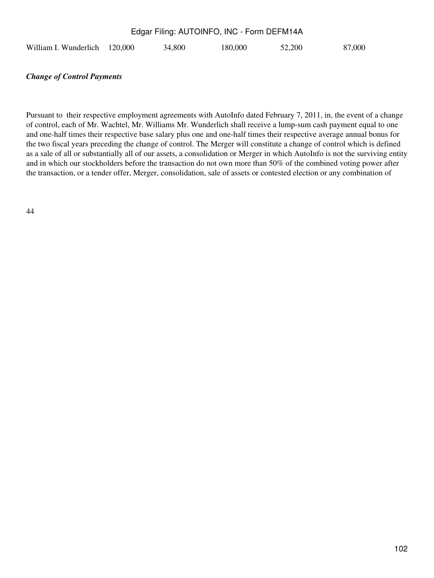| Edgar Filing: AUTOINFO, INC - Form DEFM14A |  |        |         |        |        |  |  |
|--------------------------------------------|--|--------|---------|--------|--------|--|--|
| William I. Wunderlich 120,000              |  | 34,800 | 180,000 | 52,200 | 87,000 |  |  |

### *Change of Control Payments*

Pursuant to their respective employment agreements with AutoInfo dated February 7, 2011, in, the event of a change of control, each of Mr. Wachtel, Mr. Williams Mr. Wunderlich shall receive a lump-sum cash payment equal to one and one-half times their respective base salary plus one and one-half times their respective average annual bonus for the two fiscal years preceding the change of control. The Merger will constitute a change of control which is defined as a sale of all or substantially all of our assets, a consolidation or Merger in which AutoInfo is not the surviving entity and in which our stockholders before the transaction do not own more than 50% of the combined voting power after the transaction, or a tender offer, Merger, consolidation, sale of assets or contested election or any combination of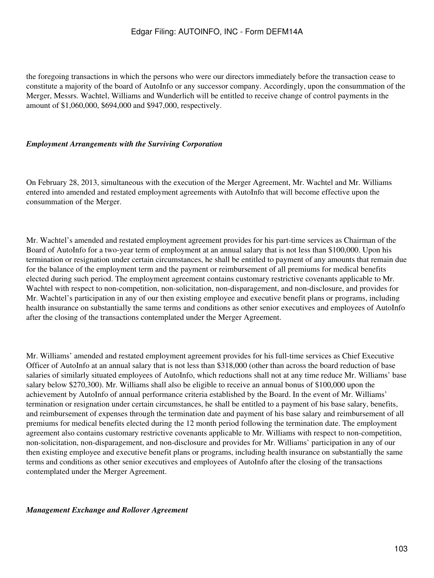the foregoing transactions in which the persons who were our directors immediately before the transaction cease to constitute a majority of the board of AutoInfo or any successor company. Accordingly, upon the consummation of the Merger, Messrs. Wachtel, Williams and Wunderlich will be entitled to receive change of control payments in the amount of \$1,060,000, \$694,000 and \$947,000, respectively.

### *Employment Arrangements with the Surviving Corporation*

On February 28, 2013, simultaneous with the execution of the Merger Agreement, Mr. Wachtel and Mr. Williams entered into amended and restated employment agreements with AutoInfo that will become effective upon the consummation of the Merger.

Mr. Wachtel's amended and restated employment agreement provides for his part-time services as Chairman of the Board of AutoInfo for a two-year term of employment at an annual salary that is not less than \$100,000. Upon his termination or resignation under certain circumstances, he shall be entitled to payment of any amounts that remain due for the balance of the employment term and the payment or reimbursement of all premiums for medical benefits elected during such period. The employment agreement contains customary restrictive covenants applicable to Mr. Wachtel with respect to non-competition, non-solicitation, non-disparagement, and non-disclosure, and provides for Mr. Wachtel's participation in any of our then existing employee and executive benefit plans or programs, including health insurance on substantially the same terms and conditions as other senior executives and employees of AutoInfo after the closing of the transactions contemplated under the Merger Agreement.

Mr. Williams' amended and restated employment agreement provides for his full-time services as Chief Executive Officer of AutoInfo at an annual salary that is not less than \$318,000 (other than across the board reduction of base salaries of similarly situated employees of AutoInfo, which reductions shall not at any time reduce Mr. Williams' base salary below \$270,300). Mr. Williams shall also be eligible to receive an annual bonus of \$100,000 upon the achievement by AutoInfo of annual performance criteria established by the Board. In the event of Mr. Williams' termination or resignation under certain circumstances, he shall be entitled to a payment of his base salary, benefits, and reimbursement of expenses through the termination date and payment of his base salary and reimbursement of all premiums for medical benefits elected during the 12 month period following the termination date. The employment agreement also contains customary restrictive covenants applicable to Mr. Williams with respect to non-competition, non-solicitation, non-disparagement, and non-disclosure and provides for Mr. Williams' participation in any of our then existing employee and executive benefit plans or programs, including health insurance on substantially the same terms and conditions as other senior executives and employees of AutoInfo after the closing of the transactions contemplated under the Merger Agreement.

#### *Management Exchange and Rollover Agreement*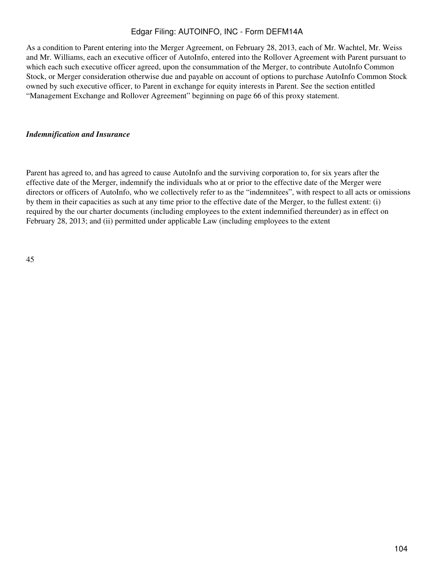As a condition to Parent entering into the Merger Agreement, on February 28, 2013, each of Mr. Wachtel, Mr. Weiss and Mr. Williams, each an executive officer of AutoInfo, entered into the Rollover Agreement with Parent pursuant to which each such executive officer agreed, upon the consummation of the Merger, to contribute AutoInfo Common Stock, or Merger consideration otherwise due and payable on account of options to purchase AutoInfo Common Stock owned by such executive officer, to Parent in exchange for equity interests in Parent. See the section entitled "Management Exchange and Rollover Agreement" beginning on page 66 of this proxy statement.

### *Indemnification and Insurance*

Parent has agreed to, and has agreed to cause AutoInfo and the surviving corporation to, for six years after the effective date of the Merger, indemnify the individuals who at or prior to the effective date of the Merger were directors or officers of AutoInfo, who we collectively refer to as the "indemnitees", with respect to all acts or omissions by them in their capacities as such at any time prior to the effective date of the Merger, to the fullest extent: (i) required by the our charter documents (including employees to the extent indemnified thereunder) as in effect on February 28, 2013; and (ii) permitted under applicable Law (including employees to the extent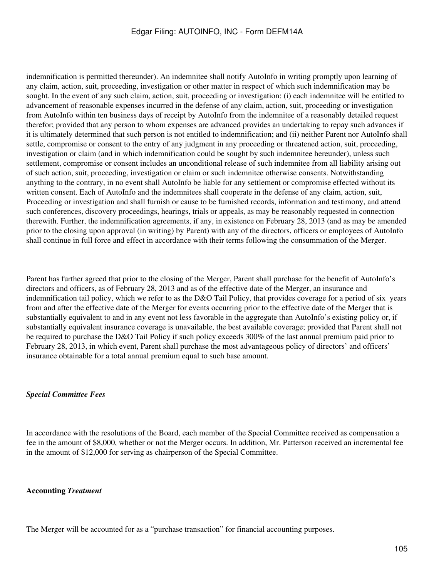indemnification is permitted thereunder). An indemnitee shall notify AutoInfo in writing promptly upon learning of any claim, action, suit, proceeding, investigation or other matter in respect of which such indemnification may be sought. In the event of any such claim, action, suit, proceeding or investigation: (i) each indemnitee will be entitled to advancement of reasonable expenses incurred in the defense of any claim, action, suit, proceeding or investigation from AutoInfo within ten business days of receipt by AutoInfo from the indemnitee of a reasonably detailed request therefor; provided that any person to whom expenses are advanced provides an undertaking to repay such advances if it is ultimately determined that such person is not entitled to indemnification; and (ii) neither Parent nor AutoInfo shall settle, compromise or consent to the entry of any judgment in any proceeding or threatened action, suit, proceeding, investigation or claim (and in which indemnification could be sought by such indemnitee hereunder), unless such settlement, compromise or consent includes an unconditional release of such indemnitee from all liability arising out of such action, suit, proceeding, investigation or claim or such indemnitee otherwise consents. Notwithstanding anything to the contrary, in no event shall AutoInfo be liable for any settlement or compromise effected without its written consent. Each of AutoInfo and the indemnitees shall cooperate in the defense of any claim, action, suit, Proceeding or investigation and shall furnish or cause to be furnished records, information and testimony, and attend such conferences, discovery proceedings, hearings, trials or appeals, as may be reasonably requested in connection therewith. Further, the indemnification agreements, if any, in existence on February 28, 2013 (and as may be amended prior to the closing upon approval (in writing) by Parent) with any of the directors, officers or employees of AutoInfo shall continue in full force and effect in accordance with their terms following the consummation of the Merger.

Parent has further agreed that prior to the closing of the Merger, Parent shall purchase for the benefit of AutoInfo's directors and officers, as of February 28, 2013 and as of the effective date of the Merger, an insurance and indemnification tail policy, which we refer to as the D&O Tail Policy, that provides coverage for a period of six years from and after the effective date of the Merger for events occurring prior to the effective date of the Merger that is substantially equivalent to and in any event not less favorable in the aggregate than AutoInfo's existing policy or, if substantially equivalent insurance coverage is unavailable, the best available coverage; provided that Parent shall not be required to purchase the D&O Tail Policy if such policy exceeds 300% of the last annual premium paid prior to February 28, 2013, in which event, Parent shall purchase the most advantageous policy of directors' and officers' insurance obtainable for a total annual premium equal to such base amount.

### *Special Committee Fees*

In accordance with the resolutions of the Board, each member of the Special Committee received as compensation a fee in the amount of \$8,000, whether or not the Merger occurs. In addition, Mr. Patterson received an incremental fee in the amount of \$12,000 for serving as chairperson of the Special Committee.

#### **Accounting** *Treatment*

The Merger will be accounted for as a "purchase transaction" for financial accounting purposes.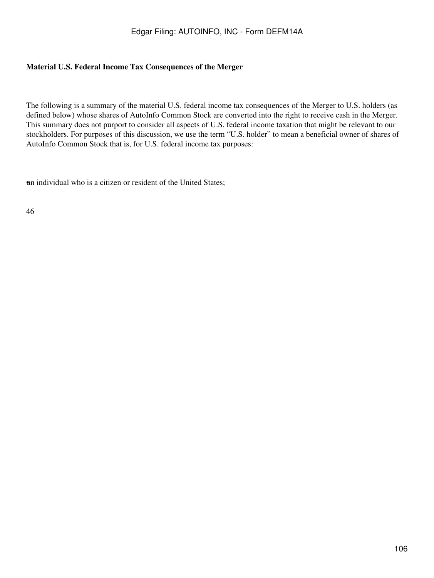# **Material U.S. Federal Income Tax Consequences of the Merger**

The following is a summary of the material U.S. federal income tax consequences of the Merger to U.S. holders (as defined below) whose shares of AutoInfo Common Stock are converted into the right to receive cash in the Merger. This summary does not purport to consider all aspects of U.S. federal income taxation that might be relevant to our stockholders. For purposes of this discussion, we use the term "U.S. holder" to mean a beneficial owner of shares of AutoInfo Common Stock that is, for U.S. federal income tax purposes:

•an individual who is a citizen or resident of the United States;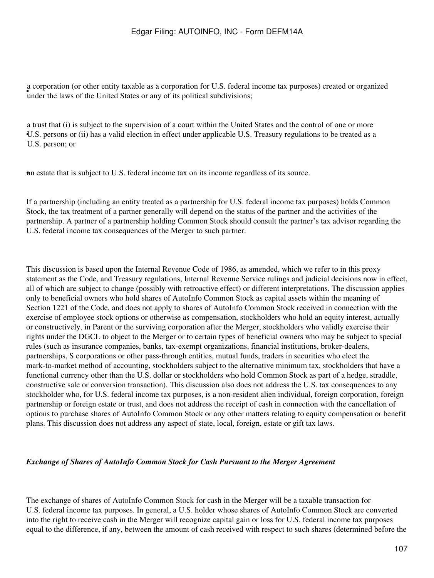**u** corporation (or other entry taxable as a corporation for 0.5) reactal under the laws of the United States or any of its political subdivisions; a corporation (or other entity taxable as a corporation for U.S. federal income tax purposes) created or organized

U.S. persons or (ii) has a valid election in effect under applicable U.S. Treasury regulations to be treated as a a trust that (i) is subject to the supervision of a court within the United States and the control of one or more U.S. person; or

•an estate that is subject to U.S. federal income tax on its income regardless of its source.

If a partnership (including an entity treated as a partnership for U.S. federal income tax purposes) holds Common Stock, the tax treatment of a partner generally will depend on the status of the partner and the activities of the partnership. A partner of a partnership holding Common Stock should consult the partner's tax advisor regarding the U.S. federal income tax consequences of the Merger to such partner.

This discussion is based upon the Internal Revenue Code of 1986, as amended, which we refer to in this proxy statement as the Code, and Treasury regulations, Internal Revenue Service rulings and judicial decisions now in effect, all of which are subject to change (possibly with retroactive effect) or different interpretations. The discussion applies only to beneficial owners who hold shares of AutoInfo Common Stock as capital assets within the meaning of Section 1221 of the Code, and does not apply to shares of AutoInfo Common Stock received in connection with the exercise of employee stock options or otherwise as compensation, stockholders who hold an equity interest, actually or constructively, in Parent or the surviving corporation after the Merger, stockholders who validly exercise their rights under the DGCL to object to the Merger or to certain types of beneficial owners who may be subject to special rules (such as insurance companies, banks, tax-exempt organizations, financial institutions, broker-dealers, partnerships, S corporations or other pass-through entities, mutual funds, traders in securities who elect the mark-to-market method of accounting, stockholders subject to the alternative minimum tax, stockholders that have a functional currency other than the U.S. dollar or stockholders who hold Common Stock as part of a hedge, straddle, constructive sale or conversion transaction). This discussion also does not address the U.S. tax consequences to any stockholder who, for U.S. federal income tax purposes, is a non-resident alien individual, foreign corporation, foreign partnership or foreign estate or trust, and does not address the receipt of cash in connection with the cancellation of options to purchase shares of AutoInfo Common Stock or any other matters relating to equity compensation or benefit plans. This discussion does not address any aspect of state, local, foreign, estate or gift tax laws.

### *Exchange of Shares of AutoInfo Common Stock for Cash Pursuant to the Merger Agreement*

The exchange of shares of AutoInfo Common Stock for cash in the Merger will be a taxable transaction for U.S. federal income tax purposes. In general, a U.S. holder whose shares of AutoInfo Common Stock are converted into the right to receive cash in the Merger will recognize capital gain or loss for U.S. federal income tax purposes equal to the difference, if any, between the amount of cash received with respect to such shares (determined before the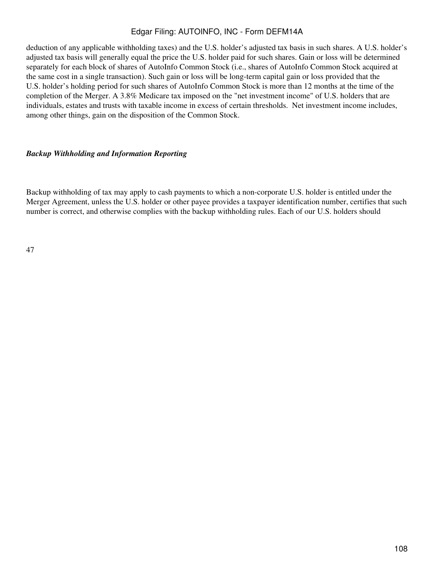deduction of any applicable withholding taxes) and the U.S. holder's adjusted tax basis in such shares. A U.S. holder's adjusted tax basis will generally equal the price the U.S. holder paid for such shares. Gain or loss will be determined separately for each block of shares of AutoInfo Common Stock (i.e., shares of AutoInfo Common Stock acquired at the same cost in a single transaction). Such gain or loss will be long-term capital gain or loss provided that the U.S. holder's holding period for such shares of AutoInfo Common Stock is more than 12 months at the time of the completion of the Merger. A 3.8% Medicare tax imposed on the "net investment income" of U.S. holders that are individuals, estates and trusts with taxable income in excess of certain thresholds. Net investment income includes, among other things, gain on the disposition of the Common Stock.

### *Backup Withholding and Information Reporting*

Backup withholding of tax may apply to cash payments to which a non-corporate U.S. holder is entitled under the Merger Agreement, unless the U.S. holder or other payee provides a taxpayer identification number, certifies that such number is correct, and otherwise complies with the backup withholding rules. Each of our U.S. holders should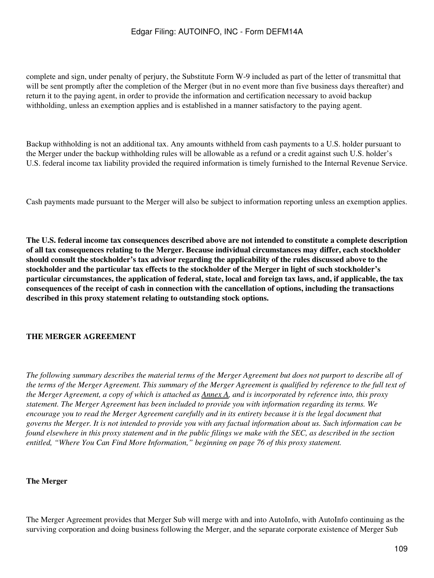complete and sign, under penalty of perjury, the Substitute Form W-9 included as part of the letter of transmittal that will be sent promptly after the completion of the Merger (but in no event more than five business days thereafter) and return it to the paying agent, in order to provide the information and certification necessary to avoid backup withholding, unless an exemption applies and is established in a manner satisfactory to the paying agent.

Backup withholding is not an additional tax. Any amounts withheld from cash payments to a U.S. holder pursuant to the Merger under the backup withholding rules will be allowable as a refund or a credit against such U.S. holder's U.S. federal income tax liability provided the required information is timely furnished to the Internal Revenue Service.

Cash payments made pursuant to the Merger will also be subject to information reporting unless an exemption applies.

**The U.S. federal income tax consequences described above are not intended to constitute a complete description of all tax consequences relating to the Merger. Because individual circumstances may differ, each stockholder should consult the stockholder's tax advisor regarding the applicability of the rules discussed above to the stockholder and the particular tax effects to the stockholder of the Merger in light of such stockholder's particular circumstances, the application of federal, state, local and foreign tax laws, and, if applicable, the tax consequences of the receipt of cash in connection with the cancellation of options, including the transactions described in this proxy statement relating to outstanding stock options.**

### **THE MERGER AGREEMENT**

*The following summary describes the material terms of the Merger Agreement but does not purport to describe all of the terms of the Merger Agreement. This summary of the Merger Agreement is qualified by reference to the full text of the Merger Agreement, a copy of which is attached as Annex A, and is incorporated by reference into, this proxy statement. The Merger Agreement has been included to provide you with information regarding its terms. We encourage you to read the Merger Agreement carefully and in its entirety because it is the legal document that governs the Merger. It is not intended to provide you with any factual information about us. Such information can be found elsewhere in this proxy statement and in the public filings we make with the SEC, as described in the section entitled, "Where You Can Find More Information," beginning on page 76 of this proxy statement.*

### **The Merger**

The Merger Agreement provides that Merger Sub will merge with and into AutoInfo, with AutoInfo continuing as the surviving corporation and doing business following the Merger, and the separate corporate existence of Merger Sub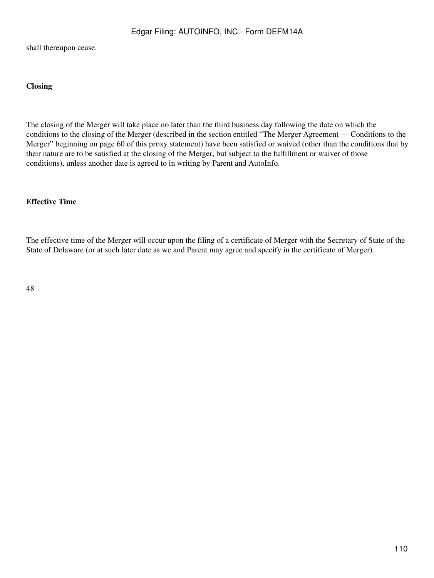shall thereupon cease.

### **Closing**

The closing of the Merger will take place no later than the third business day following the date on which the conditions to the closing of the Merger (described in the section entitled "The Merger Agreement — Conditions to the Merger" beginning on page 60 of this proxy statement) have been satisfied or waived (other than the conditions that by their nature are to be satisfied at the closing of the Merger, but subject to the fulfillment or waiver of those conditions), unless another date is agreed to in writing by Parent and AutoInfo.

### **Effective Time**

The effective time of the Merger will occur upon the filing of a certificate of Merger with the Secretary of State of the State of Delaware (or at such later date as we and Parent may agree and specify in the certificate of Merger).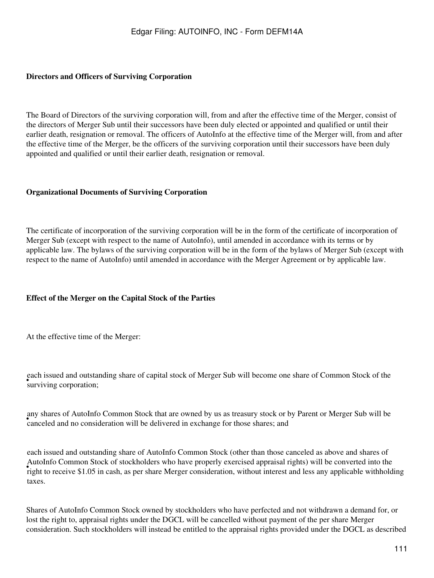### **Directors and Officers of Surviving Corporation**

The Board of Directors of the surviving corporation will, from and after the effective time of the Merger, consist of the directors of Merger Sub until their successors have been duly elected or appointed and qualified or until their earlier death, resignation or removal. The officers of AutoInfo at the effective time of the Merger will, from and after the effective time of the Merger, be the officers of the surviving corporation until their successors have been duly appointed and qualified or until their earlier death, resignation or removal.

### **Organizational Documents of Surviving Corporation**

The certificate of incorporation of the surviving corporation will be in the form of the certificate of incorporation of Merger Sub (except with respect to the name of AutoInfo), until amended in accordance with its terms or by applicable law. The bylaws of the surviving corporation will be in the form of the bylaws of Merger Sub (except with respect to the name of AutoInfo) until amended in accordance with the Merger Agreement or by applicable law.

### **Effect of the Merger on the Capital Stock of the Parties**

At the effective time of the Merger:

surviving corporation; each issued and outstanding share of capital stock of Merger Sub will become one share of Common Stock of the

any shares of Automno Common Stock that are owned by as as treasury stock of a canceled and no consideration will be delivered in exchange for those shares; and any shares of AutoInfo Common Stock that are owned by us as treasury stock or by Parent or Merger Sub will be

right to receive \$1.05 in cash, as per share Merger consideration, without interest and less any applicable withholding each issued and outstanding share of AutoInfo Common Stock (other than those canceled as above and shares of AutoInfo Common Stock of stockholders who have properly exercised appraisal rights) will be converted into the taxes.

Shares of AutoInfo Common Stock owned by stockholders who have perfected and not withdrawn a demand for, or lost the right to, appraisal rights under the DGCL will be cancelled without payment of the per share Merger consideration. Such stockholders will instead be entitled to the appraisal rights provided under the DGCL as described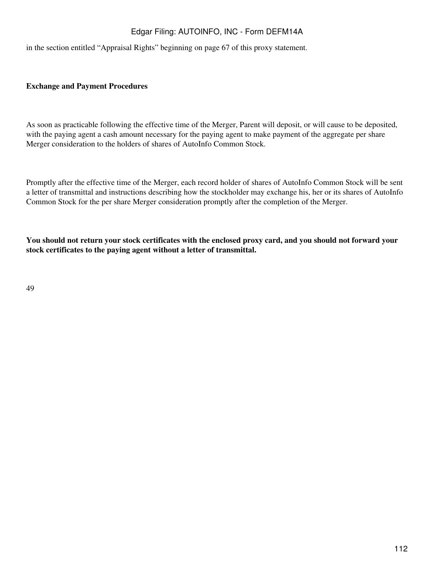in the section entitled "Appraisal Rights" beginning on page 67 of this proxy statement.

### **Exchange and Payment Procedures**

As soon as practicable following the effective time of the Merger, Parent will deposit, or will cause to be deposited, with the paying agent a cash amount necessary for the paying agent to make payment of the aggregate per share Merger consideration to the holders of shares of AutoInfo Common Stock.

Promptly after the effective time of the Merger, each record holder of shares of AutoInfo Common Stock will be sent a letter of transmittal and instructions describing how the stockholder may exchange his, her or its shares of AutoInfo Common Stock for the per share Merger consideration promptly after the completion of the Merger.

**You should not return your stock certificates with the enclosed proxy card, and you should not forward your stock certificates to the paying agent without a letter of transmittal.**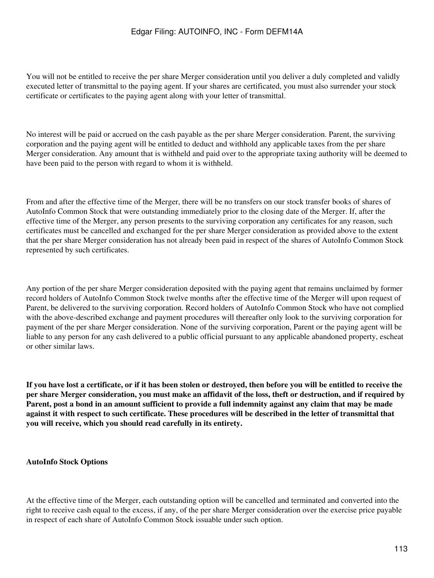You will not be entitled to receive the per share Merger consideration until you deliver a duly completed and validly executed letter of transmittal to the paying agent. If your shares are certificated, you must also surrender your stock certificate or certificates to the paying agent along with your letter of transmittal.

No interest will be paid or accrued on the cash payable as the per share Merger consideration. Parent, the surviving corporation and the paying agent will be entitled to deduct and withhold any applicable taxes from the per share Merger consideration. Any amount that is withheld and paid over to the appropriate taxing authority will be deemed to have been paid to the person with regard to whom it is withheld.

From and after the effective time of the Merger, there will be no transfers on our stock transfer books of shares of AutoInfo Common Stock that were outstanding immediately prior to the closing date of the Merger. If, after the effective time of the Merger, any person presents to the surviving corporation any certificates for any reason, such certificates must be cancelled and exchanged for the per share Merger consideration as provided above to the extent that the per share Merger consideration has not already been paid in respect of the shares of AutoInfo Common Stock represented by such certificates.

Any portion of the per share Merger consideration deposited with the paying agent that remains unclaimed by former record holders of AutoInfo Common Stock twelve months after the effective time of the Merger will upon request of Parent, be delivered to the surviving corporation. Record holders of AutoInfo Common Stock who have not complied with the above-described exchange and payment procedures will thereafter only look to the surviving corporation for payment of the per share Merger consideration. None of the surviving corporation, Parent or the paying agent will be liable to any person for any cash delivered to a public official pursuant to any applicable abandoned property, escheat or other similar laws.

**If you have lost a certificate, or if it has been stolen or destroyed, then before you will be entitled to receive the per share Merger consideration, you must make an affidavit of the loss, theft or destruction, and if required by Parent, post a bond in an amount sufficient to provide a full indemnity against any claim that may be made against it with respect to such certificate. These procedures will be described in the letter of transmittal that you will receive, which you should read carefully in its entirety.**

### **AutoInfo Stock Options**

At the effective time of the Merger, each outstanding option will be cancelled and terminated and converted into the right to receive cash equal to the excess, if any, of the per share Merger consideration over the exercise price payable in respect of each share of AutoInfo Common Stock issuable under such option.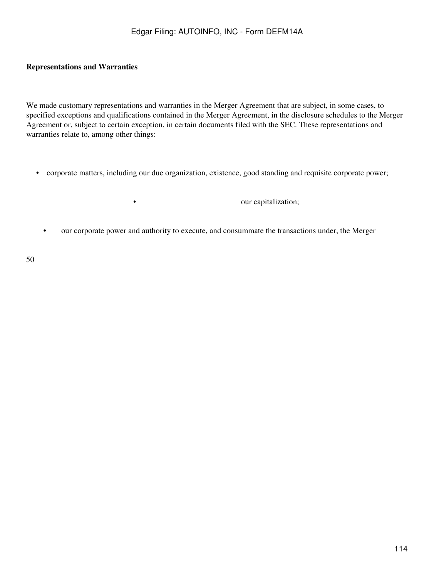### **Representations and Warranties**

We made customary representations and warranties in the Merger Agreement that are subject, in some cases, to specified exceptions and qualifications contained in the Merger Agreement, in the disclosure schedules to the Merger Agreement or, subject to certain exception, in certain documents filed with the SEC. These representations and warranties relate to, among other things:

• corporate matters, including our due organization, existence, good standing and requisite corporate power;

• **our capitalization**;

• our corporate power and authority to execute, and consummate the transactions under, the Merger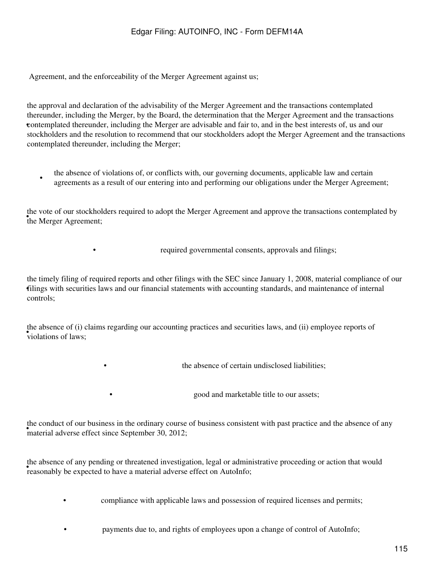Agreement, and the enforceability of the Merger Agreement against us;

•

• contemplated thereunder, including the Merger are advisable and fair to, and in the best interests of, us and our the approval and declaration of the advisability of the Merger Agreement and the transactions contemplated thereunder, including the Merger, by the Board, the determination that the Merger Agreement and the transactions stockholders and the resolution to recommend that our stockholders adopt the Merger Agreement and the transactions contemplated thereunder, including the Merger;

the absence of violations of, or conflicts with, our governing documents, applicable law and certain agreements as a result of our entering into and performing our obligations under the Merger Agreement;

the Merger Agreement; the vote of our stockholders required to adopt the Merger Agreement and approve the transactions contemplated by

• required governmental consents, approvals and filings;

filings with securities laws and our financial statements with accounting standards, and maintenance of internal the timely filing of required reports and other filings with the SEC since January 1, 2008, material compliance of our controls;

 $\bullet$  violations of laws; the absence of (i) claims regarding our accounting practices and securities laws, and (ii) employee reports of

the absence of certain undisclosed liabilities;

• good and marketable title to our assets;

material adverse effect since September 30, 2012; the conduct of our business in the ordinary course of business consistent with past practice and the absence of any

reasonably be expected to have a material adverse effect on AutoInfo; the absence of any pending or threatened investigation, legal or administrative proceeding or action that would

• compliance with applicable laws and possession of required licenses and permits;

payments due to, and rights of employees upon a change of control of AutoInfo;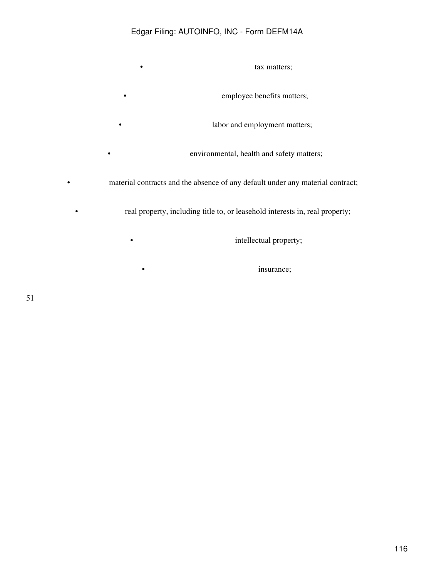• tax matters;

• employee benefits matters;

labor and employment matters;

• environmental, health and safety matters;

• material contracts and the absence of any default under any material contract;

• real property, including title to, or leasehold interests in, real property;

• intellectual property;

• insurance;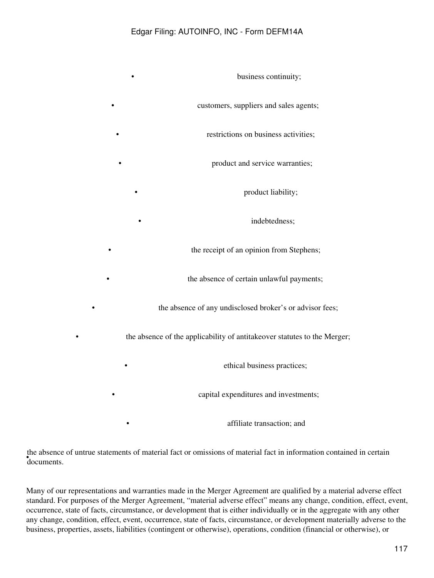• business continuity;

• customers, suppliers and sales agents;

• restrictions on business activities;

product and service warranties;

• product liability;

indebtedness:

the receipt of an opinion from Stephens;

the absence of certain unlawful payments;

the absence of any undisclosed broker's or advisor fees;

the absence of the applicability of antitakeover statutes to the Merger;

ethical business practices;

• capital expenditures and investments;

• affiliate transaction; and

• documents. the absence of untrue statements of material fact or omissions of material fact in information contained in certain

Many of our representations and warranties made in the Merger Agreement are qualified by a material adverse effect standard. For purposes of the Merger Agreement, "material adverse effect" means any change, condition, effect, event, occurrence, state of facts, circumstance, or development that is either individually or in the aggregate with any other any change, condition, effect, event, occurrence, state of facts, circumstance, or development materially adverse to the business, properties, assets, liabilities (contingent or otherwise), operations, condition (financial or otherwise), or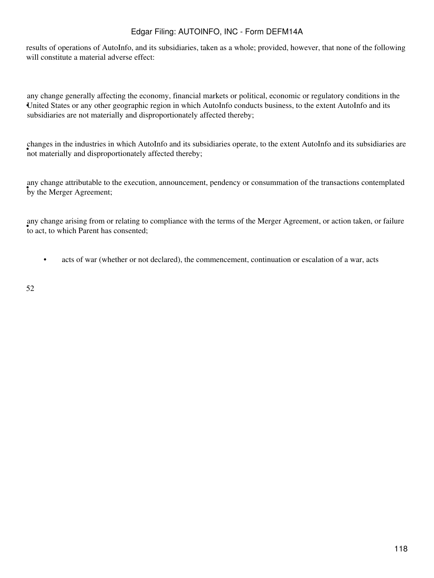results of operations of AutoInfo, and its subsidiaries, taken as a whole; provided, however, that none of the following will constitute a material adverse effect:

• United States or any other geographic region in which AutoInfo conducts business, to the extent AutoInfo and its any change generally affecting the economy, financial markets or political, economic or regulatory conditions in the subsidiaries are not materially and disproportionately affected thereby;

enanges in the measures in which Automo and its such not materially and disproportionately affected thereby; changes in the industries in which AutoInfo and its subsidiaries operate, to the extent AutoInfo and its subsidiaries are

by the Merger Agreement; any change attributable to the execution, announcement, pendency or consummation of the transactions contemplated

any enange arising non-or relating to<br>to act, to which Parent has consented; any change arising from or relating to compliance with the terms of the Merger Agreement, or action taken, or failure

• acts of war (whether or not declared), the commencement, continuation or escalation of a war, acts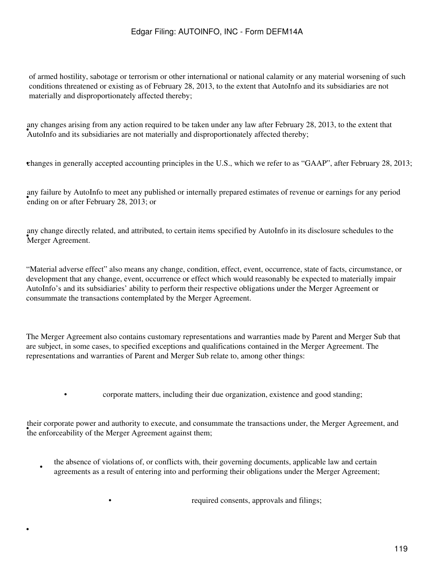of armed hostility, sabotage or terrorism or other international or national calamity or any material worsening of such conditions threatened or existing as of February 28, 2013, to the extent that AutoInfo and its subsidiaries are not materially and disproportionately affected thereby;

AutoInfo and its subsidiaries are not materially and disproportionately affected thereby; any changes arising from any action required to be taken under any law after February 28, 2013, to the extent that

•changes in generally accepted accounting principles in the U.S., which we refer to as "GAAP", after February 28, 2013;

ending on or after February 28, 2013; or any failure by AutoInfo to meet any published or internally prepared estimates of revenue or earnings for any period

any enange anceny any change directly related, and attributed, to certain items specified by AutoInfo in its disclosure schedules to the

"Material adverse effect" also means any change, condition, effect, event, occurrence, state of facts, circumstance, or development that any change, event, occurrence or effect which would reasonably be expected to materially impair AutoInfo's and its subsidiaries' ability to perform their respective obligations under the Merger Agreement or consummate the transactions contemplated by the Merger Agreement.

The Merger Agreement also contains customary representations and warranties made by Parent and Merger Sub that are subject, in some cases, to specified exceptions and qualifications contained in the Merger Agreement. The representations and warranties of Parent and Merger Sub relate to, among other things:

• corporate matters, including their due organization, existence and good standing;

the enforceability of the Merger Agreement against them; their corporate power and authority to execute, and consummate the transactions under, the Merger Agreement, and

• the absence of violations of, or conflicts with, their governing documents, applicable law and certain agreements as a result of entering into and performing their obligations under the Merger Agreement;

•

• required consents, approvals and filings;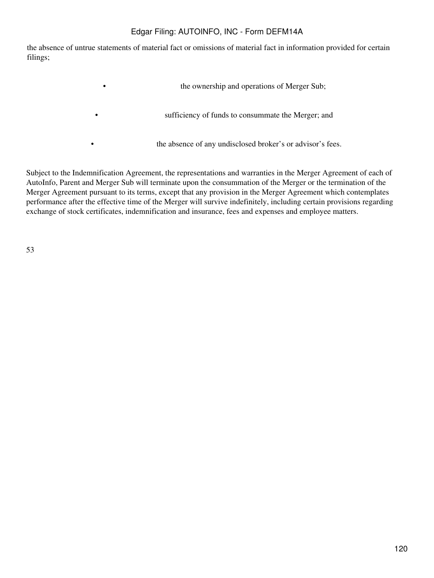the absence of untrue statements of material fact or omissions of material fact in information provided for certain filings;

• the ownership and operations of Merger Sub;

• sufficiency of funds to consummate the Merger; and

• the absence of any undisclosed broker's or advisor's fees.

Subject to the Indemnification Agreement, the representations and warranties in the Merger Agreement of each of AutoInfo, Parent and Merger Sub will terminate upon the consummation of the Merger or the termination of the Merger Agreement pursuant to its terms, except that any provision in the Merger Agreement which contemplates performance after the effective time of the Merger will survive indefinitely, including certain provisions regarding exchange of stock certificates, indemnification and insurance, fees and expenses and employee matters.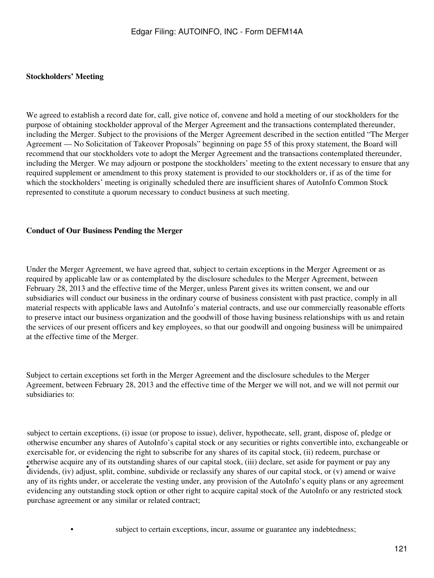### **Stockholders' Meeting**

We agreed to establish a record date for, call, give notice of, convene and hold a meeting of our stockholders for the purpose of obtaining stockholder approval of the Merger Agreement and the transactions contemplated thereunder, including the Merger. Subject to the provisions of the Merger Agreement described in the section entitled "The Merger Agreement — No Solicitation of Takeover Proposals" beginning on page 55 of this proxy statement, the Board will recommend that our stockholders vote to adopt the Merger Agreement and the transactions contemplated thereunder, including the Merger. We may adjourn or postpone the stockholders' meeting to the extent necessary to ensure that any required supplement or amendment to this proxy statement is provided to our stockholders or, if as of the time for which the stockholders' meeting is originally scheduled there are insufficient shares of AutoInfo Common Stock represented to constitute a quorum necessary to conduct business at such meeting.

### **Conduct of Our Business Pending the Merger**

Under the Merger Agreement, we have agreed that, subject to certain exceptions in the Merger Agreement or as required by applicable law or as contemplated by the disclosure schedules to the Merger Agreement, between February 28, 2013 and the effective time of the Merger, unless Parent gives its written consent, we and our subsidiaries will conduct our business in the ordinary course of business consistent with past practice, comply in all material respects with applicable laws and AutoInfo's material contracts, and use our commercially reasonable efforts to preserve intact our business organization and the goodwill of those having business relationships with us and retain the services of our present officers and key employees, so that our goodwill and ongoing business will be unimpaired at the effective time of the Merger.

Subject to certain exceptions set forth in the Merger Agreement and the disclosure schedules to the Merger Agreement, between February 28, 2013 and the effective time of the Merger we will not, and we will not permit our subsidiaries to:

• dividends, (iv) adjust, split, combine, subdivide or reclassify any shares of our capital stock, or (v) amend or waive subject to certain exceptions, (i) issue (or propose to issue), deliver, hypothecate, sell, grant, dispose of, pledge or otherwise encumber any shares of AutoInfo's capital stock or any securities or rights convertible into, exchangeable or exercisable for, or evidencing the right to subscribe for any shares of its capital stock, (ii) redeem, purchase or otherwise acquire any of its outstanding shares of our capital stock, (iii) declare, set aside for payment or pay any any of its rights under, or accelerate the vesting under, any provision of the AutoInfo's equity plans or any agreement evidencing any outstanding stock option or other right to acquire capital stock of the AutoInfo or any restricted stock purchase agreement or any similar or related contract;

• subject to certain exceptions, incur, assume or guarantee any indebtedness;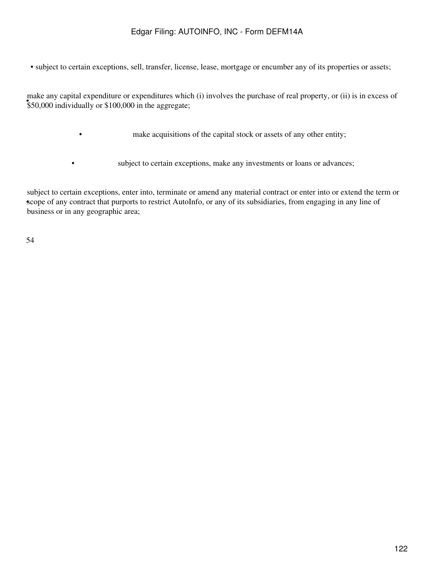• subject to certain exceptions, sell, transfer, license, lease, mortgage or encumber any of its properties or assets;

**Finate any eaplier experience of experiences wine**<br>\$50,000 individually or \$100,000 in the aggregate; make any capital expenditure or expenditures which (i) involves the purchase of real property, or (ii) is in excess of

• make acquisitions of the capital stock or assets of any other entity;

• subject to certain exceptions, make any investments or loans or advances;

scope of any contract that purports to restrict AutoInfo, or any of its subsidiaries, from engaging in any line of subject to certain exceptions, enter into, terminate or amend any material contract or enter into or extend the term or business or in any geographic area;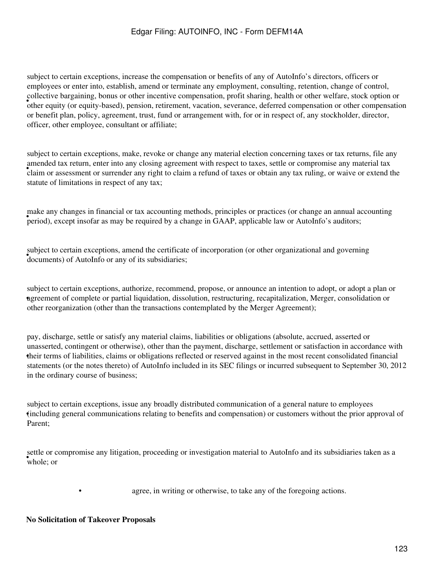• other equity (or equity-based), pension, retirement, vacation, severance, deferred compensation or other compensation subject to certain exceptions, increase the compensation or benefits of any of AutoInfo's directors, officers or employees or enter into, establish, amend or terminate any employment, consulting, retention, change of control, collective bargaining, bonus or other incentive compensation, profit sharing, health or other welfare, stock option or or benefit plan, policy, agreement, trust, fund or arrangement with, for or in respect of, any stockholder, director, officer, other employee, consultant or affiliate;

enteriated that return, enter thro any right to claim a refund of taxes or obtain any tax ruling, or waive or extend the claim or assessment or surrender any right to claim a refund of taxes or obtain any tax ruling, or wa subject to certain exceptions, make, revoke or change any material election concerning taxes or tax returns, file any amended tax return, enter into any closing agreement with respect to taxes, settle or compromise any material tax statute of limitations in respect of any tax;

period), except insofar as may be required by a change in GAAP, applicable law or AutoInfo's auditors; make any changes in financial or tax accounting methods, principles or practices (or change an annual accounting

subject to certain exceptions, amend the certainear documents) of AutoInfo or any of its subsidiaries; subject to certain exceptions, amend the certificate of incorporation (or other organizational and governing

• agreement of complete or partial liquidation, dissolution, restructuring, recapitalization, Merger, consolidation or subject to certain exceptions, authorize, recommend, propose, or announce an intention to adopt, or adopt a plan or other reorganization (other than the transactions contemplated by the Merger Agreement);

• their terms of liabilities, claims or obligations reflected or reserved against in the most recent consolidated financial pay, discharge, settle or satisfy any material claims, liabilities or obligations (absolute, accrued, asserted or unasserted, contingent or otherwise), other than the payment, discharge, settlement or satisfaction in accordance with statements (or the notes thereto) of AutoInfo included in its SEC filings or incurred subsequent to September 30, 2012 in the ordinary course of business;

• (including general communications relating to benefits and compensation) or customers without the prior approval of subject to certain exceptions, issue any broadly distributed communication of a general nature to employees Parent;

whole; or settle or compromise any litigation, proceeding or investigation material to AutoInfo and its subsidiaries taken as a

agree, in writing or otherwise, to take any of the foregoing actions.

#### **No Solicitation of Takeover Proposals**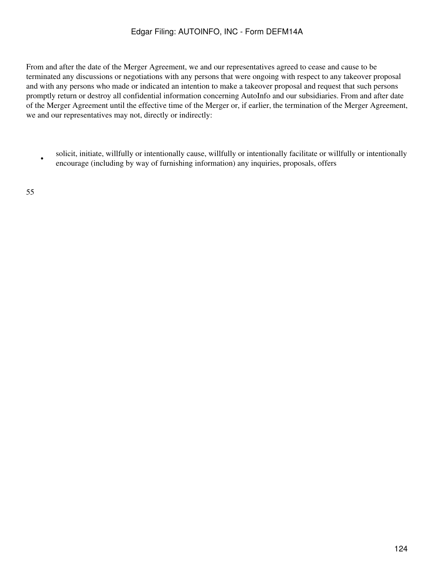From and after the date of the Merger Agreement, we and our representatives agreed to cease and cause to be terminated any discussions or negotiations with any persons that were ongoing with respect to any takeover proposal and with any persons who made or indicated an intention to make a takeover proposal and request that such persons promptly return or destroy all confidential information concerning AutoInfo and our subsidiaries. From and after date of the Merger Agreement until the effective time of the Merger or, if earlier, the termination of the Merger Agreement, we and our representatives may not, directly or indirectly:

• solicit, initiate, willfully or intentionally cause, willfully or intentionally facilitate or willfully or intentionally encourage (including by way of furnishing information) any inquiries, proposals, offers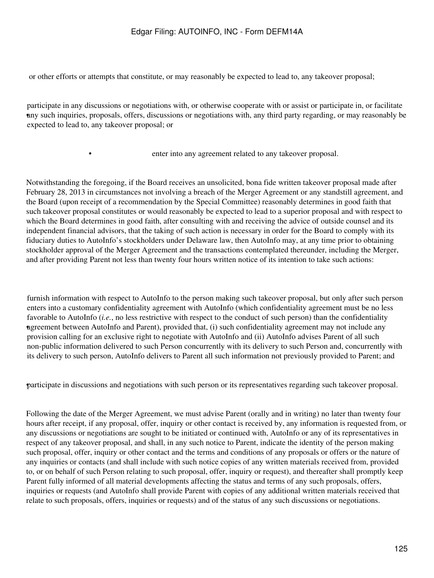or other efforts or attempts that constitute, or may reasonably be expected to lead to, any takeover proposal;

• any such inquiries, proposals, offers, discussions or negotiations with, any third party regarding, or may reasonably be participate in any discussions or negotiations with, or otherwise cooperate with or assist or participate in, or facilitate expected to lead to, any takeover proposal; or

• enter into any agreement related to any takeover proposal.

Notwithstanding the foregoing, if the Board receives an unsolicited, bona fide written takeover proposal made after February 28, 2013 in circumstances not involving a breach of the Merger Agreement or any standstill agreement, and the Board (upon receipt of a recommendation by the Special Committee) reasonably determines in good faith that such takeover proposal constitutes or would reasonably be expected to lead to a superior proposal and with respect to which the Board determines in good faith, after consulting with and receiving the advice of outside counsel and its independent financial advisors, that the taking of such action is necessary in order for the Board to comply with its fiduciary duties to AutoInfo's stockholders under Delaware law, then AutoInfo may, at any time prior to obtaining stockholder approval of the Merger Agreement and the transactions contemplated thereunder, including the Merger, and after providing Parent not less than twenty four hours written notice of its intention to take such actions:

• agreement between AutoInfo and Parent), provided that, (i) such confidentiality agreement may not include any furnish information with respect to AutoInfo to the person making such takeover proposal, but only after such person enters into a customary confidentiality agreement with AutoInfo (which confidentiality agreement must be no less favorable to AutoInfo (*i.e.*, no less restrictive with respect to the conduct of such person) than the confidentiality provision calling for an exclusive right to negotiate with AutoInfo and (ii) AutoInfo advises Parent of all such non-public information delivered to such Person concurrently with its delivery to such Person and, concurrently with its delivery to such person, AutoInfo delivers to Parent all such information not previously provided to Parent; and

•participate in discussions and negotiations with such person or its representatives regarding such takeover proposal.

Following the date of the Merger Agreement, we must advise Parent (orally and in writing) no later than twenty four hours after receipt, if any proposal, offer, inquiry or other contact is received by, any information is requested from, or any discussions or negotiations are sought to be initiated or continued with, AutoInfo or any of its representatives in respect of any takeover proposal, and shall, in any such notice to Parent, indicate the identity of the person making such proposal, offer, inquiry or other contact and the terms and conditions of any proposals or offers or the nature of any inquiries or contacts (and shall include with such notice copies of any written materials received from, provided to, or on behalf of such Person relating to such proposal, offer, inquiry or request), and thereafter shall promptly keep Parent fully informed of all material developments affecting the status and terms of any such proposals, offers, inquiries or requests (and AutoInfo shall provide Parent with copies of any additional written materials received that relate to such proposals, offers, inquiries or requests) and of the status of any such discussions or negotiations.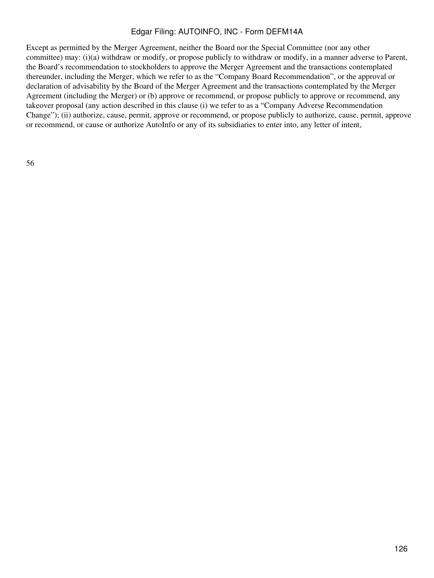Except as permitted by the Merger Agreement, neither the Board nor the Special Committee (nor any other committee) may: (i)(a) withdraw or modify, or propose publicly to withdraw or modify, in a manner adverse to Parent, the Board's recommendation to stockholders to approve the Merger Agreement and the transactions contemplated thereunder, including the Merger, which we refer to as the "Company Board Recommendation", or the approval or declaration of advisability by the Board of the Merger Agreement and the transactions contemplated by the Merger Agreement (including the Merger) or (b) approve or recommend, or propose publicly to approve or recommend, any takeover proposal (any action described in this clause (i) we refer to as a "Company Adverse Recommendation Change"); (ii) authorize, cause, permit, approve or recommend, or propose publicly to authorize, cause, permit, approve or recommend, or cause or authorize AutoInfo or any of its subsidiaries to enter into, any letter of intent,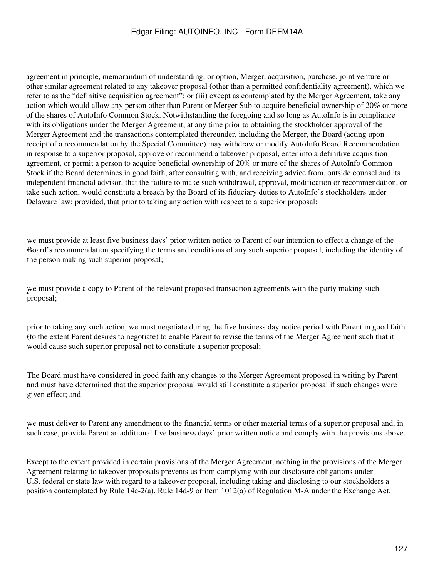agreement in principle, memorandum of understanding, or option, Merger, acquisition, purchase, joint venture or other similar agreement related to any takeover proposal (other than a permitted confidentiality agreement), which we refer to as the "definitive acquisition agreement"; or (iii) except as contemplated by the Merger Agreement, take any action which would allow any person other than Parent or Merger Sub to acquire beneficial ownership of 20% or more of the shares of AutoInfo Common Stock. Notwithstanding the foregoing and so long as AutoInfo is in compliance with its obligations under the Merger Agreement, at any time prior to obtaining the stockholder approval of the Merger Agreement and the transactions contemplated thereunder, including the Merger, the Board (acting upon receipt of a recommendation by the Special Committee) may withdraw or modify AutoInfo Board Recommendation in response to a superior proposal, approve or recommend a takeover proposal, enter into a definitive acquisition agreement, or permit a person to acquire beneficial ownership of 20% or more of the shares of AutoInfo Common Stock if the Board determines in good faith, after consulting with, and receiving advice from, outside counsel and its independent financial advisor, that the failure to make such withdrawal, approval, modification or recommendation, or take such action, would constitute a breach by the Board of its fiduciary duties to AutoInfo's stockholders under Delaware law; provided, that prior to taking any action with respect to a superior proposal:

Board's recommendation specifying the terms and conditions of any such superior proposal, including the identity of we must provide at least five business days' prior written notice to Parent of our intention to effect a change of the the person making such superior proposal;

• proposal; we must provide a copy to Parent of the relevant proposed transaction agreements with the party making such

• (to the extent Parent desires to negotiate) to enable Parent to revise the terms of the Merger Agreement such that it prior to taking any such action, we must negotiate during the five business day notice period with Parent in good faith would cause such superior proposal not to constitute a superior proposal;

and must have determined that the superior proposal would still constitute a superior proposal if such changes were The Board must have considered in good faith any changes to the Merger Agreement proposed in writing by Parent given effect; and

we mast deriver to I arent any amendment to the manieral terms of other material terms of a superior proposal and, in such case, provide Parent an additional five business days' prior written notice and comply with the pro we must deliver to Parent any amendment to the financial terms or other material terms of a superior proposal and, in

Except to the extent provided in certain provisions of the Merger Agreement, nothing in the provisions of the Merger Agreement relating to takeover proposals prevents us from complying with our disclosure obligations under U.S. federal or state law with regard to a takeover proposal, including taking and disclosing to our stockholders a position contemplated by Rule 14e-2(a), Rule 14d-9 or Item 1012(a) of Regulation M-A under the Exchange Act.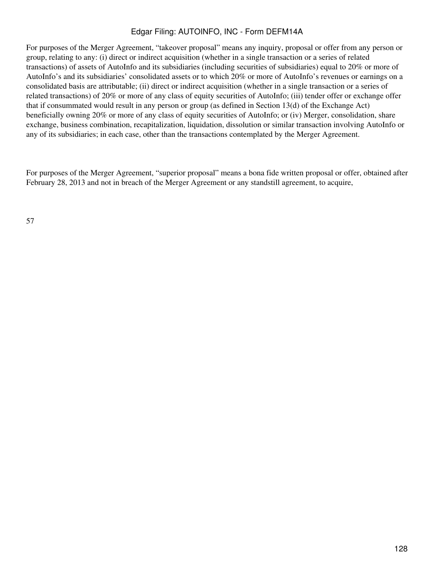For purposes of the Merger Agreement, "takeover proposal" means any inquiry, proposal or offer from any person or group, relating to any: (i) direct or indirect acquisition (whether in a single transaction or a series of related transactions) of assets of AutoInfo and its subsidiaries (including securities of subsidiaries) equal to 20% or more of AutoInfo's and its subsidiaries' consolidated assets or to which 20% or more of AutoInfo's revenues or earnings on a consolidated basis are attributable; (ii) direct or indirect acquisition (whether in a single transaction or a series of related transactions) of 20% or more of any class of equity securities of AutoInfo; (iii) tender offer or exchange offer that if consummated would result in any person or group (as defined in Section 13(d) of the Exchange Act) beneficially owning 20% or more of any class of equity securities of AutoInfo; or (iv) Merger, consolidation, share exchange, business combination, recapitalization, liquidation, dissolution or similar transaction involving AutoInfo or any of its subsidiaries; in each case, other than the transactions contemplated by the Merger Agreement.

For purposes of the Merger Agreement, "superior proposal" means a bona fide written proposal or offer, obtained after February 28, 2013 and not in breach of the Merger Agreement or any standstill agreement, to acquire,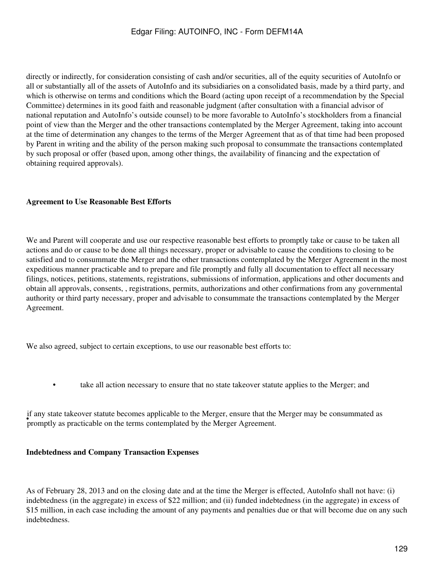directly or indirectly, for consideration consisting of cash and/or securities, all of the equity securities of AutoInfo or all or substantially all of the assets of AutoInfo and its subsidiaries on a consolidated basis, made by a third party, and which is otherwise on terms and conditions which the Board (acting upon receipt of a recommendation by the Special Committee) determines in its good faith and reasonable judgment (after consultation with a financial advisor of national reputation and AutoInfo's outside counsel) to be more favorable to AutoInfo's stockholders from a financial point of view than the Merger and the other transactions contemplated by the Merger Agreement, taking into account at the time of determination any changes to the terms of the Merger Agreement that as of that time had been proposed by Parent in writing and the ability of the person making such proposal to consummate the transactions contemplated by such proposal or offer (based upon, among other things, the availability of financing and the expectation of obtaining required approvals).

### **Agreement to Use Reasonable Best Efforts**

We and Parent will cooperate and use our respective reasonable best efforts to promptly take or cause to be taken all actions and do or cause to be done all things necessary, proper or advisable to cause the conditions to closing to be satisfied and to consummate the Merger and the other transactions contemplated by the Merger Agreement in the most expeditious manner practicable and to prepare and file promptly and fully all documentation to effect all necessary filings, notices, petitions, statements, registrations, submissions of information, applications and other documents and obtain all approvals, consents, , registrations, permits, authorizations and other confirmations from any governmental authority or third party necessary, proper and advisable to consummate the transactions contemplated by the Merger Agreement.

We also agreed, subject to certain exceptions, to use our reasonable best efforts to:

• take all action necessary to ensure that no state takeover statute applies to the Merger; and

*p* any state takeover statute becomes appreable to the Merger, ensure that the promptly as practicable on the terms contemplated by the Merger Agreement. if any state takeover statute becomes applicable to the Merger, ensure that the Merger may be consummated as

### **Indebtedness and Company Transaction Expenses**

As of February 28, 2013 and on the closing date and at the time the Merger is effected, AutoInfo shall not have: (i) indebtedness (in the aggregate) in excess of \$22 million; and (ii) funded indebtedness (in the aggregate) in excess of \$15 million, in each case including the amount of any payments and penalties due or that will become due on any such indebtedness.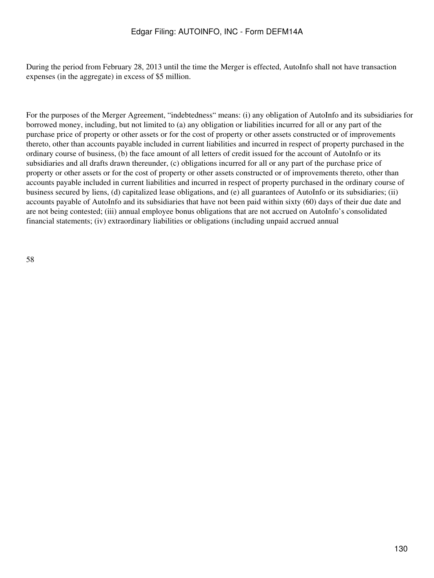During the period from February 28, 2013 until the time the Merger is effected, AutoInfo shall not have transaction expenses (in the aggregate) in excess of \$5 million.

For the purposes of the Merger Agreement, "indebtedness" means: (i) any obligation of AutoInfo and its subsidiaries for borrowed money, including, but not limited to (a) any obligation or liabilities incurred for all or any part of the purchase price of property or other assets or for the cost of property or other assets constructed or of improvements thereto, other than accounts payable included in current liabilities and incurred in respect of property purchased in the ordinary course of business, (b) the face amount of all letters of credit issued for the account of AutoInfo or its subsidiaries and all drafts drawn thereunder, (c) obligations incurred for all or any part of the purchase price of property or other assets or for the cost of property or other assets constructed or of improvements thereto, other than accounts payable included in current liabilities and incurred in respect of property purchased in the ordinary course of business secured by liens, (d) capitalized lease obligations, and (e) all guarantees of AutoInfo or its subsidiaries; (ii) accounts payable of AutoInfo and its subsidiaries that have not been paid within sixty (60) days of their due date and are not being contested; (iii) annual employee bonus obligations that are not accrued on AutoInfo's consolidated financial statements; (iv) extraordinary liabilities or obligations (including unpaid accrued annual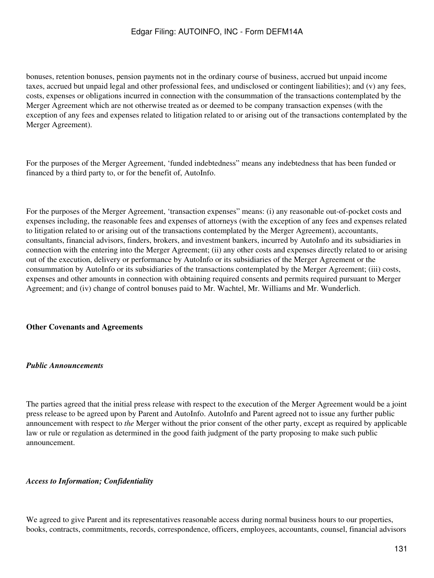bonuses, retention bonuses, pension payments not in the ordinary course of business, accrued but unpaid income taxes, accrued but unpaid legal and other professional fees, and undisclosed or contingent liabilities); and (v) any fees, costs, expenses or obligations incurred in connection with the consummation of the transactions contemplated by the Merger Agreement which are not otherwise treated as or deemed to be company transaction expenses (with the exception of any fees and expenses related to litigation related to or arising out of the transactions contemplated by the Merger Agreement).

For the purposes of the Merger Agreement, 'funded indebtedness" means any indebtedness that has been funded or financed by a third party to, or for the benefit of, AutoInfo.

For the purposes of the Merger Agreement, 'transaction expenses" means: (i) any reasonable out-of-pocket costs and expenses including, the reasonable fees and expenses of attorneys (with the exception of any fees and expenses related to litigation related to or arising out of the transactions contemplated by the Merger Agreement), accountants, consultants, financial advisors, finders, brokers, and investment bankers, incurred by AutoInfo and its subsidiaries in connection with the entering into the Merger Agreement; (ii) any other costs and expenses directly related to or arising out of the execution, delivery or performance by AutoInfo or its subsidiaries of the Merger Agreement or the consummation by AutoInfo or its subsidiaries of the transactions contemplated by the Merger Agreement; (iii) costs, expenses and other amounts in connection with obtaining required consents and permits required pursuant to Merger Agreement; and (iv) change of control bonuses paid to Mr. Wachtel, Mr. Williams and Mr. Wunderlich.

### **Other Covenants and Agreements**

#### *Public Announcements*

The parties agreed that the initial press release with respect to the execution of the Merger Agreement would be a joint press release to be agreed upon by Parent and AutoInfo. AutoInfo and Parent agreed not to issue any further public announcement with respect to *the* Merger without the prior consent of the other party, except as required by applicable law or rule or regulation as determined in the good faith judgment of the party proposing to make such public announcement.

### *Access to Information; Confidentiality*

We agreed to give Parent and its representatives reasonable access during normal business hours to our properties, books, contracts, commitments, records, correspondence, officers, employees, accountants, counsel, financial advisors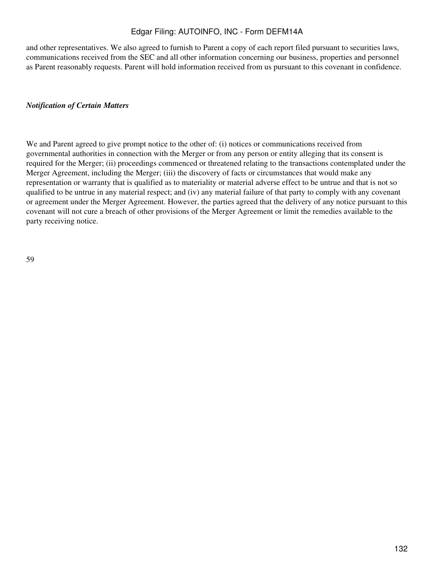and other representatives. We also agreed to furnish to Parent a copy of each report filed pursuant to securities laws, communications received from the SEC and all other information concerning our business, properties and personnel as Parent reasonably requests. Parent will hold information received from us pursuant to this covenant in confidence.

### *Notification of Certain Matters*

We and Parent agreed to give prompt notice to the other of: (i) notices or communications received from governmental authorities in connection with the Merger or from any person or entity alleging that its consent is required for the Merger; (ii) proceedings commenced or threatened relating to the transactions contemplated under the Merger Agreement, including the Merger; (iii) the discovery of facts or circumstances that would make any representation or warranty that is qualified as to materiality or material adverse effect to be untrue and that is not so qualified to be untrue in any material respect; and (iv) any material failure of that party to comply with any covenant or agreement under the Merger Agreement. However, the parties agreed that the delivery of any notice pursuant to this covenant will not cure a breach of other provisions of the Merger Agreement or limit the remedies available to the party receiving notice.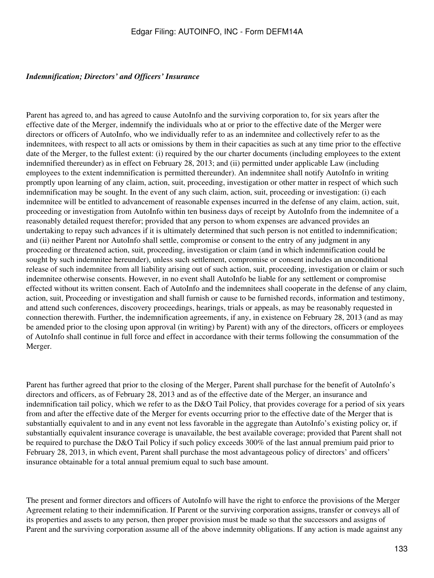### *Indemnification; Directors' and Officers' Insurance*

Parent has agreed to, and has agreed to cause AutoInfo and the surviving corporation to, for six years after the effective date of the Merger, indemnify the individuals who at or prior to the effective date of the Merger were directors or officers of AutoInfo, who we individually refer to as an indemnitee and collectively refer to as the indemnitees, with respect to all acts or omissions by them in their capacities as such at any time prior to the effective date of the Merger, to the fullest extent: (i) required by the our charter documents (including employees to the extent indemnified thereunder) as in effect on February 28, 2013; and (ii) permitted under applicable Law (including employees to the extent indemnification is permitted thereunder). An indemnitee shall notify AutoInfo in writing promptly upon learning of any claim, action, suit, proceeding, investigation or other matter in respect of which such indemnification may be sought. In the event of any such claim, action, suit, proceeding or investigation: (i) each indemnitee will be entitled to advancement of reasonable expenses incurred in the defense of any claim, action, suit, proceeding or investigation from AutoInfo within ten business days of receipt by AutoInfo from the indemnitee of a reasonably detailed request therefor; provided that any person to whom expenses are advanced provides an undertaking to repay such advances if it is ultimately determined that such person is not entitled to indemnification; and (ii) neither Parent nor AutoInfo shall settle, compromise or consent to the entry of any judgment in any proceeding or threatened action, suit, proceeding, investigation or claim (and in which indemnification could be sought by such indemnitee hereunder), unless such settlement, compromise or consent includes an unconditional release of such indemnitee from all liability arising out of such action, suit, proceeding, investigation or claim or such indemnitee otherwise consents. However, in no event shall AutoInfo be liable for any settlement or compromise effected without its written consent. Each of AutoInfo and the indemnitees shall cooperate in the defense of any claim, action, suit, Proceeding or investigation and shall furnish or cause to be furnished records, information and testimony, and attend such conferences, discovery proceedings, hearings, trials or appeals, as may be reasonably requested in connection therewith. Further, the indemnification agreements, if any, in existence on February 28, 2013 (and as may be amended prior to the closing upon approval (in writing) by Parent) with any of the directors, officers or employees of AutoInfo shall continue in full force and effect in accordance with their terms following the consummation of the Merger.

Parent has further agreed that prior to the closing of the Merger, Parent shall purchase for the benefit of AutoInfo's directors and officers, as of February 28, 2013 and as of the effective date of the Merger, an insurance and indemnification tail policy, which we refer to as the D&O Tail Policy, that provides coverage for a period of six years from and after the effective date of the Merger for events occurring prior to the effective date of the Merger that is substantially equivalent to and in any event not less favorable in the aggregate than AutoInfo's existing policy or, if substantially equivalent insurance coverage is unavailable, the best available coverage; provided that Parent shall not be required to purchase the D&O Tail Policy if such policy exceeds 300% of the last annual premium paid prior to February 28, 2013, in which event, Parent shall purchase the most advantageous policy of directors' and officers' insurance obtainable for a total annual premium equal to such base amount.

The present and former directors and officers of AutoInfo will have the right to enforce the provisions of the Merger Agreement relating to their indemnification. If Parent or the surviving corporation assigns, transfer or conveys all of its properties and assets to any person, then proper provision must be made so that the successors and assigns of Parent and the surviving corporation assume all of the above indemnity obligations. If any action is made against any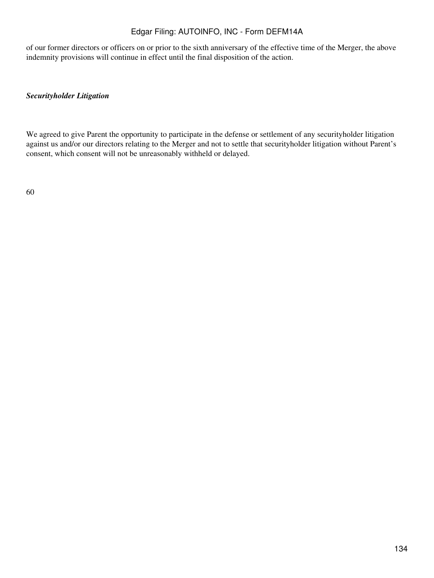of our former directors or officers on or prior to the sixth anniversary of the effective time of the Merger, the above indemnity provisions will continue in effect until the final disposition of the action.

*Securityholder Litigation*

We agreed to give Parent the opportunity to participate in the defense or settlement of any securityholder litigation against us and/or our directors relating to the Merger and not to settle that securityholder litigation without Parent's consent, which consent will not be unreasonably withheld or delayed.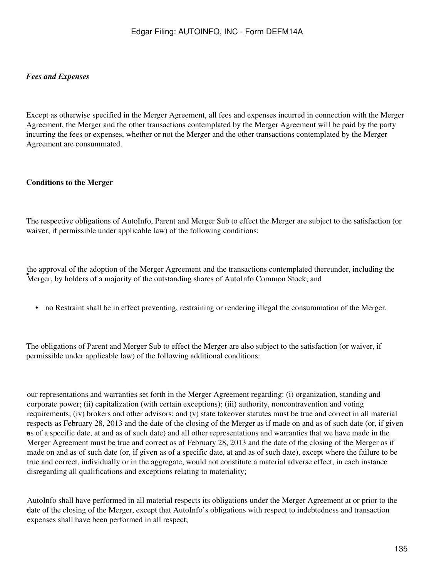### *Fees and Expenses*

Except as otherwise specified in the Merger Agreement, all fees and expenses incurred in connection with the Merger Agreement, the Merger and the other transactions contemplated by the Merger Agreement will be paid by the party incurring the fees or expenses, whether or not the Merger and the other transactions contemplated by the Merger Agreement are consummated.

### **Conditions to the Merger**

The respective obligations of AutoInfo, Parent and Merger Sub to effect the Merger are subject to the satisfaction (or waiver, if permissible under applicable law) of the following conditions:

Inc approval of the adoption of the Merger Agreement and the transactions contemplated in<br>Merger, by holders of a majority of the outstanding shares of AutoInfo Common Stock; and the approval of the adoption of the Merger Agreement and the transactions contemplated thereunder, including the

• no Restraint shall be in effect preventing, restraining or rendering illegal the consummation of the Merger.

The obligations of Parent and Merger Sub to effect the Merger are also subject to the satisfaction (or waiver, if permissible under applicable law) of the following additional conditions:

• as of a specific date, at and as of such date) and all other representations and warranties that we have made in the our representations and warranties set forth in the Merger Agreement regarding: (i) organization, standing and corporate power; (ii) capitalization (with certain exceptions); (iii) authority, noncontravention and voting requirements; (iv) brokers and other advisors; and (v) state takeover statutes must be true and correct in all material respects as February 28, 2013 and the date of the closing of the Merger as if made on and as of such date (or, if given Merger Agreement must be true and correct as of February 28, 2013 and the date of the closing of the Merger as if made on and as of such date (or, if given as of a specific date, at and as of such date), except where the failure to be true and correct, individually or in the aggregate, would not constitute a material adverse effect, in each instance disregarding all qualifications and exceptions relating to materiality;

• date of the closing of the Merger, except that AutoInfo's obligations with respect to indebtedness and transaction AutoInfo shall have performed in all material respects its obligations under the Merger Agreement at or prior to the expenses shall have been performed in all respect;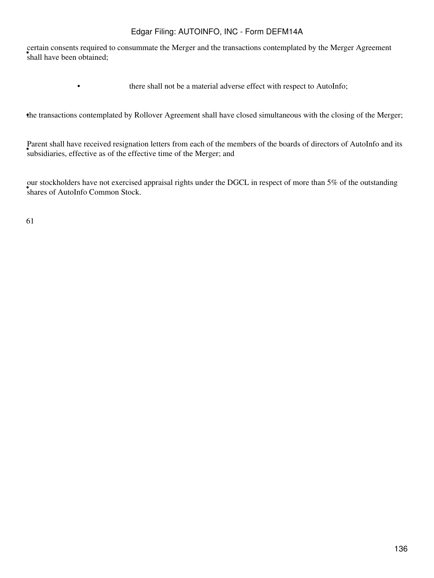• shall have been obtained; certain consents required to consummate the Merger and the transactions contemplated by the Merger Agreement

• there shall not be a material adverse effect with respect to AutoInfo;

•the transactions contemplated by Rollover Agreement shall have closed simultaneous with the closing of the Merger;

**Figure 1.** Subsidiaries, effective as of the effective time of the Merger; and Parent shall have received resignation letters from each of the members of the boards of directors of AutoInfo and its

the stockholders have not exercised our stockholders have not exercised appraisal rights under the DGCL in respect of more than 5% of the outstanding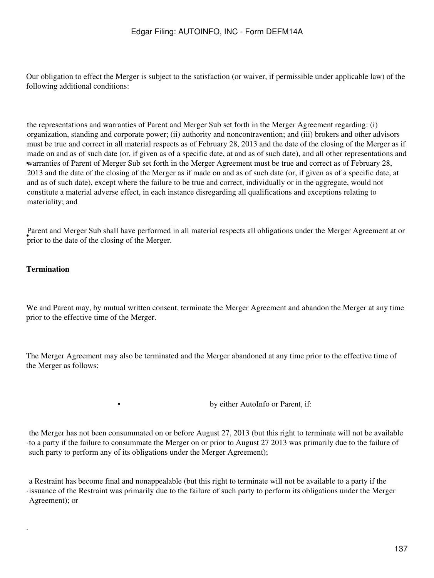Our obligation to effect the Merger is subject to the satisfaction (or waiver, if permissible under applicable law) of the following additional conditions:

• warranties of Parent of Merger Sub set forth in the Merger Agreement must be true and correct as of February 28, the representations and warranties of Parent and Merger Sub set forth in the Merger Agreement regarding: (i) organization, standing and corporate power; (ii) authority and noncontravention; and (iii) brokers and other advisors must be true and correct in all material respects as of February 28, 2013 and the date of the closing of the Merger as if made on and as of such date (or, if given as of a specific date, at and as of such date), and all other representations and 2013 and the date of the closing of the Merger as if made on and as of such date (or, if given as of a specific date, at and as of such date), except where the failure to be true and correct, individually or in the aggregate, would not constitute a material adverse effect, in each instance disregarding all qualifications and exceptions relating to materiality; and

prior to the date of the closing of the Merger. Parent and Merger Sub shall have performed in all material respects all obligations under the Merger Agreement at or

### **Termination**

·

We and Parent may, by mutual written consent, terminate the Merger Agreement and abandon the Merger at any time prior to the effective time of the Merger.

The Merger Agreement may also be terminated and the Merger abandoned at any time prior to the effective time of the Merger as follows:

• by either AutoInfo or Parent, if:

· to a party if the failure to consummate the Merger on or prior to August 27 2013 was primarily due to the failure of the Merger has not been consummated on or before August 27, 2013 (but this right to terminate will not be available such party to perform any of its obligations under the Merger Agreement);

· issuance of the Restraint was primarily due to the failure of such party to perform its obligations under the Merger a Restraint has become final and nonappealable (but this right to terminate will not be available to a party if the Agreement); or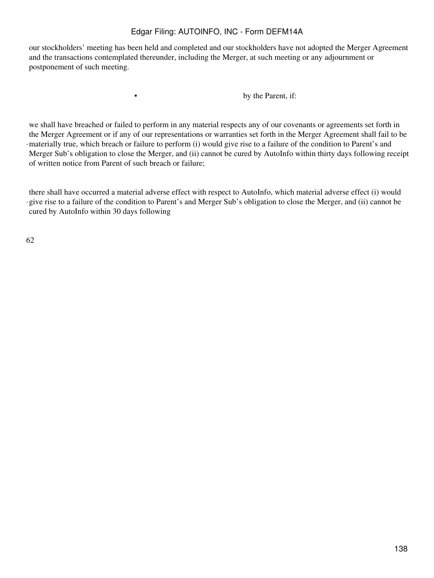our stockholders' meeting has been held and completed and our stockholders have not adopted the Merger Agreement and the transactions contemplated thereunder, including the Merger, at such meeting or any adjournment or postponement of such meeting.

• by the Parent, if:

· materially true, which breach or failure to perform (i) would give rise to a failure of the condition to Parent's and we shall have breached or failed to perform in any material respects any of our covenants or agreements set forth in the Merger Agreement or if any of our representations or warranties set forth in the Merger Agreement shall fail to be Merger Sub's obligation to close the Merger, and (ii) cannot be cured by AutoInfo within thirty days following receipt of written notice from Parent of such breach or failure;

· give rise to a failure of the condition to Parent's and Merger Sub's obligation to close the Merger, and (ii) cannot be there shall have occurred a material adverse effect with respect to AutoInfo, which material adverse effect (i) would cured by AutoInfo within 30 days following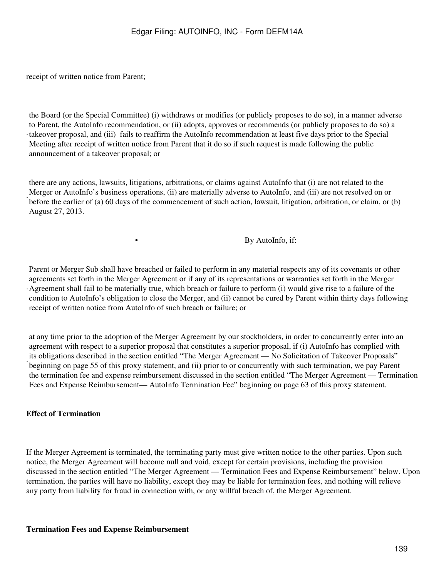receipt of written notice from Parent;

· takeover proposal, and (iii) fails to reaffirm the AutoInfo recommendation at least five days prior to the Special the Board (or the Special Committee) (i) withdraws or modifies (or publicly proposes to do so), in a manner adverse to Parent, the AutoInfo recommendation, or (ii) adopts, approves or recommends (or publicly proposes to do so) a Meeting after receipt of written notice from Parent that it do so if such request is made following the public announcement of a takeover proposal; or

· there are any actions, lawsuits, litigations, arbitrations, or claims against AutoInfo that (i) are not related to the Merger or AutoInfo's business operations, (ii) are materially adverse to AutoInfo, and (iii) are not resolved on or before the earlier of (a) 60 days of the commencement of such action, lawsuit, litigation, arbitration, or claim, or (b) August 27, 2013.

• By AutoInfo, if:

· Agreement shall fail to be materially true, which breach or failure to perform (i) would give rise to a failure of the Parent or Merger Sub shall have breached or failed to perform in any material respects any of its covenants or other agreements set forth in the Merger Agreement or if any of its representations or warranties set forth in the Merger condition to AutoInfo's obligation to close the Merger, and (ii) cannot be cured by Parent within thirty days following receipt of written notice from AutoInfo of such breach or failure; or

· at any time prior to the adoption of the Merger Agreement by our stockholders, in order to concurrently enter into an agreement with respect to a superior proposal that constitutes a superior proposal, if (i) AutoInfo has complied with its obligations described in the section entitled "The Merger Agreement — No Solicitation of Takeover Proposals" beginning on page 55 of this proxy statement, and (ii) prior to or concurrently with such termination, we pay Parent the termination fee and expense reimbursement discussed in the section entitled "The Merger Agreement — Termination Fees and Expense Reimbursement— AutoInfo Termination Fee" beginning on page 63 of this proxy statement.

### **Effect of Termination**

If the Merger Agreement is terminated, the terminating party must give written notice to the other parties. Upon such notice, the Merger Agreement will become null and void, except for certain provisions, including the provision discussed in the section entitled "The Merger Agreement — Termination Fees and Expense Reimbursement" below. Upon termination, the parties will have no liability, except they may be liable for termination fees, and nothing will relieve any party from liability for fraud in connection with, or any willful breach of, the Merger Agreement.

#### **Termination Fees and Expense Reimbursement**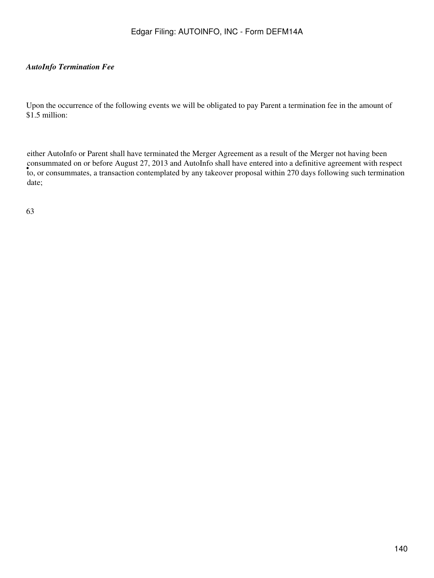### *AutoInfo Termination Fee*

Upon the occurrence of the following events we will be obligated to pay Parent a termination fee in the amount of \$1.5 million:

• to, or consummates, a transaction contemplated by any takeover proposal within 270 days following such termination either AutoInfo or Parent shall have terminated the Merger Agreement as a result of the Merger not having been consummated on or before August 27, 2013 and AutoInfo shall have entered into a definitive agreement with respect date;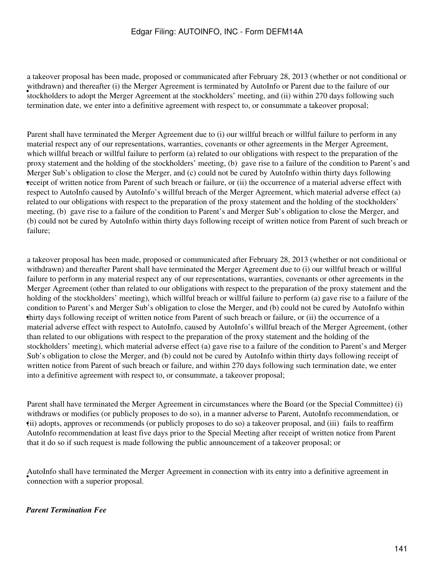stockholders to adopt the Merger Agreement at the stockholders' meeting, and (ii) within 270 days following such stockholders to adopt the Merger Agreement at the stockholders' meeting, and (ii) within 270 days following s a takeover proposal has been made, proposed or communicated after February 28, 2013 (whether or not conditional or withdrawn) and thereafter (i) the Merger Agreement is terminated by AutoInfo or Parent due to the failure of our termination date, we enter into a definitive agreement with respect to, or consummate a takeover proposal;

• receipt of written notice from Parent of such breach or failure, or (ii) the occurrence of a material adverse effect with Parent shall have terminated the Merger Agreement due to (i) our willful breach or willful failure to perform in any material respect any of our representations, warranties, covenants or other agreements in the Merger Agreement, which willful breach or willful failure to perform (a) related to our obligations with respect to the preparation of the proxy statement and the holding of the stockholders' meeting, (b) gave rise to a failure of the condition to Parent's and Merger Sub's obligation to close the Merger, and (c) could not be cured by AutoInfo within thirty days following respect to AutoInfo caused by AutoInfo's willful breach of the Merger Agreement, which material adverse effect (a) related to our obligations with respect to the preparation of the proxy statement and the holding of the stockholders' meeting, (b) gave rise to a failure of the condition to Parent's and Merger Sub's obligation to close the Merger, and (b) could not be cured by AutoInfo within thirty days following receipt of written notice from Parent of such breach or failure;

• thirty days following receipt of written notice from Parent of such breach or failure, or (ii) the occurrence of a a takeover proposal has been made, proposed or communicated after February 28, 2013 (whether or not conditional or withdrawn) and thereafter Parent shall have terminated the Merger Agreement due to (i) our willful breach or willful failure to perform in any material respect any of our representations, warranties, covenants or other agreements in the Merger Agreement (other than related to our obligations with respect to the preparation of the proxy statement and the holding of the stockholders' meeting), which willful breach or willful failure to perform (a) gave rise to a failure of the condition to Parent's and Merger Sub's obligation to close the Merger, and (b) could not be cured by AutoInfo within material adverse effect with respect to AutoInfo, caused by AutoInfo's willful breach of the Merger Agreement, (other than related to our obligations with respect to the preparation of the proxy statement and the holding of the stockholders' meeting), which material adverse effect (a) gave rise to a failure of the condition to Parent's and Merger Sub's obligation to close the Merger, and (b) could not be cured by AutoInfo within thirty days following receipt of written notice from Parent of such breach or failure, and within 270 days following such termination date, we enter into a definitive agreement with respect to, or consummate, a takeover proposal;

• (ii) adopts, approves or recommends (or publicly proposes to do so) a takeover proposal, and (iii) fails to reaffirm Parent shall have terminated the Merger Agreement in circumstances where the Board (or the Special Committee) (i) withdraws or modifies (or publicly proposes to do so), in a manner adverse to Parent, AutoInfo recommendation, or AutoInfo recommendation at least five days prior to the Special Meeting after receipt of written notice from Parent that it do so if such request is made following the public announcement of a takeover proposal; or

• connection with a superior proposal. AutoInfo shall have terminated the Merger Agreement in connection with its entry into a definitive agreement in

### *Parent Termination Fee*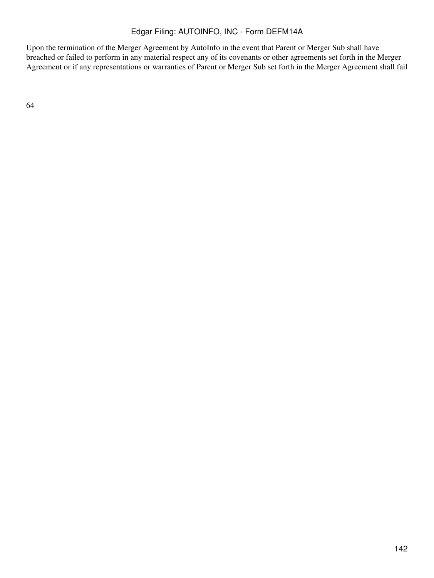Upon the termination of the Merger Agreement by AutoInfo in the event that Parent or Merger Sub shall have breached or failed to perform in any material respect any of its covenants or other agreements set forth in the Merger Agreement or if any representations or warranties of Parent or Merger Sub set forth in the Merger Agreement shall fail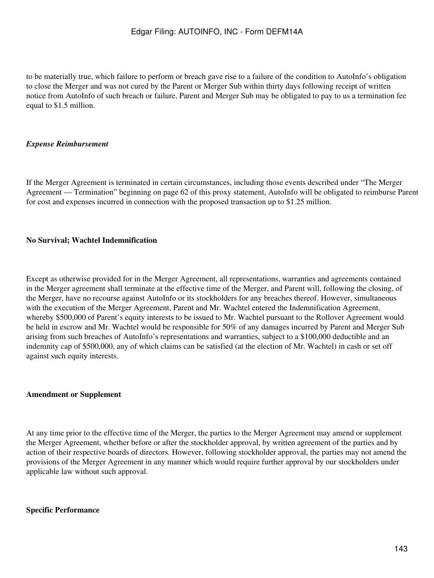to be materially true, which failure to perform or breach gave rise to a failure of the condition to AutoInfo's obligation to close the Merger and was not cured by the Parent or Merger Sub within thirty days following receipt of written notice from AutoInfo of such breach or failure, Parent and Merger Sub may be obligated to pay to us a termination fee equal to \$1.5 million.

### *Expense Reimbursement*

If the Merger Agreement is terminated in certain circumstances, including those events described under "The Merger Agreement — Termination" beginning on page 62 of this proxy statement, AutoInfo will be obligated to reimburse Parent for cost and expenses incurred in connection with the proposed transaction up to \$1.25 million.

### **No Survival; Wachtel Indemnification**

Except as otherwise provided for in the Merger Agreement, all representations, warranties and agreements contained in the Merger agreement shall terminate at the effective time of the Merger, and Parent will, following the closing, of the Merger, have no recourse against AutoInfo or its stockholders for any breaches thereof. However, simultaneous with the execution of the Merger Agreement, Parent and Mr. Wachtel entered the Indemnification Agreement, whereby \$500,000 of Parent's equity interests to be issued to Mr. Wachtel pursuant to the Rollover Agreement would be held in escrow and Mr. Wachtel would be responsible for 50% of any damages incurred by Parent and Merger Sub arising from such breaches of AutoInfo's representations and warranties, subject to a \$100,000 deductible and an indemnity cap of \$500,000, any of which claims can be satisfied (at the election of Mr. Wachtel) in cash or set off against such equity interests.

### **Amendment or Supplement**

At any time prior to the effective time of the Merger, the parties to the Merger Agreement may amend or supplement the Merger Agreement, whether before or after the stockholder approval, by written agreement of the parties and by action of their respective boards of directors. However, following stockholder approval, the parties may not amend the provisions of the Merger Agreement in any manner which would require further approval by our stockholders under applicable law without such approval.

### **Specific Performance**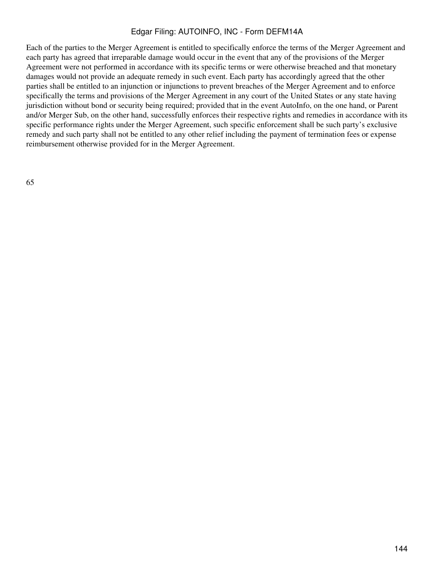Each of the parties to the Merger Agreement is entitled to specifically enforce the terms of the Merger Agreement and each party has agreed that irreparable damage would occur in the event that any of the provisions of the Merger Agreement were not performed in accordance with its specific terms or were otherwise breached and that monetary damages would not provide an adequate remedy in such event. Each party has accordingly agreed that the other parties shall be entitled to an injunction or injunctions to prevent breaches of the Merger Agreement and to enforce specifically the terms and provisions of the Merger Agreement in any court of the United States or any state having jurisdiction without bond or security being required; provided that in the event AutoInfo, on the one hand, or Parent and/or Merger Sub, on the other hand, successfully enforces their respective rights and remedies in accordance with its specific performance rights under the Merger Agreement, such specific enforcement shall be such party's exclusive remedy and such party shall not be entitled to any other relief including the payment of termination fees or expense reimbursement otherwise provided for in the Merger Agreement.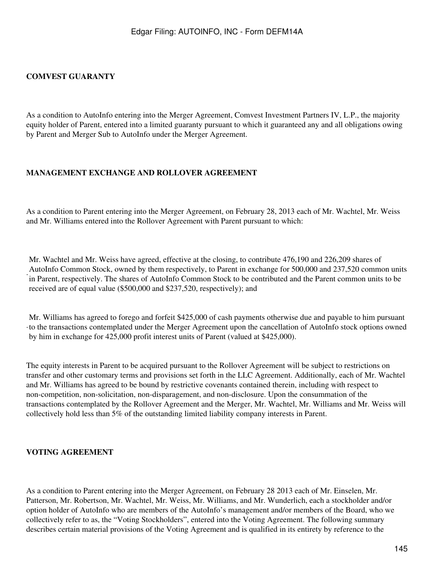#### **COMVEST GUARANTY**

As a condition to AutoInfo entering into the Merger Agreement, Comvest Investment Partners IV, L.P., the majority equity holder of Parent, entered into a limited guaranty pursuant to which it guaranteed any and all obligations owing by Parent and Merger Sub to AutoInfo under the Merger Agreement.

#### **MANAGEMENT EXCHANGE AND ROLLOVER AGREEMENT**

As a condition to Parent entering into the Merger Agreement, on February 28, 2013 each of Mr. Wachtel, Mr. Weiss and Mr. Williams entered into the Rollover Agreement with Parent pursuant to which:

In Parent, respectively. The shares of AutoInfo Common Stock to be contributed and the Parent common units to be<br>in Parent, respectively. The shares of AutoInfo Common Stock to be contributed and the Parent common units to Mr. Wachtel and Mr. Weiss have agreed, effective at the closing, to contribute 476,190 and 226,209 shares of AutoInfo Common Stock, owned by them respectively, to Parent in exchange for 500,000 and 237,520 common units received are of equal value (\$500,000 and \$237,520, respectively); and

· to the transactions contemplated under the Merger Agreement upon the cancellation of AutoInfo stock options owned Mr. Williams has agreed to forego and forfeit \$425,000 of cash payments otherwise due and payable to him pursuant by him in exchange for 425,000 profit interest units of Parent (valued at \$425,000).

The equity interests in Parent to be acquired pursuant to the Rollover Agreement will be subject to restrictions on transfer and other customary terms and provisions set forth in the LLC Agreement. Additionally, each of Mr. Wachtel and Mr. Williams has agreed to be bound by restrictive covenants contained therein, including with respect to non-competition, non-solicitation, non-disparagement, and non-disclosure. Upon the consummation of the transactions contemplated by the Rollover Agreement and the Merger, Mr. Wachtel, Mr. Williams and Mr. Weiss will collectively hold less than 5% of the outstanding limited liability company interests in Parent.

#### **VOTING AGREEMENT**

As a condition to Parent entering into the Merger Agreement, on February 28 2013 each of Mr. Einselen, Mr. Patterson, Mr. Robertson, Mr. Wachtel, Mr. Weiss, Mr. Williams, and Mr. Wunderlich, each a stockholder and/or option holder of AutoInfo who are members of the AutoInfo's management and/or members of the Board, who we collectively refer to as, the "Voting Stockholders", entered into the Voting Agreement. The following summary describes certain material provisions of the Voting Agreement and is qualified in its entirety by reference to the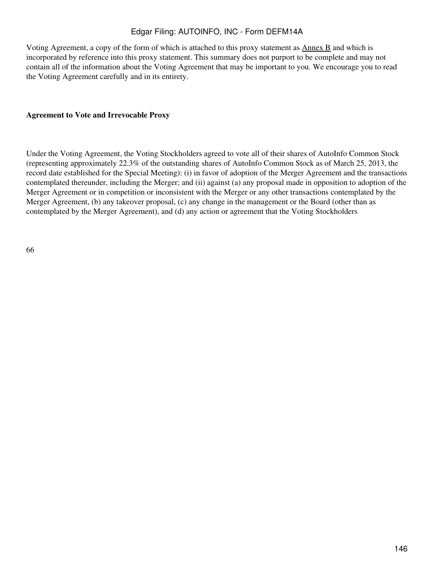Voting Agreement, a copy of the form of which is attached to this proxy statement as Annex B and which is incorporated by reference into this proxy statement. This summary does not purport to be complete and may not contain all of the information about the Voting Agreement that may be important to you. We encourage you to read the Voting Agreement carefully and in its entirety.

#### **Agreement to Vote and Irrevocable Proxy**

Under the Voting Agreement, the Voting Stockholders agreed to vote all of their shares of AutoInfo Common Stock (representing approximately 22.3% of the outstanding shares of AutoInfo Common Stock as of March 25, 2013, the record date established for the Special Meeting): (i) in favor of adoption of the Merger Agreement and the transactions contemplated thereunder, including the Merger; and (ii) against (a) any proposal made in opposition to adoption of the Merger Agreement or in competition or inconsistent with the Merger or any other transactions contemplated by the Merger Agreement, (b) any takeover proposal, (c) any change in the management or the Board (other than as contemplated by the Merger Agreement), and (d) any action or agreement that the Voting Stockholders

66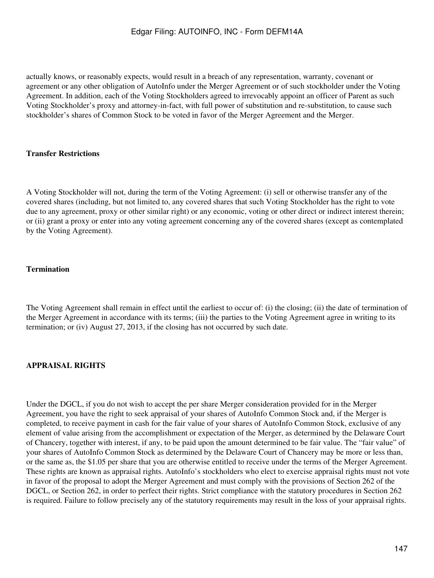actually knows, or reasonably expects, would result in a breach of any representation, warranty, covenant or agreement or any other obligation of AutoInfo under the Merger Agreement or of such stockholder under the Voting Agreement. In addition, each of the Voting Stockholders agreed to irrevocably appoint an officer of Parent as such Voting Stockholder's proxy and attorney-in-fact, with full power of substitution and re-substitution, to cause such stockholder's shares of Common Stock to be voted in favor of the Merger Agreement and the Merger.

#### **Transfer Restrictions**

A Voting Stockholder will not, during the term of the Voting Agreement: (i) sell or otherwise transfer any of the covered shares (including, but not limited to, any covered shares that such Voting Stockholder has the right to vote due to any agreement, proxy or other similar right) or any economic, voting or other direct or indirect interest therein; or (ii) grant a proxy or enter into any voting agreement concerning any of the covered shares (except as contemplated by the Voting Agreement).

#### **Termination**

The Voting Agreement shall remain in effect until the earliest to occur of: (i) the closing; (ii) the date of termination of the Merger Agreement in accordance with its terms; (iii) the parties to the Voting Agreement agree in writing to its termination; or (iv) August 27, 2013, if the closing has not occurred by such date.

### **APPRAISAL RIGHTS**

Under the DGCL, if you do not wish to accept the per share Merger consideration provided for in the Merger Agreement, you have the right to seek appraisal of your shares of AutoInfo Common Stock and, if the Merger is completed, to receive payment in cash for the fair value of your shares of AutoInfo Common Stock, exclusive of any element of value arising from the accomplishment or expectation of the Merger, as determined by the Delaware Court of Chancery, together with interest, if any, to be paid upon the amount determined to be fair value. The "fair value" of your shares of AutoInfo Common Stock as determined by the Delaware Court of Chancery may be more or less than, or the same as, the \$1.05 per share that you are otherwise entitled to receive under the terms of the Merger Agreement. These rights are known as appraisal rights. AutoInfo's stockholders who elect to exercise appraisal rights must not vote in favor of the proposal to adopt the Merger Agreement and must comply with the provisions of Section 262 of the DGCL, or Section 262, in order to perfect their rights. Strict compliance with the statutory procedures in Section 262 is required. Failure to follow precisely any of the statutory requirements may result in the loss of your appraisal rights.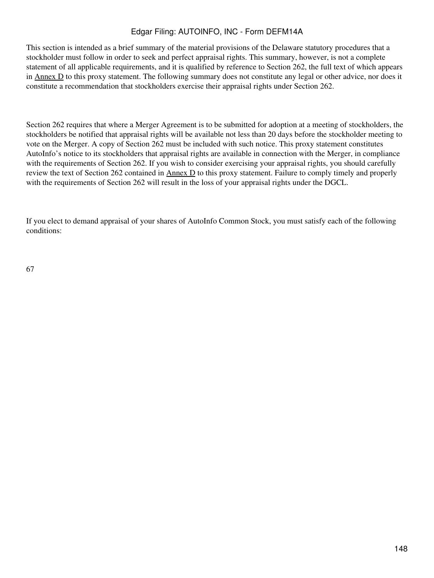This section is intended as a brief summary of the material provisions of the Delaware statutory procedures that a stockholder must follow in order to seek and perfect appraisal rights. This summary, however, is not a complete statement of all applicable requirements, and it is qualified by reference to Section 262, the full text of which appears in Annex D to this proxy statement. The following summary does not constitute any legal or other advice, nor does it constitute a recommendation that stockholders exercise their appraisal rights under Section 262.

Section 262 requires that where a Merger Agreement is to be submitted for adoption at a meeting of stockholders, the stockholders be notified that appraisal rights will be available not less than 20 days before the stockholder meeting to vote on the Merger. A copy of Section 262 must be included with such notice. This proxy statement constitutes AutoInfo's notice to its stockholders that appraisal rights are available in connection with the Merger, in compliance with the requirements of Section 262. If you wish to consider exercising your appraisal rights, you should carefully review the text of Section 262 contained in Annex D to this proxy statement. Failure to comply timely and properly with the requirements of Section 262 will result in the loss of your appraisal rights under the DGCL.

If you elect to demand appraisal of your shares of AutoInfo Common Stock, you must satisfy each of the following conditions: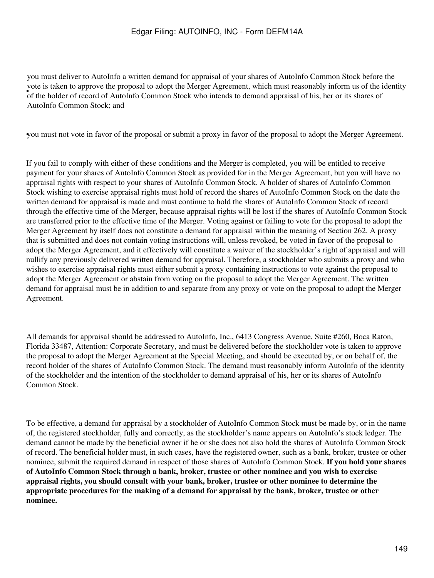For is taken to approve the proposal to adopt the Merger Agreement, which must reasonably inform as of the soft of the holder of record of AutoInfo Common Stock who intends to demand appraisal of his, her or its shares of you must deliver to AutoInfo a written demand for appraisal of your shares of AutoInfo Common Stock before the vote is taken to approve the proposal to adopt the Merger Agreement, which must reasonably inform us of the identity AutoInfo Common Stock; and

•you must not vote in favor of the proposal or submit a proxy in favor of the proposal to adopt the Merger Agreement.

If you fail to comply with either of these conditions and the Merger is completed, you will be entitled to receive payment for your shares of AutoInfo Common Stock as provided for in the Merger Agreement, but you will have no appraisal rights with respect to your shares of AutoInfo Common Stock. A holder of shares of AutoInfo Common Stock wishing to exercise appraisal rights must hold of record the shares of AutoInfo Common Stock on the date the written demand for appraisal is made and must continue to hold the shares of AutoInfo Common Stock of record through the effective time of the Merger, because appraisal rights will be lost if the shares of AutoInfo Common Stock are transferred prior to the effective time of the Merger. Voting against or failing to vote for the proposal to adopt the Merger Agreement by itself does not constitute a demand for appraisal within the meaning of Section 262. A proxy that is submitted and does not contain voting instructions will, unless revoked, be voted in favor of the proposal to adopt the Merger Agreement, and it effectively will constitute a waiver of the stockholder's right of appraisal and will nullify any previously delivered written demand for appraisal. Therefore, a stockholder who submits a proxy and who wishes to exercise appraisal rights must either submit a proxy containing instructions to vote against the proposal to adopt the Merger Agreement or abstain from voting on the proposal to adopt the Merger Agreement. The written demand for appraisal must be in addition to and separate from any proxy or vote on the proposal to adopt the Merger Agreement.

All demands for appraisal should be addressed to AutoInfo, Inc., 6413 Congress Avenue, Suite #260, Boca Raton, Florida 33487, Attention: Corporate Secretary, and must be delivered before the stockholder vote is taken to approve the proposal to adopt the Merger Agreement at the Special Meeting, and should be executed by, or on behalf of, the record holder of the shares of AutoInfo Common Stock. The demand must reasonably inform AutoInfo of the identity of the stockholder and the intention of the stockholder to demand appraisal of his, her or its shares of AutoInfo Common Stock.

To be effective, a demand for appraisal by a stockholder of AutoInfo Common Stock must be made by, or in the name of, the registered stockholder, fully and correctly, as the stockholder's name appears on AutoInfo's stock ledger. The demand cannot be made by the beneficial owner if he or she does not also hold the shares of AutoInfo Common Stock of record. The beneficial holder must, in such cases, have the registered owner, such as a bank, broker, trustee or other nominee, submit the required demand in respect of those shares of AutoInfo Common Stock. **If you hold your shares of AutoInfo Common Stock through a bank, broker, trustee or other nominee and you wish to exercise appraisal rights, you should consult with your bank, broker, trustee or other nominee to determine the appropriate procedures for the making of a demand for appraisal by the bank, broker, trustee or other nominee.**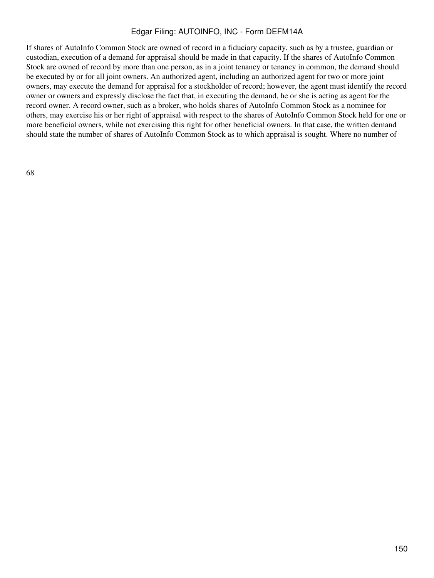If shares of AutoInfo Common Stock are owned of record in a fiduciary capacity, such as by a trustee, guardian or custodian, execution of a demand for appraisal should be made in that capacity. If the shares of AutoInfo Common Stock are owned of record by more than one person, as in a joint tenancy or tenancy in common, the demand should be executed by or for all joint owners. An authorized agent, including an authorized agent for two or more joint owners, may execute the demand for appraisal for a stockholder of record; however, the agent must identify the record owner or owners and expressly disclose the fact that, in executing the demand, he or she is acting as agent for the record owner. A record owner, such as a broker, who holds shares of AutoInfo Common Stock as a nominee for others, may exercise his or her right of appraisal with respect to the shares of AutoInfo Common Stock held for one or more beneficial owners, while not exercising this right for other beneficial owners. In that case, the written demand should state the number of shares of AutoInfo Common Stock as to which appraisal is sought. Where no number of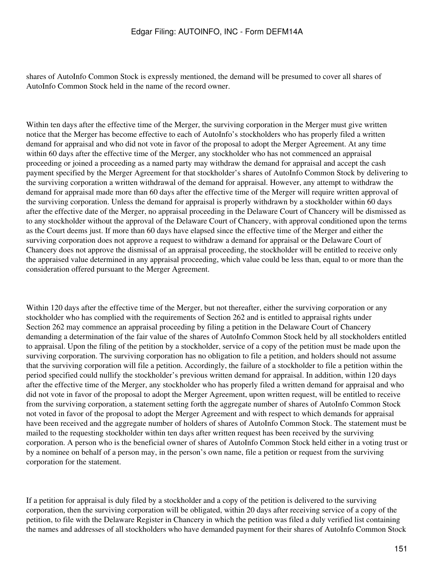shares of AutoInfo Common Stock is expressly mentioned, the demand will be presumed to cover all shares of AutoInfo Common Stock held in the name of the record owner.

Within ten days after the effective time of the Merger, the surviving corporation in the Merger must give written notice that the Merger has become effective to each of AutoInfo's stockholders who has properly filed a written demand for appraisal and who did not vote in favor of the proposal to adopt the Merger Agreement. At any time within 60 days after the effective time of the Merger, any stockholder who has not commenced an appraisal proceeding or joined a proceeding as a named party may withdraw the demand for appraisal and accept the cash payment specified by the Merger Agreement for that stockholder's shares of AutoInfo Common Stock by delivering to the surviving corporation a written withdrawal of the demand for appraisal. However, any attempt to withdraw the demand for appraisal made more than 60 days after the effective time of the Merger will require written approval of the surviving corporation. Unless the demand for appraisal is properly withdrawn by a stockholder within 60 days after the effective date of the Merger, no appraisal proceeding in the Delaware Court of Chancery will be dismissed as to any stockholder without the approval of the Delaware Court of Chancery, with approval conditioned upon the terms as the Court deems just. If more than 60 days have elapsed since the effective time of the Merger and either the surviving corporation does not approve a request to withdraw a demand for appraisal or the Delaware Court of Chancery does not approve the dismissal of an appraisal proceeding, the stockholder will be entitled to receive only the appraised value determined in any appraisal proceeding, which value could be less than, equal to or more than the consideration offered pursuant to the Merger Agreement.

Within 120 days after the effective time of the Merger, but not thereafter, either the surviving corporation or any stockholder who has complied with the requirements of Section 262 and is entitled to appraisal rights under Section 262 may commence an appraisal proceeding by filing a petition in the Delaware Court of Chancery demanding a determination of the fair value of the shares of AutoInfo Common Stock held by all stockholders entitled to appraisal. Upon the filing of the petition by a stockholder, service of a copy of the petition must be made upon the surviving corporation. The surviving corporation has no obligation to file a petition, and holders should not assume that the surviving corporation will file a petition. Accordingly, the failure of a stockholder to file a petition within the period specified could nullify the stockholder's previous written demand for appraisal. In addition, within 120 days after the effective time of the Merger, any stockholder who has properly filed a written demand for appraisal and who did not vote in favor of the proposal to adopt the Merger Agreement, upon written request, will be entitled to receive from the surviving corporation, a statement setting forth the aggregate number of shares of AutoInfo Common Stock not voted in favor of the proposal to adopt the Merger Agreement and with respect to which demands for appraisal have been received and the aggregate number of holders of shares of AutoInfo Common Stock. The statement must be mailed to the requesting stockholder within ten days after written request has been received by the surviving corporation. A person who is the beneficial owner of shares of AutoInfo Common Stock held either in a voting trust or by a nominee on behalf of a person may, in the person's own name, file a petition or request from the surviving corporation for the statement.

If a petition for appraisal is duly filed by a stockholder and a copy of the petition is delivered to the surviving corporation, then the surviving corporation will be obligated, within 20 days after receiving service of a copy of the petition, to file with the Delaware Register in Chancery in which the petition was filed a duly verified list containing the names and addresses of all stockholders who have demanded payment for their shares of AutoInfo Common Stock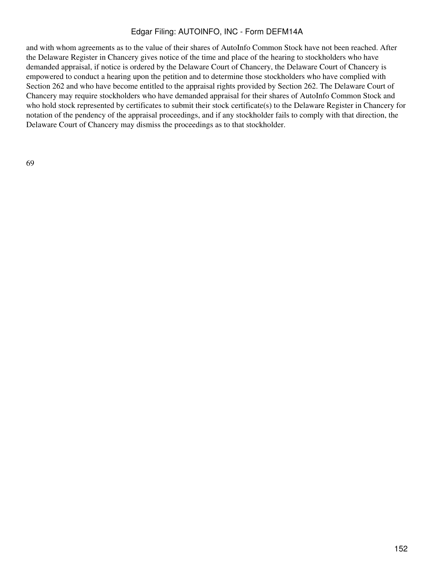and with whom agreements as to the value of their shares of AutoInfo Common Stock have not been reached. After the Delaware Register in Chancery gives notice of the time and place of the hearing to stockholders who have demanded appraisal, if notice is ordered by the Delaware Court of Chancery, the Delaware Court of Chancery is empowered to conduct a hearing upon the petition and to determine those stockholders who have complied with Section 262 and who have become entitled to the appraisal rights provided by Section 262. The Delaware Court of Chancery may require stockholders who have demanded appraisal for their shares of AutoInfo Common Stock and who hold stock represented by certificates to submit their stock certificate(s) to the Delaware Register in Chancery for notation of the pendency of the appraisal proceedings, and if any stockholder fails to comply with that direction, the Delaware Court of Chancery may dismiss the proceedings as to that stockholder.

69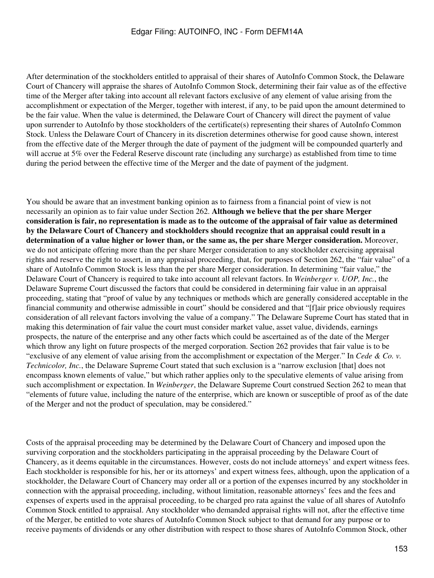After determination of the stockholders entitled to appraisal of their shares of AutoInfo Common Stock, the Delaware Court of Chancery will appraise the shares of AutoInfo Common Stock, determining their fair value as of the effective time of the Merger after taking into account all relevant factors exclusive of any element of value arising from the accomplishment or expectation of the Merger, together with interest, if any, to be paid upon the amount determined to be the fair value. When the value is determined, the Delaware Court of Chancery will direct the payment of value upon surrender to AutoInfo by those stockholders of the certificate(s) representing their shares of AutoInfo Common Stock. Unless the Delaware Court of Chancery in its discretion determines otherwise for good cause shown, interest from the effective date of the Merger through the date of payment of the judgment will be compounded quarterly and will accrue at 5% over the Federal Reserve discount rate (including any surcharge) as established from time to time during the period between the effective time of the Merger and the date of payment of the judgment.

You should be aware that an investment banking opinion as to fairness from a financial point of view is not necessarily an opinion as to fair value under Section 262. **Although we believe that the per share Merger consideration is fair, no representation is made as to the outcome of the appraisal of fair value as determined by the Delaware Court of Chancery and stockholders should recognize that an appraisal could result in a determination of a value higher or lower than, or the same as, the per share Merger consideration.** Moreover, we do not anticipate offering more than the per share Merger consideration to any stockholder exercising appraisal rights and reserve the right to assert, in any appraisal proceeding, that, for purposes of Section 262, the "fair value" of a share of AutoInfo Common Stock is less than the per share Merger consideration. In determining "fair value," the Delaware Court of Chancery is required to take into account all relevant factors. In *Weinberger v. UOP, Inc.*, the Delaware Supreme Court discussed the factors that could be considered in determining fair value in an appraisal proceeding, stating that "proof of value by any techniques or methods which are generally considered acceptable in the financial community and otherwise admissible in court" should be considered and that "[f]air price obviously requires consideration of all relevant factors involving the value of a company." The Delaware Supreme Court has stated that in making this determination of fair value the court must consider market value, asset value, dividends, earnings prospects, the nature of the enterprise and any other facts which could be ascertained as of the date of the Merger which throw any light on future prospects of the merged corporation. Section 262 provides that fair value is to be "exclusive of any element of value arising from the accomplishment or expectation of the Merger." In *Cede & Co. v. Technicolor, Inc.*, the Delaware Supreme Court stated that such exclusion is a "narrow exclusion [that] does not encompass known elements of value," but which rather applies only to the speculative elements of value arising from such accomplishment or expectation. In *Weinberger*, the Delaware Supreme Court construed Section 262 to mean that "elements of future value, including the nature of the enterprise, which are known or susceptible of proof as of the date of the Merger and not the product of speculation, may be considered."

Costs of the appraisal proceeding may be determined by the Delaware Court of Chancery and imposed upon the surviving corporation and the stockholders participating in the appraisal proceeding by the Delaware Court of Chancery, as it deems equitable in the circumstances. However, costs do not include attorneys' and expert witness fees. Each stockholder is responsible for his, her or its attorneys' and expert witness fees, although, upon the application of a stockholder, the Delaware Court of Chancery may order all or a portion of the expenses incurred by any stockholder in connection with the appraisal proceeding, including, without limitation, reasonable attorneys' fees and the fees and expenses of experts used in the appraisal proceeding, to be charged pro rata against the value of all shares of AutoInfo Common Stock entitled to appraisal. Any stockholder who demanded appraisal rights will not, after the effective time of the Merger, be entitled to vote shares of AutoInfo Common Stock subject to that demand for any purpose or to receive payments of dividends or any other distribution with respect to those shares of AutoInfo Common Stock, other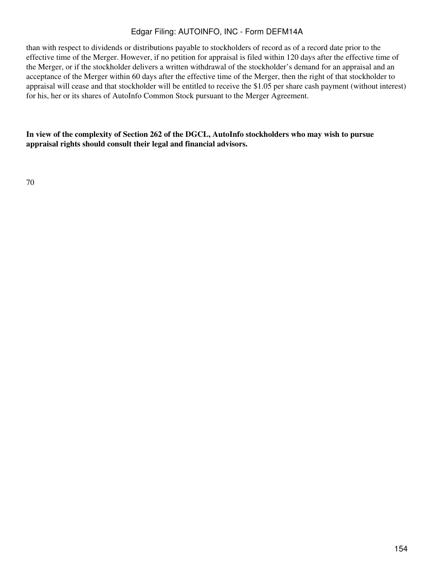than with respect to dividends or distributions payable to stockholders of record as of a record date prior to the effective time of the Merger. However, if no petition for appraisal is filed within 120 days after the effective time of the Merger, or if the stockholder delivers a written withdrawal of the stockholder's demand for an appraisal and an acceptance of the Merger within 60 days after the effective time of the Merger, then the right of that stockholder to appraisal will cease and that stockholder will be entitled to receive the \$1.05 per share cash payment (without interest) for his, her or its shares of AutoInfo Common Stock pursuant to the Merger Agreement.

**In view of the complexity of Section 262 of the DGCL, AutoInfo stockholders who may wish to pursue appraisal rights should consult their legal and financial advisors.**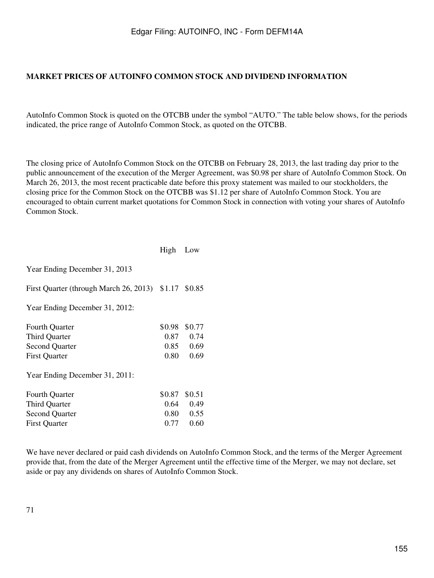### **MARKET PRICES OF AUTOINFO COMMON STOCK AND DIVIDEND INFORMATION**

AutoInfo Common Stock is quoted on the OTCBB under the symbol "AUTO." The table below shows, for the periods indicated, the price range of AutoInfo Common Stock, as quoted on the OTCBB.

The closing price of AutoInfo Common Stock on the OTCBB on February 28, 2013, the last trading day prior to the public announcement of the execution of the Merger Agreement, was \$0.98 per share of AutoInfo Common Stock. On March 26, 2013, the most recent practicable date before this proxy statement was mailed to our stockholders, the closing price for the Common Stock on the OTCBB was \$1.12 per share of AutoInfo Common Stock. You are encouraged to obtain current market quotations for Common Stock in connection with voting your shares of AutoInfo Common Stock.

|                                                      | High | Low               |
|------------------------------------------------------|------|-------------------|
| Year Ending December 31, 2013                        |      |                   |
| First Quarter (through March 26, 2013) \$1.17 \$0.85 |      |                   |
| Year Ending December 31, 2012:                       |      |                   |
| <b>Fourth Quarter</b>                                |      | \$0.98 \$0.77     |
| Third Quarter                                        |      | 0.87 0.74         |
| <b>Second Quarter</b>                                |      | 0.85 0.69         |
| <b>First Quarter</b>                                 |      | $0.80 \quad 0.69$ |
| Year Ending December 31, 2011:                       |      |                   |
| <b>Fourth Quarter</b>                                |      | \$0.87 \$0.51     |
| Third Quarter                                        |      | $0.64$ 0.49       |
| <b>Second Quarter</b>                                |      | $0.80$ 0.55       |
| <b>First Quarter</b>                                 |      | $0.77$ 0.60       |

We have never declared or paid cash dividends on AutoInfo Common Stock, and the terms of the Merger Agreement provide that, from the date of the Merger Agreement until the effective time of the Merger, we may not declare, set aside or pay any dividends on shares of AutoInfo Common Stock.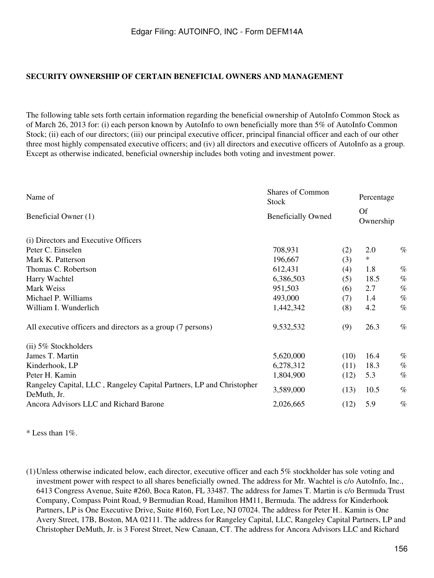#### **SECURITY OWNERSHIP OF CERTAIN BENEFICIAL OWNERS AND MANAGEMENT**

The following table sets forth certain information regarding the beneficial ownership of AutoInfo Common Stock as of March 26, 2013 for: (i) each person known by AutoInfo to own beneficially more than 5% of AutoInfo Common Stock; (ii) each of our directors; (iii) our principal executive officer, principal financial officer and each of our other three most highly compensated executive officers; and (iv) all directors and executive officers of AutoInfo as a group. Except as otherwise indicated, beneficial ownership includes both voting and investment power.

| Name of                                                                             | <b>Shares of Common</b><br><b>Stock</b> |      | Percentage             |      |  |
|-------------------------------------------------------------------------------------|-----------------------------------------|------|------------------------|------|--|
| Beneficial Owner (1)                                                                | <b>Beneficially Owned</b>               |      | <b>Of</b><br>Ownership |      |  |
| (i) Directors and Executive Officers                                                |                                         |      |                        |      |  |
| Peter C. Einselen                                                                   | 708,931                                 | (2)  | 2.0                    | $\%$ |  |
| Mark K. Patterson                                                                   | 196,667                                 | (3)  | $\ast$                 |      |  |
| Thomas C. Robertson                                                                 | 612,431                                 | (4)  | 1.8                    | $\%$ |  |
| Harry Wachtel                                                                       | 6,386,503                               | (5)  | 18.5                   | $\%$ |  |
| Mark Weiss                                                                          | 951,503                                 | (6)  | 2.7                    | $\%$ |  |
| Michael P. Williams                                                                 | 493,000                                 | (7)  | 1.4                    | $\%$ |  |
| William I. Wunderlich                                                               | 1,442,342                               | (8)  | 4.2                    | $\%$ |  |
| All executive officers and directors as a group (7 persons)                         | 9,532,532                               | (9)  | 26.3                   | $\%$ |  |
| $(ii)$ 5% Stockholders                                                              |                                         |      |                        |      |  |
| James T. Martin                                                                     | 5,620,000                               | (10) | 16.4                   | $\%$ |  |
| Kinderhook, LP                                                                      | 6,278,312                               | (11) | 18.3                   | $\%$ |  |
| Peter H. Kamin                                                                      | 1,804,900                               | (12) | 5.3                    | $\%$ |  |
| Rangeley Capital, LLC, Rangeley Capital Partners, LP and Christopher<br>DeMuth, Jr. | 3,589,000                               | (13) | 10.5                   | $\%$ |  |
| Ancora Advisors LLC and Richard Barone                                              | 2,026,665                               | (12) | 5.9                    | $\%$ |  |

 $*$  Less than 1%.

(1)Unless otherwise indicated below, each director, executive officer and each 5% stockholder has sole voting and investment power with respect to all shares beneficially owned. The address for Mr. Wachtel is c/o AutoInfo, Inc., 6413 Congress Avenue, Suite #260, Boca Raton, FL 33487. The address for James T. Martin is c/o Bermuda Trust Company, Compass Point Road, 9 Bermudian Road, Hamilton HM11, Bermuda. The address for Kinderhook Partners, LP is One Executive Drive, Suite #160, Fort Lee, NJ 07024. The address for Peter H.. Kamin is One Avery Street, 17B, Boston, MA 02111. The address for Rangeley Capital, LLC, Rangeley Capital Partners, LP and Christopher DeMuth, Jr. is 3 Forest Street, New Canaan, CT. The address for Ancora Advisors LLC and Richard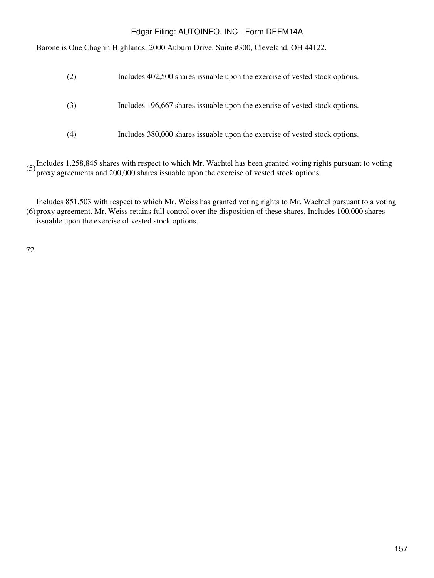Barone is One Chagrin Highlands, 2000 Auburn Drive, Suite #300, Cleveland, OH 44122.

| (2) | Includes 402,500 shares issuable upon the exercise of vested stock options. |
|-----|-----------------------------------------------------------------------------|
| (3) | Includes 196,667 shares issuable upon the exercise of vested stock options. |
| (4) | Includes 380,000 shares issuable upon the exercise of vested stock options. |

(5) Includes 1,258,845 shares with respect to which Mr. Wachtel has been granted voting rights pursuant to voting proxy agreements and 200,000 shares issuable upon the exercise of vested stock options.

(6) proxy agreement. Mr. Weiss retains full control over the disposition of these shares. Includes 100,000 shares Includes 851,503 with respect to which Mr. Weiss has granted voting rights to Mr. Wachtel pursuant to a voting issuable upon the exercise of vested stock options.

72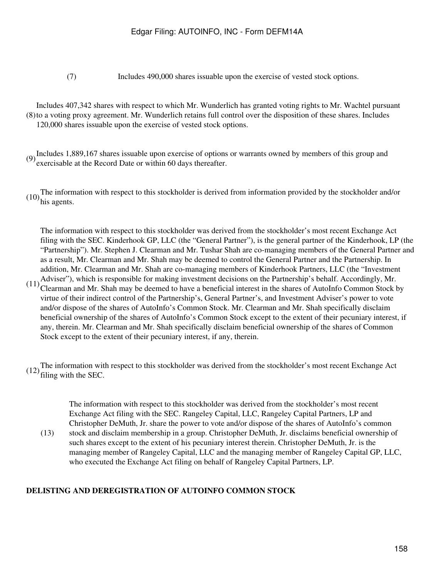(7) Includes 490,000 shares issuable upon the exercise of vested stock options.

(8) to a voting proxy agreement. Mr. Wunderlich retains full control over the disposition of these shares. Includes Includes 407,342 shares with respect to which Mr. Wunderlich has granted voting rights to Mr. Wachtel pursuant 120,000 shares issuable upon the exercise of vested stock options.

(9) Includes 1,889,167 shares issuable upon exercise of options or warrants owned by members of this group and exercisable at the Record Date or within 60 days thereafter.

(10)The information with respect to this stockholder is derived from information provided by the stockholder and/or his agents.

The information with respect to this stockholder was derived from the stockholder's most recent Exchange Act filing with the SEC. Kinderhook GP, LLC (the "General Partner"), is the general partner of the Kinderhook, LP (the "Partnership"). Mr. Stephen J. Clearman and Mr. Tushar Shah are co-managing members of the General Partner and as a result, Mr. Clearman and Mr. Shah may be deemed to control the General Partner and the Partnership. In addition, Mr. Clearman and Mr. Shah are co-managing members of Kinderhook Partners, LLC (the "Investment Adviser"), which is responsible for making investment decisions on the Partnership's behalf. Accordingly, Mr.

(11) Clearman and Mr. Shah may be deemed to have a beneficial interest in the shares of AutoInfo Common Stock by virtue of their indirect control of the Partnership's, General Partner's, and Investment Adviser's power to vote and/or dispose of the shares of AutoInfo's Common Stock. Mr. Clearman and Mr. Shah specifically disclaim beneficial ownership of the shares of AutoInfo's Common Stock except to the extent of their pecuniary interest, if any, therein. Mr. Clearman and Mr. Shah specifically disclaim beneficial ownership of the shares of Common Stock except to the extent of their pecuniary interest, if any, therein.

(12)The information with respect to this stockholder was derived from the stockholder's most recent Exchange Act filing with the SEC.

The information with respect to this stockholder was derived from the stockholder's most recent Exchange Act filing with the SEC. Rangeley Capital, LLC, Rangeley Capital Partners, LP and Christopher DeMuth, Jr. share the power to vote and/or dispose of the shares of AutoInfo's common

(13) stock and disclaim membership in a group. Christopher DeMuth, Jr. disclaims beneficial ownership of such shares except to the extent of his pecuniary interest therein. Christopher DeMuth, Jr. is the managing member of Rangeley Capital, LLC and the managing member of Rangeley Capital GP, LLC, who executed the Exchange Act filing on behalf of Rangeley Capital Partners, LP.

### **DELISTING AND DEREGISTRATION OF AUTOINFO COMMON STOCK**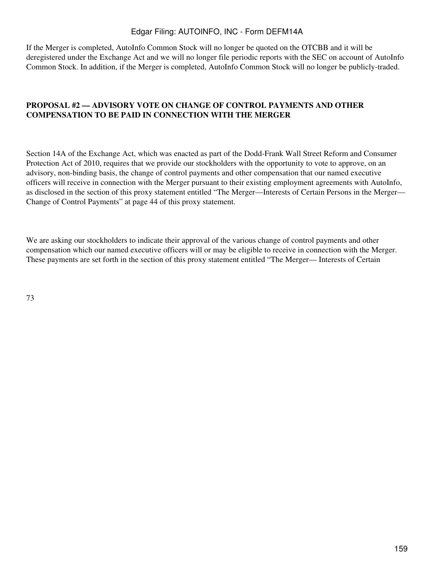If the Merger is completed, AutoInfo Common Stock will no longer be quoted on the OTCBB and it will be deregistered under the Exchange Act and we will no longer file periodic reports with the SEC on account of AutoInfo Common Stock. In addition, if the Merger is completed, AutoInfo Common Stock will no longer be publicly-traded.

## **PROPOSAL #2 — ADVISORY VOTE ON CHANGE OF CONTROL PAYMENTS AND OTHER COMPENSATION TO BE PAID IN CONNECTION WITH THE MERGER**

Section 14A of the Exchange Act, which was enacted as part of the Dodd-Frank Wall Street Reform and Consumer Protection Act of 2010, requires that we provide our stockholders with the opportunity to vote to approve, on an advisory, non-binding basis, the change of control payments and other compensation that our named executive officers will receive in connection with the Merger pursuant to their existing employment agreements with AutoInfo, as disclosed in the section of this proxy statement entitled "The Merger—Interests of Certain Persons in the Merger— Change of Control Payments" at page 44 of this proxy statement.

We are asking our stockholders to indicate their approval of the various change of control payments and other compensation which our named executive officers will or may be eligible to receive in connection with the Merger. These payments are set forth in the section of this proxy statement entitled "The Merger— Interests of Certain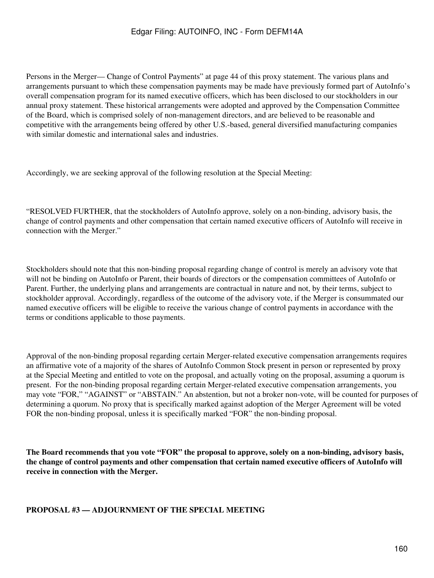Persons in the Merger— Change of Control Payments" at page 44 of this proxy statement. The various plans and arrangements pursuant to which these compensation payments may be made have previously formed part of AutoInfo's overall compensation program for its named executive officers, which has been disclosed to our stockholders in our annual proxy statement. These historical arrangements were adopted and approved by the Compensation Committee of the Board, which is comprised solely of non-management directors, and are believed to be reasonable and competitive with the arrangements being offered by other U.S.-based, general diversified manufacturing companies with similar domestic and international sales and industries.

Accordingly, we are seeking approval of the following resolution at the Special Meeting:

"RESOLVED FURTHER, that the stockholders of AutoInfo approve, solely on a non-binding, advisory basis, the change of control payments and other compensation that certain named executive officers of AutoInfo will receive in connection with the Merger."

Stockholders should note that this non-binding proposal regarding change of control is merely an advisory vote that will not be binding on AutoInfo or Parent, their boards of directors or the compensation committees of AutoInfo or Parent. Further, the underlying plans and arrangements are contractual in nature and not, by their terms, subject to stockholder approval. Accordingly, regardless of the outcome of the advisory vote, if the Merger is consummated our named executive officers will be eligible to receive the various change of control payments in accordance with the terms or conditions applicable to those payments.

Approval of the non-binding proposal regarding certain Merger-related executive compensation arrangements requires an affirmative vote of a majority of the shares of AutoInfo Common Stock present in person or represented by proxy at the Special Meeting and entitled to vote on the proposal, and actually voting on the proposal, assuming a quorum is present. For the non-binding proposal regarding certain Merger-related executive compensation arrangements, you may vote "FOR," "AGAINST" or "ABSTAIN." An abstention, but not a broker non-vote, will be counted for purposes of determining a quorum. No proxy that is specifically marked against adoption of the Merger Agreement will be voted FOR the non-binding proposal, unless it is specifically marked "FOR" the non-binding proposal.

**The Board recommends that you vote "FOR" the proposal to approve, solely on a non-binding, advisory basis, the change of control payments and other compensation that certain named executive officers of AutoInfo will receive in connection with the Merger.**

**PROPOSAL #3 — ADJOURNMENT OF THE SPECIAL MEETING**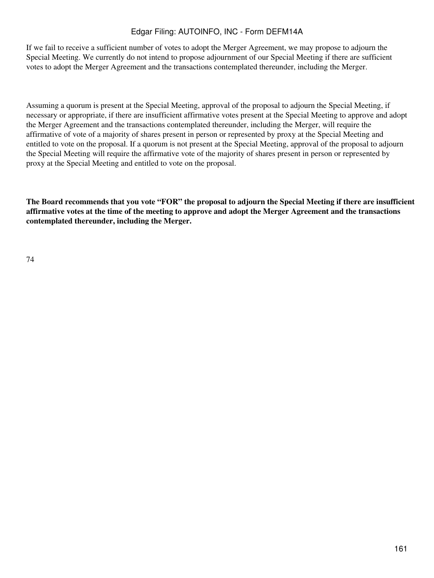If we fail to receive a sufficient number of votes to adopt the Merger Agreement, we may propose to adjourn the Special Meeting. We currently do not intend to propose adjournment of our Special Meeting if there are sufficient votes to adopt the Merger Agreement and the transactions contemplated thereunder, including the Merger.

Assuming a quorum is present at the Special Meeting, approval of the proposal to adjourn the Special Meeting, if necessary or appropriate, if there are insufficient affirmative votes present at the Special Meeting to approve and adopt the Merger Agreement and the transactions contemplated thereunder, including the Merger, will require the affirmative of vote of a majority of shares present in person or represented by proxy at the Special Meeting and entitled to vote on the proposal. If a quorum is not present at the Special Meeting, approval of the proposal to adjourn the Special Meeting will require the affirmative vote of the majority of shares present in person or represented by proxy at the Special Meeting and entitled to vote on the proposal.

**The Board recommends that you vote "FOR" the proposal to adjourn the Special Meeting if there are insufficient affirmative votes at the time of the meeting to approve and adopt the Merger Agreement and the transactions contemplated thereunder, including the Merger.**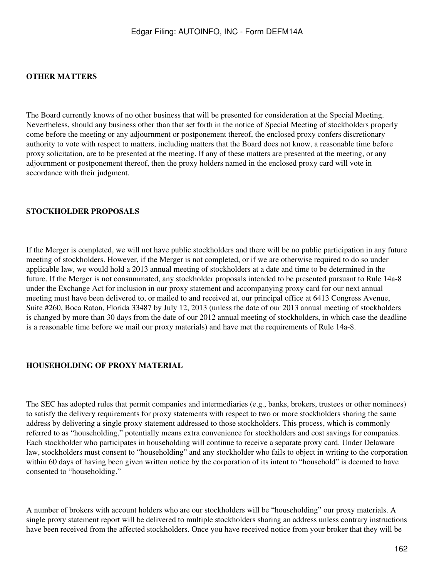#### **OTHER MATTERS**

The Board currently knows of no other business that will be presented for consideration at the Special Meeting. Nevertheless, should any business other than that set forth in the notice of Special Meeting of stockholders properly come before the meeting or any adjournment or postponement thereof, the enclosed proxy confers discretionary authority to vote with respect to matters, including matters that the Board does not know, a reasonable time before proxy solicitation, are to be presented at the meeting. If any of these matters are presented at the meeting, or any adjournment or postponement thereof, then the proxy holders named in the enclosed proxy card will vote in accordance with their judgment.

#### **STOCKHOLDER PROPOSALS**

If the Merger is completed, we will not have public stockholders and there will be no public participation in any future meeting of stockholders. However, if the Merger is not completed, or if we are otherwise required to do so under applicable law, we would hold a 2013 annual meeting of stockholders at a date and time to be determined in the future. If the Merger is not consummated, any stockholder proposals intended to be presented pursuant to Rule 14a-8 under the Exchange Act for inclusion in our proxy statement and accompanying proxy card for our next annual meeting must have been delivered to, or mailed to and received at, our principal office at 6413 Congress Avenue, Suite #260, Boca Raton, Florida 33487 by July 12, 2013 (unless the date of our 2013 annual meeting of stockholders is changed by more than 30 days from the date of our 2012 annual meeting of stockholders, in which case the deadline is a reasonable time before we mail our proxy materials) and have met the requirements of Rule 14a-8.

#### **HOUSEHOLDING OF PROXY MATERIAL**

The SEC has adopted rules that permit companies and intermediaries (e.g., banks, brokers, trustees or other nominees) to satisfy the delivery requirements for proxy statements with respect to two or more stockholders sharing the same address by delivering a single proxy statement addressed to those stockholders. This process, which is commonly referred to as "householding," potentially means extra convenience for stockholders and cost savings for companies. Each stockholder who participates in householding will continue to receive a separate proxy card. Under Delaware law, stockholders must consent to "householding" and any stockholder who fails to object in writing to the corporation within 60 days of having been given written notice by the corporation of its intent to "household" is deemed to have consented to "householding."

A number of brokers with account holders who are our stockholders will be "householding" our proxy materials. A single proxy statement report will be delivered to multiple stockholders sharing an address unless contrary instructions have been received from the affected stockholders. Once you have received notice from your broker that they will be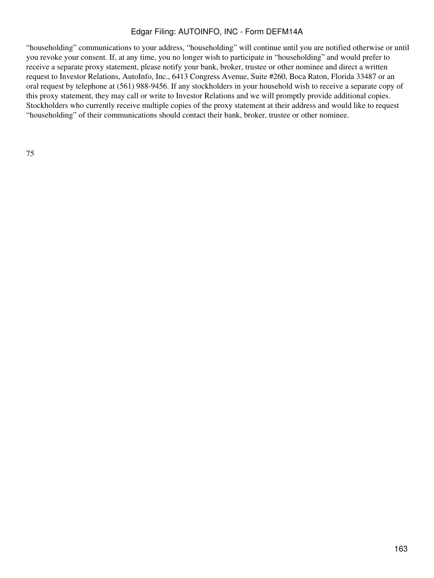"householding" communications to your address, "householding" will continue until you are notified otherwise or until you revoke your consent. If, at any time, you no longer wish to participate in "householding" and would prefer to receive a separate proxy statement, please notify your bank, broker, trustee or other nominee and direct a written request to Investor Relations, AutoInfo, Inc., 6413 Congress Avenue, Suite #260, Boca Raton, Florida 33487 or an oral request by telephone at (561) 988-9456. If any stockholders in your household wish to receive a separate copy of this proxy statement, they may call or write to Investor Relations and we will promptly provide additional copies. Stockholders who currently receive multiple copies of the proxy statement at their address and would like to request "householding" of their communications should contact their bank, broker, trustee or other nominee.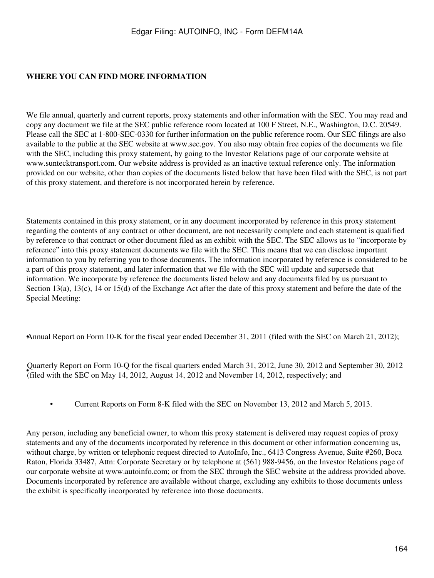### **WHERE YOU CAN FIND MORE INFORMATION**

We file annual, quarterly and current reports, proxy statements and other information with the SEC. You may read and copy any document we file at the SEC public reference room located at 100 F Street, N.E., Washington, D.C. 20549. Please call the SEC at 1-800-SEC-0330 for further information on the public reference room. Our SEC filings are also available to the public at the SEC website at www.sec.gov. You also may obtain free copies of the documents we file with the SEC, including this proxy statement, by going to the Investor Relations page of our corporate website at www.suntecktransport.com. Our website address is provided as an inactive textual reference only. The information provided on our website, other than copies of the documents listed below that have been filed with the SEC, is not part of this proxy statement, and therefore is not incorporated herein by reference.

Statements contained in this proxy statement, or in any document incorporated by reference in this proxy statement regarding the contents of any contract or other document, are not necessarily complete and each statement is qualified by reference to that contract or other document filed as an exhibit with the SEC. The SEC allows us to "incorporate by reference" into this proxy statement documents we file with the SEC. This means that we can disclose important information to you by referring you to those documents. The information incorporated by reference is considered to be a part of this proxy statement, and later information that we file with the SEC will update and supersede that information. We incorporate by reference the documents listed below and any documents filed by us pursuant to Section 13(a), 13(c), 14 or 15(d) of the Exchange Act after the date of this proxy statement and before the date of the Special Meeting:

•Annual Report on Form 10-K for the fiscal year ended December 31, 2011 (filed with the SEC on March 21, 2012);

Figure 19 Fepot on Form 10-Q for the fiscal quarters ended March 51, 2012, 3 June 50, 2012 and C<br>(filed with the SEC on May 14, 2012, August 14, 2012 and November 14, 2012, respectively; and Quarterly Report on Form 10-Q for the fiscal quarters ended March 31, 2012, June 30, 2012 and September 30, 2012

• Current Reports on Form 8-K filed with the SEC on November 13, 2012 and March 5, 2013.

Any person, including any beneficial owner, to whom this proxy statement is delivered may request copies of proxy statements and any of the documents incorporated by reference in this document or other information concerning us, without charge, by written or telephonic request directed to AutoInfo, Inc., 6413 Congress Avenue, Suite #260, Boca Raton, Florida 33487, Attn: Corporate Secretary or by telephone at (561) 988-9456, on the Investor Relations page of our corporate website at www.autoinfo.com; or from the SEC through the SEC website at the address provided above. Documents incorporated by reference are available without charge, excluding any exhibits to those documents unless the exhibit is specifically incorporated by reference into those documents.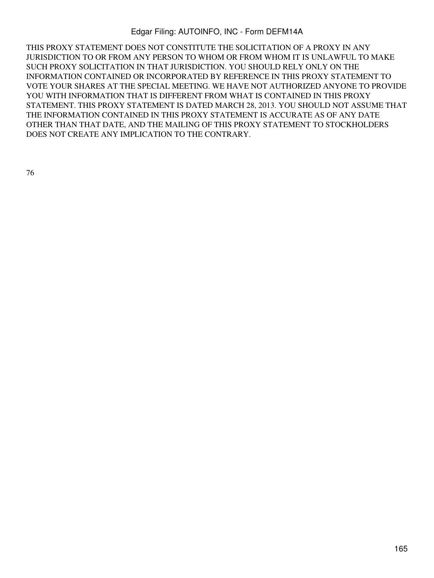THIS PROXY STATEMENT DOES NOT CONSTITUTE THE SOLICITATION OF A PROXY IN ANY JURISDICTION TO OR FROM ANY PERSON TO WHOM OR FROM WHOM IT IS UNLAWFUL TO MAKE SUCH PROXY SOLICITATION IN THAT JURISDICTION. YOU SHOULD RELY ONLY ON THE INFORMATION CONTAINED OR INCORPORATED BY REFERENCE IN THIS PROXY STATEMENT TO VOTE YOUR SHARES AT THE SPECIAL MEETING. WE HAVE NOT AUTHORIZED ANYONE TO PROVIDE YOU WITH INFORMATION THAT IS DIFFERENT FROM WHAT IS CONTAINED IN THIS PROXY STATEMENT. THIS PROXY STATEMENT IS DATED MARCH 28, 2013. YOU SHOULD NOT ASSUME THAT THE INFORMATION CONTAINED IN THIS PROXY STATEMENT IS ACCURATE AS OF ANY DATE OTHER THAN THAT DATE, AND THE MAILING OF THIS PROXY STATEMENT TO STOCKHOLDERS DOES NOT CREATE ANY IMPLICATION TO THE CONTRARY.

76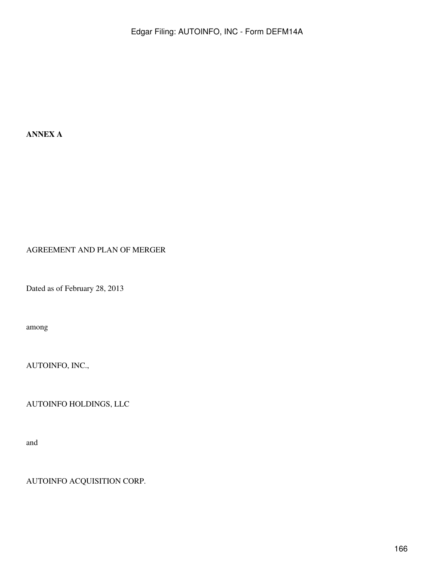# **ANNEX A**

# AGREEMENT AND PLAN OF MERGER

Dated as of February 28, 2013

among

AUTOINFO, INC.,

AUTOINFO HOLDINGS, LLC

and

AUTOINFO ACQUISITION CORP.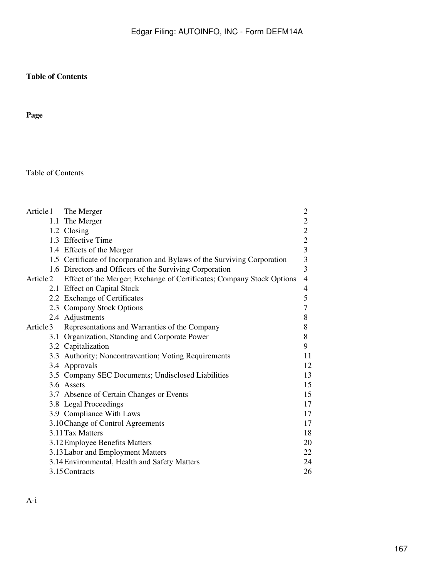# **Page**

Table of Contents

| Article 1 | The Merger                                                               | $\boldsymbol{2}$         |
|-----------|--------------------------------------------------------------------------|--------------------------|
|           | 1.1 The Merger                                                           | $\overline{c}$           |
|           | 1.2 Closing                                                              | $\overline{c}$           |
|           | 1.3 Effective Time                                                       | $\overline{c}$           |
|           | 1.4 Effects of the Merger                                                | $\overline{\mathbf{3}}$  |
|           | 1.5 Certificate of Incorporation and Bylaws of the Surviving Corporation | $\overline{\mathbf{3}}$  |
|           | 1.6 Directors and Officers of the Surviving Corporation                  | $\overline{3}$           |
| Article 2 | Effect of the Merger; Exchange of Certificates; Company Stock Options    | $\overline{4}$           |
|           | 2.1 Effect on Capital Stock                                              | $\overline{\mathcal{A}}$ |
|           | 2.2 Exchange of Certificates                                             | 5                        |
|           | 2.3 Company Stock Options                                                | $\overline{7}$           |
|           | 2.4 Adjustments                                                          | $\,$ 8 $\,$              |
| Article 3 | Representations and Warranties of the Company                            | $8\,$                    |
| 3.1       | Organization, Standing and Corporate Power                               | 8                        |
|           | 3.2 Capitalization                                                       | 9                        |
|           | 3.3 Authority; Noncontravention; Voting Requirements                     | 11                       |
|           | 3.4 Approvals                                                            | 12                       |
|           | 3.5 Company SEC Documents; Undisclosed Liabilities                       | 13                       |
|           | 3.6 Assets                                                               | 15                       |
|           | 3.7 Absence of Certain Changes or Events                                 | 15                       |
|           | 3.8 Legal Proceedings                                                    | 17                       |
|           | 3.9 Compliance With Laws                                                 | 17                       |
|           | 3.10 Change of Control Agreements                                        | 17                       |
|           | 3.11 Tax Matters                                                         | 18                       |
|           | 3.12 Employee Benefits Matters                                           | 20                       |
|           | 3.13 Labor and Employment Matters                                        | 22                       |
|           | 3.14 Environmental, Health and Safety Matters                            | 24                       |
|           | 3.15 Contracts                                                           | 26                       |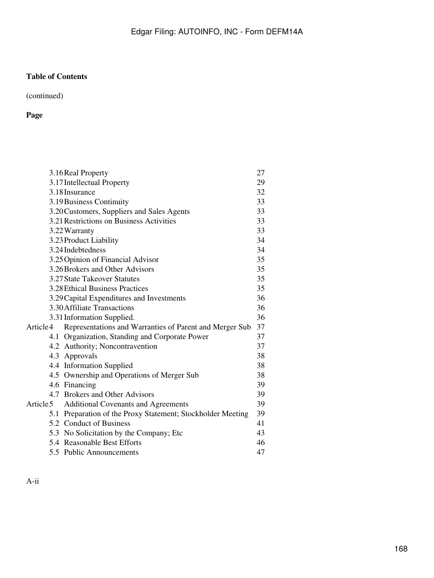(continued)

# **Page**

|           | 3.16 Real Property                                          | 27 |
|-----------|-------------------------------------------------------------|----|
|           | 3.17 Intellectual Property                                  | 29 |
|           | 3.18 Insurance                                              | 32 |
|           | 3.19 Business Continuity                                    | 33 |
|           | 3.20 Customers, Suppliers and Sales Agents                  | 33 |
|           | 3.21 Restrictions on Business Activities                    | 33 |
|           | 3.22 Warranty                                               | 33 |
|           | 3.23 Product Liability                                      | 34 |
|           | 3.24 Indebtedness                                           | 34 |
|           | 3.25 Opinion of Financial Advisor                           | 35 |
|           | 3.26 Brokers and Other Advisors                             | 35 |
|           | 3.27 State Takeover Statutes                                | 35 |
|           | 3.28 Ethical Business Practices                             | 35 |
|           | 3.29 Capital Expenditures and Investments                   | 36 |
|           | 3.30 Affiliate Transactions                                 | 36 |
|           | 3.31 Information Supplied.                                  | 36 |
| Article 4 | Representations and Warranties of Parent and Merger Sub     | 37 |
|           | 4.1 Organization, Standing and Corporate Power              | 37 |
|           | 4.2 Authority; Noncontravention                             | 37 |
|           | 4.3 Approvals                                               | 38 |
|           | 4.4 Information Supplied                                    | 38 |
|           | 4.5 Ownership and Operations of Merger Sub                  | 38 |
|           | 4.6 Financing                                               | 39 |
|           | 4.7 Brokers and Other Advisors                              | 39 |
| Article 5 | <b>Additional Covenants and Agreements</b>                  | 39 |
|           | 5.1 Preparation of the Proxy Statement; Stockholder Meeting | 39 |
|           | 5.2 Conduct of Business                                     | 41 |
|           | 5.3 No Solicitation by the Company; Etc.                    | 43 |
|           | 5.4 Reasonable Best Efforts                                 | 46 |
|           | 5.5 Public Announcements                                    | 47 |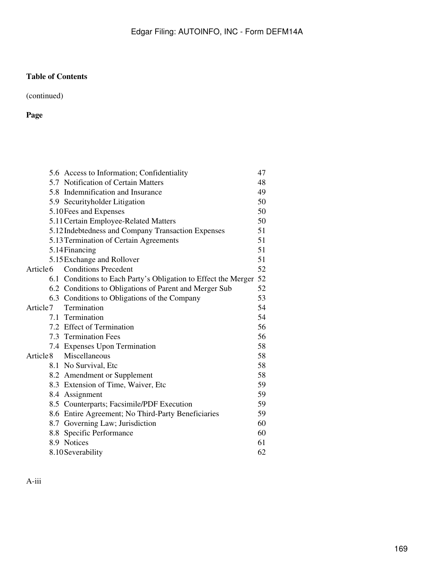(continued)

# **Page**

|           | 5.6 Access to Information; Confidentiality                     | 47 |
|-----------|----------------------------------------------------------------|----|
|           | 5.7 Notification of Certain Matters                            | 48 |
|           | 5.8 Indemnification and Insurance                              | 49 |
|           | 5.9 Securityholder Litigation                                  | 50 |
|           | 5.10 Fees and Expenses                                         | 50 |
|           | 5.11 Certain Employee-Related Matters                          | 50 |
|           | 5.12 Indebtedness and Company Transaction Expenses             | 51 |
|           | 5.13 Termination of Certain Agreements                         | 51 |
|           | 5.14 Financing                                                 | 51 |
|           | 5.15 Exchange and Rollover                                     | 51 |
| Article 6 | <b>Conditions Precedent</b>                                    | 52 |
|           | 6.1 Conditions to Each Party's Obligation to Effect the Merger | 52 |
|           | 6.2 Conditions to Obligations of Parent and Merger Sub         | 52 |
|           | 6.3 Conditions to Obligations of the Company                   | 53 |
| Article 7 | Termination                                                    | 54 |
|           | 7.1 Termination                                                | 54 |
|           | 7.2 Effect of Termination                                      | 56 |
|           | 7.3 Termination Fees                                           | 56 |
|           | 7.4 Expenses Upon Termination                                  | 58 |
| Article 8 | Miscellaneous                                                  | 58 |
|           | 8.1 No Survival, Etc                                           | 58 |
|           | 8.2 Amendment or Supplement                                    | 58 |
|           | 8.3 Extension of Time, Waiver, Etc.                            | 59 |
|           | 8.4 Assignment                                                 | 59 |
|           | 8.5 Counterparts; Facsimile/PDF Execution                      | 59 |
|           | 8.6 Entire Agreement; No Third-Party Beneficiaries             | 59 |
|           | 8.7 Governing Law; Jurisdiction                                | 60 |
|           | 8.8 Specific Performance                                       | 60 |
|           | 8.9 Notices                                                    | 61 |
|           | 8.10 Severability                                              | 62 |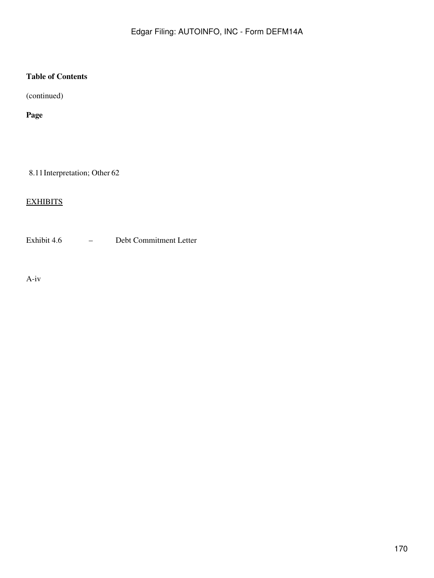(continued)

**Page**

8.11Interpretation; Other 62

# **EXHIBITS**

Exhibit 4.6 – Debt Commitment Letter

A-iv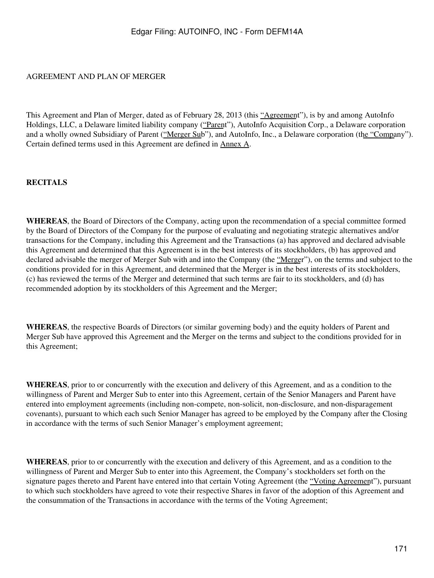#### AGREEMENT AND PLAN OF MERGER

This Agreement and Plan of Merger, dated as of February 28, 2013 (this "Agreement"), is by and among AutoInfo Holdings, LLC, a Delaware limited liability company ("Parent"), AutoInfo Acquisition Corp., a Delaware corporation and a wholly owned Subsidiary of Parent ("Merger Sub"), and AutoInfo, Inc., a Delaware corporation (the "Company"). Certain defined terms used in this Agreement are defined in Annex A.

#### **RECITALS**

**WHEREAS**, the Board of Directors of the Company, acting upon the recommendation of a special committee formed by the Board of Directors of the Company for the purpose of evaluating and negotiating strategic alternatives and/or transactions for the Company, including this Agreement and the Transactions (a) has approved and declared advisable this Agreement and determined that this Agreement is in the best interests of its stockholders, (b) has approved and declared advisable the merger of Merger Sub with and into the Company (the "Merger"), on the terms and subject to the conditions provided for in this Agreement, and determined that the Merger is in the best interests of its stockholders, (c) has reviewed the terms of the Merger and determined that such terms are fair to its stockholders, and (d) has recommended adoption by its stockholders of this Agreement and the Merger;

**WHEREAS**, the respective Boards of Directors (or similar governing body) and the equity holders of Parent and Merger Sub have approved this Agreement and the Merger on the terms and subject to the conditions provided for in this Agreement;

**WHEREAS**, prior to or concurrently with the execution and delivery of this Agreement, and as a condition to the willingness of Parent and Merger Sub to enter into this Agreement, certain of the Senior Managers and Parent have entered into employment agreements (including non-compete, non-solicit, non-disclosure, and non-disparagement covenants), pursuant to which each such Senior Manager has agreed to be employed by the Company after the Closing in accordance with the terms of such Senior Manager's employment agreement;

**WHEREAS**, prior to or concurrently with the execution and delivery of this Agreement, and as a condition to the willingness of Parent and Merger Sub to enter into this Agreement, the Company's stockholders set forth on the signature pages thereto and Parent have entered into that certain Voting Agreement (the "Voting Agreement"), pursuant to which such stockholders have agreed to vote their respective Shares in favor of the adoption of this Agreement and the consummation of the Transactions in accordance with the terms of the Voting Agreement;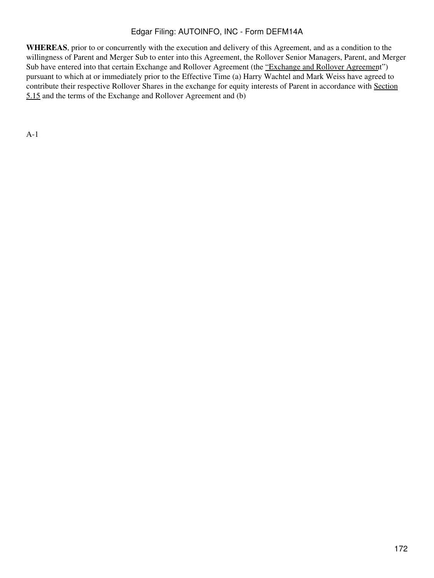**WHEREAS**, prior to or concurrently with the execution and delivery of this Agreement, and as a condition to the willingness of Parent and Merger Sub to enter into this Agreement, the Rollover Senior Managers, Parent, and Merger Sub have entered into that certain Exchange and Rollover Agreement (the "Exchange and Rollover Agreement") pursuant to which at or immediately prior to the Effective Time (a) Harry Wachtel and Mark Weiss have agreed to contribute their respective Rollover Shares in the exchange for equity interests of Parent in accordance with Section 5.15 and the terms of the Exchange and Rollover Agreement and (b)

A-1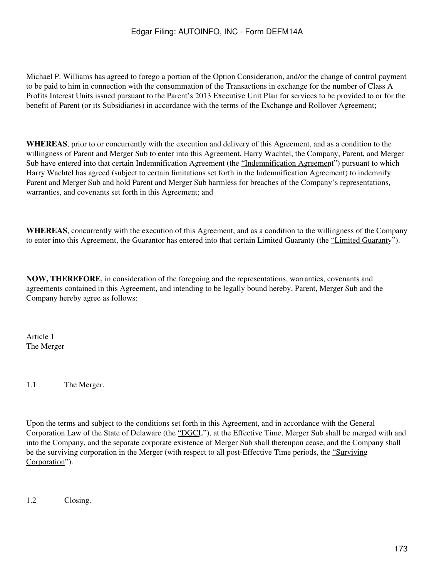Michael P. Williams has agreed to forego a portion of the Option Consideration, and/or the change of control payment to be paid to him in connection with the consummation of the Transactions in exchange for the number of Class A Profits Interest Units issued pursuant to the Parent's 2013 Executive Unit Plan for services to be provided to or for the benefit of Parent (or its Subsidiaries) in accordance with the terms of the Exchange and Rollover Agreement;

**WHEREAS**, prior to or concurrently with the execution and delivery of this Agreement, and as a condition to the willingness of Parent and Merger Sub to enter into this Agreement, Harry Wachtel, the Company, Parent, and Merger Sub have entered into that certain Indemnification Agreement (the "Indemnification Agreement") pursuant to which Harry Wachtel has agreed (subject to certain limitations set forth in the Indemnification Agreement) to indemnify Parent and Merger Sub and hold Parent and Merger Sub harmless for breaches of the Company's representations, warranties, and covenants set forth in this Agreement; and

**WHEREAS**, concurrently with the execution of this Agreement, and as a condition to the willingness of the Company to enter into this Agreement, the Guarantor has entered into that certain Limited Guaranty (the "Limited Guaranty").

**NOW, THEREFORE**, in consideration of the foregoing and the representations, warranties, covenants and agreements contained in this Agreement, and intending to be legally bound hereby, Parent, Merger Sub and the Company hereby agree as follows:

Article 1 The Merger

1.1 The Merger.

Upon the terms and subject to the conditions set forth in this Agreement, and in accordance with the General Corporation Law of the State of Delaware (the "DGCL"), at the Effective Time, Merger Sub shall be merged with and into the Company, and the separate corporate existence of Merger Sub shall thereupon cease, and the Company shall be the surviving corporation in the Merger (with respect to all post-Effective Time periods, the "Surviving" Corporation").

1.2 Closing.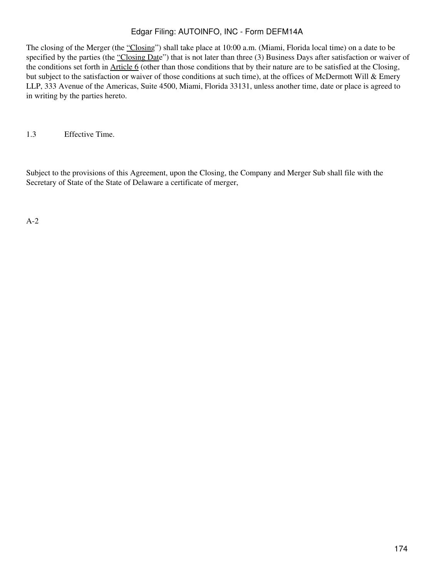The closing of the Merger (the "Closing") shall take place at 10:00 a.m. (Miami, Florida local time) on a date to be specified by the parties (the "Closing Date") that is not later than three (3) Business Days after satisfaction or waiver of the conditions set forth in Article 6 (other than those conditions that by their nature are to be satisfied at the Closing, but subject to the satisfaction or waiver of those conditions at such time), at the offices of McDermott Will & Emery LLP, 333 Avenue of the Americas, Suite 4500, Miami, Florida 33131, unless another time, date or place is agreed to in writing by the parties hereto.

1.3 Effective Time.

Subject to the provisions of this Agreement, upon the Closing, the Company and Merger Sub shall file with the Secretary of State of the State of Delaware a certificate of merger,

A-2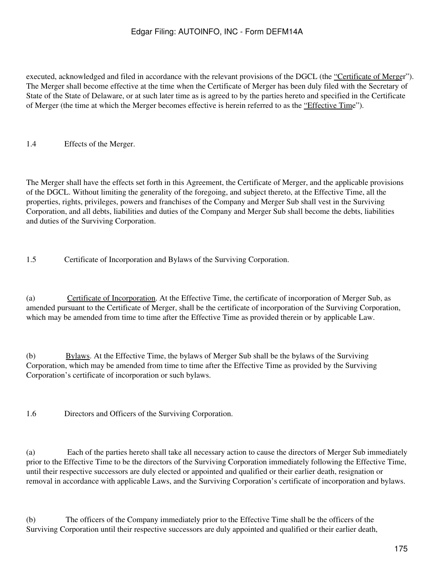executed, acknowledged and filed in accordance with the relevant provisions of the DGCL (the "Certificate of Merger"). The Merger shall become effective at the time when the Certificate of Merger has been duly filed with the Secretary of State of the State of Delaware, or at such later time as is agreed to by the parties hereto and specified in the Certificate of Merger (the time at which the Merger becomes effective is herein referred to as the "Effective Time").

# 1.4 Effects of the Merger.

The Merger shall have the effects set forth in this Agreement, the Certificate of Merger, and the applicable provisions of the DGCL. Without limiting the generality of the foregoing, and subject thereto, at the Effective Time, all the properties, rights, privileges, powers and franchises of the Company and Merger Sub shall vest in the Surviving Corporation, and all debts, liabilities and duties of the Company and Merger Sub shall become the debts, liabilities and duties of the Surviving Corporation.

1.5 Certificate of Incorporation and Bylaws of the Surviving Corporation.

(a) Certificate of Incorporation. At the Effective Time, the certificate of incorporation of Merger Sub, as amended pursuant to the Certificate of Merger, shall be the certificate of incorporation of the Surviving Corporation, which may be amended from time to time after the Effective Time as provided therein or by applicable Law.

(b) Bylaws. At the Effective Time, the bylaws of Merger Sub shall be the bylaws of the Surviving Corporation, which may be amended from time to time after the Effective Time as provided by the Surviving Corporation's certificate of incorporation or such bylaws.

1.6 Directors and Officers of the Surviving Corporation.

(a) Each of the parties hereto shall take all necessary action to cause the directors of Merger Sub immediately prior to the Effective Time to be the directors of the Surviving Corporation immediately following the Effective Time, until their respective successors are duly elected or appointed and qualified or their earlier death, resignation or removal in accordance with applicable Laws, and the Surviving Corporation's certificate of incorporation and bylaws.

(b) The officers of the Company immediately prior to the Effective Time shall be the officers of the Surviving Corporation until their respective successors are duly appointed and qualified or their earlier death,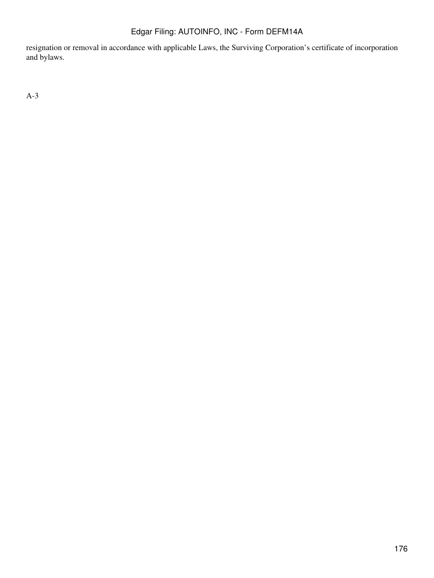resignation or removal in accordance with applicable Laws, the Surviving Corporation's certificate of incorporation and bylaws.

A-3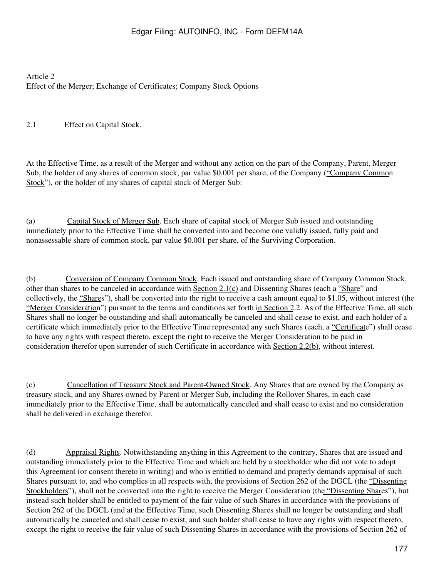Article 2 Effect of the Merger; Exchange of Certificates; Company Stock Options

2.1 Effect on Capital Stock.

At the Effective Time, as a result of the Merger and without any action on the part of the Company, Parent, Merger Sub, the holder of any shares of common stock, par value \$0.001 per share, of the Company ("Company Common Stock"), or the holder of any shares of capital stock of Merger Sub:

(a) Capital Stock of Merger Sub. Each share of capital stock of Merger Sub issued and outstanding immediately prior to the Effective Time shall be converted into and become one validly issued, fully paid and nonassessable share of common stock, par value \$0.001 per share, of the Surviving Corporation.

(b) Conversion of Company Common Stock. Each issued and outstanding share of Company Common Stock, other than shares to be canceled in accordance with Section 2.1(c) and Dissenting Shares (each a "Share" and collectively, the "Shares"), shall be converted into the right to receive a cash amount equal to \$1.05, without interest (the "Merger Consideration") pursuant to the terms and conditions set forth in Section 2.2. As of the Effective Time, all such Shares shall no longer be outstanding and shall automatically be canceled and shall cease to exist, and each holder of a certificate which immediately prior to the Effective Time represented any such Shares (each, a "Certificate") shall cease to have any rights with respect thereto, except the right to receive the Merger Consideration to be paid in consideration therefor upon surrender of such Certificate in accordance with Section 2.2(b), without interest.

(c) Cancellation of Treasury Stock and Parent-Owned Stock. Any Shares that are owned by the Company as treasury stock, and any Shares owned by Parent or Merger Sub, including the Rollover Shares, in each case immediately prior to the Effective Time, shall be automatically canceled and shall cease to exist and no consideration shall be delivered in exchange therefor.

(d) Appraisal Rights. Notwithstanding anything in this Agreement to the contrary, Shares that are issued and outstanding immediately prior to the Effective Time and which are held by a stockholder who did not vote to adopt this Agreement (or consent thereto in writing) and who is entitled to demand and properly demands appraisal of such Shares pursuant to, and who complies in all respects with, the provisions of Section 262 of the DGCL (the "Dissenting Stockholders"), shall not be converted into the right to receive the Merger Consideration (the "Dissenting Shares"), but instead such holder shall be entitled to payment of the fair value of such Shares in accordance with the provisions of Section 262 of the DGCL (and at the Effective Time, such Dissenting Shares shall no longer be outstanding and shall automatically be canceled and shall cease to exist, and such holder shall cease to have any rights with respect thereto, except the right to receive the fair value of such Dissenting Shares in accordance with the provisions of Section 262 of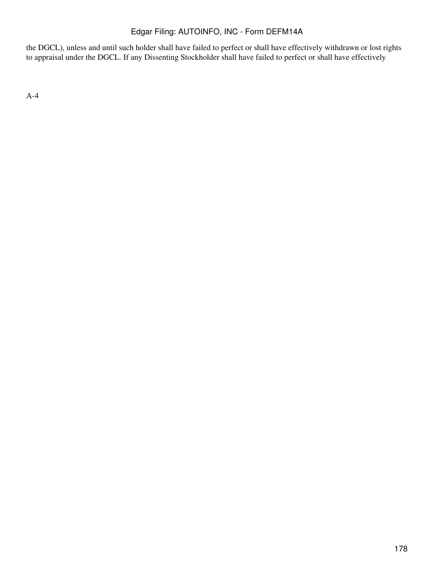the DGCL), unless and until such holder shall have failed to perfect or shall have effectively withdrawn or lost rights to appraisal under the DGCL. If any Dissenting Stockholder shall have failed to perfect or shall have effectively

A-4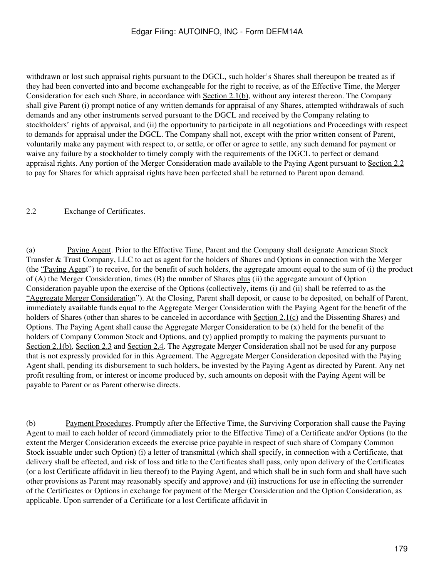withdrawn or lost such appraisal rights pursuant to the DGCL, such holder's Shares shall thereupon be treated as if they had been converted into and become exchangeable for the right to receive, as of the Effective Time, the Merger Consideration for each such Share, in accordance with Section 2.1(b), without any interest thereon. The Company shall give Parent (i) prompt notice of any written demands for appraisal of any Shares, attempted withdrawals of such demands and any other instruments served pursuant to the DGCL and received by the Company relating to stockholders' rights of appraisal, and (ii) the opportunity to participate in all negotiations and Proceedings with respect to demands for appraisal under the DGCL. The Company shall not, except with the prior written consent of Parent, voluntarily make any payment with respect to, or settle, or offer or agree to settle, any such demand for payment or waive any failure by a stockholder to timely comply with the requirements of the DGCL to perfect or demand appraisal rights. Any portion of the Merger Consideration made available to the Paying Agent pursuant to Section 2.2 to pay for Shares for which appraisal rights have been perfected shall be returned to Parent upon demand.

# 2.2 Exchange of Certificates.

(a) Paying Agent. Prior to the Effective Time, Parent and the Company shall designate American Stock Transfer & Trust Company, LLC to act as agent for the holders of Shares and Options in connection with the Merger (the "Paying Agent") to receive, for the benefit of such holders, the aggregate amount equal to the sum of (i) the product of (A) the Merger Consideration, times (B) the number of Shares plus (ii) the aggregate amount of Option Consideration payable upon the exercise of the Options (collectively, items (i) and (ii) shall be referred to as the "Aggregate Merger Consideration"). At the Closing, Parent shall deposit, or cause to be deposited, on behalf of Parent, immediately available funds equal to the Aggregate Merger Consideration with the Paying Agent for the benefit of the holders of Shares (other than shares to be canceled in accordance with Section 2.1(c) and the Dissenting Shares) and Options. The Paying Agent shall cause the Aggregate Merger Consideration to be (x) held for the benefit of the holders of Company Common Stock and Options, and (y) applied promptly to making the payments pursuant to Section 2.1(b), Section 2.3 and Section 2.4. The Aggregate Merger Consideration shall not be used for any purpose that is not expressly provided for in this Agreement. The Aggregate Merger Consideration deposited with the Paying Agent shall, pending its disbursement to such holders, be invested by the Paying Agent as directed by Parent. Any net profit resulting from, or interest or income produced by, such amounts on deposit with the Paying Agent will be payable to Parent or as Parent otherwise directs.

(b) Payment Procedures. Promptly after the Effective Time, the Surviving Corporation shall cause the Paying Agent to mail to each holder of record (immediately prior to the Effective Time) of a Certificate and/or Options (to the extent the Merger Consideration exceeds the exercise price payable in respect of such share of Company Common Stock issuable under such Option) (i) a letter of transmittal (which shall specify, in connection with a Certificate, that delivery shall be effected, and risk of loss and title to the Certificates shall pass, only upon delivery of the Certificates (or a lost Certificate affidavit in lieu thereof) to the Paying Agent, and which shall be in such form and shall have such other provisions as Parent may reasonably specify and approve) and (ii) instructions for use in effecting the surrender of the Certificates or Options in exchange for payment of the Merger Consideration and the Option Consideration, as applicable. Upon surrender of a Certificate (or a lost Certificate affidavit in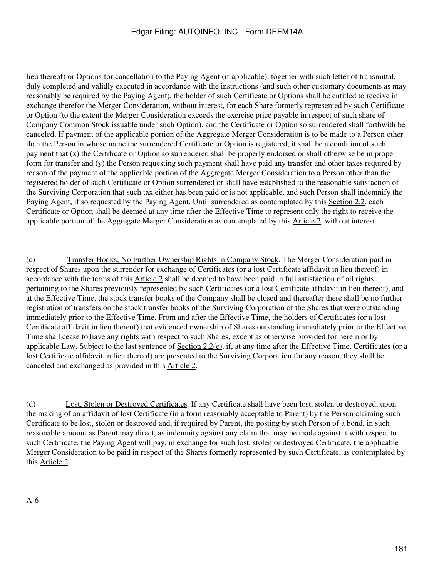lieu thereof) or Options for cancellation to the Paying Agent (if applicable), together with such letter of transmittal, duly completed and validly executed in accordance with the instructions (and such other customary documents as may reasonably be required by the Paying Agent), the holder of such Certificate or Options shall be entitled to receive in exchange therefor the Merger Consideration, without interest, for each Share formerly represented by such Certificate or Option (to the extent the Merger Consideration exceeds the exercise price payable in respect of such share of Company Common Stock issuable under such Option), and the Certificate or Option so surrendered shall forthwith be canceled. If payment of the applicable portion of the Aggregate Merger Consideration is to be made to a Person other than the Person in whose name the surrendered Certificate or Option is registered, it shall be a condition of such payment that (x) the Certificate or Option so surrendered shall be properly endorsed or shall otherwise be in proper form for transfer and (y) the Person requesting such payment shall have paid any transfer and other taxes required by reason of the payment of the applicable portion of the Aggregate Merger Consideration to a Person other than the registered holder of such Certificate or Option surrendered or shall have established to the reasonable satisfaction of the Surviving Corporation that such tax either has been paid or is not applicable, and such Person shall indemnify the Paying Agent, if so requested by the Paying Agent. Until surrendered as contemplated by this Section 2.2, each Certificate or Option shall be deemed at any time after the Effective Time to represent only the right to receive the applicable portion of the Aggregate Merger Consideration as contemplated by this Article 2, without interest.

(c) Transfer Books; No Further Ownership Rights in Company Stock. The Merger Consideration paid in respect of Shares upon the surrender for exchange of Certificates (or a lost Certificate affidavit in lieu thereof) in accordance with the terms of this Article 2 shall be deemed to have been paid in full satisfaction of all rights pertaining to the Shares previously represented by such Certificates (or a lost Certificate affidavit in lieu thereof), and at the Effective Time, the stock transfer books of the Company shall be closed and thereafter there shall be no further registration of transfers on the stock transfer books of the Surviving Corporation of the Shares that were outstanding immediately prior to the Effective Time. From and after the Effective Time, the holders of Certificates (or a lost Certificate affidavit in lieu thereof) that evidenced ownership of Shares outstanding immediately prior to the Effective Time shall cease to have any rights with respect to such Shares, except as otherwise provided for herein or by applicable Law. Subject to the last sentence of Section 2.2(e), if, at any time after the Effective Time, Certificates (or a lost Certificate affidavit in lieu thereof) are presented to the Surviving Corporation for any reason, they shall be canceled and exchanged as provided in this Article 2.

(d) Lost, Stolen or Destroyed Certificates. If any Certificate shall have been lost, stolen or destroyed, upon the making of an affidavit of lost Certificate (in a form reasonably acceptable to Parent) by the Person claiming such Certificate to be lost, stolen or destroyed and, if required by Parent, the posting by such Person of a bond, in such reasonable amount as Parent may direct, as indemnity against any claim that may be made against it with respect to such Certificate, the Paying Agent will pay, in exchange for such lost, stolen or destroyed Certificate, the applicable Merger Consideration to be paid in respect of the Shares formerly represented by such Certificate, as contemplated by this Article 2.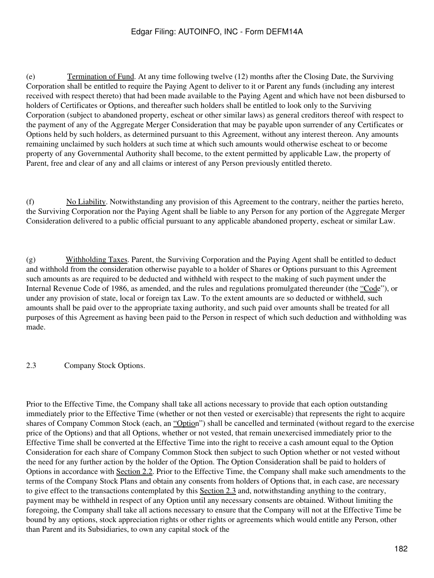(e) Termination of Fund. At any time following twelve (12) months after the Closing Date, the Surviving Corporation shall be entitled to require the Paying Agent to deliver to it or Parent any funds (including any interest received with respect thereto) that had been made available to the Paying Agent and which have not been disbursed to holders of Certificates or Options, and thereafter such holders shall be entitled to look only to the Surviving Corporation (subject to abandoned property, escheat or other similar laws) as general creditors thereof with respect to the payment of any of the Aggregate Merger Consideration that may be payable upon surrender of any Certificates or Options held by such holders, as determined pursuant to this Agreement, without any interest thereon. Any amounts remaining unclaimed by such holders at such time at which such amounts would otherwise escheat to or become property of any Governmental Authority shall become, to the extent permitted by applicable Law, the property of Parent, free and clear of any and all claims or interest of any Person previously entitled thereto.

(f) No Liability. Notwithstanding any provision of this Agreement to the contrary, neither the parties hereto, the Surviving Corporation nor the Paying Agent shall be liable to any Person for any portion of the Aggregate Merger Consideration delivered to a public official pursuant to any applicable abandoned property, escheat or similar Law.

(g) Withholding Taxes. Parent, the Surviving Corporation and the Paying Agent shall be entitled to deduct and withhold from the consideration otherwise payable to a holder of Shares or Options pursuant to this Agreement such amounts as are required to be deducted and withheld with respect to the making of such payment under the Internal Revenue Code of 1986, as amended, and the rules and regulations promulgated thereunder (the "Code"), or under any provision of state, local or foreign tax Law. To the extent amounts are so deducted or withheld, such amounts shall be paid over to the appropriate taxing authority, and such paid over amounts shall be treated for all purposes of this Agreement as having been paid to the Person in respect of which such deduction and withholding was made.

#### 2.3 Company Stock Options.

Prior to the Effective Time, the Company shall take all actions necessary to provide that each option outstanding immediately prior to the Effective Time (whether or not then vested or exercisable) that represents the right to acquire shares of Company Common Stock (each, an "Option") shall be cancelled and terminated (without regard to the exercise price of the Options) and that all Options, whether or not vested, that remain unexercised immediately prior to the Effective Time shall be converted at the Effective Time into the right to receive a cash amount equal to the Option Consideration for each share of Company Common Stock then subject to such Option whether or not vested without the need for any further action by the holder of the Option. The Option Consideration shall be paid to holders of Options in accordance with Section 2.2. Prior to the Effective Time, the Company shall make such amendments to the terms of the Company Stock Plans and obtain any consents from holders of Options that, in each case, are necessary to give effect to the transactions contemplated by this Section 2.3 and, notwithstanding anything to the contrary, payment may be withheld in respect of any Option until any necessary consents are obtained. Without limiting the foregoing, the Company shall take all actions necessary to ensure that the Company will not at the Effective Time be bound by any options, stock appreciation rights or other rights or agreements which would entitle any Person, other than Parent and its Subsidiaries, to own any capital stock of the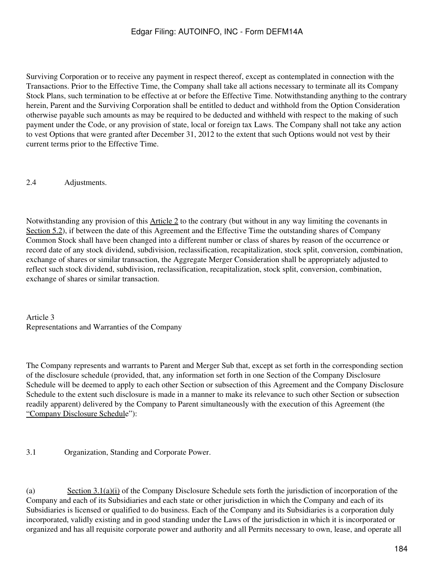Surviving Corporation or to receive any payment in respect thereof, except as contemplated in connection with the Transactions. Prior to the Effective Time, the Company shall take all actions necessary to terminate all its Company Stock Plans, such termination to be effective at or before the Effective Time. Notwithstanding anything to the contrary herein, Parent and the Surviving Corporation shall be entitled to deduct and withhold from the Option Consideration otherwise payable such amounts as may be required to be deducted and withheld with respect to the making of such payment under the Code, or any provision of state, local or foreign tax Laws. The Company shall not take any action to vest Options that were granted after December 31, 2012 to the extent that such Options would not vest by their current terms prior to the Effective Time.

2.4 Adjustments.

Notwithstanding any provision of this Article 2 to the contrary (but without in any way limiting the covenants in Section 5.2), if between the date of this Agreement and the Effective Time the outstanding shares of Company Common Stock shall have been changed into a different number or class of shares by reason of the occurrence or record date of any stock dividend, subdivision, reclassification, recapitalization, stock split, conversion, combination, exchange of shares or similar transaction, the Aggregate Merger Consideration shall be appropriately adjusted to reflect such stock dividend, subdivision, reclassification, recapitalization, stock split, conversion, combination, exchange of shares or similar transaction.

Article 3 Representations and Warranties of the Company

The Company represents and warrants to Parent and Merger Sub that, except as set forth in the corresponding section of the disclosure schedule (provided, that, any information set forth in one Section of the Company Disclosure Schedule will be deemed to apply to each other Section or subsection of this Agreement and the Company Disclosure Schedule to the extent such disclosure is made in a manner to make its relevance to such other Section or subsection readily apparent) delivered by the Company to Parent simultaneously with the execution of this Agreement (the "Company Disclosure Schedule"):

3.1 Organization, Standing and Corporate Power.

(a) Section 3.1(a)(i) of the Company Disclosure Schedule sets forth the jurisdiction of incorporation of the Company and each of its Subsidiaries and each state or other jurisdiction in which the Company and each of its Subsidiaries is licensed or qualified to do business. Each of the Company and its Subsidiaries is a corporation duly incorporated, validly existing and in good standing under the Laws of the jurisdiction in which it is incorporated or organized and has all requisite corporate power and authority and all Permits necessary to own, lease, and operate all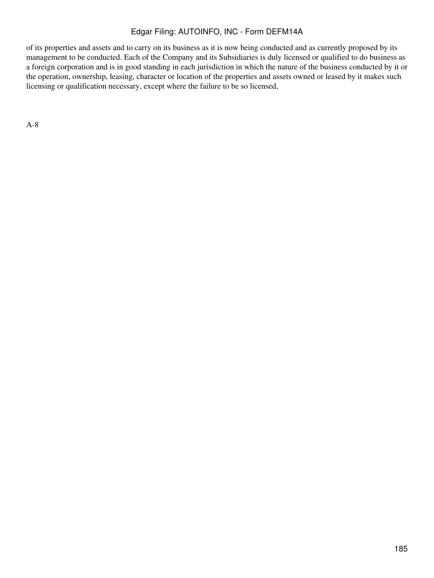of its properties and assets and to carry on its business as it is now being conducted and as currently proposed by its management to be conducted. Each of the Company and its Subsidiaries is duly licensed or qualified to do business as a foreign corporation and is in good standing in each jurisdiction in which the nature of the business conducted by it or the operation, ownership, leasing, character or location of the properties and assets owned or leased by it makes such licensing or qualification necessary, except where the failure to be so licensed,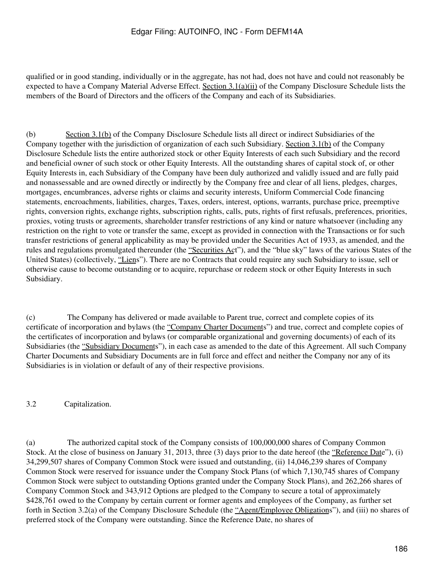qualified or in good standing, individually or in the aggregate, has not had, does not have and could not reasonably be expected to have a Company Material Adverse Effect. Section 3.1(a)(ii) of the Company Disclosure Schedule lists the members of the Board of Directors and the officers of the Company and each of its Subsidiaries.

(b) Section 3.1(b) of the Company Disclosure Schedule lists all direct or indirect Subsidiaries of the Company together with the jurisdiction of organization of each such Subsidiary. Section 3.1(b) of the Company Disclosure Schedule lists the entire authorized stock or other Equity Interests of each such Subsidiary and the record and beneficial owner of such stock or other Equity Interests. All the outstanding shares of capital stock of, or other Equity Interests in, each Subsidiary of the Company have been duly authorized and validly issued and are fully paid and nonassessable and are owned directly or indirectly by the Company free and clear of all liens, pledges, charges, mortgages, encumbrances, adverse rights or claims and security interests, Uniform Commercial Code financing statements, encroachments, liabilities, charges, Taxes, orders, interest, options, warrants, purchase price, preemptive rights, conversion rights, exchange rights, subscription rights, calls, puts, rights of first refusals, preferences, priorities, proxies, voting trusts or agreements, shareholder transfer restrictions of any kind or nature whatsoever (including any restriction on the right to vote or transfer the same, except as provided in connection with the Transactions or for such transfer restrictions of general applicability as may be provided under the Securities Act of 1933, as amended, and the rules and regulations promulgated thereunder (the "Securities Act"), and the "blue sky" laws of the various States of the United States) (collectively, "Liens"). There are no Contracts that could require any such Subsidiary to issue, sell or otherwise cause to become outstanding or to acquire, repurchase or redeem stock or other Equity Interests in such Subsidiary.

(c) The Company has delivered or made available to Parent true, correct and complete copies of its certificate of incorporation and bylaws (the "Company Charter Documents") and true, correct and complete copies of the certificates of incorporation and bylaws (or comparable organizational and governing documents) of each of its Subsidiaries (the "Subsidiary Documents"), in each case as amended to the date of this Agreement. All such Company Charter Documents and Subsidiary Documents are in full force and effect and neither the Company nor any of its Subsidiaries is in violation or default of any of their respective provisions.

3.2 Capitalization.

(a) The authorized capital stock of the Company consists of 100,000,000 shares of Company Common Stock. At the close of business on January 31, 2013, three (3) days prior to the date hereof (the "Reference Date"), (i) 34,299,507 shares of Company Common Stock were issued and outstanding, (ii) 14,046,239 shares of Company Common Stock were reserved for issuance under the Company Stock Plans (of which 7,130,745 shares of Company Common Stock were subject to outstanding Options granted under the Company Stock Plans), and 262,266 shares of Company Common Stock and 343,912 Options are pledged to the Company to secure a total of approximately \$428,761 owed to the Company by certain current or former agents and employees of the Company, as further set forth in Section 3.2(a) of the Company Disclosure Schedule (the "Agent/Employee Obligations"), and (iii) no shares of preferred stock of the Company were outstanding. Since the Reference Date, no shares of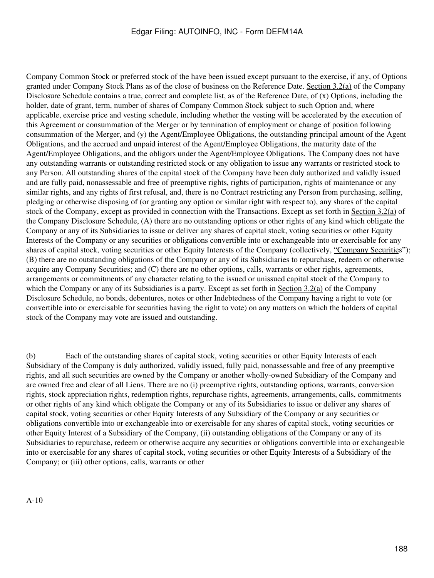Company Common Stock or preferred stock of the have been issued except pursuant to the exercise, if any, of Options granted under Company Stock Plans as of the close of business on the Reference Date. Section 3.2(a) of the Company Disclosure Schedule contains a true, correct and complete list, as of the Reference Date, of (x) Options, including the holder, date of grant, term, number of shares of Company Common Stock subject to such Option and, where applicable, exercise price and vesting schedule, including whether the vesting will be accelerated by the execution of this Agreement or consummation of the Merger or by termination of employment or change of position following consummation of the Merger, and (y) the Agent/Employee Obligations, the outstanding principal amount of the Agent Obligations, and the accrued and unpaid interest of the Agent/Employee Obligations, the maturity date of the Agent/Employee Obligations, and the obligors under the Agent/Employee Obligations. The Company does not have any outstanding warrants or outstanding restricted stock or any obligation to issue any warrants or restricted stock to any Person. All outstanding shares of the capital stock of the Company have been duly authorized and validly issued and are fully paid, nonassessable and free of preemptive rights, rights of participation, rights of maintenance or any similar rights, and any rights of first refusal, and, there is no Contract restricting any Person from purchasing, selling, pledging or otherwise disposing of (or granting any option or similar right with respect to), any shares of the capital stock of the Company, except as provided in connection with the Transactions. Except as set forth in Section 3.2(a) of the Company Disclosure Schedule, (A) there are no outstanding options or other rights of any kind which obligate the Company or any of its Subsidiaries to issue or deliver any shares of capital stock, voting securities or other Equity Interests of the Company or any securities or obligations convertible into or exchangeable into or exercisable for any shares of capital stock, voting securities or other Equity Interests of the Company (collectively, "Company Securities"); (B) there are no outstanding obligations of the Company or any of its Subsidiaries to repurchase, redeem or otherwise acquire any Company Securities; and (C) there are no other options, calls, warrants or other rights, agreements, arrangements or commitments of any character relating to the issued or unissued capital stock of the Company to which the Company or any of its Subsidiaries is a party. Except as set forth in Section 3.2(a) of the Company Disclosure Schedule, no bonds, debentures, notes or other Indebtedness of the Company having a right to vote (or convertible into or exercisable for securities having the right to vote) on any matters on which the holders of capital stock of the Company may vote are issued and outstanding.

(b) Each of the outstanding shares of capital stock, voting securities or other Equity Interests of each Subsidiary of the Company is duly authorized, validly issued, fully paid, nonassessable and free of any preemptive rights, and all such securities are owned by the Company or another wholly-owned Subsidiary of the Company and are owned free and clear of all Liens. There are no (i) preemptive rights, outstanding options, warrants, conversion rights, stock appreciation rights, redemption rights, repurchase rights, agreements, arrangements, calls, commitments or other rights of any kind which obligate the Company or any of its Subsidiaries to issue or deliver any shares of capital stock, voting securities or other Equity Interests of any Subsidiary of the Company or any securities or obligations convertible into or exchangeable into or exercisable for any shares of capital stock, voting securities or other Equity Interest of a Subsidiary of the Company, (ii) outstanding obligations of the Company or any of its Subsidiaries to repurchase, redeem or otherwise acquire any securities or obligations convertible into or exchangeable into or exercisable for any shares of capital stock, voting securities or other Equity Interests of a Subsidiary of the Company; or (iii) other options, calls, warrants or other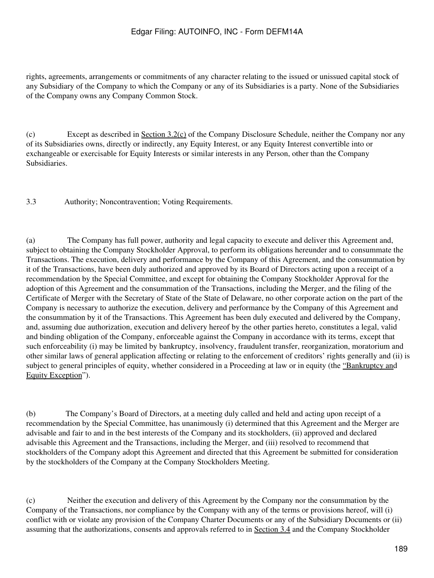rights, agreements, arrangements or commitments of any character relating to the issued or unissued capital stock of any Subsidiary of the Company to which the Company or any of its Subsidiaries is a party. None of the Subsidiaries of the Company owns any Company Common Stock.

(c) Except as described in Section 3.2(c) of the Company Disclosure Schedule, neither the Company nor any of its Subsidiaries owns, directly or indirectly, any Equity Interest, or any Equity Interest convertible into or exchangeable or exercisable for Equity Interests or similar interests in any Person, other than the Company Subsidiaries.

3.3 Authority; Noncontravention; Voting Requirements.

(a) The Company has full power, authority and legal capacity to execute and deliver this Agreement and, subject to obtaining the Company Stockholder Approval, to perform its obligations hereunder and to consummate the Transactions. The execution, delivery and performance by the Company of this Agreement, and the consummation by it of the Transactions, have been duly authorized and approved by its Board of Directors acting upon a receipt of a recommendation by the Special Committee, and except for obtaining the Company Stockholder Approval for the adoption of this Agreement and the consummation of the Transactions, including the Merger, and the filing of the Certificate of Merger with the Secretary of State of the State of Delaware, no other corporate action on the part of the Company is necessary to authorize the execution, delivery and performance by the Company of this Agreement and the consummation by it of the Transactions. This Agreement has been duly executed and delivered by the Company, and, assuming due authorization, execution and delivery hereof by the other parties hereto, constitutes a legal, valid and binding obligation of the Company, enforceable against the Company in accordance with its terms, except that such enforceability (i) may be limited by bankruptcy, insolvency, fraudulent transfer, reorganization, moratorium and other similar laws of general application affecting or relating to the enforcement of creditors' rights generally and (ii) is subject to general principles of equity, whether considered in a Proceeding at law or in equity (the "Bankruptcy and Equity Exception").

(b) The Company's Board of Directors, at a meeting duly called and held and acting upon receipt of a recommendation by the Special Committee, has unanimously (i) determined that this Agreement and the Merger are advisable and fair to and in the best interests of the Company and its stockholders, (ii) approved and declared advisable this Agreement and the Transactions, including the Merger, and (iii) resolved to recommend that stockholders of the Company adopt this Agreement and directed that this Agreement be submitted for consideration by the stockholders of the Company at the Company Stockholders Meeting.

(c) Neither the execution and delivery of this Agreement by the Company nor the consummation by the Company of the Transactions, nor compliance by the Company with any of the terms or provisions hereof, will (i) conflict with or violate any provision of the Company Charter Documents or any of the Subsidiary Documents or (ii) assuming that the authorizations, consents and approvals referred to in Section 3.4 and the Company Stockholder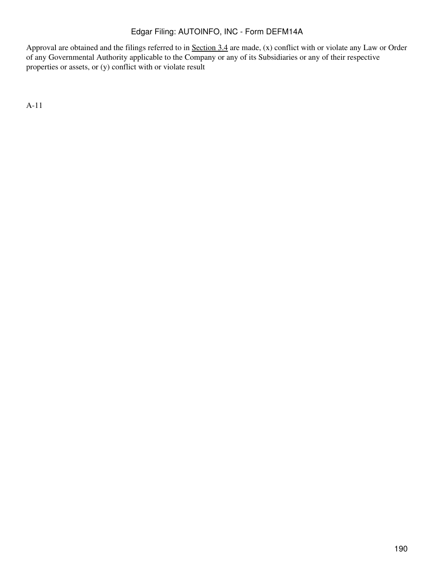Approval are obtained and the filings referred to in Section 3.4 are made, (x) conflict with or violate any Law or Order of any Governmental Authority applicable to the Company or any of its Subsidiaries or any of their respective properties or assets, or (y) conflict with or violate result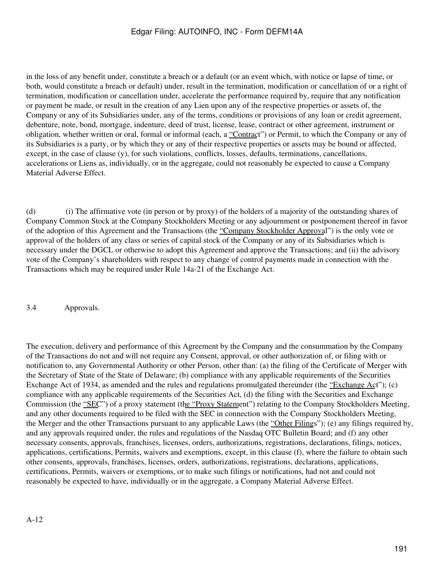in the loss of any benefit under, constitute a breach or a default (or an event which, with notice or lapse of time, or both, would constitute a breach or default) under, result in the termination, modification or cancellation of or a right of termination, modification or cancellation under, accelerate the performance required by, require that any notification or payment be made, or result in the creation of any Lien upon any of the respective properties or assets of, the Company or any of its Subsidiaries under, any of the terms, conditions or provisions of any loan or credit agreement, debenture, note, bond, mortgage, indenture, deed of trust, license, lease, contract or other agreement, instrument or obligation, whether written or oral, formal or informal (each, a "Contract") or Permit, to which the Company or any of its Subsidiaries is a party, or by which they or any of their respective properties or assets may be bound or affected, except, in the case of clause  $(y)$ , for such violations, conflicts, losses, defaults, terminations, cancellations, accelerations or Liens as, individually, or in the aggregate, could not reasonably be expected to cause a Company Material Adverse Effect.

(d) (i) The affirmative vote (in person or by proxy) of the holders of a majority of the outstanding shares of Company Common Stock at the Company Stockholders Meeting or any adjournment or postponement thereof in favor of the adoption of this Agreement and the Transactions (the "Company Stockholder Approval") is the only vote or approval of the holders of any class or series of capital stock of the Company or any of its Subsidiaries which is necessary under the DGCL or otherwise to adopt this Agreement and approve the Transactions; and (ii) the advisory vote of the Company's shareholders with respect to any change of control payments made in connection with the Transactions which may be required under Rule 14a-21 of the Exchange Act.

3.4 Approvals.

The execution, delivery and performance of this Agreement by the Company and the consummation by the Company of the Transactions do not and will not require any Consent, approval, or other authorization of, or filing with or notification to, any Governmental Authority or other Person, other than: (a) the filing of the Certificate of Merger with the Secretary of State of the State of Delaware; (b) compliance with any applicable requirements of the Securities Exchange Act of 1934, as amended and the rules and regulations promulgated thereunder (the "Exchange Act"); (c) compliance with any applicable requirements of the Securities Act, (d) the filing with the Securities and Exchange Commission (the "SEC") of a proxy statement (the "Proxy Statement") relating to the Company Stockholders Meeting, and any other documents required to be filed with the SEC in connection with the Company Stockholders Meeting, the Merger and the other Transactions pursuant to any applicable Laws (the "Other Filings"); (e) any filings required by, and any approvals required under, the rules and regulations of the Nasdaq OTC Bulletin Board; and (f) any other necessary consents, approvals, franchises, licenses, orders, authorizations, registrations, declarations, filings, notices, applications, certifications, Permits, waivers and exemptions, except, in this clause (f), where the failure to obtain such other consents, approvals, franchises, licenses, orders, authorizations, registrations, declarations, applications, certifications, Permits, waivers or exemptions, or to make such filings or notifications, had not and could not reasonably be expected to have, individually or in the aggregate, a Company Material Adverse Effect.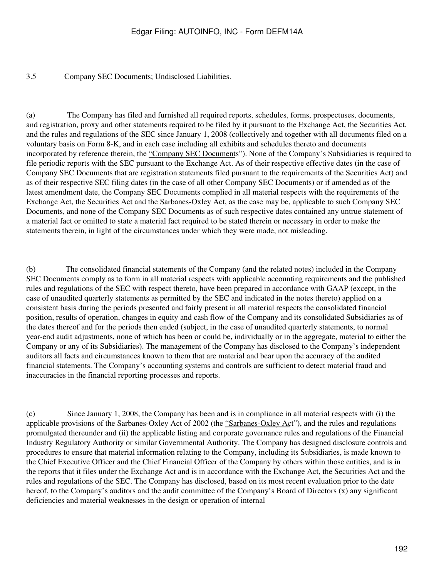#### 3.5 Company SEC Documents; Undisclosed Liabilities.

(a) The Company has filed and furnished all required reports, schedules, forms, prospectuses, documents, and registration, proxy and other statements required to be filed by it pursuant to the Exchange Act, the Securities Act, and the rules and regulations of the SEC since January 1, 2008 (collectively and together with all documents filed on a voluntary basis on Form 8-K, and in each case including all exhibits and schedules thereto and documents incorporated by reference therein, the "Company SEC Documents"). None of the Company's Subsidiaries is required to file periodic reports with the SEC pursuant to the Exchange Act. As of their respective effective dates (in the case of Company SEC Documents that are registration statements filed pursuant to the requirements of the Securities Act) and as of their respective SEC filing dates (in the case of all other Company SEC Documents) or if amended as of the latest amendment date, the Company SEC Documents complied in all material respects with the requirements of the Exchange Act, the Securities Act and the Sarbanes-Oxley Act, as the case may be, applicable to such Company SEC Documents, and none of the Company SEC Documents as of such respective dates contained any untrue statement of a material fact or omitted to state a material fact required to be stated therein or necessary in order to make the statements therein, in light of the circumstances under which they were made, not misleading.

(b) The consolidated financial statements of the Company (and the related notes) included in the Company SEC Documents comply as to form in all material respects with applicable accounting requirements and the published rules and regulations of the SEC with respect thereto, have been prepared in accordance with GAAP (except, in the case of unaudited quarterly statements as permitted by the SEC and indicated in the notes thereto) applied on a consistent basis during the periods presented and fairly present in all material respects the consolidated financial position, results of operation, changes in equity and cash flow of the Company and its consolidated Subsidiaries as of the dates thereof and for the periods then ended (subject, in the case of unaudited quarterly statements, to normal year-end audit adjustments, none of which has been or could be, individually or in the aggregate, material to either the Company or any of its Subsidiaries). The management of the Company has disclosed to the Company's independent auditors all facts and circumstances known to them that are material and bear upon the accuracy of the audited financial statements. The Company's accounting systems and controls are sufficient to detect material fraud and inaccuracies in the financial reporting processes and reports.

(c) Since January 1, 2008, the Company has been and is in compliance in all material respects with (i) the applicable provisions of the Sarbanes-Oxley Act of 2002 (the "Sarbanes-Oxley Act"), and the rules and regulations promulgated thereunder and (ii) the applicable listing and corporate governance rules and regulations of the Financial Industry Regulatory Authority or similar Governmental Authority. The Company has designed disclosure controls and procedures to ensure that material information relating to the Company, including its Subsidiaries, is made known to the Chief Executive Officer and the Chief Financial Officer of the Company by others within those entities, and is in the reports that it files under the Exchange Act and is in accordance with the Exchange Act, the Securities Act and the rules and regulations of the SEC. The Company has disclosed, based on its most recent evaluation prior to the date hereof, to the Company's auditors and the audit committee of the Company's Board of Directors (x) any significant deficiencies and material weaknesses in the design or operation of internal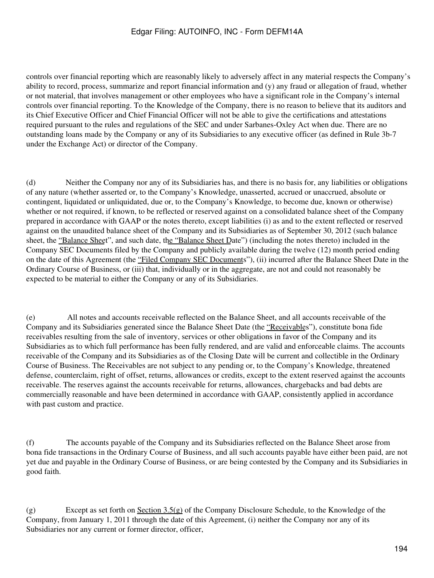controls over financial reporting which are reasonably likely to adversely affect in any material respects the Company's ability to record, process, summarize and report financial information and (y) any fraud or allegation of fraud, whether or not material, that involves management or other employees who have a significant role in the Company's internal controls over financial reporting. To the Knowledge of the Company, there is no reason to believe that its auditors and its Chief Executive Officer and Chief Financial Officer will not be able to give the certifications and attestations required pursuant to the rules and regulations of the SEC and under Sarbanes-Oxley Act when due. There are no outstanding loans made by the Company or any of its Subsidiaries to any executive officer (as defined in Rule 3b-7 under the Exchange Act) or director of the Company.

(d) Neither the Company nor any of its Subsidiaries has, and there is no basis for, any liabilities or obligations of any nature (whether asserted or, to the Company's Knowledge, unasserted, accrued or unaccrued, absolute or contingent, liquidated or unliquidated, due or, to the Company's Knowledge, to become due, known or otherwise) whether or not required, if known, to be reflected or reserved against on a consolidated balance sheet of the Company prepared in accordance with GAAP or the notes thereto, except liabilities (i) as and to the extent reflected or reserved against on the unaudited balance sheet of the Company and its Subsidiaries as of September 30, 2012 (such balance sheet, the "Balance Sheet", and such date, the "Balance Sheet Date") (including the notes thereto) included in the Company SEC Documents filed by the Company and publicly available during the twelve (12) month period ending on the date of this Agreement (the "Filed Company SEC Documents"), (ii) incurred after the Balance Sheet Date in the Ordinary Course of Business, or (iii) that, individually or in the aggregate, are not and could not reasonably be expected to be material to either the Company or any of its Subsidiaries.

(e) All notes and accounts receivable reflected on the Balance Sheet, and all accounts receivable of the Company and its Subsidiaries generated since the Balance Sheet Date (the "Receivables"), constitute bona fide receivables resulting from the sale of inventory, services or other obligations in favor of the Company and its Subsidiaries as to which full performance has been fully rendered, and are valid and enforceable claims. The accounts receivable of the Company and its Subsidiaries as of the Closing Date will be current and collectible in the Ordinary Course of Business. The Receivables are not subject to any pending or, to the Company's Knowledge, threatened defense, counterclaim, right of offset, returns, allowances or credits, except to the extent reserved against the accounts receivable. The reserves against the accounts receivable for returns, allowances, chargebacks and bad debts are commercially reasonable and have been determined in accordance with GAAP, consistently applied in accordance with past custom and practice.

(f) The accounts payable of the Company and its Subsidiaries reflected on the Balance Sheet arose from bona fide transactions in the Ordinary Course of Business, and all such accounts payable have either been paid, are not yet due and payable in the Ordinary Course of Business, or are being contested by the Company and its Subsidiaries in good faith.

(g) Except as set forth on Section 3.5(g) of the Company Disclosure Schedule, to the Knowledge of the Company, from January 1, 2011 through the date of this Agreement, (i) neither the Company nor any of its Subsidiaries nor any current or former director, officer,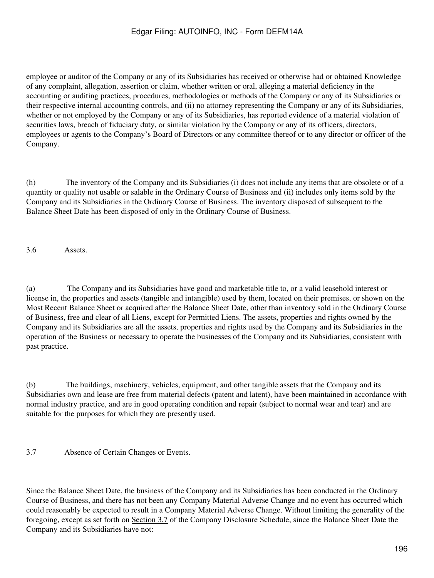employee or auditor of the Company or any of its Subsidiaries has received or otherwise had or obtained Knowledge of any complaint, allegation, assertion or claim, whether written or oral, alleging a material deficiency in the accounting or auditing practices, procedures, methodologies or methods of the Company or any of its Subsidiaries or their respective internal accounting controls, and (ii) no attorney representing the Company or any of its Subsidiaries, whether or not employed by the Company or any of its Subsidiaries, has reported evidence of a material violation of securities laws, breach of fiduciary duty, or similar violation by the Company or any of its officers, directors, employees or agents to the Company's Board of Directors or any committee thereof or to any director or officer of the Company.

(h) The inventory of the Company and its Subsidiaries (i) does not include any items that are obsolete or of a quantity or quality not usable or salable in the Ordinary Course of Business and (ii) includes only items sold by the Company and its Subsidiaries in the Ordinary Course of Business. The inventory disposed of subsequent to the Balance Sheet Date has been disposed of only in the Ordinary Course of Business.

3.6 Assets.

(a) The Company and its Subsidiaries have good and marketable title to, or a valid leasehold interest or license in, the properties and assets (tangible and intangible) used by them, located on their premises, or shown on the Most Recent Balance Sheet or acquired after the Balance Sheet Date, other than inventory sold in the Ordinary Course of Business, free and clear of all Liens, except for Permitted Liens. The assets, properties and rights owned by the Company and its Subsidiaries are all the assets, properties and rights used by the Company and its Subsidiaries in the operation of the Business or necessary to operate the businesses of the Company and its Subsidiaries, consistent with past practice.

(b) The buildings, machinery, vehicles, equipment, and other tangible assets that the Company and its Subsidiaries own and lease are free from material defects (patent and latent), have been maintained in accordance with normal industry practice, and are in good operating condition and repair (subject to normal wear and tear) and are suitable for the purposes for which they are presently used.

3.7 Absence of Certain Changes or Events.

Since the Balance Sheet Date, the business of the Company and its Subsidiaries has been conducted in the Ordinary Course of Business, and there has not been any Company Material Adverse Change and no event has occurred which could reasonably be expected to result in a Company Material Adverse Change. Without limiting the generality of the foregoing, except as set forth on Section 3.7 of the Company Disclosure Schedule, since the Balance Sheet Date the Company and its Subsidiaries have not: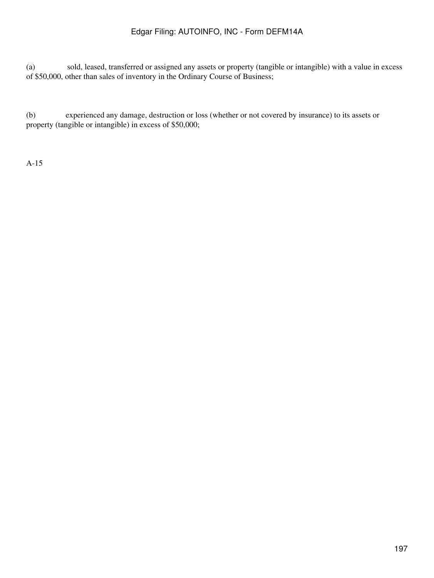(a) sold, leased, transferred or assigned any assets or property (tangible or intangible) with a value in excess of \$50,000, other than sales of inventory in the Ordinary Course of Business;

(b) experienced any damage, destruction or loss (whether or not covered by insurance) to its assets or property (tangible or intangible) in excess of \$50,000;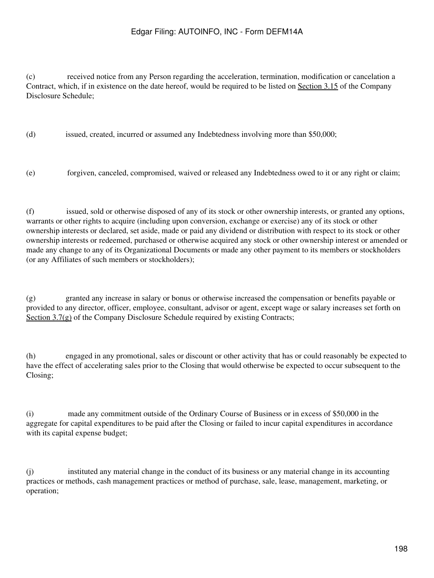(c) received notice from any Person regarding the acceleration, termination, modification or cancelation a Contract, which, if in existence on the date hereof, would be required to be listed on Section 3.15 of the Company Disclosure Schedule;

(d) issued, created, incurred or assumed any Indebtedness involving more than \$50,000;

(e) forgiven, canceled, compromised, waived or released any Indebtedness owed to it or any right or claim;

(f) issued, sold or otherwise disposed of any of its stock or other ownership interests, or granted any options, warrants or other rights to acquire (including upon conversion, exchange or exercise) any of its stock or other ownership interests or declared, set aside, made or paid any dividend or distribution with respect to its stock or other ownership interests or redeemed, purchased or otherwise acquired any stock or other ownership interest or amended or made any change to any of its Organizational Documents or made any other payment to its members or stockholders (or any Affiliates of such members or stockholders);

(g) granted any increase in salary or bonus or otherwise increased the compensation or benefits payable or provided to any director, officer, employee, consultant, advisor or agent, except wage or salary increases set forth on Section 3.7(g) of the Company Disclosure Schedule required by existing Contracts;

(h) engaged in any promotional, sales or discount or other activity that has or could reasonably be expected to have the effect of accelerating sales prior to the Closing that would otherwise be expected to occur subsequent to the Closing;

(i) made any commitment outside of the Ordinary Course of Business or in excess of \$50,000 in the aggregate for capital expenditures to be paid after the Closing or failed to incur capital expenditures in accordance with its capital expense budget;

(j) instituted any material change in the conduct of its business or any material change in its accounting practices or methods, cash management practices or method of purchase, sale, lease, management, marketing, or operation;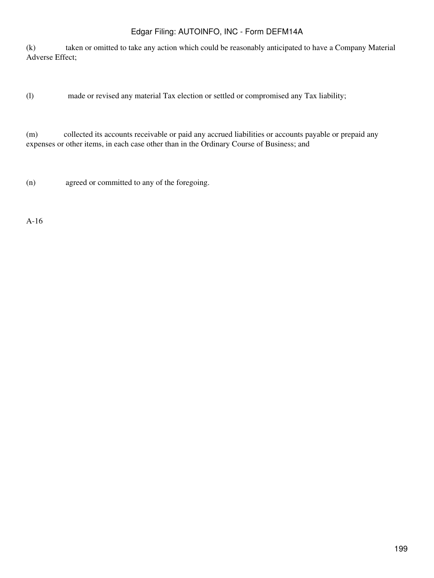(k) taken or omitted to take any action which could be reasonably anticipated to have a Company Material Adverse Effect;

(l) made or revised any material Tax election or settled or compromised any Tax liability;

(m) collected its accounts receivable or paid any accrued liabilities or accounts payable or prepaid any expenses or other items, in each case other than in the Ordinary Course of Business; and

(n) agreed or committed to any of the foregoing.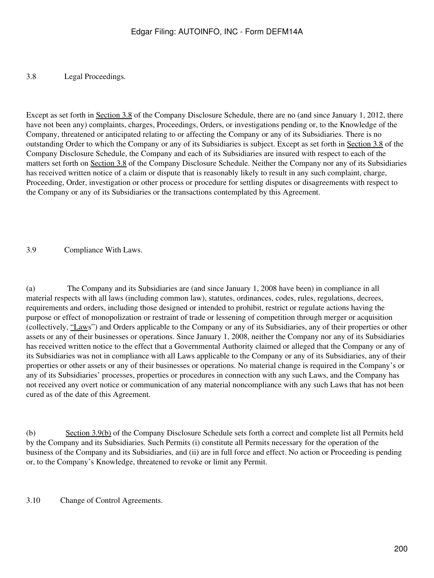#### 3.8 Legal Proceedings.

Except as set forth in <u>Section 3.8</u> of the Company Disclosure Schedule, there are no (and since January 1, 2012, there have not been any) complaints, charges, Proceedings, Orders, or investigations pending or, to the Knowledge of the Company, threatened or anticipated relating to or affecting the Company or any of its Subsidiaries. There is no outstanding Order to which the Company or any of its Subsidiaries is subject. Except as set forth in Section 3.8 of the Company Disclosure Schedule, the Company and each of its Subsidiaries are insured with respect to each of the matters set forth on Section 3.8 of the Company Disclosure Schedule. Neither the Company nor any of its Subsidiaries has received written notice of a claim or dispute that is reasonably likely to result in any such complaint, charge, Proceeding, Order, investigation or other process or procedure for settling disputes or disagreements with respect to the Company or any of its Subsidiaries or the transactions contemplated by this Agreement.

#### 3.9 Compliance With Laws.

(a) The Company and its Subsidiaries are (and since January 1, 2008 have been) in compliance in all material respects with all laws (including common law), statutes, ordinances, codes, rules, regulations, decrees, requirements and orders, including those designed or intended to prohibit, restrict or regulate actions having the purpose or effect of monopolization or restraint of trade or lessening of competition through merger or acquisition (collectively, "Laws") and Orders applicable to the Company or any of its Subsidiaries, any of their properties or other assets or any of their businesses or operations. Since January 1, 2008, neither the Company nor any of its Subsidiaries has received written notice to the effect that a Governmental Authority claimed or alleged that the Company or any of its Subsidiaries was not in compliance with all Laws applicable to the Company or any of its Subsidiaries, any of their properties or other assets or any of their businesses or operations. No material change is required in the Company's or any of its Subsidiaries' processes, properties or procedures in connection with any such Laws, and the Company has not received any overt notice or communication of any material noncompliance with any such Laws that has not been cured as of the date of this Agreement.

(b) Section 3.9(b) of the Company Disclosure Schedule sets forth a correct and complete list all Permits held by the Company and its Subsidiaries. Such Permits (i) constitute all Permits necessary for the operation of the business of the Company and its Subsidiaries, and (ii) are in full force and effect. No action or Proceeding is pending or, to the Company's Knowledge, threatened to revoke or limit any Permit.

3.10 Change of Control Agreements.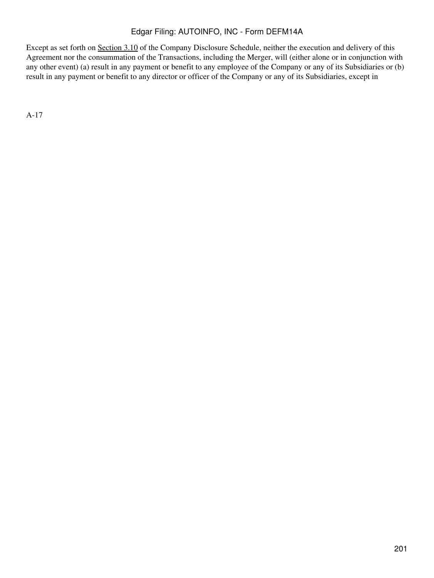Except as set forth on Section 3.10 of the Company Disclosure Schedule, neither the execution and delivery of this Agreement nor the consummation of the Transactions, including the Merger, will (either alone or in conjunction with any other event) (a) result in any payment or benefit to any employee of the Company or any of its Subsidiaries or (b) result in any payment or benefit to any director or officer of the Company or any of its Subsidiaries, except in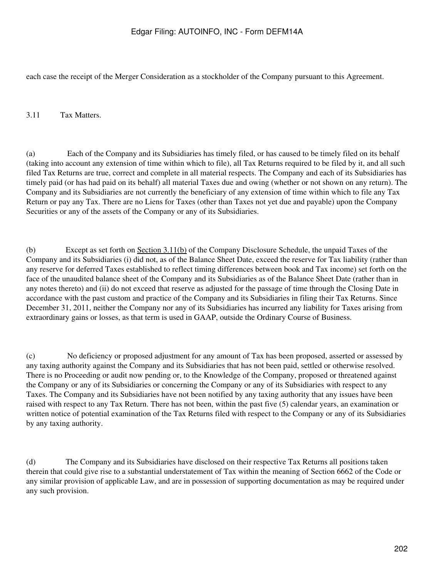each case the receipt of the Merger Consideration as a stockholder of the Company pursuant to this Agreement.

#### 3.11 Tax Matters.

(a) Each of the Company and its Subsidiaries has timely filed, or has caused to be timely filed on its behalf (taking into account any extension of time within which to file), all Tax Returns required to be filed by it, and all such filed Tax Returns are true, correct and complete in all material respects. The Company and each of its Subsidiaries has timely paid (or has had paid on its behalf) all material Taxes due and owing (whether or not shown on any return). The Company and its Subsidiaries are not currently the beneficiary of any extension of time within which to file any Tax Return or pay any Tax. There are no Liens for Taxes (other than Taxes not yet due and payable) upon the Company Securities or any of the assets of the Company or any of its Subsidiaries.

(b) Except as set forth on Section 3.11(b) of the Company Disclosure Schedule, the unpaid Taxes of the Company and its Subsidiaries (i) did not, as of the Balance Sheet Date, exceed the reserve for Tax liability (rather than any reserve for deferred Taxes established to reflect timing differences between book and Tax income) set forth on the face of the unaudited balance sheet of the Company and its Subsidiaries as of the Balance Sheet Date (rather than in any notes thereto) and (ii) do not exceed that reserve as adjusted for the passage of time through the Closing Date in accordance with the past custom and practice of the Company and its Subsidiaries in filing their Tax Returns. Since December 31, 2011, neither the Company nor any of its Subsidiaries has incurred any liability for Taxes arising from extraordinary gains or losses, as that term is used in GAAP, outside the Ordinary Course of Business.

(c) No deficiency or proposed adjustment for any amount of Tax has been proposed, asserted or assessed by any taxing authority against the Company and its Subsidiaries that has not been paid, settled or otherwise resolved. There is no Proceeding or audit now pending or, to the Knowledge of the Company, proposed or threatened against the Company or any of its Subsidiaries or concerning the Company or any of its Subsidiaries with respect to any Taxes. The Company and its Subsidiaries have not been notified by any taxing authority that any issues have been raised with respect to any Tax Return. There has not been, within the past five (5) calendar years, an examination or written notice of potential examination of the Tax Returns filed with respect to the Company or any of its Subsidiaries by any taxing authority.

(d) The Company and its Subsidiaries have disclosed on their respective Tax Returns all positions taken therein that could give rise to a substantial understatement of Tax within the meaning of Section 6662 of the Code or any similar provision of applicable Law, and are in possession of supporting documentation as may be required under any such provision.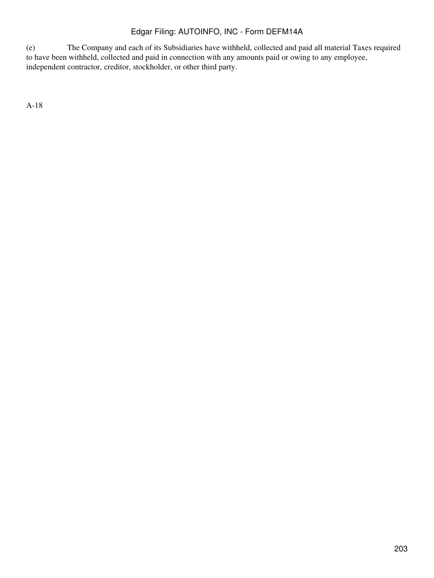(e) The Company and each of its Subsidiaries have withheld, collected and paid all material Taxes required to have been withheld, collected and paid in connection with any amounts paid or owing to any employee, independent contractor, creditor, stockholder, or other third party.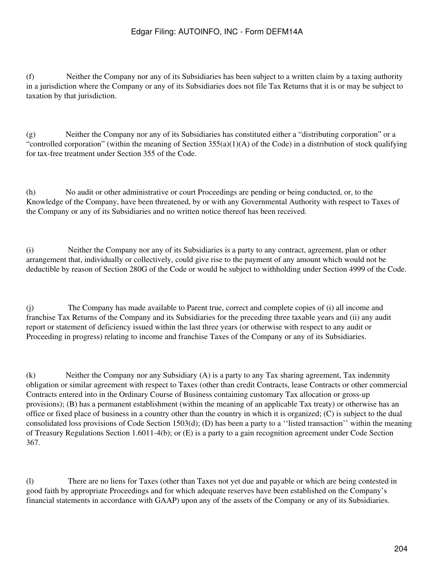(f) Neither the Company nor any of its Subsidiaries has been subject to a written claim by a taxing authority in a jurisdiction where the Company or any of its Subsidiaries does not file Tax Returns that it is or may be subject to taxation by that jurisdiction.

(g) Neither the Company nor any of its Subsidiaries has constituted either a "distributing corporation" or a "controlled corporation" (within the meaning of Section  $355(a)(1)(A)$  of the Code) in a distribution of stock qualifying for tax-free treatment under Section 355 of the Code.

(h) No audit or other administrative or court Proceedings are pending or being conducted, or, to the Knowledge of the Company, have been threatened, by or with any Governmental Authority with respect to Taxes of the Company or any of its Subsidiaries and no written notice thereof has been received.

(i) Neither the Company nor any of its Subsidiaries is a party to any contract, agreement, plan or other arrangement that, individually or collectively, could give rise to the payment of any amount which would not be deductible by reason of Section 280G of the Code or would be subject to withholding under Section 4999 of the Code.

(j) The Company has made available to Parent true, correct and complete copies of (i) all income and franchise Tax Returns of the Company and its Subsidiaries for the preceding three taxable years and (ii) any audit report or statement of deficiency issued within the last three years (or otherwise with respect to any audit or Proceeding in progress) relating to income and franchise Taxes of the Company or any of its Subsidiaries.

(k) Neither the Company nor any Subsidiary (A) is a party to any Tax sharing agreement, Tax indemnity obligation or similar agreement with respect to Taxes (other than credit Contracts, lease Contracts or other commercial Contracts entered into in the Ordinary Course of Business containing customary Tax allocation or gross-up provisions); (B) has a permanent establishment (within the meaning of an applicable Tax treaty) or otherwise has an office or fixed place of business in a country other than the country in which it is organized; (C) is subject to the dual consolidated loss provisions of Code Section 1503(d); (D) has been a party to a ''listed transaction'' within the meaning of Treasury Regulations Section 1.6011-4(b); or (E) is a party to a gain recognition agreement under Code Section 367.

(l) There are no liens for Taxes (other than Taxes not yet due and payable or which are being contested in good faith by appropriate Proceedings and for which adequate reserves have been established on the Company's financial statements in accordance with GAAP) upon any of the assets of the Company or any of its Subsidiaries.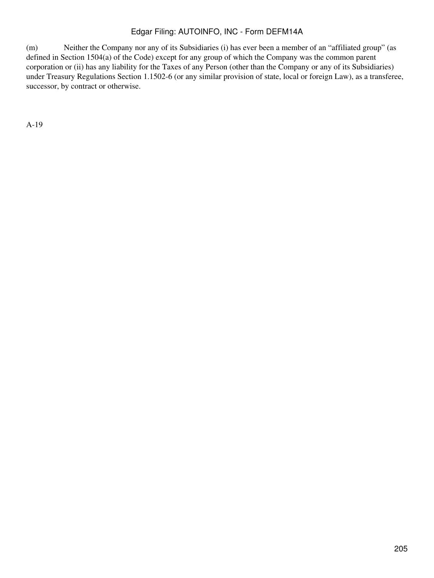(m) Neither the Company nor any of its Subsidiaries (i) has ever been a member of an "affiliated group" (as defined in Section 1504(a) of the Code) except for any group of which the Company was the common parent corporation or (ii) has any liability for the Taxes of any Person (other than the Company or any of its Subsidiaries) under Treasury Regulations Section 1.1502-6 (or any similar provision of state, local or foreign Law), as a transferee, successor, by contract or otherwise.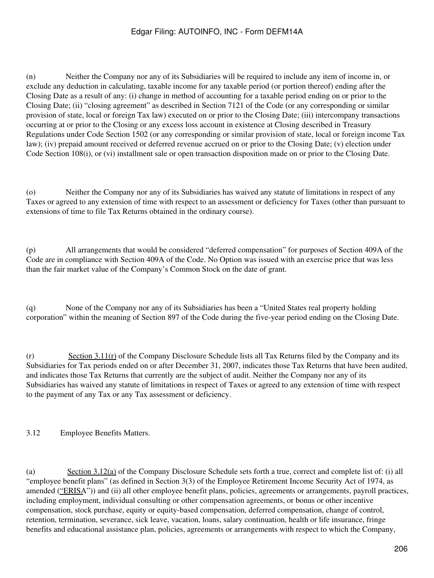(n) Neither the Company nor any of its Subsidiaries will be required to include any item of income in, or exclude any deduction in calculating, taxable income for any taxable period (or portion thereof) ending after the Closing Date as a result of any: (i) change in method of accounting for a taxable period ending on or prior to the Closing Date; (ii) "closing agreement" as described in Section 7121 of the Code (or any corresponding or similar provision of state, local or foreign Tax law) executed on or prior to the Closing Date; (iii) intercompany transactions occurring at or prior to the Closing or any excess loss account in existence at Closing described in Treasury Regulations under Code Section 1502 (or any corresponding or similar provision of state, local or foreign income Tax law); (iv) prepaid amount received or deferred revenue accrued on or prior to the Closing Date; (v) election under Code Section 108(i), or (vi) installment sale or open transaction disposition made on or prior to the Closing Date.

(o) Neither the Company nor any of its Subsidiaries has waived any statute of limitations in respect of any Taxes or agreed to any extension of time with respect to an assessment or deficiency for Taxes (other than pursuant to extensions of time to file Tax Returns obtained in the ordinary course).

(p) All arrangements that would be considered "deferred compensation" for purposes of Section 409A of the Code are in compliance with Section 409A of the Code. No Option was issued with an exercise price that was less than the fair market value of the Company's Common Stock on the date of grant.

(q) None of the Company nor any of its Subsidiaries has been a "United States real property holding corporation" within the meaning of Section 897 of the Code during the five-year period ending on the Closing Date.

(r) Section 3.11(r) of the Company Disclosure Schedule lists all Tax Returns filed by the Company and its Subsidiaries for Tax periods ended on or after December 31, 2007, indicates those Tax Returns that have been audited, and indicates those Tax Returns that currently are the subject of audit. Neither the Company nor any of its Subsidiaries has waived any statute of limitations in respect of Taxes or agreed to any extension of time with respect to the payment of any Tax or any Tax assessment or deficiency.

3.12 Employee Benefits Matters.

(a) Section 3.12(a) of the Company Disclosure Schedule sets forth a true, correct and complete list of: (i) all "employee benefit plans" (as defined in Section 3(3) of the Employee Retirement Income Security Act of 1974, as amended ("ERISA")) and (ii) all other employee benefit plans, policies, agreements or arrangements, payroll practices, including employment, individual consulting or other compensation agreements, or bonus or other incentive compensation, stock purchase, equity or equity-based compensation, deferred compensation, change of control, retention, termination, severance, sick leave, vacation, loans, salary continuation, health or life insurance, fringe benefits and educational assistance plan, policies, agreements or arrangements with respect to which the Company,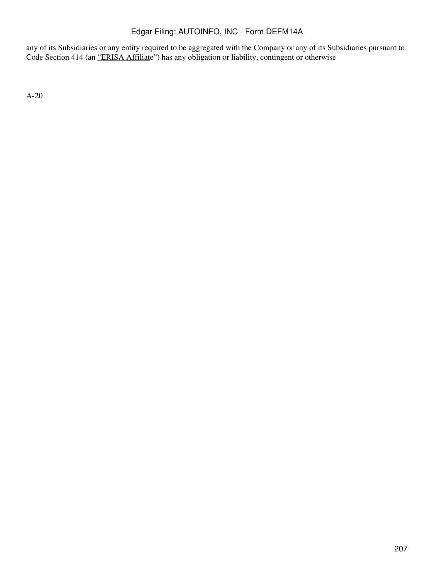any of its Subsidiaries or any entity required to be aggregated with the Company or any of its Subsidiaries pursuant to Code Section 414 (an "ERISA Affiliate") has any obligation or liability, contingent or otherwise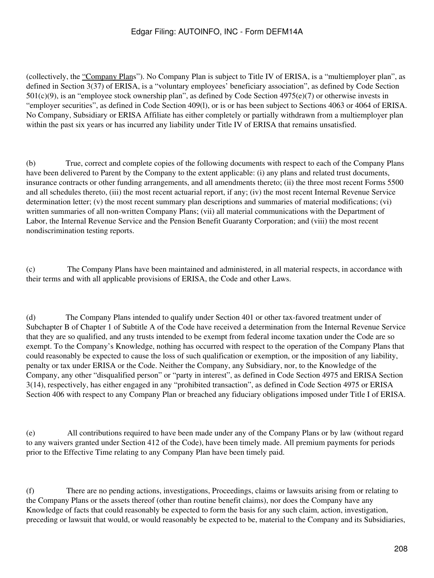(collectively, the "Company Plans"). No Company Plan is subject to Title IV of ERISA, is a "multiemployer plan", as defined in Section 3(37) of ERISA, is a "voluntary employees' beneficiary association", as defined by Code Section 501(c)(9), is an "employee stock ownership plan", as defined by Code Section 4975(e)(7) or otherwise invests in "employer securities", as defined in Code Section 409(l), or is or has been subject to Sections 4063 or 4064 of ERISA. No Company, Subsidiary or ERISA Affiliate has either completely or partially withdrawn from a multiemployer plan within the past six years or has incurred any liability under Title IV of ERISA that remains unsatisfied.

(b) True, correct and complete copies of the following documents with respect to each of the Company Plans have been delivered to Parent by the Company to the extent applicable: (i) any plans and related trust documents, insurance contracts or other funding arrangements, and all amendments thereto; (ii) the three most recent Forms 5500 and all schedules thereto, (iii) the most recent actuarial report, if any; (iv) the most recent Internal Revenue Service determination letter; (v) the most recent summary plan descriptions and summaries of material modifications; (vi) written summaries of all non-written Company Plans; (vii) all material communications with the Department of Labor, the Internal Revenue Service and the Pension Benefit Guaranty Corporation; and (viii) the most recent nondiscrimination testing reports.

(c) The Company Plans have been maintained and administered, in all material respects, in accordance with their terms and with all applicable provisions of ERISA, the Code and other Laws.

(d) The Company Plans intended to qualify under Section 401 or other tax-favored treatment under of Subchapter B of Chapter 1 of Subtitle A of the Code have received a determination from the Internal Revenue Service that they are so qualified, and any trusts intended to be exempt from federal income taxation under the Code are so exempt. To the Company's Knowledge, nothing has occurred with respect to the operation of the Company Plans that could reasonably be expected to cause the loss of such qualification or exemption, or the imposition of any liability, penalty or tax under ERISA or the Code. Neither the Company, any Subsidiary, nor, to the Knowledge of the Company, any other "disqualified person" or "party in interest", as defined in Code Section 4975 and ERISA Section 3(14), respectively, has either engaged in any "prohibited transaction", as defined in Code Section 4975 or ERISA Section 406 with respect to any Company Plan or breached any fiduciary obligations imposed under Title I of ERISA.

(e) All contributions required to have been made under any of the Company Plans or by law (without regard to any waivers granted under Section 412 of the Code), have been timely made. All premium payments for periods prior to the Effective Time relating to any Company Plan have been timely paid.

(f) There are no pending actions, investigations, Proceedings, claims or lawsuits arising from or relating to the Company Plans or the assets thereof (other than routine benefit claims), nor does the Company have any Knowledge of facts that could reasonably be expected to form the basis for any such claim, action, investigation, preceding or lawsuit that would, or would reasonably be expected to be, material to the Company and its Subsidiaries,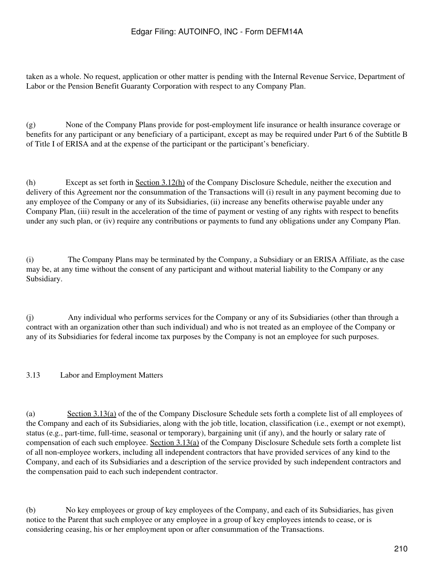taken as a whole. No request, application or other matter is pending with the Internal Revenue Service, Department of Labor or the Pension Benefit Guaranty Corporation with respect to any Company Plan.

(g) None of the Company Plans provide for post-employment life insurance or health insurance coverage or benefits for any participant or any beneficiary of a participant, except as may be required under Part 6 of the Subtitle B of Title I of ERISA and at the expense of the participant or the participant's beneficiary.

(h) Except as set forth in Section 3.12(h) of the Company Disclosure Schedule, neither the execution and delivery of this Agreement nor the consummation of the Transactions will (i) result in any payment becoming due to any employee of the Company or any of its Subsidiaries, (ii) increase any benefits otherwise payable under any Company Plan, (iii) result in the acceleration of the time of payment or vesting of any rights with respect to benefits under any such plan, or (iv) require any contributions or payments to fund any obligations under any Company Plan.

(i) The Company Plans may be terminated by the Company, a Subsidiary or an ERISA Affiliate, as the case may be, at any time without the consent of any participant and without material liability to the Company or any Subsidiary.

(j) Any individual who performs services for the Company or any of its Subsidiaries (other than through a contract with an organization other than such individual) and who is not treated as an employee of the Company or any of its Subsidiaries for federal income tax purposes by the Company is not an employee for such purposes.

3.13 Labor and Employment Matters

(a) Section 3.13(a) of the of the Company Disclosure Schedule sets forth a complete list of all employees of the Company and each of its Subsidiaries, along with the job title, location, classification (i.e., exempt or not exempt), status (e.g., part-time, full-time, seasonal or temporary), bargaining unit (if any), and the hourly or salary rate of compensation of each such employee. Section 3.13(a) of the Company Disclosure Schedule sets forth a complete list of all non-employee workers, including all independent contractors that have provided services of any kind to the Company, and each of its Subsidiaries and a description of the service provided by such independent contractors and the compensation paid to each such independent contractor.

(b) No key employees or group of key employees of the Company, and each of its Subsidiaries, has given notice to the Parent that such employee or any employee in a group of key employees intends to cease, or is considering ceasing, his or her employment upon or after consummation of the Transactions.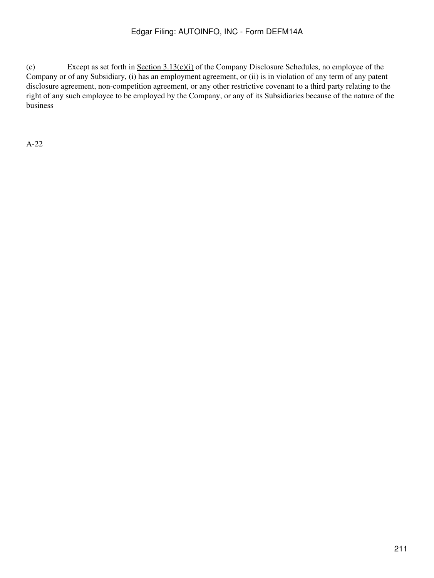(c) Except as set forth in Section 3.13(c)(i) of the Company Disclosure Schedules, no employee of the Company or of any Subsidiary, (i) has an employment agreement, or (ii) is in violation of any term of any patent disclosure agreement, non-competition agreement, or any other restrictive covenant to a third party relating to the right of any such employee to be employed by the Company, or any of its Subsidiaries because of the nature of the business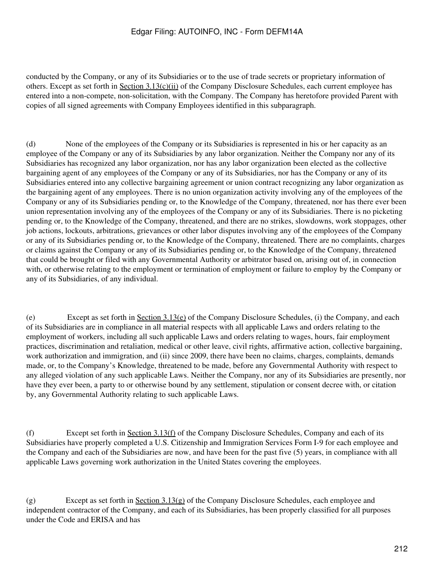conducted by the Company, or any of its Subsidiaries or to the use of trade secrets or proprietary information of others. Except as set forth in Section 3.13(c)(ii) of the Company Disclosure Schedules, each current employee has entered into a non-compete, non-solicitation, with the Company. The Company has heretofore provided Parent with copies of all signed agreements with Company Employees identified in this subparagraph.

(d) None of the employees of the Company or its Subsidiaries is represented in his or her capacity as an employee of the Company or any of its Subsidiaries by any labor organization. Neither the Company nor any of its Subsidiaries has recognized any labor organization, nor has any labor organization been elected as the collective bargaining agent of any employees of the Company or any of its Subsidiaries, nor has the Company or any of its Subsidiaries entered into any collective bargaining agreement or union contract recognizing any labor organization as the bargaining agent of any employees. There is no union organization activity involving any of the employees of the Company or any of its Subsidiaries pending or, to the Knowledge of the Company, threatened, nor has there ever been union representation involving any of the employees of the Company or any of its Subsidiaries. There is no picketing pending or, to the Knowledge of the Company, threatened, and there are no strikes, slowdowns, work stoppages, other job actions, lockouts, arbitrations, grievances or other labor disputes involving any of the employees of the Company or any of its Subsidiaries pending or, to the Knowledge of the Company, threatened. There are no complaints, charges or claims against the Company or any of its Subsidiaries pending or, to the Knowledge of the Company, threatened that could be brought or filed with any Governmental Authority or arbitrator based on, arising out of, in connection with, or otherwise relating to the employment or termination of employment or failure to employ by the Company or any of its Subsidiaries, of any individual.

(e) Except as set forth in Section  $3.13(e)$  of the Company Disclosure Schedules, (i) the Company, and each of its Subsidiaries are in compliance in all material respects with all applicable Laws and orders relating to the employment of workers, including all such applicable Laws and orders relating to wages, hours, fair employment practices, discrimination and retaliation, medical or other leave, civil rights, affirmative action, collective bargaining, work authorization and immigration, and (ii) since 2009, there have been no claims, charges, complaints, demands made, or, to the Company's Knowledge, threatened to be made, before any Governmental Authority with respect to any alleged violation of any such applicable Laws. Neither the Company, nor any of its Subsidiaries are presently, nor have they ever been, a party to or otherwise bound by any settlement, stipulation or consent decree with, or citation by, any Governmental Authority relating to such applicable Laws.

(f) Except set forth in Section 3.13(f) of the Company Disclosure Schedules, Company and each of its Subsidiaries have properly completed a U.S. Citizenship and Immigration Services Form I-9 for each employee and the Company and each of the Subsidiaries are now, and have been for the past five (5) years, in compliance with all applicable Laws governing work authorization in the United States covering the employees.

(g) Except as set forth in Section 3.13(g) of the Company Disclosure Schedules, each employee and independent contractor of the Company, and each of its Subsidiaries, has been properly classified for all purposes under the Code and ERISA and has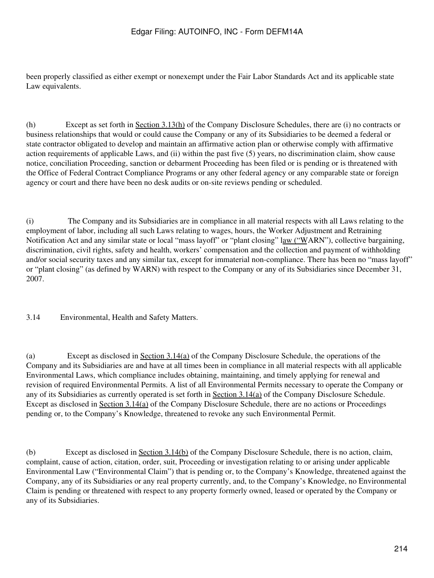been properly classified as either exempt or nonexempt under the Fair Labor Standards Act and its applicable state Law equivalents.

(h) Except as set forth in Section 3.13(h) of the Company Disclosure Schedules, there are (i) no contracts or business relationships that would or could cause the Company or any of its Subsidiaries to be deemed a federal or state contractor obligated to develop and maintain an affirmative action plan or otherwise comply with affirmative action requirements of applicable Laws, and (ii) within the past five (5) years, no discrimination claim, show cause notice, conciliation Proceeding, sanction or debarment Proceeding has been filed or is pending or is threatened with the Office of Federal Contract Compliance Programs or any other federal agency or any comparable state or foreign agency or court and there have been no desk audits or on-site reviews pending or scheduled.

(i) The Company and its Subsidiaries are in compliance in all material respects with all Laws relating to the employment of labor, including all such Laws relating to wages, hours, the Worker Adjustment and Retraining Notification Act and any similar state or local "mass layoff" or "plant closing" law ("WARN"), collective bargaining, discrimination, civil rights, safety and health, workers' compensation and the collection and payment of withholding and/or social security taxes and any similar tax, except for immaterial non-compliance. There has been no "mass layoff" or "plant closing" (as defined by WARN) with respect to the Company or any of its Subsidiaries since December 31, 2007.

3.14 Environmental, Health and Safety Matters.

(a) Except as disclosed in Section 3.14(a) of the Company Disclosure Schedule, the operations of the Company and its Subsidiaries are and have at all times been in compliance in all material respects with all applicable Environmental Laws, which compliance includes obtaining, maintaining, and timely applying for renewal and revision of required Environmental Permits. A list of all Environmental Permits necessary to operate the Company or any of its Subsidiaries as currently operated is set forth in Section 3.14(a) of the Company Disclosure Schedule. Except as disclosed in Section 3.14(a) of the Company Disclosure Schedule, there are no actions or Proceedings pending or, to the Company's Knowledge, threatened to revoke any such Environmental Permit.

(b) Except as disclosed in Section 3.14(b) of the Company Disclosure Schedule, there is no action, claim, complaint, cause of action, citation, order, suit, Proceeding or investigation relating to or arising under applicable Environmental Law ("Environmental Claim") that is pending or, to the Company's Knowledge, threatened against the Company, any of its Subsidiaries or any real property currently, and, to the Company's Knowledge, no Environmental Claim is pending or threatened with respect to any property formerly owned, leased or operated by the Company or any of its Subsidiaries.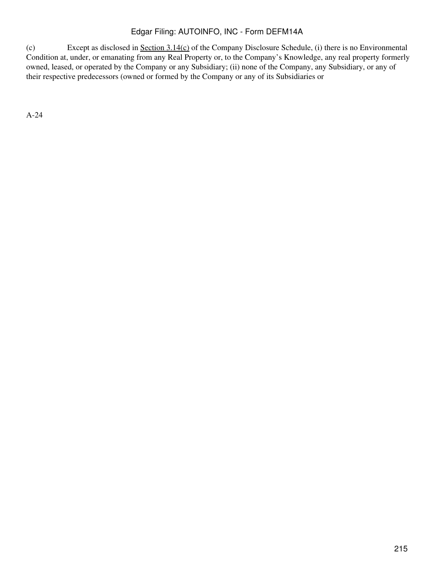(c) Except as disclosed in Section 3.14(c) of the Company Disclosure Schedule, (i) there is no Environmental Condition at, under, or emanating from any Real Property or, to the Company's Knowledge, any real property formerly owned, leased, or operated by the Company or any Subsidiary; (ii) none of the Company, any Subsidiary, or any of their respective predecessors (owned or formed by the Company or any of its Subsidiaries or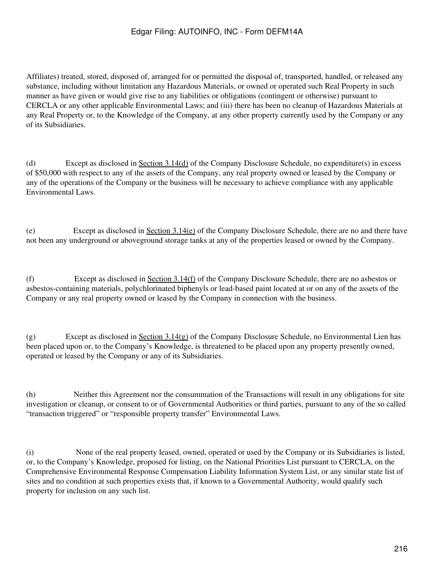Affiliates) treated, stored, disposed of, arranged for or permitted the disposal of, transported, handled, or released any substance, including without limitation any Hazardous Materials, or owned or operated such Real Property in such manner as have given or would give rise to any liabilities or obligations (contingent or otherwise) pursuant to CERCLA or any other applicable Environmental Laws; and (iii) there has been no cleanup of Hazardous Materials at any Real Property or, to the Knowledge of the Company, at any other property currently used by the Company or any of its Subsidiaries.

(d) Except as disclosed in Section 3.14(d) of the Company Disclosure Schedule, no expenditure(s) in excess of \$50,000 with respect to any of the assets of the Company, any real property owned or leased by the Company or any of the operations of the Company or the business will be necessary to achieve compliance with any applicable Environmental Laws.

(e) Except as disclosed in Section 3.14(e) of the Company Disclosure Schedule, there are no and there have not been any underground or aboveground storage tanks at any of the properties leased or owned by the Company.

(f) Except as disclosed in Section 3.14(f) of the Company Disclosure Schedule, there are no asbestos or asbestos-containing materials, polychlorinated biphenyls or lead-based paint located at or on any of the assets of the Company or any real property owned or leased by the Company in connection with the business.

(g) Except as disclosed in <u>Section 3.14(g</u>) of the Company Disclosure Schedule, no Environmental Lien has been placed upon or, to the Company's Knowledge, is threatened to be placed upon any property presently owned, operated or leased by the Company or any of its Subsidiaries.

(h) Neither this Agreement nor the consummation of the Transactions will result in any obligations for site investigation or cleanup, or consent to or of Governmental Authorities or third parties, pursuant to any of the so called "transaction triggered" or "responsible property transfer" Environmental Laws.

(i) None of the real property leased, owned, operated or used by the Company or its Subsidiaries is listed, or, to the Company's Knowledge, proposed for listing, on the National Priorities List pursuant to CERCLA, on the Comprehensive Environmental Response Compensation Liability Information System List, or any similar state list of sites and no condition at such properties exists that, if known to a Governmental Authority, would qualify such property for inclusion on any such list.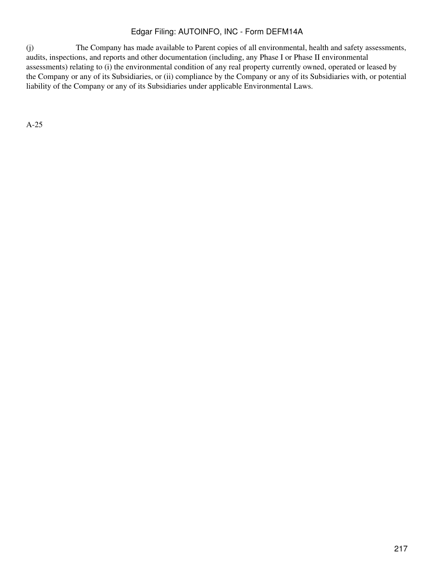(j) The Company has made available to Parent copies of all environmental, health and safety assessments, audits, inspections, and reports and other documentation (including, any Phase I or Phase II environmental assessments) relating to (i) the environmental condition of any real property currently owned, operated or leased by the Company or any of its Subsidiaries, or (ii) compliance by the Company or any of its Subsidiaries with, or potential liability of the Company or any of its Subsidiaries under applicable Environmental Laws.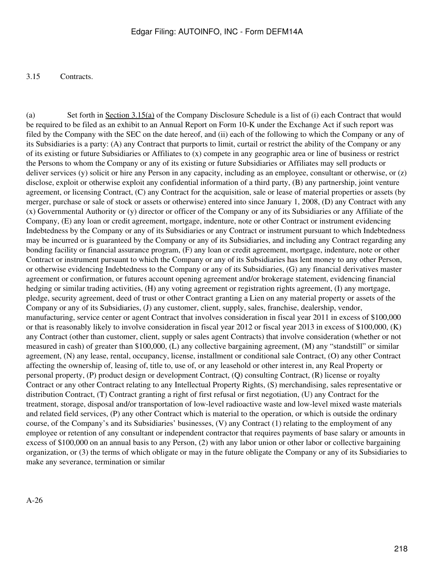#### 3.15 Contracts.

(a) Set forth in Section 3.15(a) of the Company Disclosure Schedule is a list of (i) each Contract that would be required to be filed as an exhibit to an Annual Report on Form 10-K under the Exchange Act if such report was filed by the Company with the SEC on the date hereof, and (ii) each of the following to which the Company or any of its Subsidiaries is a party: (A) any Contract that purports to limit, curtail or restrict the ability of the Company or any of its existing or future Subsidiaries or Affiliates to (x) compete in any geographic area or line of business or restrict the Persons to whom the Company or any of its existing or future Subsidiaries or Affiliates may sell products or deliver services (y) solicit or hire any Person in any capacity, including as an employee, consultant or otherwise, or (z) disclose, exploit or otherwise exploit any confidential information of a third party, (B) any partnership, joint venture agreement, or licensing Contract, (C) any Contract for the acquisition, sale or lease of material properties or assets (by merger, purchase or sale of stock or assets or otherwise) entered into since January 1, 2008, (D) any Contract with any (x) Governmental Authority or (y) director or officer of the Company or any of its Subsidiaries or any Affiliate of the Company, (E) any loan or credit agreement, mortgage, indenture, note or other Contract or instrument evidencing Indebtedness by the Company or any of its Subsidiaries or any Contract or instrument pursuant to which Indebtedness may be incurred or is guaranteed by the Company or any of its Subsidiaries, and including any Contract regarding any bonding facility or financial assurance program, (F) any loan or credit agreement, mortgage, indenture, note or other Contract or instrument pursuant to which the Company or any of its Subsidiaries has lent money to any other Person, or otherwise evidencing Indebtedness to the Company or any of its Subsidiaries, (G) any financial derivatives master agreement or confirmation, or futures account opening agreement and/or brokerage statement, evidencing financial hedging or similar trading activities, (H) any voting agreement or registration rights agreement, (I) any mortgage, pledge, security agreement, deed of trust or other Contract granting a Lien on any material property or assets of the Company or any of its Subsidiaries, (J) any customer, client, supply, sales, franchise, dealership, vendor, manufacturing, service center or agent Contract that involves consideration in fiscal year 2011 in excess of \$100,000 or that is reasonably likely to involve consideration in fiscal year 2012 or fiscal year 2013 in excess of \$100,000, (K) any Contract (other than customer, client, supply or sales agent Contracts) that involve consideration (whether or not measured in cash) of greater than \$100,000, (L) any collective bargaining agreement, (M) any "standstill" or similar agreement, (N) any lease, rental, occupancy, license, installment or conditional sale Contract, (O) any other Contract affecting the ownership of, leasing of, title to, use of, or any leasehold or other interest in, any Real Property or personal property, (P) product design or development Contract, (Q) consulting Contract, (R) license or royalty Contract or any other Contract relating to any Intellectual Property Rights, (S) merchandising, sales representative or distribution Contract, (T) Contract granting a right of first refusal or first negotiation, (U) any Contract for the treatment, storage, disposal and/or transportation of low-level radioactive waste and low-level mixed waste materials and related field services, (P) any other Contract which is material to the operation, or which is outside the ordinary course, of the Company's and its Subsidiaries' businesses, (V) any Contract (1) relating to the employment of any employee or retention of any consultant or independent contractor that requires payments of base salary or amounts in excess of \$100,000 on an annual basis to any Person, (2) with any labor union or other labor or collective bargaining organization, or (3) the terms of which obligate or may in the future obligate the Company or any of its Subsidiaries to make any severance, termination or similar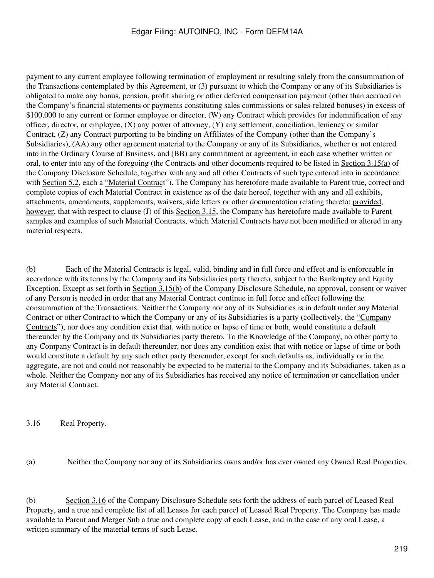payment to any current employee following termination of employment or resulting solely from the consummation of the Transactions contemplated by this Agreement, or (3) pursuant to which the Company or any of its Subsidiaries is obligated to make any bonus, pension, profit sharing or other deferred compensation payment (other than accrued on the Company's financial statements or payments constituting sales commissions or sales-related bonuses) in excess of \$100,000 to any current or former employee or director, (W) any Contract which provides for indemnification of any officer, director, or employee,  $(X)$  any power of attorney,  $(Y)$  any settlement, conciliation, leniency or similar Contract, (Z) any Contract purporting to be binding on Affiliates of the Company (other than the Company's Subsidiaries), (AA) any other agreement material to the Company or any of its Subsidiaries, whether or not entered into in the Ordinary Course of Business, and (BB) any commitment or agreement, in each case whether written or oral, to enter into any of the foregoing (the Contracts and other documents required to be listed in Section 3.15(a) of the Company Disclosure Schedule, together with any and all other Contracts of such type entered into in accordance with Section 5.2, each a "Material Contract"). The Company has heretofore made available to Parent true, correct and complete copies of each Material Contract in existence as of the date hereof, together with any and all exhibits, attachments, amendments, supplements, waivers, side letters or other documentation relating thereto; provided, however, that with respect to clause (J) of this Section 3.15, the Company has heretofore made available to Parent samples and examples of such Material Contracts, which Material Contracts have not been modified or altered in any material respects.

(b) Each of the Material Contracts is legal, valid, binding and in full force and effect and is enforceable in accordance with its terms by the Company and its Subsidiaries party thereto, subject to the Bankruptcy and Equity Exception. Except as set forth in Section 3.15(b) of the Company Disclosure Schedule, no approval, consent or waiver of any Person is needed in order that any Material Contract continue in full force and effect following the consummation of the Transactions. Neither the Company nor any of its Subsidiaries is in default under any Material Contract or other Contract to which the Company or any of its Subsidiaries is a party (collectively, the "Company Contracts"), nor does any condition exist that, with notice or lapse of time or both, would constitute a default thereunder by the Company and its Subsidiaries party thereto. To the Knowledge of the Company, no other party to any Company Contract is in default thereunder, nor does any condition exist that with notice or lapse of time or both would constitute a default by any such other party thereunder, except for such defaults as, individually or in the aggregate, are not and could not reasonably be expected to be material to the Company and its Subsidiaries, taken as a whole. Neither the Company nor any of its Subsidiaries has received any notice of termination or cancellation under any Material Contract.

#### 3.16 Real Property.

(a) Neither the Company nor any of its Subsidiaries owns and/or has ever owned any Owned Real Properties.

(b) Section 3.16 of the Company Disclosure Schedule sets forth the address of each parcel of Leased Real Property, and a true and complete list of all Leases for each parcel of Leased Real Property. The Company has made available to Parent and Merger Sub a true and complete copy of each Lease, and in the case of any oral Lease, a written summary of the material terms of such Lease.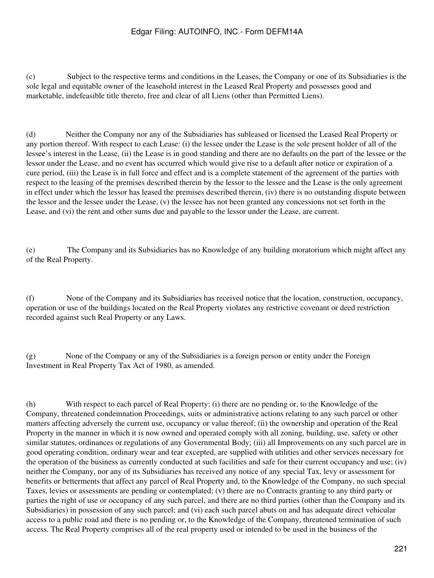(c) Subject to the respective terms and conditions in the Leases, the Company or one of its Subsidiaries is the sole legal and equitable owner of the leasehold interest in the Leased Real Property and possesses good and marketable, indefeasible title thereto, free and clear of all Liens (other than Permitted Liens).

(d) Neither the Company nor any of the Subsidiaries has subleased or licensed the Leased Real Property or any portion thereof. With respect to each Lease: (i) the lessee under the Lease is the sole present holder of all of the lessee's interest in the Lease, (ii) the Lease is in good standing and there are no defaults on the part of the lessee or the lessor under the Lease, and no event has occurred which would give rise to a default after notice or expiration of a cure period, (iii) the Lease is in full force and effect and is a complete statement of the agreement of the parties with respect to the leasing of the premises described therein by the lessor to the lessee and the Lease is the only agreement in effect under which the lessor has leased the premises described therein, (iv) there is no outstanding dispute between the lessor and the lessee under the Lease, (v) the lessee has not been granted any concessions not set forth in the Lease, and (vi) the rent and other sums due and payable to the lessor under the Lease, are current.

(e) The Company and its Subsidiaries has no Knowledge of any building moratorium which might affect any of the Real Property.

(f) None of the Company and its Subsidiaries has received notice that the location, construction, occupancy, operation or use of the buildings located on the Real Property violates any restrictive covenant or deed restriction recorded against such Real Property or any Laws.

(g) None of the Company or any of the Subsidiaries is a foreign person or entity under the Foreign Investment in Real Property Tax Act of 1980, as amended.

(h) With respect to each parcel of Real Property: (i) there are no pending or, to the Knowledge of the Company, threatened condemnation Proceedings, suits or administrative actions relating to any such parcel or other matters affecting adversely the current use, occupancy or value thereof; (ii) the ownership and operation of the Real Property in the manner in which it is now owned and operated comply with all zoning, building, use, safety or other similar statutes, ordinances or regulations of any Governmental Body; (iii) all Improvements on any such parcel are in good operating condition, ordinary wear and tear excepted, are supplied with utilities and other services necessary for the operation of the business as currently conducted at such facilities and safe for their current occupancy and use; (iv) neither the Company, nor any of its Subsidiaries has received any notice of any special Tax, levy or assessment for benefits or betterments that affect any parcel of Real Property and, to the Knowledge of the Company, no such special Taxes, levies or assessments are pending or contemplated; (v) there are no Contracts granting to any third party or parties the right of use or occupancy of any such parcel, and there are no third parties (other than the Company and its Subsidiaries) in possession of any such parcel; and (vi) each such parcel abuts on and has adequate direct vehicular access to a public road and there is no pending or, to the Knowledge of the Company, threatened termination of such access. The Real Property comprises all of the real property used or intended to be used in the business of the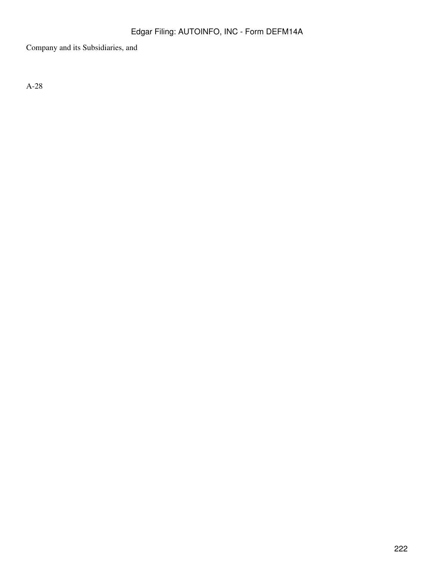Company and its Subsidiaries, and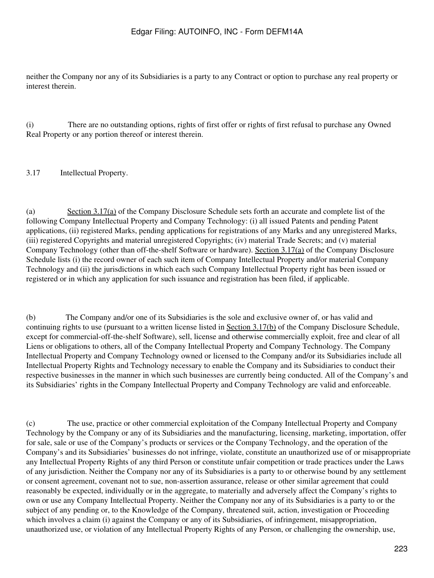neither the Company nor any of its Subsidiaries is a party to any Contract or option to purchase any real property or interest therein.

(i) There are no outstanding options, rights of first offer or rights of first refusal to purchase any Owned Real Property or any portion thereof or interest therein.

3.17 Intellectual Property.

(a) Section 3.17(a) of the Company Disclosure Schedule sets forth an accurate and complete list of the following Company Intellectual Property and Company Technology: (i) all issued Patents and pending Patent applications, (ii) registered Marks, pending applications for registrations of any Marks and any unregistered Marks, (iii) registered Copyrights and material unregistered Copyrights; (iv) material Trade Secrets; and (v) material Company Technology (other than off-the-shelf Software or hardware). Section 3.17(a) of the Company Disclosure Schedule lists (i) the record owner of each such item of Company Intellectual Property and/or material Company Technology and (ii) the jurisdictions in which each such Company Intellectual Property right has been issued or registered or in which any application for such issuance and registration has been filed, if applicable.

(b) The Company and/or one of its Subsidiaries is the sole and exclusive owner of, or has valid and continuing rights to use (pursuant to a written license listed in Section 3.17(b) of the Company Disclosure Schedule, except for commercial-off-the-shelf Software), sell, license and otherwise commercially exploit, free and clear of all Liens or obligations to others, all of the Company Intellectual Property and Company Technology. The Company Intellectual Property and Company Technology owned or licensed to the Company and/or its Subsidiaries include all Intellectual Property Rights and Technology necessary to enable the Company and its Subsidiaries to conduct their respective businesses in the manner in which such businesses are currently being conducted. All of the Company's and its Subsidiaries' rights in the Company Intellectual Property and Company Technology are valid and enforceable.

(c) The use, practice or other commercial exploitation of the Company Intellectual Property and Company Technology by the Company or any of its Subsidiaries and the manufacturing, licensing, marketing, importation, offer for sale, sale or use of the Company's products or services or the Company Technology, and the operation of the Company's and its Subsidiaries' businesses do not infringe, violate, constitute an unauthorized use of or misappropriate any Intellectual Property Rights of any third Person or constitute unfair competition or trade practices under the Laws of any jurisdiction. Neither the Company nor any of its Subsidiaries is a party to or otherwise bound by any settlement or consent agreement, covenant not to sue, non-assertion assurance, release or other similar agreement that could reasonably be expected, individually or in the aggregate, to materially and adversely affect the Company's rights to own or use any Company Intellectual Property. Neither the Company nor any of its Subsidiaries is a party to or the subject of any pending or, to the Knowledge of the Company, threatened suit, action, investigation or Proceeding which involves a claim (i) against the Company or any of its Subsidiaries, of infringement, misappropriation, unauthorized use, or violation of any Intellectual Property Rights of any Person, or challenging the ownership, use,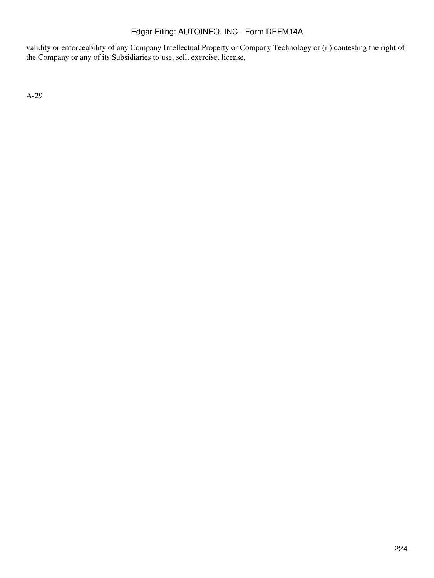validity or enforceability of any Company Intellectual Property or Company Technology or (ii) contesting the right of the Company or any of its Subsidiaries to use, sell, exercise, license,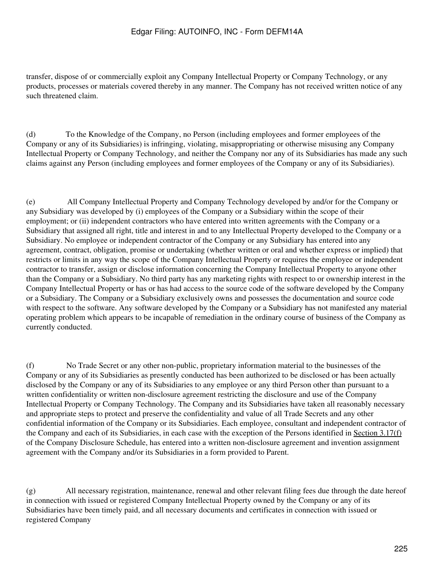transfer, dispose of or commercially exploit any Company Intellectual Property or Company Technology, or any products, processes or materials covered thereby in any manner. The Company has not received written notice of any such threatened claim.

(d) To the Knowledge of the Company, no Person (including employees and former employees of the Company or any of its Subsidiaries) is infringing, violating, misappropriating or otherwise misusing any Company Intellectual Property or Company Technology, and neither the Company nor any of its Subsidiaries has made any such claims against any Person (including employees and former employees of the Company or any of its Subsidiaries).

(e) All Company Intellectual Property and Company Technology developed by and/or for the Company or any Subsidiary was developed by (i) employees of the Company or a Subsidiary within the scope of their employment; or (ii) independent contractors who have entered into written agreements with the Company or a Subsidiary that assigned all right, title and interest in and to any Intellectual Property developed to the Company or a Subsidiary. No employee or independent contractor of the Company or any Subsidiary has entered into any agreement, contract, obligation, promise or undertaking (whether written or oral and whether express or implied) that restricts or limits in any way the scope of the Company Intellectual Property or requires the employee or independent contractor to transfer, assign or disclose information concerning the Company Intellectual Property to anyone other than the Company or a Subsidiary. No third party has any marketing rights with respect to or ownership interest in the Company Intellectual Property or has or has had access to the source code of the software developed by the Company or a Subsidiary. The Company or a Subsidiary exclusively owns and possesses the documentation and source code with respect to the software. Any software developed by the Company or a Subsidiary has not manifested any material operating problem which appears to be incapable of remediation in the ordinary course of business of the Company as currently conducted.

(f) No Trade Secret or any other non-public, proprietary information material to the businesses of the Company or any of its Subsidiaries as presently conducted has been authorized to be disclosed or has been actually disclosed by the Company or any of its Subsidiaries to any employee or any third Person other than pursuant to a written confidentiality or written non-disclosure agreement restricting the disclosure and use of the Company Intellectual Property or Company Technology. The Company and its Subsidiaries have taken all reasonably necessary and appropriate steps to protect and preserve the confidentiality and value of all Trade Secrets and any other confidential information of the Company or its Subsidiaries. Each employee, consultant and independent contractor of the Company and each of its Subsidiaries, in each case with the exception of the Persons identified in Section 3.17(f) of the Company Disclosure Schedule, has entered into a written non-disclosure agreement and invention assignment agreement with the Company and/or its Subsidiaries in a form provided to Parent.

(g) All necessary registration, maintenance, renewal and other relevant filing fees due through the date hereof in connection with issued or registered Company Intellectual Property owned by the Company or any of its Subsidiaries have been timely paid, and all necessary documents and certificates in connection with issued or registered Company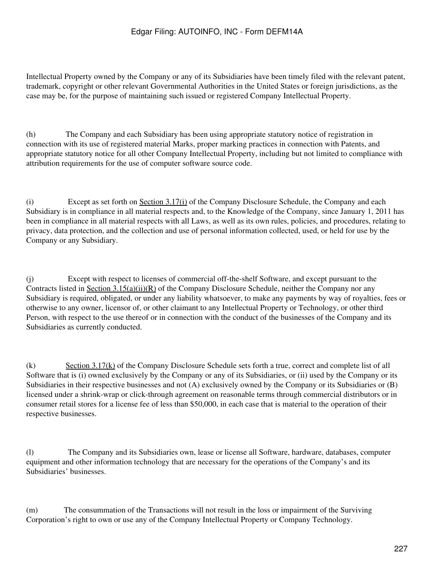Intellectual Property owned by the Company or any of its Subsidiaries have been timely filed with the relevant patent, trademark, copyright or other relevant Governmental Authorities in the United States or foreign jurisdictions, as the case may be, for the purpose of maintaining such issued or registered Company Intellectual Property.

(h) The Company and each Subsidiary has been using appropriate statutory notice of registration in connection with its use of registered material Marks, proper marking practices in connection with Patents, and appropriate statutory notice for all other Company Intellectual Property, including but not limited to compliance with attribution requirements for the use of computer software source code.

(i) Except as set forth on Section 3.17(i) of the Company Disclosure Schedule, the Company and each Subsidiary is in compliance in all material respects and, to the Knowledge of the Company, since January 1, 2011 has been in compliance in all material respects with all Laws, as well as its own rules, policies, and procedures, relating to privacy, data protection, and the collection and use of personal information collected, used, or held for use by the Company or any Subsidiary.

(j) Except with respect to licenses of commercial off-the-shelf Software, and except pursuant to the Contracts listed in Section  $3.15(a)(ii)(R)$  of the Company Disclosure Schedule, neither the Company nor any Subsidiary is required, obligated, or under any liability whatsoever, to make any payments by way of royalties, fees or otherwise to any owner, licensor of, or other claimant to any Intellectual Property or Technology, or other third Person, with respect to the use thereof or in connection with the conduct of the businesses of the Company and its Subsidiaries as currently conducted.

(k) Section 3.17(k) of the Company Disclosure Schedule sets forth a true, correct and complete list of all Software that is (i) owned exclusively by the Company or any of its Subsidiaries, or (ii) used by the Company or its Subsidiaries in their respective businesses and not (A) exclusively owned by the Company or its Subsidiaries or (B) licensed under a shrink-wrap or click-through agreement on reasonable terms through commercial distributors or in consumer retail stores for a license fee of less than \$50,000, in each case that is material to the operation of their respective businesses.

(l) The Company and its Subsidiaries own, lease or license all Software, hardware, databases, computer equipment and other information technology that are necessary for the operations of the Company's and its Subsidiaries' businesses. 

(m) The consummation of the Transactions will not result in the loss or impairment of the Surviving Corporation's right to own or use any of the Company Intellectual Property or Company Technology.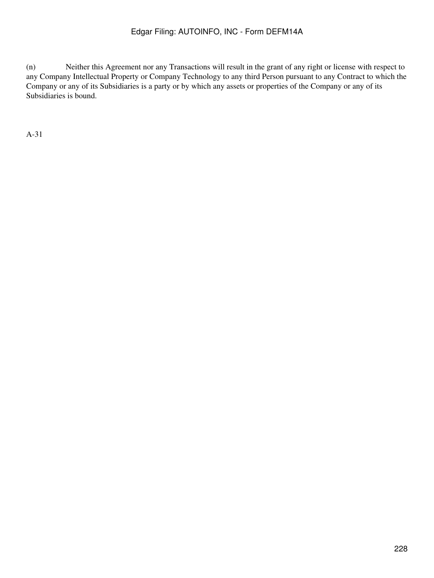(n) Neither this Agreement nor any Transactions will result in the grant of any right or license with respect to any Company Intellectual Property or Company Technology to any third Person pursuant to any Contract to which the Company or any of its Subsidiaries is a party or by which any assets or properties of the Company or any of its Subsidiaries is bound.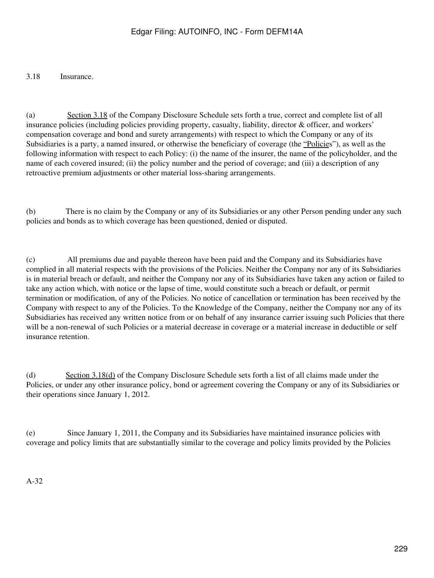### 3.18 Insurance.

(a) Section 3.18 of the Company Disclosure Schedule sets forth a true, correct and complete list of all insurance policies (including policies providing property, casualty, liability, director & officer, and workers' compensation coverage and bond and surety arrangements) with respect to which the Company or any of its Subsidiaries is a party, a named insured, or otherwise the beneficiary of coverage (the "Policies"), as well as the following information with respect to each Policy: (i) the name of the insurer, the name of the policyholder, and the name of each covered insured; (ii) the policy number and the period of coverage; and (iii) a description of any retroactive premium adjustments or other material loss-sharing arrangements.

(b) There is no claim by the Company or any of its Subsidiaries or any other Person pending under any such policies and bonds as to which coverage has been questioned, denied or disputed.

(c) All premiums due and payable thereon have been paid and the Company and its Subsidiaries have complied in all material respects with the provisions of the Policies. Neither the Company nor any of its Subsidiaries is in material breach or default, and neither the Company nor any of its Subsidiaries have taken any action or failed to take any action which, with notice or the lapse of time, would constitute such a breach or default, or permit termination or modification, of any of the Policies. No notice of cancellation or termination has been received by the Company with respect to any of the Policies. To the Knowledge of the Company, neither the Company nor any of its Subsidiaries has received any written notice from or on behalf of any insurance carrier issuing such Policies that there will be a non-renewal of such Policies or a material decrease in coverage or a material increase in deductible or self insurance retention.

(d) Section 3.18(d) of the Company Disclosure Schedule sets forth a list of all claims made under the Policies, or under any other insurance policy, bond or agreement covering the Company or any of its Subsidiaries or their operations since January 1, 2012.

(e) Since January 1, 2011, the Company and its Subsidiaries have maintained insurance policies with coverage and policy limits that are substantially similar to the coverage and policy limits provided by the Policies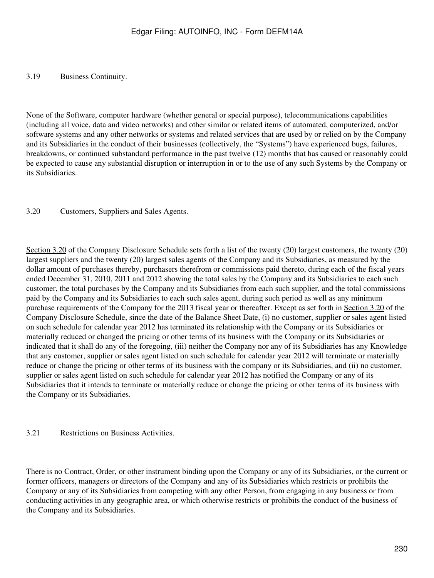#### 3.19 Business Continuity.

None of the Software, computer hardware (whether general or special purpose), telecommunications capabilities (including all voice, data and video networks) and other similar or related items of automated, computerized, and/or software systems and any other networks or systems and related services that are used by or relied on by the Company and its Subsidiaries in the conduct of their businesses (collectively, the "Systems") have experienced bugs, failures, breakdowns, or continued substandard performance in the past twelve (12) months that has caused or reasonably could be expected to cause any substantial disruption or interruption in or to the use of any such Systems by the Company or its Subsidiaries.

#### 3.20 Customers, Suppliers and Sales Agents.

Section 3.20 of the Company Disclosure Schedule sets forth a list of the twenty (20) largest customers, the twenty (20) largest suppliers and the twenty (20) largest sales agents of the Company and its Subsidiaries, as measured by the dollar amount of purchases thereby, purchasers therefrom or commissions paid thereto, during each of the fiscal years ended December 31, 2010, 2011 and 2012 showing the total sales by the Company and its Subsidiaries to each such customer, the total purchases by the Company and its Subsidiaries from each such supplier, and the total commissions paid by the Company and its Subsidiaries to each such sales agent, during such period as well as any minimum purchase requirements of the Company for the 2013 fiscal year or thereafter. Except as set forth in Section 3.20 of the Company Disclosure Schedule, since the date of the Balance Sheet Date, (i) no customer, supplier or sales agent listed on such schedule for calendar year 2012 has terminated its relationship with the Company or its Subsidiaries or materially reduced or changed the pricing or other terms of its business with the Company or its Subsidiaries or indicated that it shall do any of the foregoing, (iii) neither the Company nor any of its Subsidiaries has any Knowledge that any customer, supplier or sales agent listed on such schedule for calendar year 2012 will terminate or materially reduce or change the pricing or other terms of its business with the company or its Subsidiaries, and (ii) no customer, supplier or sales agent listed on such schedule for calendar year 2012 has notified the Company or any of its Subsidiaries that it intends to terminate or materially reduce or change the pricing or other terms of its business with the Company or its Subsidiaries.

#### 3.21 Restrictions on Business Activities.

There is no Contract, Order, or other instrument binding upon the Company or any of its Subsidiaries, or the current or former officers, managers or directors of the Company and any of its Subsidiaries which restricts or prohibits the Company or any of its Subsidiaries from competing with any other Person, from engaging in any business or from conducting activities in any geographic area, or which otherwise restricts or prohibits the conduct of the business of the Company and its Subsidiaries.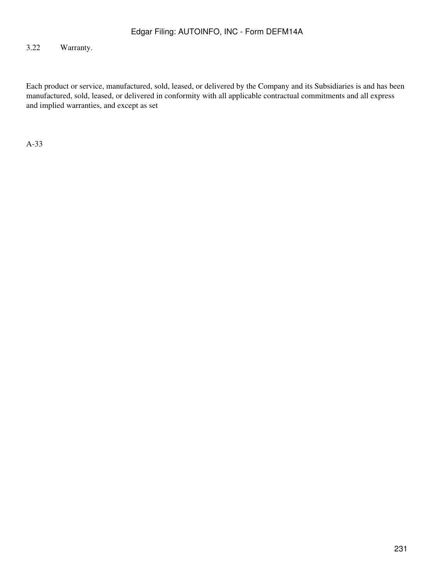#### 3.22 Warranty.

Each product or service, manufactured, sold, leased, or delivered by the Company and its Subsidiaries is and has been manufactured, sold, leased, or delivered in conformity with all applicable contractual commitments and all express and implied warranties, and except as set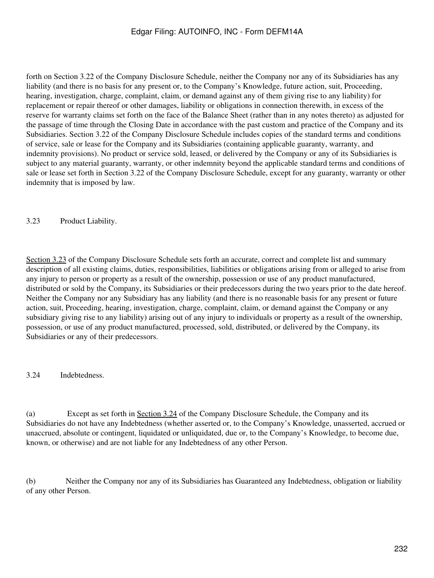forth on Section 3.22 of the Company Disclosure Schedule, neither the Company nor any of its Subsidiaries has any liability (and there is no basis for any present or, to the Company's Knowledge, future action, suit, Proceeding, hearing, investigation, charge, complaint, claim, or demand against any of them giving rise to any liability) for replacement or repair thereof or other damages, liability or obligations in connection therewith, in excess of the reserve for warranty claims set forth on the face of the Balance Sheet (rather than in any notes thereto) as adjusted for the passage of time through the Closing Date in accordance with the past custom and practice of the Company and its Subsidiaries. Section 3.22 of the Company Disclosure Schedule includes copies of the standard terms and conditions of service, sale or lease for the Company and its Subsidiaries (containing applicable guaranty, warranty, and indemnity provisions). No product or service sold, leased, or delivered by the Company or any of its Subsidiaries is subject to any material guaranty, warranty, or other indemnity beyond the applicable standard terms and conditions of sale or lease set forth in Section 3.22 of the Company Disclosure Schedule, except for any guaranty, warranty or other indemnity that is imposed by law.

#### 3.23 Product Liability.

Section 3.23 of the Company Disclosure Schedule sets forth an accurate, correct and complete list and summary description of all existing claims, duties, responsibilities, liabilities or obligations arising from or alleged to arise from any injury to person or property as a result of the ownership, possession or use of any product manufactured, distributed or sold by the Company, its Subsidiaries or their predecessors during the two years prior to the date hereof. Neither the Company nor any Subsidiary has any liability (and there is no reasonable basis for any present or future action, suit, Proceeding, hearing, investigation, charge, complaint, claim, or demand against the Company or any subsidiary giving rise to any liability) arising out of any injury to individuals or property as a result of the ownership, possession, or use of any product manufactured, processed, sold, distributed, or delivered by the Company, its Subsidiaries or any of their predecessors.

3.24 Indebtedness.

(a) Except as set forth in Section 3.24 of the Company Disclosure Schedule, the Company and its Subsidiaries do not have any Indebtedness (whether asserted or, to the Company's Knowledge, unasserted, accrued or unaccrued, absolute or contingent, liquidated or unliquidated, due or, to the Company's Knowledge, to become due, known, or otherwise) and are not liable for any Indebtedness of any other Person.

(b) Neither the Company nor any of its Subsidiaries has Guaranteed any Indebtedness, obligation or liability of any other Person.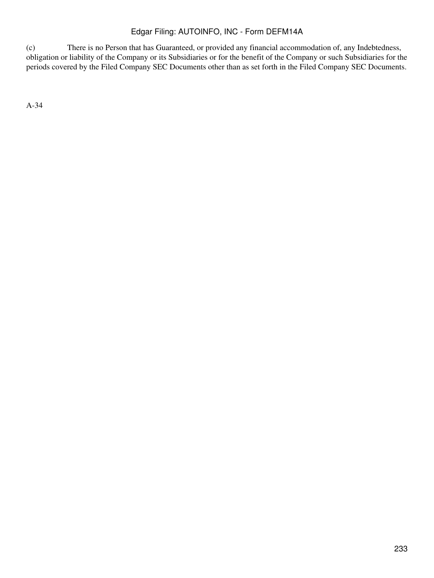(c) There is no Person that has Guaranteed, or provided any financial accommodation of, any Indebtedness, obligation or liability of the Company or its Subsidiaries or for the benefit of the Company or such Subsidiaries for the periods covered by the Filed Company SEC Documents other than as set forth in the Filed Company SEC Documents.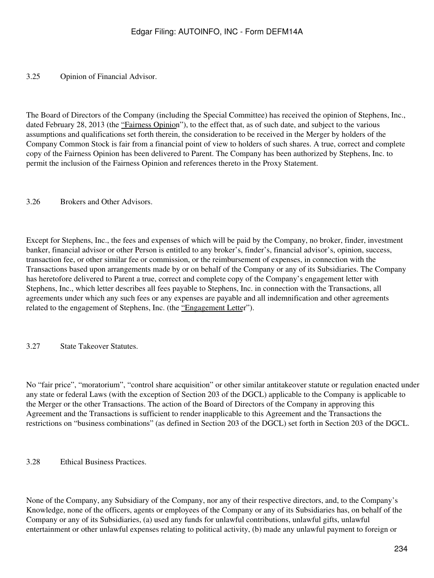3.25 Opinion of Financial Advisor.

The Board of Directors of the Company (including the Special Committee) has received the opinion of Stephens, Inc., dated February 28, 2013 (the "Fairness Opinion"), to the effect that, as of such date, and subject to the various assumptions and qualifications set forth therein, the consideration to be received in the Merger by holders of the Company Common Stock is fair from a financial point of view to holders of such shares. A true, correct and complete copy of the Fairness Opinion has been delivered to Parent. The Company has been authorized by Stephens, Inc. to permit the inclusion of the Fairness Opinion and references thereto in the Proxy Statement.

### 3.26 Brokers and Other Advisors.

Except for Stephens, Inc., the fees and expenses of which will be paid by the Company, no broker, finder, investment banker, financial advisor or other Person is entitled to any broker's, finder's, financial advisor's, opinion, success, transaction fee, or other similar fee or commission, or the reimbursement of expenses, in connection with the Transactions based upon arrangements made by or on behalf of the Company or any of its Subsidiaries. The Company has heretofore delivered to Parent a true, correct and complete copy of the Company's engagement letter with Stephens, Inc., which letter describes all fees payable to Stephens, Inc. in connection with the Transactions, all agreements under which any such fees or any expenses are payable and all indemnification and other agreements related to the engagement of Stephens, Inc. (the "Engagement Letter").

3.27 State Takeover Statutes.

No "fair price", "moratorium", "control share acquisition" or other similar antitakeover statute or regulation enacted under any state or federal Laws (with the exception of Section 203 of the DGCL) applicable to the Company is applicable to the Merger or the other Transactions. The action of the Board of Directors of the Company in approving this Agreement and the Transactions is sufficient to render inapplicable to this Agreement and the Transactions the restrictions on "business combinations" (as defined in Section 203 of the DGCL) set forth in Section 203 of the DGCL.

3.28 Ethical Business Practices.

None of the Company, any Subsidiary of the Company, nor any of their respective directors, and, to the Company's Knowledge, none of the officers, agents or employees of the Company or any of its Subsidiaries has, on behalf of the Company or any of its Subsidiaries, (a) used any funds for unlawful contributions, unlawful gifts, unlawful entertainment or other unlawful expenses relating to political activity, (b) made any unlawful payment to foreign or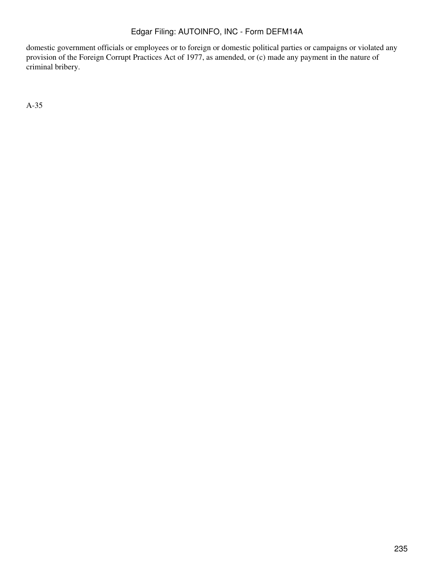domestic government officials or employees or to foreign or domestic political parties or campaigns or violated any provision of the Foreign Corrupt Practices Act of 1977, as amended, or (c) made any payment in the nature of criminal bribery.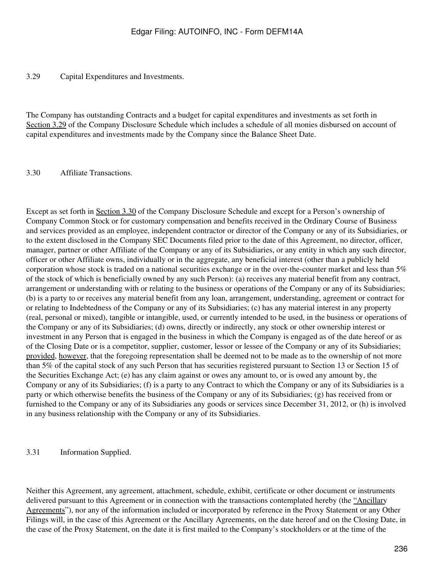3.29 Capital Expenditures and Investments.

The Company has outstanding Contracts and a budget for capital expenditures and investments as set forth in Section 3.29 of the Company Disclosure Schedule which includes a schedule of all monies disbursed on account of capital expenditures and investments made by the Company since the Balance Sheet Date.

#### 3.30 Affiliate Transactions.

Except as set forth in Section 3.30 of the Company Disclosure Schedule and except for a Person's ownership of Company Common Stock or for customary compensation and benefits received in the Ordinary Course of Business and services provided as an employee, independent contractor or director of the Company or any of its Subsidiaries, or to the extent disclosed in the Company SEC Documents filed prior to the date of this Agreement, no director, officer, manager, partner or other Affiliate of the Company or any of its Subsidiaries, or any entity in which any such director, officer or other Affiliate owns, individually or in the aggregate, any beneficial interest (other than a publicly held corporation whose stock is traded on a national securities exchange or in the over-the-counter market and less than 5% of the stock of which is beneficially owned by any such Person): (a) receives any material benefit from any contract, arrangement or understanding with or relating to the business or operations of the Company or any of its Subsidiaries; (b) is a party to or receives any material benefit from any loan, arrangement, understanding, agreement or contract for or relating to Indebtedness of the Company or any of its Subsidiaries; (c) has any material interest in any property (real, personal or mixed), tangible or intangible, used, or currently intended to be used, in the business or operations of the Company or any of its Subsidiaries; (d) owns, directly or indirectly, any stock or other ownership interest or investment in any Person that is engaged in the business in which the Company is engaged as of the date hereof or as of the Closing Date or is a competitor, supplier, customer, lessor or lessee of the Company or any of its Subsidiaries; provided, however, that the foregoing representation shall be deemed not to be made as to the ownership of not more than 5% of the capital stock of any such Person that has securities registered pursuant to Section 13 or Section 15 of the Securities Exchange Act; (e) has any claim against or owes any amount to, or is owed any amount by, the Company or any of its Subsidiaries; (f) is a party to any Contract to which the Company or any of its Subsidiaries is a party or which otherwise benefits the business of the Company or any of its Subsidiaries; (g) has received from or furnished to the Company or any of its Subsidiaries any goods or services since December 31, 2012, or (h) is involved in any business relationship with the Company or any of its Subsidiaries.

#### 3.31 Information Supplied.

Neither this Agreement, any agreement, attachment, schedule, exhibit, certificate or other document or instruments delivered pursuant to this Agreement or in connection with the transactions contemplated hereby (the "Ancillary Agreements"), nor any of the information included or incorporated by reference in the Proxy Statement or any Other Filings will, in the case of this Agreement or the Ancillary Agreements, on the date hereof and on the Closing Date, in the case of the Proxy Statement, on the date it is first mailed to the Company's stockholders or at the time of the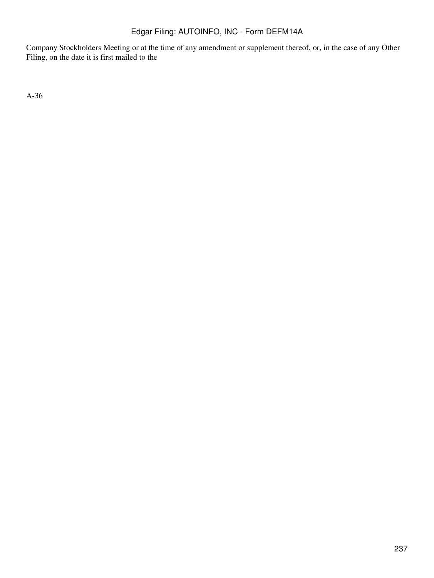Company Stockholders Meeting or at the time of any amendment or supplement thereof, or, in the case of any Other Filing, on the date it is first mailed to the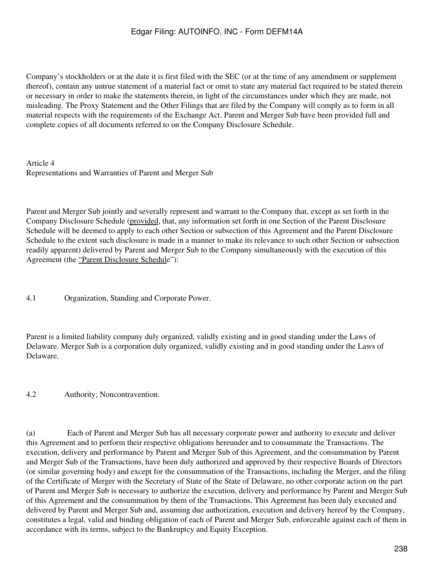Company's stockholders or at the date it is first filed with the SEC (or at the time of any amendment or supplement thereof), contain any untrue statement of a material fact or omit to state any material fact required to be stated therein or necessary in order to make the statements therein, in light of the circumstances under which they are made, not misleading. The Proxy Statement and the Other Filings that are filed by the Company will comply as to form in all material respects with the requirements of the Exchange Act. Parent and Merger Sub have been provided full and complete copies of all documents referred to on the Company Disclosure Schedule.

Article 4 Representations and Warranties of Parent and Merger Sub

Parent and Merger Sub jointly and severally represent and warrant to the Company that, except as set forth in the Company Disclosure Schedule (provided, that, any information set forth in one Section of the Parent Disclosure Schedule will be deemed to apply to each other Section or subsection of this Agreement and the Parent Disclosure Schedule to the extent such disclosure is made in a manner to make its relevance to such other Section or subsection readily apparent) delivered by Parent and Merger Sub to the Company simultaneously with the execution of this Agreement (the "Parent Disclosure Schedule"):

4.1 Organization, Standing and Corporate Power.

Parent is a limited liability company duly organized, validly existing and in good standing under the Laws of Delaware. Merger Sub is a corporation duly organized, validly existing and in good standing under the Laws of Delaware.

4.2 Authority; Noncontravention.

(a) Each of Parent and Merger Sub has all necessary corporate power and authority to execute and deliver this Agreement and to perform their respective obligations hereunder and to consummate the Transactions. The execution, delivery and performance by Parent and Merger Sub of this Agreement, and the consummation by Parent and Merger Sub of the Transactions, have been duly authorized and approved by their respective Boards of Directors (or similar governing body) and except for the consummation of the Transactions, including the Merger, and the filing of the Certificate of Merger with the Secretary of State of the State of Delaware, no other corporate action on the part of Parent and Merger Sub is necessary to authorize the execution, delivery and performance by Parent and Merger Sub of this Agreement and the consummation by them of the Transactions. This Agreement has been duly executed and delivered by Parent and Merger Sub and, assuming due authorization, execution and delivery hereof by the Company, constitutes a legal, valid and binding obligation of each of Parent and Merger Sub, enforceable against each of them in accordance with its terms, subject to the Bankruptcy and Equity Exception.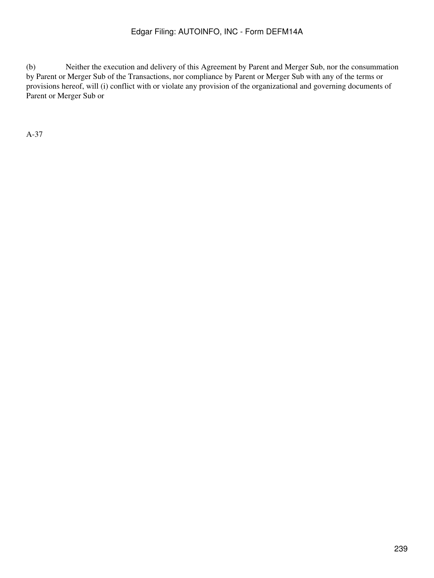(b) Neither the execution and delivery of this Agreement by Parent and Merger Sub, nor the consummation by Parent or Merger Sub of the Transactions, nor compliance by Parent or Merger Sub with any of the terms or provisions hereof, will (i) conflict with or violate any provision of the organizational and governing documents of Parent or Merger Sub or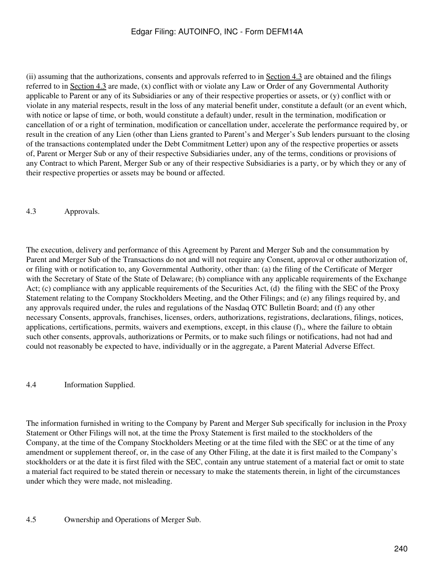(ii) assuming that the authorizations, consents and approvals referred to in Section 4.3 are obtained and the filings referred to in Section 4.3 are made, (x) conflict with or violate any Law or Order of any Governmental Authority applicable to Parent or any of its Subsidiaries or any of their respective properties or assets, or (y) conflict with or violate in any material respects, result in the loss of any material benefit under, constitute a default (or an event which, with notice or lapse of time, or both, would constitute a default) under, result in the termination, modification or cancellation of or a right of termination, modification or cancellation under, accelerate the performance required by, or result in the creation of any Lien (other than Liens granted to Parent's and Merger's Sub lenders pursuant to the closing of the transactions contemplated under the Debt Commitment Letter) upon any of the respective properties or assets of, Parent or Merger Sub or any of their respective Subsidiaries under, any of the terms, conditions or provisions of any Contract to which Parent, Merger Sub or any of their respective Subsidiaries is a party, or by which they or any of their respective properties or assets may be bound or affected.

4.3 Approvals.

The execution, delivery and performance of this Agreement by Parent and Merger Sub and the consummation by Parent and Merger Sub of the Transactions do not and will not require any Consent, approval or other authorization of, or filing with or notification to, any Governmental Authority, other than: (a) the filing of the Certificate of Merger with the Secretary of State of the State of Delaware; (b) compliance with any applicable requirements of the Exchange Act; (c) compliance with any applicable requirements of the Securities Act, (d) the filing with the SEC of the Proxy Statement relating to the Company Stockholders Meeting, and the Other Filings; and (e) any filings required by, and any approvals required under, the rules and regulations of the Nasdaq OTC Bulletin Board; and (f) any other necessary Consents, approvals, franchises, licenses, orders, authorizations, registrations, declarations, filings, notices, applications, certifications, permits, waivers and exemptions, except, in this clause (f),, where the failure to obtain such other consents, approvals, authorizations or Permits, or to make such filings or notifications, had not had and could not reasonably be expected to have, individually or in the aggregate, a Parent Material Adverse Effect.

4.4 Information Supplied.

The information furnished in writing to the Company by Parent and Merger Sub specifically for inclusion in the Proxy Statement or Other Filings will not, at the time the Proxy Statement is first mailed to the stockholders of the Company, at the time of the Company Stockholders Meeting or at the time filed with the SEC or at the time of any amendment or supplement thereof, or, in the case of any Other Filing, at the date it is first mailed to the Company's stockholders or at the date it is first filed with the SEC, contain any untrue statement of a material fact or omit to state a material fact required to be stated therein or necessary to make the statements therein, in light of the circumstances under which they were made, not misleading.

4.5 Ownership and Operations of Merger Sub.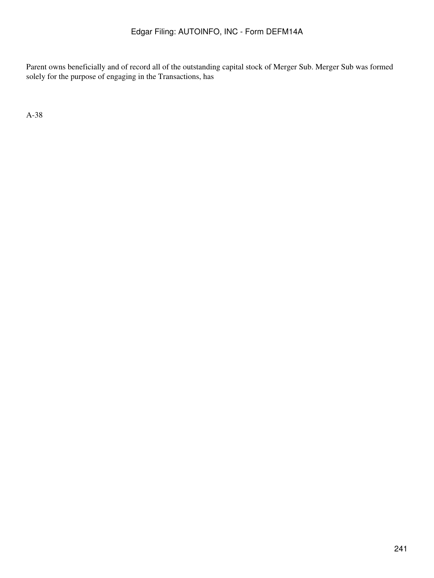Parent owns beneficially and of record all of the outstanding capital stock of Merger Sub. Merger Sub was formed solely for the purpose of engaging in the Transactions, has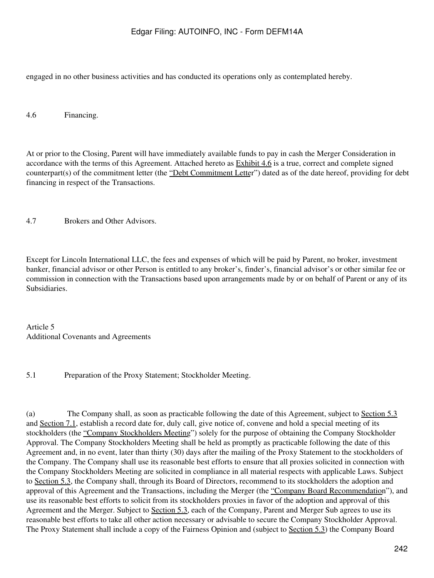engaged in no other business activities and has conducted its operations only as contemplated hereby.

4.6 Financing.

At or prior to the Closing, Parent will have immediately available funds to pay in cash the Merger Consideration in accordance with the terms of this Agreement. Attached hereto as Exhibit 4.6 is a true, correct and complete signed counterpart(s) of the commitment letter (the "Debt Commitment Letter") dated as of the date hereof, providing for debt financing in respect of the Transactions.

4.7 Brokers and Other Advisors.

Except for Lincoln International LLC, the fees and expenses of which will be paid by Parent, no broker, investment banker, financial advisor or other Person is entitled to any broker's, finder's, financial advisor's or other similar fee or commission in connection with the Transactions based upon arrangements made by or on behalf of Parent or any of its Subsidiaries.

Article 5 Additional Covenants and Agreements

5.1 Preparation of the Proxy Statement; Stockholder Meeting.

(a) The Company shall, as soon as practicable following the date of this Agreement, subject to Section 5.3 and Section 7.1, establish a record date for, duly call, give notice of, convene and hold a special meeting of its stockholders (the "Company Stockholders Meeting") solely for the purpose of obtaining the Company Stockholder Approval. The Company Stockholders Meeting shall be held as promptly as practicable following the date of this Agreement and, in no event, later than thirty (30) days after the mailing of the Proxy Statement to the stockholders of the Company. The Company shall use its reasonable best efforts to ensure that all proxies solicited in connection with the Company Stockholders Meeting are solicited in compliance in all material respects with applicable Laws. Subject to Section 5.3, the Company shall, through its Board of Directors, recommend to its stockholders the adoption and approval of this Agreement and the Transactions, including the Merger (the "Company Board Recommendation"), and use its reasonable best efforts to solicit from its stockholders proxies in favor of the adoption and approval of this Agreement and the Merger. Subject to Section 5.3, each of the Company, Parent and Merger Sub agrees to use its reasonable best efforts to take all other action necessary or advisable to secure the Company Stockholder Approval. The Proxy Statement shall include a copy of the Fairness Opinion and (subject to Section 5.3) the Company Board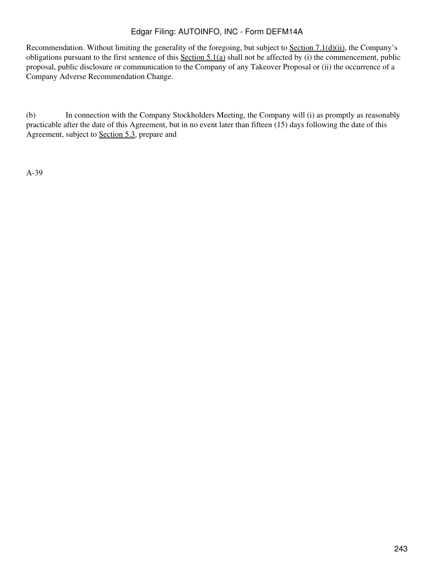Recommendation. Without limiting the generality of the foregoing, but subject to Section 7.1(d)(ii), the Company's obligations pursuant to the first sentence of this Section 5.1(a) shall not be affected by (i) the commencement, public proposal, public disclosure or communication to the Company of any Takeover Proposal or (ii) the occurrence of a Company Adverse Recommendation Change.

(b) In connection with the Company Stockholders Meeting, the Company will (i) as promptly as reasonably practicable after the date of this Agreement, but in no event later than fifteen (15) days following the date of this Agreement, subject to Section 5.3, prepare and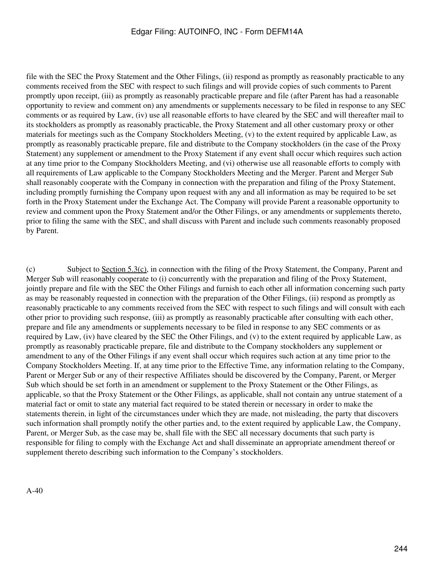file with the SEC the Proxy Statement and the Other Filings, (ii) respond as promptly as reasonably practicable to any comments received from the SEC with respect to such filings and will provide copies of such comments to Parent promptly upon receipt, (iii) as promptly as reasonably practicable prepare and file (after Parent has had a reasonable opportunity to review and comment on) any amendments or supplements necessary to be filed in response to any SEC comments or as required by Law, (iv) use all reasonable efforts to have cleared by the SEC and will thereafter mail to its stockholders as promptly as reasonably practicable, the Proxy Statement and all other customary proxy or other materials for meetings such as the Company Stockholders Meeting, (v) to the extent required by applicable Law, as promptly as reasonably practicable prepare, file and distribute to the Company stockholders (in the case of the Proxy Statement) any supplement or amendment to the Proxy Statement if any event shall occur which requires such action at any time prior to the Company Stockholders Meeting, and (vi) otherwise use all reasonable efforts to comply with all requirements of Law applicable to the Company Stockholders Meeting and the Merger. Parent and Merger Sub shall reasonably cooperate with the Company in connection with the preparation and filing of the Proxy Statement, including promptly furnishing the Company upon request with any and all information as may be required to be set forth in the Proxy Statement under the Exchange Act. The Company will provide Parent a reasonable opportunity to review and comment upon the Proxy Statement and/or the Other Filings, or any amendments or supplements thereto, prior to filing the same with the SEC, and shall discuss with Parent and include such comments reasonably proposed by Parent.

(c) Subject to Section 5.3(c), in connection with the filing of the Proxy Statement, the Company, Parent and Merger Sub will reasonably cooperate to (i) concurrently with the preparation and filing of the Proxy Statement, jointly prepare and file with the SEC the Other Filings and furnish to each other all information concerning such party as may be reasonably requested in connection with the preparation of the Other Filings, (ii) respond as promptly as reasonably practicable to any comments received from the SEC with respect to such filings and will consult with each other prior to providing such response, (iii) as promptly as reasonably practicable after consulting with each other, prepare and file any amendments or supplements necessary to be filed in response to any SEC comments or as required by Law, (iv) have cleared by the SEC the Other Filings, and (v) to the extent required by applicable Law, as promptly as reasonably practicable prepare, file and distribute to the Company stockholders any supplement or amendment to any of the Other Filings if any event shall occur which requires such action at any time prior to the Company Stockholders Meeting. If, at any time prior to the Effective Time, any information relating to the Company, Parent or Merger Sub or any of their respective Affiliates should be discovered by the Company, Parent, or Merger Sub which should be set forth in an amendment or supplement to the Proxy Statement or the Other Filings, as applicable, so that the Proxy Statement or the Other Filings, as applicable, shall not contain any untrue statement of a material fact or omit to state any material fact required to be stated therein or necessary in order to make the statements therein, in light of the circumstances under which they are made, not misleading, the party that discovers such information shall promptly notify the other parties and, to the extent required by applicable Law, the Company, Parent, or Merger Sub, as the case may be, shall file with the SEC all necessary documents that such party is responsible for filing to comply with the Exchange Act and shall disseminate an appropriate amendment thereof or supplement thereto describing such information to the Company's stockholders.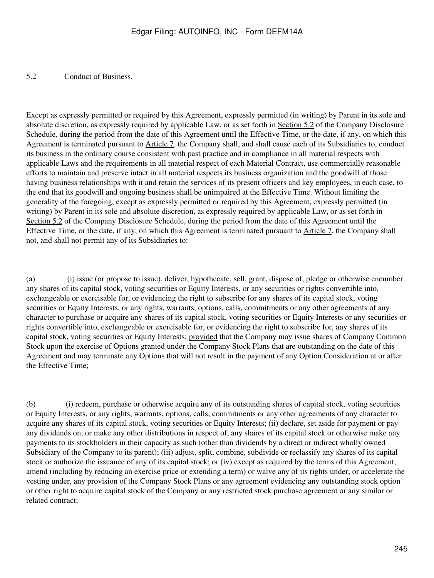## 5.2 Conduct of Business.

Except as expressly permitted or required by this Agreement, expressly permitted (in writing) by Parent in its sole and absolute discretion, as expressly required by applicable Law, or as set forth in Section 5.2 of the Company Disclosure Schedule, during the period from the date of this Agreement until the Effective Time, or the date, if any, on which this Agreement is terminated pursuant to Article 7, the Company shall, and shall cause each of its Subsidiaries to, conduct its business in the ordinary course consistent with past practice and in compliance in all material respects with applicable Laws and the requirements in all material respect of each Material Contract, use commercially reasonable efforts to maintain and preserve intact in all material respects its business organization and the goodwill of those having business relationships with it and retain the services of its present officers and key employees, in each case, to the end that its goodwill and ongoing business shall be unimpaired at the Effective Time. Without limiting the generality of the foregoing, except as expressly permitted or required by this Agreement, expressly permitted (in writing) by Parent in its sole and absolute discretion, as expressly required by applicable Law, or as set forth in Section 5.2 of the Company Disclosure Schedule, during the period from the date of this Agreement until the Effective Time, or the date, if any, on which this Agreement is terminated pursuant to Article 7, the Company shall not, and shall not permit any of its Subsidiaries to:

(a) (i) issue (or propose to issue), deliver, hypothecate, sell, grant, dispose of, pledge or otherwise encumber any shares of its capital stock, voting securities or Equity Interests, or any securities or rights convertible into, exchangeable or exercisable for, or evidencing the right to subscribe for any shares of its capital stock, voting securities or Equity Interests, or any rights, warrants, options, calls, commitments or any other agreements of any character to purchase or acquire any shares of its capital stock, voting securities or Equity Interests or any securities or rights convertible into, exchangeable or exercisable for, or evidencing the right to subscribe for, any shares of its capital stock, voting securities or Equity Interests; provided that the Company may issue shares of Company Common Stock upon the exercise of Options granted under the Company Stock Plans that are outstanding on the date of this Agreement and may terminate any Options that will not result in the payment of any Option Consideration at or after the Effective Time;

(b) (i) redeem, purchase or otherwise acquire any of its outstanding shares of capital stock, voting securities or Equity Interests, or any rights, warrants, options, calls, commitments or any other agreements of any character to acquire any shares of its capital stock, voting securities or Equity Interests; (ii) declare, set aside for payment or pay any dividends on, or make any other distributions in respect of, any shares of its capital stock or otherwise make any payments to its stockholders in their capacity as such (other than dividends by a direct or indirect wholly owned Subsidiary of the Company to its parent); (iii) adjust, split, combine, subdivide or reclassify any shares of its capital stock or authorize the issuance of any of its capital stock; or (iv) except as required by the terms of this Agreement, amend (including by reducing an exercise price or extending a term) or waive any of its rights under, or accelerate the vesting under, any provision of the Company Stock Plans or any agreement evidencing any outstanding stock option or other right to acquire capital stock of the Company or any restricted stock purchase agreement or any similar or related contract;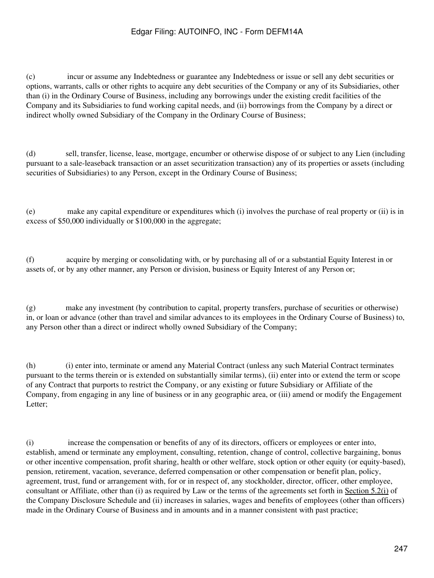(c) incur or assume any Indebtedness or guarantee any Indebtedness or issue or sell any debt securities or options, warrants, calls or other rights to acquire any debt securities of the Company or any of its Subsidiaries, other than (i) in the Ordinary Course of Business, including any borrowings under the existing credit facilities of the Company and its Subsidiaries to fund working capital needs, and (ii) borrowings from the Company by a direct or indirect wholly owned Subsidiary of the Company in the Ordinary Course of Business;

(d) sell, transfer, license, lease, mortgage, encumber or otherwise dispose of or subject to any Lien (including pursuant to a sale-leaseback transaction or an asset securitization transaction) any of its properties or assets (including securities of Subsidiaries) to any Person, except in the Ordinary Course of Business;

(e) make any capital expenditure or expenditures which (i) involves the purchase of real property or (ii) is in excess of \$50,000 individually or \$100,000 in the aggregate;

(f) acquire by merging or consolidating with, or by purchasing all of or a substantial Equity Interest in or assets of, or by any other manner, any Person or division, business or Equity Interest of any Person or;

(g) make any investment (by contribution to capital, property transfers, purchase of securities or otherwise) in, or loan or advance (other than travel and similar advances to its employees in the Ordinary Course of Business) to, any Person other than a direct or indirect wholly owned Subsidiary of the Company;

(h) (i) enter into, terminate or amend any Material Contract (unless any such Material Contract terminates pursuant to the terms therein or is extended on substantially similar terms), (ii) enter into or extend the term or scope of any Contract that purports to restrict the Company, or any existing or future Subsidiary or Affiliate of the Company, from engaging in any line of business or in any geographic area, or (iii) amend or modify the Engagement Letter;

(i) increase the compensation or benefits of any of its directors, officers or employees or enter into, establish, amend or terminate any employment, consulting, retention, change of control, collective bargaining, bonus or other incentive compensation, profit sharing, health or other welfare, stock option or other equity (or equity-based), pension, retirement, vacation, severance, deferred compensation or other compensation or benefit plan, policy, agreement, trust, fund or arrangement with, for or in respect of, any stockholder, director, officer, other employee, consultant or Affiliate, other than (i) as required by Law or the terms of the agreements set forth in Section 5.2(i) of the Company Disclosure Schedule and (ii) increases in salaries, wages and benefits of employees (other than officers) made in the Ordinary Course of Business and in amounts and in a manner consistent with past practice;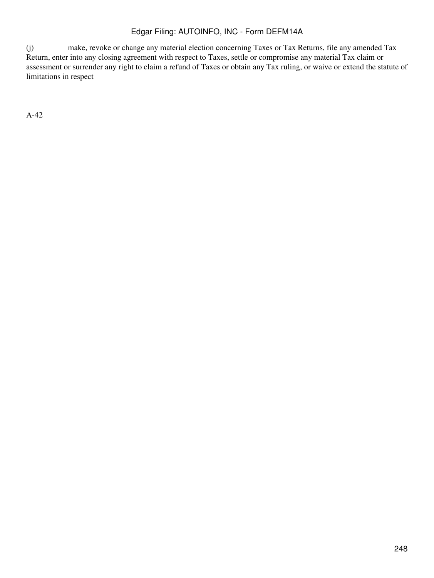(j) make, revoke or change any material election concerning Taxes or Tax Returns, file any amended Tax Return, enter into any closing agreement with respect to Taxes, settle or compromise any material Tax claim or assessment or surrender any right to claim a refund of Taxes or obtain any Tax ruling, or waive or extend the statute of limitations in respect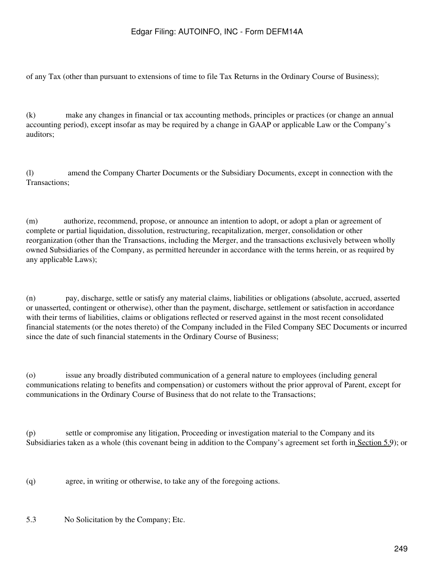of any Tax (other than pursuant to extensions of time to file Tax Returns in the Ordinary Course of Business);

(k) make any changes in financial or tax accounting methods, principles or practices (or change an annual accounting period), except insofar as may be required by a change in GAAP or applicable Law or the Company's auditors;

(l) amend the Company Charter Documents or the Subsidiary Documents, except in connection with the Transactions;

(m) authorize, recommend, propose, or announce an intention to adopt, or adopt a plan or agreement of complete or partial liquidation, dissolution, restructuring, recapitalization, merger, consolidation or other reorganization (other than the Transactions, including the Merger, and the transactions exclusively between wholly owned Subsidiaries of the Company, as permitted hereunder in accordance with the terms herein, or as required by any applicable Laws);

(n) pay, discharge, settle or satisfy any material claims, liabilities or obligations (absolute, accrued, asserted or unasserted, contingent or otherwise), other than the payment, discharge, settlement or satisfaction in accordance with their terms of liabilities, claims or obligations reflected or reserved against in the most recent consolidated financial statements (or the notes thereto) of the Company included in the Filed Company SEC Documents or incurred since the date of such financial statements in the Ordinary Course of Business;

(o) issue any broadly distributed communication of a general nature to employees (including general communications relating to benefits and compensation) or customers without the prior approval of Parent, except for communications in the Ordinary Course of Business that do not relate to the Transactions;

(p) settle or compromise any litigation, Proceeding or investigation material to the Company and its Subsidiaries taken as a whole (this covenant being in addition to the Company's agreement set forth in Section 5.9); or

(q) agree, in writing or otherwise, to take any of the foregoing actions.

5.3 No Solicitation by the Company; Etc.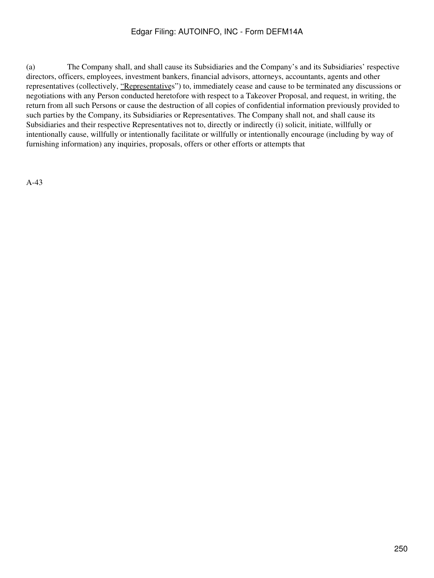(a) The Company shall, and shall cause its Subsidiaries and the Company's and its Subsidiaries' respective directors, officers, employees, investment bankers, financial advisors, attorneys, accountants, agents and other representatives (collectively, "Representatives") to, immediately cease and cause to be terminated any discussions or negotiations with any Person conducted heretofore with respect to a Takeover Proposal, and request, in writing, the return from all such Persons or cause the destruction of all copies of confidential information previously provided to such parties by the Company, its Subsidiaries or Representatives. The Company shall not, and shall cause its Subsidiaries and their respective Representatives not to, directly or indirectly (i) solicit, initiate, willfully or intentionally cause, willfully or intentionally facilitate or willfully or intentionally encourage (including by way of furnishing information) any inquiries, proposals, offers or other efforts or attempts that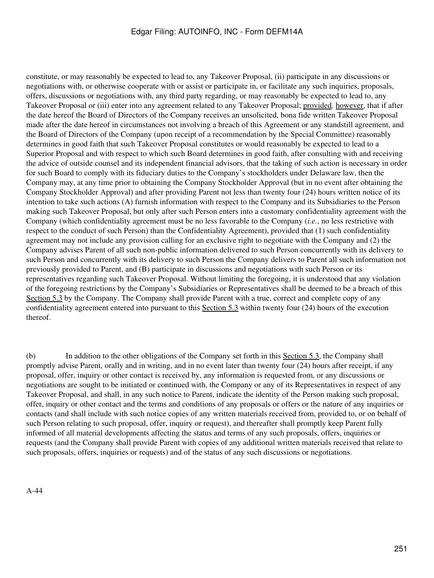constitute, or may reasonably be expected to lead to, any Takeover Proposal, (ii) participate in any discussions or negotiations with, or otherwise cooperate with or assist or participate in, or facilitate any such inquiries, proposals, offers, discussions or negotiations with, any third party regarding, or may reasonably be expected to lead to, any Takeover Proposal or (iii) enter into any agreement related to any Takeover Proposal; provided*,* however, that if after the date hereof the Board of Directors of the Company receives an unsolicited, bona fide written Takeover Proposal made after the date hereof in circumstances not involving a breach of this Agreement or any standstill agreement, and the Board of Directors of the Company (upon receipt of a recommendation by the Special Committee) reasonably determines in good faith that such Takeover Proposal constitutes or would reasonably be expected to lead to a Superior Proposal and with respect to which such Board determines in good faith, after consulting with and receiving the advice of outside counsel and its independent financial advisors, that the taking of such action is necessary in order for such Board to comply with its fiduciary duties to the Company's stockholders under Delaware law, then the Company may, at any time prior to obtaining the Company Stockholder Approval (but in no event after obtaining the Company Stockholder Approval) and after providing Parent not less than twenty four (24) hours written notice of its intention to take such actions (A) furnish information with respect to the Company and its Subsidiaries to the Person making such Takeover Proposal, but only after such Person enters into a customary confidentiality agreement with the Company (which confidentiality agreement must be no less favorable to the Company (*i.e.*, no less restrictive with respect to the conduct of such Person) than the Confidentiality Agreement), provided that (1) such confidentiality agreement may not include any provision calling for an exclusive right to negotiate with the Company and (2) the Company advises Parent of all such non-public information delivered to such Person concurrently with its delivery to such Person and concurrently with its delivery to such Person the Company delivers to Parent all such information not previously provided to Parent, and (B) participate in discussions and negotiations with such Person or its representatives regarding such Takeover Proposal. Without limiting the foregoing, it is understood that any violation of the foregoing restrictions by the Company's Subsidiaries or Representatives shall be deemed to be a breach of this Section 5.3 by the Company. The Company shall provide Parent with a true, correct and complete copy of any confidentiality agreement entered into pursuant to this Section 5.3 within twenty four (24) hours of the execution thereof.

(b) In addition to the other obligations of the Company set forth in this Section 5.3, the Company shall promptly advise Parent, orally and in writing, and in no event later than twenty four (24) hours after receipt, if any proposal, offer, inquiry or other contact is received by, any information is requested from, or any discussions or negotiations are sought to be initiated or continued with, the Company or any of its Representatives in respect of any Takeover Proposal, and shall, in any such notice to Parent, indicate the identity of the Person making such proposal, offer, inquiry or other contact and the terms and conditions of any proposals or offers or the nature of any inquiries or contacts (and shall include with such notice copies of any written materials received from, provided to, or on behalf of such Person relating to such proposal, offer, inquiry or request), and thereafter shall promptly keep Parent fully informed of all material developments affecting the status and terms of any such proposals, offers, inquiries or requests (and the Company shall provide Parent with copies of any additional written materials received that relate to such proposals, offers, inquiries or requests) and of the status of any such discussions or negotiations.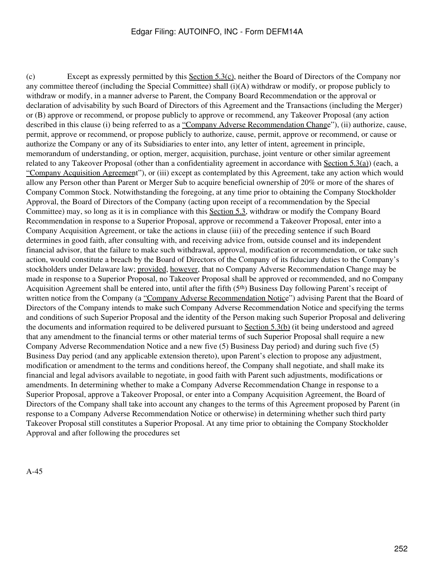(c) Except as expressly permitted by this Section 5.3(c), neither the Board of Directors of the Company nor any committee thereof (including the Special Committee) shall (i)(A) withdraw or modify, or propose publicly to withdraw or modify, in a manner adverse to Parent, the Company Board Recommendation or the approval or declaration of advisability by such Board of Directors of this Agreement and the Transactions (including the Merger) or (B) approve or recommend, or propose publicly to approve or recommend, any Takeover Proposal (any action described in this clause (i) being referred to as a "Company Adverse Recommendation Change"), (ii) authorize, cause, permit, approve or recommend, or propose publicly to authorize, cause, permit, approve or recommend, or cause or authorize the Company or any of its Subsidiaries to enter into, any letter of intent, agreement in principle, memorandum of understanding, or option, merger, acquisition, purchase, joint venture or other similar agreement related to any Takeover Proposal (other than a confidentiality agreement in accordance with Section 5.3(a)) (each, a "Company Acquisition Agreement"), or (iii) except as contemplated by this Agreement, take any action which would allow any Person other than Parent or Merger Sub to acquire beneficial ownership of 20% or more of the shares of Company Common Stock. Notwithstanding the foregoing, at any time prior to obtaining the Company Stockholder Approval, the Board of Directors of the Company (acting upon receipt of a recommendation by the Special Committee) may, so long as it is in compliance with this Section 5.3, withdraw or modify the Company Board Recommendation in response to a Superior Proposal, approve or recommend a Takeover Proposal, enter into a Company Acquisition Agreement, or take the actions in clause (iii) of the preceding sentence if such Board determines in good faith, after consulting with, and receiving advice from, outside counsel and its independent financial advisor, that the failure to make such withdrawal, approval, modification or recommendation, or take such action, would constitute a breach by the Board of Directors of the Company of its fiduciary duties to the Company's stockholders under Delaware law; provided, however, that no Company Adverse Recommendation Change may be made in response to a Superior Proposal, no Takeover Proposal shall be approved or recommended, and no Company Acquisition Agreement shall be entered into, until after the fifth (5th) Business Day following Parent's receipt of written notice from the Company (a "Company Adverse Recommendation Notice") advising Parent that the Board of Directors of the Company intends to make such Company Adverse Recommendation Notice and specifying the terms and conditions of such Superior Proposal and the identity of the Person making such Superior Proposal and delivering the documents and information required to be delivered pursuant to Section 5.3(b) (it being understood and agreed that any amendment to the financial terms or other material terms of such Superior Proposal shall require a new Company Adverse Recommendation Notice and a new five (5) Business Day period) and during such five (5) Business Day period (and any applicable extension thereto), upon Parent's election to propose any adjustment, modification or amendment to the terms and conditions hereof, the Company shall negotiate, and shall make its financial and legal advisors available to negotiate, in good faith with Parent such adjustments, modifications or amendments. In determining whether to make a Company Adverse Recommendation Change in response to a Superior Proposal, approve a Takeover Proposal, or enter into a Company Acquisition Agreement, the Board of Directors of the Company shall take into account any changes to the terms of this Agreement proposed by Parent (in response to a Company Adverse Recommendation Notice or otherwise) in determining whether such third party Takeover Proposal still constitutes a Superior Proposal. At any time prior to obtaining the Company Stockholder Approval and after following the procedures set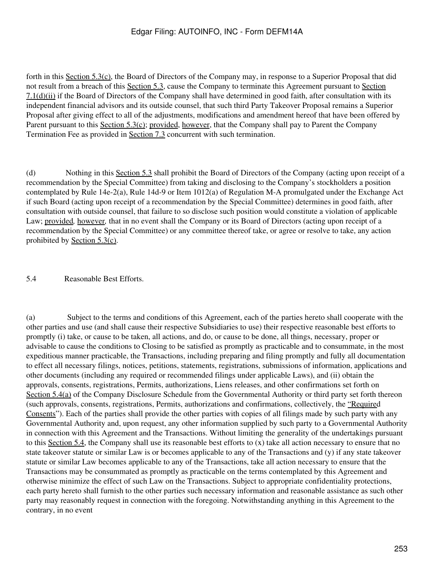forth in this Section 5.3(c), the Board of Directors of the Company may, in response to a Superior Proposal that did not result from a breach of this Section 5.3, cause the Company to terminate this Agreement pursuant to Section 7.1(d)(ii) if the Board of Directors of the Company shall have determined in good faith, after consultation with its independent financial advisors and its outside counsel, that such third Party Takeover Proposal remains a Superior Proposal after giving effect to all of the adjustments, modifications and amendment hereof that have been offered by Parent pursuant to this Section 5.3(c); provided, however, that the Company shall pay to Parent the Company Termination Fee as provided in Section 7.3 concurrent with such termination.

(d) Nothing in this Section 5.3 shall prohibit the Board of Directors of the Company (acting upon receipt of a recommendation by the Special Committee) from taking and disclosing to the Company's stockholders a position contemplated by Rule 14e-2(a), Rule 14d-9 or Item 1012(a) of Regulation M-A promulgated under the Exchange Act if such Board (acting upon receipt of a recommendation by the Special Committee) determines in good faith, after consultation with outside counsel, that failure to so disclose such position would constitute a violation of applicable Law; provided*,* however*,* that in no event shall the Company or its Board of Directors (acting upon receipt of a recommendation by the Special Committee) or any committee thereof take, or agree or resolve to take, any action prohibited by Section 5.3(c).

5.4 Reasonable Best Efforts.

(a) Subject to the terms and conditions of this Agreement, each of the parties hereto shall cooperate with the other parties and use (and shall cause their respective Subsidiaries to use) their respective reasonable best efforts to promptly (i) take, or cause to be taken, all actions, and do, or cause to be done, all things, necessary, proper or advisable to cause the conditions to Closing to be satisfied as promptly as practicable and to consummate, in the most expeditious manner practicable, the Transactions, including preparing and filing promptly and fully all documentation to effect all necessary filings, notices, petitions, statements, registrations, submissions of information, applications and other documents (including any required or recommended filings under applicable Laws), and (ii) obtain the approvals, consents, registrations, Permits, authorizations, Liens releases, and other confirmations set forth on Section 5.4(a) of the Company Disclosure Schedule from the Governmental Authority or third party set forth thereon (such approvals, consents, registrations, Permits, authorizations and confirmations, collectively, the "Required Consents"). Each of the parties shall provide the other parties with copies of all filings made by such party with any Governmental Authority and, upon request, any other information supplied by such party to a Governmental Authority in connection with this Agreement and the Transactions. Without limiting the generality of the undertakings pursuant to this Section 5.4, the Company shall use its reasonable best efforts to  $(x)$  take all action necessary to ensure that no state takeover statute or similar Law is or becomes applicable to any of the Transactions and (y) if any state takeover statute or similar Law becomes applicable to any of the Transactions, take all action necessary to ensure that the Transactions may be consummated as promptly as practicable on the terms contemplated by this Agreement and otherwise minimize the effect of such Law on the Transactions. Subject to appropriate confidentiality protections, each party hereto shall furnish to the other parties such necessary information and reasonable assistance as such other party may reasonably request in connection with the foregoing. Notwithstanding anything in this Agreement to the contrary, in no event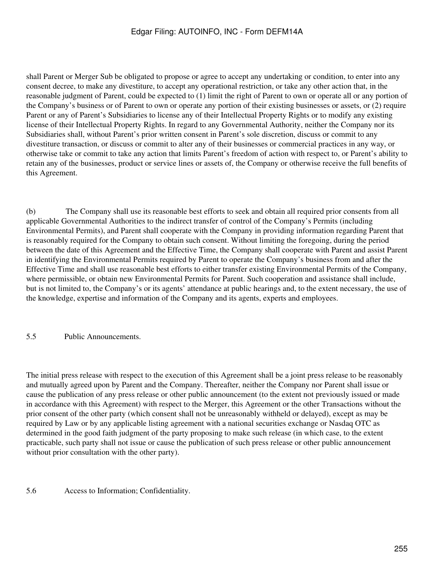shall Parent or Merger Sub be obligated to propose or agree to accept any undertaking or condition, to enter into any consent decree, to make any divestiture, to accept any operational restriction, or take any other action that, in the reasonable judgment of Parent, could be expected to (1) limit the right of Parent to own or operate all or any portion of the Company's business or of Parent to own or operate any portion of their existing businesses or assets, or (2) require Parent or any of Parent's Subsidiaries to license any of their Intellectual Property Rights or to modify any existing license of their Intellectual Property Rights. In regard to any Governmental Authority, neither the Company nor its Subsidiaries shall, without Parent's prior written consent in Parent's sole discretion, discuss or commit to any divestiture transaction, or discuss or commit to alter any of their businesses or commercial practices in any way, or otherwise take or commit to take any action that limits Parent's freedom of action with respect to, or Parent's ability to retain any of the businesses, product or service lines or assets of, the Company or otherwise receive the full benefits of this Agreement.

(b) The Company shall use its reasonable best efforts to seek and obtain all required prior consents from all applicable Governmental Authorities to the indirect transfer of control of the Company's Permits (including Environmental Permits), and Parent shall cooperate with the Company in providing information regarding Parent that is reasonably required for the Company to obtain such consent. Without limiting the foregoing, during the period between the date of this Agreement and the Effective Time, the Company shall cooperate with Parent and assist Parent in identifying the Environmental Permits required by Parent to operate the Company's business from and after the Effective Time and shall use reasonable best efforts to either transfer existing Environmental Permits of the Company, where permissible, or obtain new Environmental Permits for Parent. Such cooperation and assistance shall include, but is not limited to, the Company's or its agents' attendance at public hearings and, to the extent necessary, the use of the knowledge, expertise and information of the Company and its agents, experts and employees.

5.5 Public Announcements.

The initial press release with respect to the execution of this Agreement shall be a joint press release to be reasonably and mutually agreed upon by Parent and the Company. Thereafter, neither the Company nor Parent shall issue or cause the publication of any press release or other public announcement (to the extent not previously issued or made in accordance with this Agreement) with respect to the Merger, this Agreement or the other Transactions without the prior consent of the other party (which consent shall not be unreasonably withheld or delayed), except as may be required by Law or by any applicable listing agreement with a national securities exchange or Nasdaq OTC as determined in the good faith judgment of the party proposing to make such release (in which case, to the extent practicable, such party shall not issue or cause the publication of such press release or other public announcement without prior consultation with the other party).

5.6 Access to Information; Confidentiality.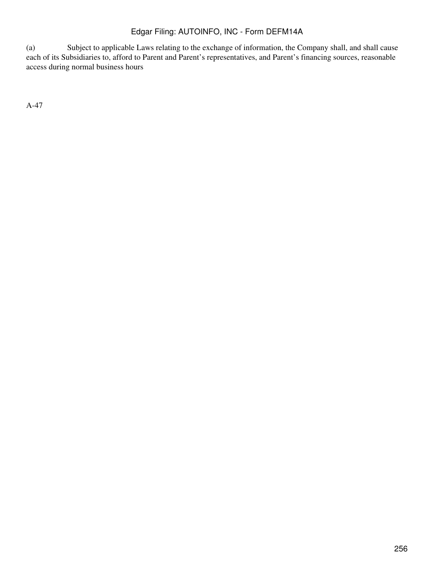(a) Subject to applicable Laws relating to the exchange of information, the Company shall, and shall cause each of its Subsidiaries to, afford to Parent and Parent's representatives, and Parent's financing sources, reasonable access during normal business hours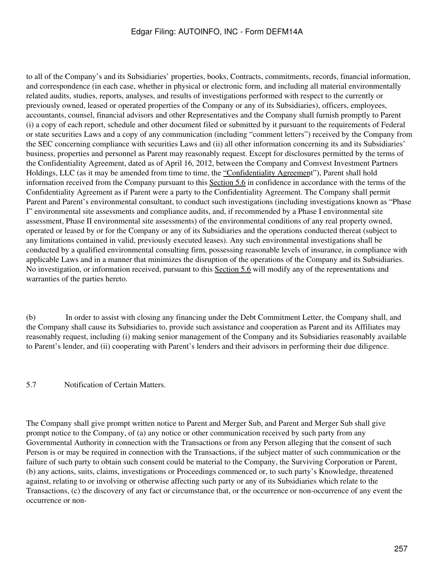to all of the Company's and its Subsidiaries' properties, books, Contracts, commitments, records, financial information, and correspondence (in each case, whether in physical or electronic form, and including all material environmentally related audits, studies, reports, analyses, and results of investigations performed with respect to the currently or previously owned, leased or operated properties of the Company or any of its Subsidiaries), officers, employees, accountants, counsel, financial advisors and other Representatives and the Company shall furnish promptly to Parent (i) a copy of each report, schedule and other document filed or submitted by it pursuant to the requirements of Federal or state securities Laws and a copy of any communication (including "comment letters") received by the Company from the SEC concerning compliance with securities Laws and (ii) all other information concerning its and its Subsidiaries' business, properties and personnel as Parent may reasonably request. Except for disclosures permitted by the terms of the Confidentiality Agreement, dated as of April 16, 2012, between the Company and Comvest Investment Partners Holdings, LLC (as it may be amended from time to time, the "Confidentiality Agreement"), Parent shall hold information received from the Company pursuant to this Section 5.6 in confidence in accordance with the terms of the Confidentiality Agreement as if Parent were a party to the Confidentiality Agreement. The Company shall permit Parent and Parent's environmental consultant, to conduct such investigations (including investigations known as "Phase I" environmental site assessments and compliance audits, and, if recommended by a Phase I environmental site assessment, Phase II environmental site assessments) of the environmental conditions of any real property owned, operated or leased by or for the Company or any of its Subsidiaries and the operations conducted thereat (subject to any limitations contained in valid, previously executed leases). Any such environmental investigations shall be conducted by a qualified environmental consulting firm, possessing reasonable levels of insurance, in compliance with applicable Laws and in a manner that minimizes the disruption of the operations of the Company and its Subsidiaries. No investigation, or information received, pursuant to this Section 5.6 will modify any of the representations and warranties of the parties hereto.

(b) In order to assist with closing any financing under the Debt Commitment Letter, the Company shall, and the Company shall cause its Subsidiaries to, provide such assistance and cooperation as Parent and its Affiliates may reasonably request, including (i) making senior management of the Company and its Subsidiaries reasonably available to Parent's lender, and (ii) cooperating with Parent's lenders and their advisors in performing their due diligence.

#### 5.7 Notification of Certain Matters.

The Company shall give prompt written notice to Parent and Merger Sub, and Parent and Merger Sub shall give prompt notice to the Company, of (a) any notice or other communication received by such party from any Governmental Authority in connection with the Transactions or from any Person alleging that the consent of such Person is or may be required in connection with the Transactions, if the subject matter of such communication or the failure of such party to obtain such consent could be material to the Company, the Surviving Corporation or Parent, (b) any actions, suits, claims, investigations or Proceedings commenced or, to such party's Knowledge, threatened against, relating to or involving or otherwise affecting such party or any of its Subsidiaries which relate to the Transactions, (c) the discovery of any fact or circumstance that, or the occurrence or non-occurrence of any event the occurrence or non-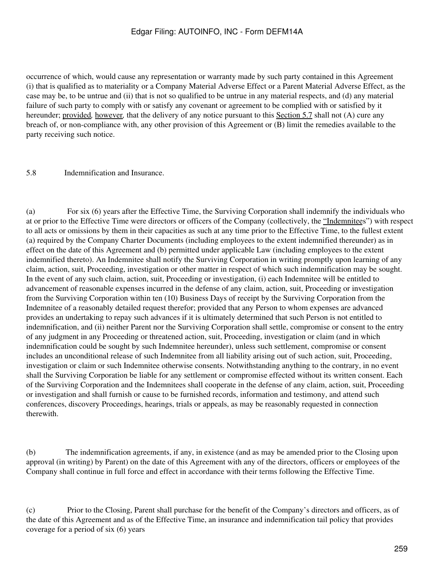occurrence of which, would cause any representation or warranty made by such party contained in this Agreement (i) that is qualified as to materiality or a Company Material Adverse Effect or a Parent Material Adverse Effect, as the case may be, to be untrue and (ii) that is not so qualified to be untrue in any material respects, and (d) any material failure of such party to comply with or satisfy any covenant or agreement to be complied with or satisfied by it hereunder; provided*,* however*,* that the delivery of any notice pursuant to this Section 5.7 shall not (A) cure any breach of, or non-compliance with, any other provision of this Agreement or (B) limit the remedies available to the party receiving such notice.

5.8 Indemnification and Insurance.

(a) For six (6) years after the Effective Time, the Surviving Corporation shall indemnify the individuals who at or prior to the Effective Time were directors or officers of the Company (collectively, the "Indemnitees") with respect to all acts or omissions by them in their capacities as such at any time prior to the Effective Time, to the fullest extent (a) required by the Company Charter Documents (including employees to the extent indemnified thereunder) as in effect on the date of this Agreement and (b) permitted under applicable Law (including employees to the extent indemnified thereto). An Indemnitee shall notify the Surviving Corporation in writing promptly upon learning of any claim, action, suit, Proceeding, investigation or other matter in respect of which such indemnification may be sought. In the event of any such claim, action, suit, Proceeding or investigation, (i) each Indemnitee will be entitled to advancement of reasonable expenses incurred in the defense of any claim, action, suit, Proceeding or investigation from the Surviving Corporation within ten (10) Business Days of receipt by the Surviving Corporation from the Indemnitee of a reasonably detailed request therefor; provided that any Person to whom expenses are advanced provides an undertaking to repay such advances if it is ultimately determined that such Person is not entitled to indemnification, and (ii) neither Parent nor the Surviving Corporation shall settle, compromise or consent to the entry of any judgment in any Proceeding or threatened action, suit, Proceeding, investigation or claim (and in which indemnification could be sought by such Indemnitee hereunder), unless such settlement, compromise or consent includes an unconditional release of such Indemnitee from all liability arising out of such action, suit, Proceeding, investigation or claim or such Indemnitee otherwise consents. Notwithstanding anything to the contrary, in no event shall the Surviving Corporation be liable for any settlement or compromise effected without its written consent. Each of the Surviving Corporation and the Indemnitees shall cooperate in the defense of any claim, action, suit, Proceeding or investigation and shall furnish or cause to be furnished records, information and testimony, and attend such conferences, discovery Proceedings, hearings, trials or appeals, as may be reasonably requested in connection therewith.

(b) The indemnification agreements, if any, in existence (and as may be amended prior to the Closing upon approval (in writing) by Parent) on the date of this Agreement with any of the directors, officers or employees of the Company shall continue in full force and effect in accordance with their terms following the Effective Time.

(c) Prior to the Closing, Parent shall purchase for the benefit of the Company's directors and officers, as of the date of this Agreement and as of the Effective Time, an insurance and indemnification tail policy that provides coverage for a period of six (6) years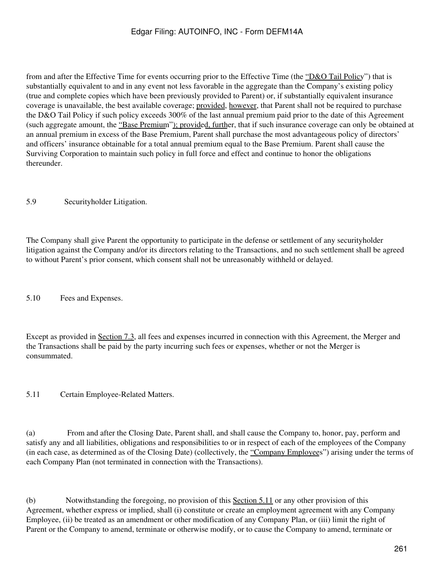from and after the Effective Time for events occurring prior to the Effective Time (the "D&O Tail Policy") that is substantially equivalent to and in any event not less favorable in the aggregate than the Company's existing policy (true and complete copies which have been previously provided to Parent) or, if substantially equivalent insurance coverage is unavailable, the best available coverage; provided, however, that Parent shall not be required to purchase the D&O Tail Policy if such policy exceeds 300% of the last annual premium paid prior to the date of this Agreement (such aggregate amount, the "Base Premium"); provided, further, that if such insurance coverage can only be obtained at an annual premium in excess of the Base Premium, Parent shall purchase the most advantageous policy of directors' and officers' insurance obtainable for a total annual premium equal to the Base Premium. Parent shall cause the Surviving Corporation to maintain such policy in full force and effect and continue to honor the obligations thereunder.

5.9 Securityholder Litigation.

The Company shall give Parent the opportunity to participate in the defense or settlement of any securityholder litigation against the Company and/or its directors relating to the Transactions, and no such settlement shall be agreed to without Parent's prior consent, which consent shall not be unreasonably withheld or delayed.

5.10 Fees and Expenses.

Except as provided in Section 7.3, all fees and expenses incurred in connection with this Agreement, the Merger and the Transactions shall be paid by the party incurring such fees or expenses, whether or not the Merger is consummated.

5.11 Certain Employee-Related Matters.

(a) From and after the Closing Date, Parent shall, and shall cause the Company to, honor, pay, perform and satisfy any and all liabilities, obligations and responsibilities to or in respect of each of the employees of the Company (in each case, as determined as of the Closing Date) (collectively, the "Company Employees") arising under the terms of each Company Plan (not terminated in connection with the Transactions).

(b) Notwithstanding the foregoing, no provision of this Section 5.11 or any other provision of this Agreement, whether express or implied, shall (i) constitute or create an employment agreement with any Company Employee, (ii) be treated as an amendment or other modification of any Company Plan, or (iii) limit the right of Parent or the Company to amend, terminate or otherwise modify, or to cause the Company to amend, terminate or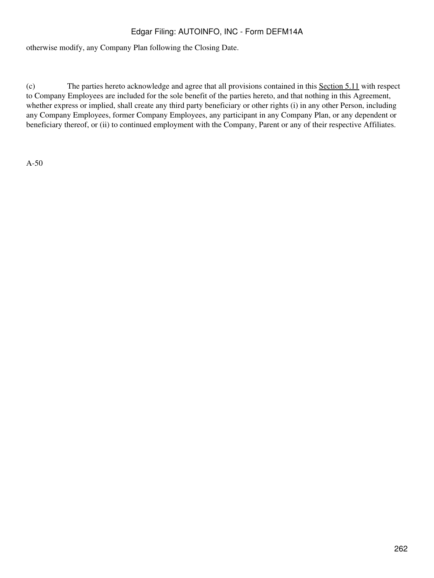otherwise modify, any Company Plan following the Closing Date.

(c) The parties hereto acknowledge and agree that all provisions contained in this Section 5.11 with respect to Company Employees are included for the sole benefit of the parties hereto, and that nothing in this Agreement, whether express or implied, shall create any third party beneficiary or other rights (i) in any other Person, including any Company Employees, former Company Employees, any participant in any Company Plan, or any dependent or beneficiary thereof, or (ii) to continued employment with the Company, Parent or any of their respective Affiliates.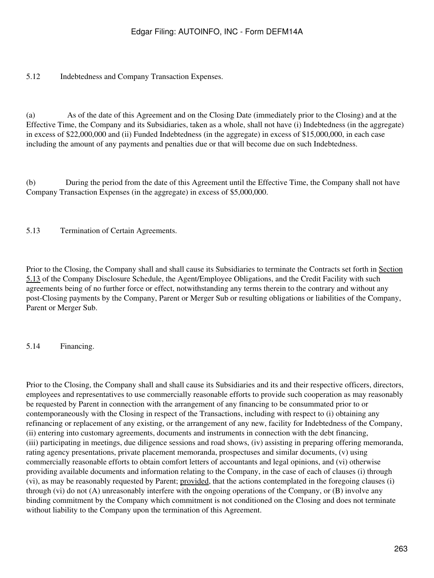#### 5.12 Indebtedness and Company Transaction Expenses.

(a) As of the date of this Agreement and on the Closing Date (immediately prior to the Closing) and at the Effective Time, the Company and its Subsidiaries, taken as a whole, shall not have (i) Indebtedness (in the aggregate) in excess of \$22,000,000 and (ii) Funded Indebtedness (in the aggregate) in excess of \$15,000,000, in each case including the amount of any payments and penalties due or that will become due on such Indebtedness.

(b) During the period from the date of this Agreement until the Effective Time, the Company shall not have Company Transaction Expenses (in the aggregate) in excess of \$5,000,000.

5.13 Termination of Certain Agreements.

Prior to the Closing, the Company shall and shall cause its Subsidiaries to terminate the Contracts set forth in Section 5.13 of the Company Disclosure Schedule, the Agent/Employee Obligations, and the Credit Facility with such agreements being of no further force or effect, notwithstanding any terms therein to the contrary and without any post-Closing payments by the Company, Parent or Merger Sub or resulting obligations or liabilities of the Company, Parent or Merger Sub.

5.14 Financing.

Prior to the Closing, the Company shall and shall cause its Subsidiaries and its and their respective officers, directors, employees and representatives to use commercially reasonable efforts to provide such cooperation as may reasonably be requested by Parent in connection with the arrangement of any financing to be consummated prior to or contemporaneously with the Closing in respect of the Transactions, including with respect to (i) obtaining any refinancing or replacement of any existing, or the arrangement of any new, facility for Indebtedness of the Company, (ii) entering into customary agreements, documents and instruments in connection with the debt financing, (iii) participating in meetings, due diligence sessions and road shows, (iv) assisting in preparing offering memoranda, rating agency presentations, private placement memoranda, prospectuses and similar documents, (v) using commercially reasonable efforts to obtain comfort letters of accountants and legal opinions, and (vi) otherwise providing available documents and information relating to the Company, in the case of each of clauses (i) through (vi), as may be reasonably requested by Parent; provided, that the actions contemplated in the foregoing clauses (i) through (vi) do not (A) unreasonably interfere with the ongoing operations of the Company, or (B) involve any binding commitment by the Company which commitment is not conditioned on the Closing and does not terminate without liability to the Company upon the termination of this Agreement.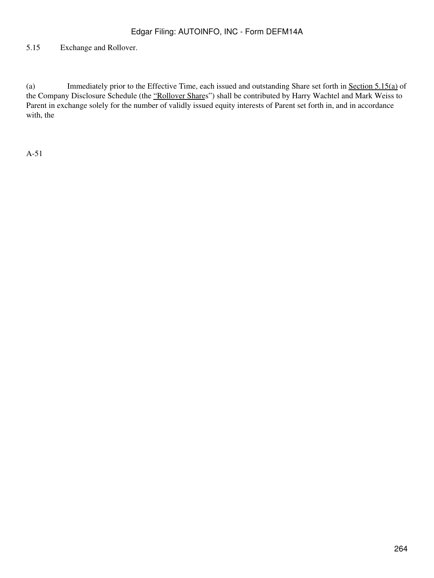#### 5.15 Exchange and Rollover.

(a) Immediately prior to the Effective Time, each issued and outstanding Share set forth in Section 5.15(a) of the Company Disclosure Schedule (the "Rollover Shares") shall be contributed by Harry Wachtel and Mark Weiss to Parent in exchange solely for the number of validly issued equity interests of Parent set forth in, and in accordance with, the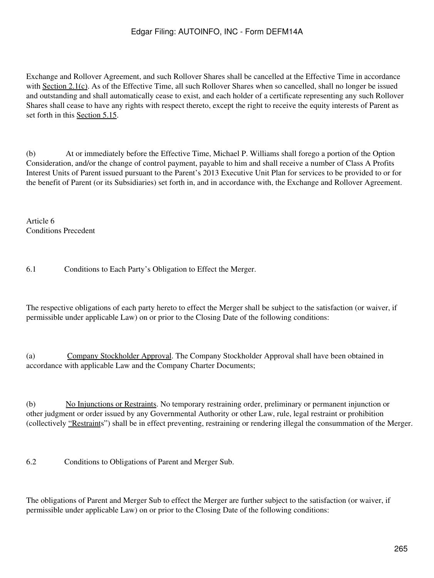Exchange and Rollover Agreement, and such Rollover Shares shall be cancelled at the Effective Time in accordance with Section 2.1(c). As of the Effective Time, all such Rollover Shares when so cancelled, shall no longer be issued and outstanding and shall automatically cease to exist, and each holder of a certificate representing any such Rollover Shares shall cease to have any rights with respect thereto, except the right to receive the equity interests of Parent as set forth in this Section 5.15.

(b) At or immediately before the Effective Time, Michael P. Williams shall forego a portion of the Option Consideration, and/or the change of control payment, payable to him and shall receive a number of Class A Profits Interest Units of Parent issued pursuant to the Parent's 2013 Executive Unit Plan for services to be provided to or for the benefit of Parent (or its Subsidiaries) set forth in, and in accordance with, the Exchange and Rollover Agreement.

Article 6 Conditions Precedent

6.1 Conditions to Each Party's Obligation to Effect the Merger.

The respective obligations of each party hereto to effect the Merger shall be subject to the satisfaction (or waiver, if permissible under applicable Law) on or prior to the Closing Date of the following conditions:

(a) Company Stockholder Approval. The Company Stockholder Approval shall have been obtained in accordance with applicable Law and the Company Charter Documents;

(b) No Injunctions or Restraints. No temporary restraining order, preliminary or permanent injunction or other judgment or order issued by any Governmental Authority or other Law, rule, legal restraint or prohibition (collectively "Restraints") shall be in effect preventing, restraining or rendering illegal the consummation of the Merger.

6.2 Conditions to Obligations of Parent and Merger Sub.

The obligations of Parent and Merger Sub to effect the Merger are further subject to the satisfaction (or waiver, if permissible under applicable Law) on or prior to the Closing Date of the following conditions: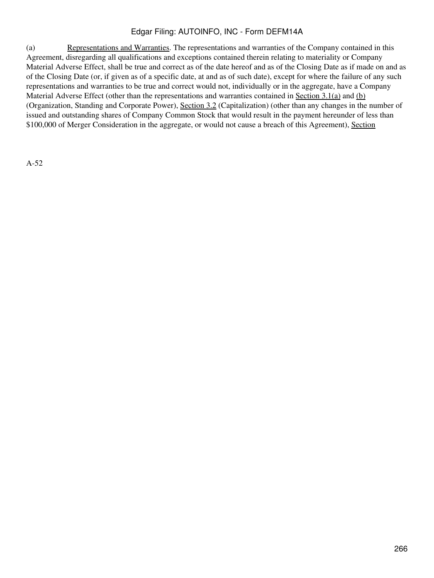(a) Representations and Warranties. The representations and warranties of the Company contained in this Agreement, disregarding all qualifications and exceptions contained therein relating to materiality or Company Material Adverse Effect, shall be true and correct as of the date hereof and as of the Closing Date as if made on and as of the Closing Date (or, if given as of a specific date, at and as of such date), except for where the failure of any such representations and warranties to be true and correct would not, individually or in the aggregate, have a Company Material Adverse Effect (other than the representations and warranties contained in Section 3.1(a) and (b) (Organization, Standing and Corporate Power), Section 3.2 (Capitalization) (other than any changes in the number of issued and outstanding shares of Company Common Stock that would result in the payment hereunder of less than \$100,000 of Merger Consideration in the aggregate, or would not cause a breach of this Agreement), Section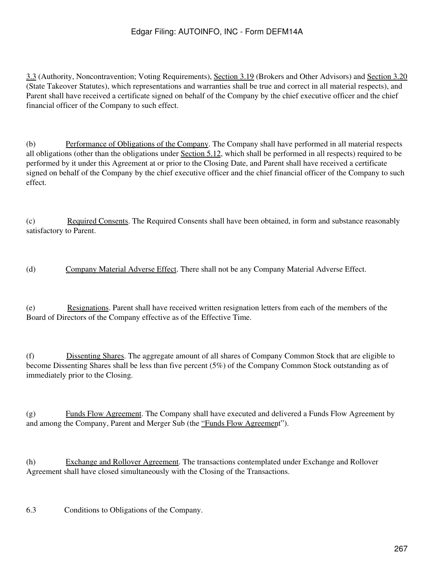3.3 (Authority, Noncontravention; Voting Requirements), Section 3.19 (Brokers and Other Advisors) and Section 3.20 (State Takeover Statutes), which representations and warranties shall be true and correct in all material respects), and Parent shall have received a certificate signed on behalf of the Company by the chief executive officer and the chief financial officer of the Company to such effect.

(b) Performance of Obligations of the Company. The Company shall have performed in all material respects all obligations (other than the obligations under Section 5.12, which shall be performed in all respects) required to be performed by it under this Agreement at or prior to the Closing Date, and Parent shall have received a certificate signed on behalf of the Company by the chief executive officer and the chief financial officer of the Company to such effect.

(c) Required Consents. The Required Consents shall have been obtained, in form and substance reasonably satisfactory to Parent.

(d) Company Material Adverse Effect. There shall not be any Company Material Adverse Effect.

(e) Resignations. Parent shall have received written resignation letters from each of the members of the Board of Directors of the Company effective as of the Effective Time.

(f) Dissenting Shares. The aggregate amount of all shares of Company Common Stock that are eligible to become Dissenting Shares shall be less than five percent (5%) of the Company Common Stock outstanding as of immediately prior to the Closing.

(g) Funds Flow Agreement. The Company shall have executed and delivered a Funds Flow Agreement by and among the Company, Parent and Merger Sub (the "Funds Flow Agreement").

(h) Exchange and Rollover Agreement. The transactions contemplated under Exchange and Rollover Agreement shall have closed simultaneously with the Closing of the Transactions.

6.3 Conditions to Obligations of the Company.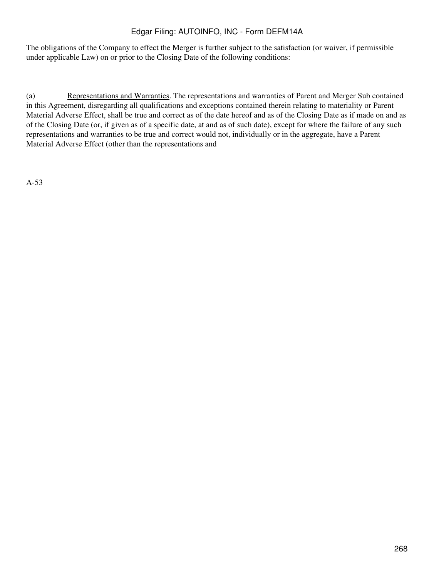The obligations of the Company to effect the Merger is further subject to the satisfaction (or waiver, if permissible under applicable Law) on or prior to the Closing Date of the following conditions:

(a) Representations and Warranties. The representations and warranties of Parent and Merger Sub contained in this Agreement, disregarding all qualifications and exceptions contained therein relating to materiality or Parent Material Adverse Effect, shall be true and correct as of the date hereof and as of the Closing Date as if made on and as of the Closing Date (or, if given as of a specific date, at and as of such date), except for where the failure of any such representations and warranties to be true and correct would not, individually or in the aggregate, have a Parent Material Adverse Effect (other than the representations and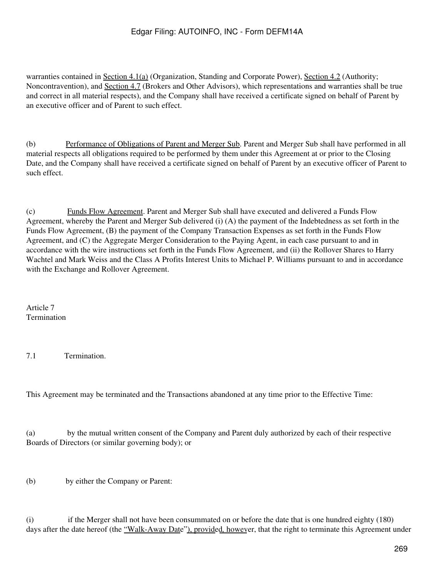warranties contained in Section 4.1(a) (Organization, Standing and Corporate Power), Section 4.2 (Authority; Noncontravention), and Section 4.7 (Brokers and Other Advisors), which representations and warranties shall be true and correct in all material respects), and the Company shall have received a certificate signed on behalf of Parent by an executive officer and of Parent to such effect.

(b) Performance of Obligations of Parent and Merger Sub. Parent and Merger Sub shall have performed in all material respects all obligations required to be performed by them under this Agreement at or prior to the Closing Date, and the Company shall have received a certificate signed on behalf of Parent by an executive officer of Parent to such effect.

(c) Funds Flow Agreement. Parent and Merger Sub shall have executed and delivered a Funds Flow Agreement, whereby the Parent and Merger Sub delivered (i) (A) the payment of the Indebtedness as set forth in the Funds Flow Agreement, (B) the payment of the Company Transaction Expenses as set forth in the Funds Flow Agreement, and (C) the Aggregate Merger Consideration to the Paying Agent, in each case pursuant to and in accordance with the wire instructions set forth in the Funds Flow Agreement, and (ii) the Rollover Shares to Harry Wachtel and Mark Weiss and the Class A Profits Interest Units to Michael P. Williams pursuant to and in accordance with the Exchange and Rollover Agreement.

Article 7 Termination

7.1 Termination.

This Agreement may be terminated and the Transactions abandoned at any time prior to the Effective Time:

(a) by the mutual written consent of the Company and Parent duly authorized by each of their respective Boards of Directors (or similar governing body); or

(b) by either the Company or Parent:

(i) if the Merger shall not have been consummated on or before the date that is one hundred eighty (180) days after the date hereof (the "Walk-Away Date"), provided, however, that the right to terminate this Agreement under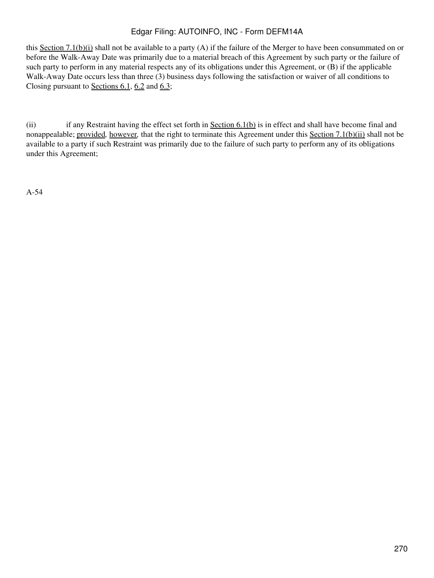this Section 7.1(b)(i) shall not be available to a party (A) if the failure of the Merger to have been consummated on or before the Walk-Away Date was primarily due to a material breach of this Agreement by such party or the failure of such party to perform in any material respects any of its obligations under this Agreement, or (B) if the applicable Walk-Away Date occurs less than three (3) business days following the satisfaction or waiver of all conditions to Closing pursuant to Sections 6.1, 6.2 and 6.3;

(ii) if any Restraint having the effect set forth in Section  $6.1(b)$  is in effect and shall have become final and nonappealable; provided*,* however*,* that the right to terminate this Agreement under this Section 7.1(b)(ii) shall not be available to a party if such Restraint was primarily due to the failure of such party to perform any of its obligations under this Agreement;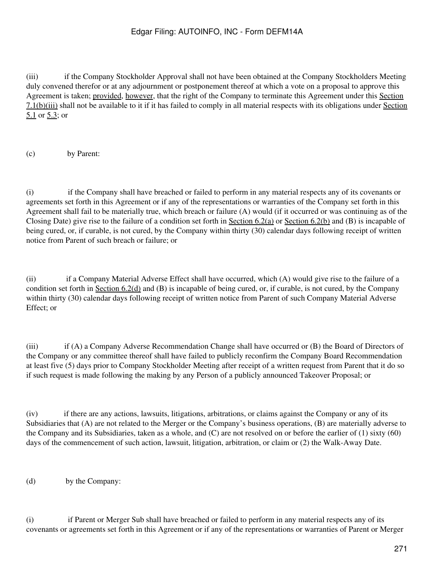(iii) if the Company Stockholder Approval shall not have been obtained at the Company Stockholders Meeting duly convened therefor or at any adjournment or postponement thereof at which a vote on a proposal to approve this Agreement is taken; provided, however, that the right of the Company to terminate this Agreement under this Section 7.1(b)(iii) shall not be available to it if it has failed to comply in all material respects with its obligations under Section 5.1 or 5.3; or

(c) by Parent:

(i) if the Company shall have breached or failed to perform in any material respects any of its covenants or agreements set forth in this Agreement or if any of the representations or warranties of the Company set forth in this Agreement shall fail to be materially true, which breach or failure (A) would (if it occurred or was continuing as of the Closing Date) give rise to the failure of a condition set forth in Section 6.2(a) or Section 6.2(b) and (B) is incapable of being cured, or, if curable, is not cured, by the Company within thirty (30) calendar days following receipt of written notice from Parent of such breach or failure; or

(ii) if a Company Material Adverse Effect shall have occurred, which (A) would give rise to the failure of a condition set forth in Section 6.2(d) and (B) is incapable of being cured, or, if curable, is not cured, by the Company within thirty (30) calendar days following receipt of written notice from Parent of such Company Material Adverse Effect; or

(iii) if (A) a Company Adverse Recommendation Change shall have occurred or (B) the Board of Directors of the Company or any committee thereof shall have failed to publicly reconfirm the Company Board Recommendation at least five (5) days prior to Company Stockholder Meeting after receipt of a written request from Parent that it do so if such request is made following the making by any Person of a publicly announced Takeover Proposal; or

(iv) if there are any actions, lawsuits, litigations, arbitrations, or claims against the Company or any of its Subsidiaries that (A) are not related to the Merger or the Company's business operations, (B) are materially adverse to the Company and its Subsidiaries, taken as a whole, and (C) are not resolved on or before the earlier of (1) sixty (60) days of the commencement of such action, lawsuit, litigation, arbitration, or claim or (2) the Walk-Away Date.

(d) by the Company:

(i) if Parent or Merger Sub shall have breached or failed to perform in any material respects any of its covenants or agreements set forth in this Agreement or if any of the representations or warranties of Parent or Merger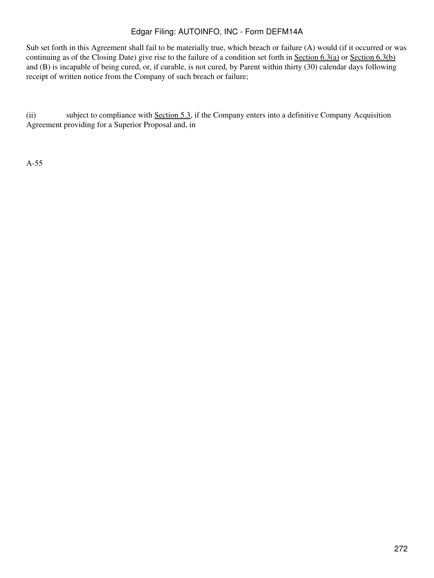Sub set forth in this Agreement shall fail to be materially true, which breach or failure (A) would (if it occurred or was continuing as of the Closing Date) give rise to the failure of a condition set forth in Section 6.3(a) or Section 6.3(b) and (B) is incapable of being cured, or, if curable, is not cured, by Parent within thirty (30) calendar days following receipt of written notice from the Company of such breach or failure;

(ii) subject to compliance with Section 5.3, if the Company enters into a definitive Company Acquisition Agreement providing for a Superior Proposal and, in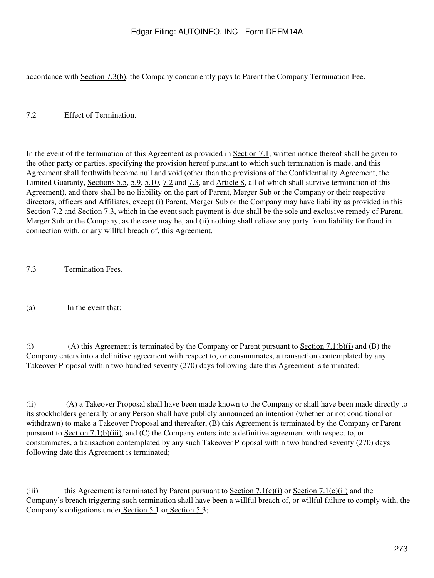accordance with Section 7.3(b), the Company concurrently pays to Parent the Company Termination Fee.

#### 7.2 Effect of Termination.

In the event of the termination of this Agreement as provided in Section 7.1, written notice thereof shall be given to the other party or parties, specifying the provision hereof pursuant to which such termination is made, and this Agreement shall forthwith become null and void (other than the provisions of the Confidentiality Agreement, the Limited Guaranty, Sections 5.5, 5.9, 5.10, 7.2 and 7.3, and Article 8, all of which shall survive termination of this Agreement), and there shall be no liability on the part of Parent, Merger Sub or the Company or their respective directors, officers and Affiliates, except (i) Parent, Merger Sub or the Company may have liability as provided in this Section 7.2 and Section 7.3, which in the event such payment is due shall be the sole and exclusive remedy of Parent, Merger Sub or the Company, as the case may be, and (ii) nothing shall relieve any party from liability for fraud in connection with, or any willful breach of, this Agreement.

7.3 Termination Fees.

(a) In the event that:

(i) (A) this Agreement is terminated by the Company or Parent pursuant to Section 7.1(b)(i) and (B) the Company enters into a definitive agreement with respect to, or consummates, a transaction contemplated by any Takeover Proposal within two hundred seventy (270) days following date this Agreement is terminated;

(ii) (A) a Takeover Proposal shall have been made known to the Company or shall have been made directly to its stockholders generally or any Person shall have publicly announced an intention (whether or not conditional or withdrawn) to make a Takeover Proposal and thereafter, (B) this Agreement is terminated by the Company or Parent pursuant to Section 7.1(b)(iii), and (C) the Company enters into a definitive agreement with respect to, or consummates, a transaction contemplated by any such Takeover Proposal within two hundred seventy (270) days following date this Agreement is terminated;

(iii) this Agreement is terminated by Parent pursuant to <u>Section 7.1(c)(i</u>) or Section 7.1(c)(ii) and the Company's breach triggering such termination shall have been a willful breach of, or willful failure to comply with, the Company's obligations under Section 5.1 or Section 5.3;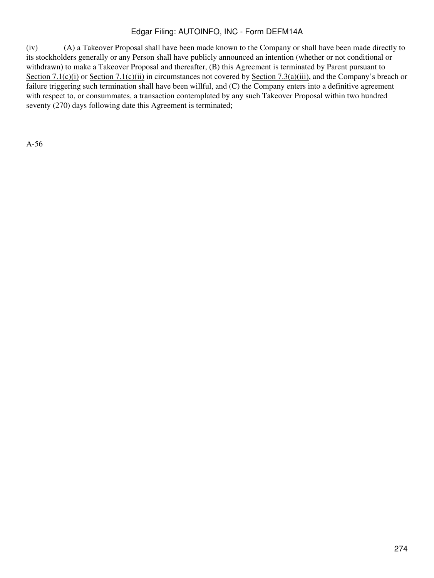(iv) (A) a Takeover Proposal shall have been made known to the Company or shall have been made directly to its stockholders generally or any Person shall have publicly announced an intention (whether or not conditional or withdrawn) to make a Takeover Proposal and thereafter, (B) this Agreement is terminated by Parent pursuant to Section 7.1(c)(i) or Section 7.1(c)(ii) in circumstances not covered by Section 7.3(a)(iii), and the Company's breach or failure triggering such termination shall have been willful, and (C) the Company enters into a definitive agreement with respect to, or consummates, a transaction contemplated by any such Takeover Proposal within two hundred seventy (270) days following date this Agreement is terminated;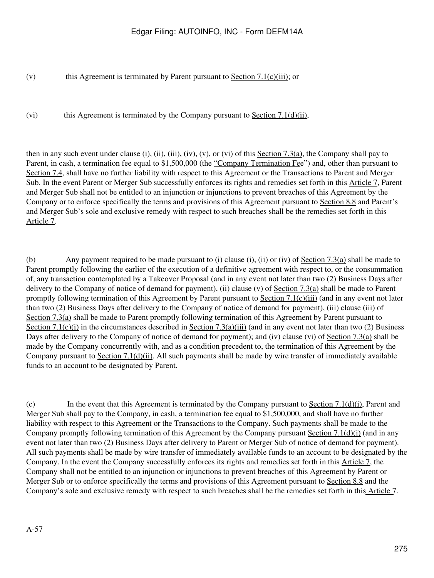#### (v) this Agreement is terminated by Parent pursuant to Section 7.1(c)(iii); or

(vi) this Agreement is terminated by the Company pursuant to Section 7.1(d)(ii),

then in any such event under clause (i), (ii), (iii), (iv), (v), or (vi) of this Section 7.3(a), the Company shall pay to Parent, in cash, a termination fee equal to \$1,500,000 (the "Company Termination Fee") and, other than pursuant to Section 7.4, shall have no further liability with respect to this Agreement or the Transactions to Parent and Merger Sub. In the event Parent or Merger Sub successfully enforces its rights and remedies set forth in this Article 7, Parent and Merger Sub shall not be entitled to an injunction or injunctions to prevent breaches of this Agreement by the Company or to enforce specifically the terms and provisions of this Agreement pursuant to Section 8.8 and Parent's and Merger Sub's sole and exclusive remedy with respect to such breaches shall be the remedies set forth in this Article 7.

(b) Any payment required to be made pursuant to (i) clause (i), (ii) or (iv) of  $S$ ection 7.3(a) shall be made to Parent promptly following the earlier of the execution of a definitive agreement with respect to, or the consummation of, any transaction contemplated by a Takeover Proposal (and in any event not later than two (2) Business Days after delivery to the Company of notice of demand for payment), (ii) clause (v) of Section 7.3(a) shall be made to Parent promptly following termination of this Agreement by Parent pursuant to Section 7.1(c)(iii) (and in any event not later than two (2) Business Days after delivery to the Company of notice of demand for payment), (iii) clause (iii) of Section 7.3(a) shall be made to Parent promptly following termination of this Agreement by Parent pursuant to Section 7.1(c)(i) in the circumstances described in Section 7.3(a)(iii) (and in any event not later than two (2) Business Days after delivery to the Company of notice of demand for payment); and (iv) clause (vi) of Section 7.3(a) shall be made by the Company concurrently with, and as a condition precedent to, the termination of this Agreement by the Company pursuant to Section 7.1(d)(ii). All such payments shall be made by wire transfer of immediately available funds to an account to be designated by Parent.

(c) In the event that this Agreement is terminated by the Company pursuant to Section 7.1(d)(i), Parent and Merger Sub shall pay to the Company, in cash, a termination fee equal to \$1,500,000, and shall have no further liability with respect to this Agreement or the Transactions to the Company. Such payments shall be made to the Company promptly following termination of this Agreement by the Company pursuant Section 7.1(d)(i) (and in any event not later than two (2) Business Days after delivery to Parent or Merger Sub of notice of demand for payment). All such payments shall be made by wire transfer of immediately available funds to an account to be designated by the Company. In the event the Company successfully enforces its rights and remedies set forth in this Article 7, the Company shall not be entitled to an injunction or injunctions to prevent breaches of this Agreement by Parent or Merger Sub or to enforce specifically the terms and provisions of this Agreement pursuant to Section 8.8 and the Company's sole and exclusive remedy with respect to such breaches shall be the remedies set forth in this Article 7.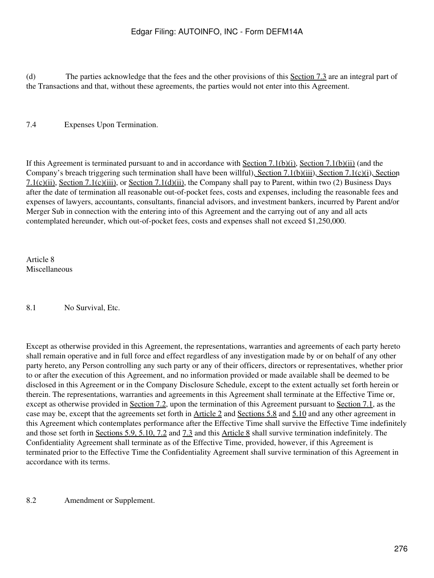(d) The parties acknowledge that the fees and the other provisions of this Section 7.3 are an integral part of the Transactions and that, without these agreements, the parties would not enter into this Agreement.

#### 7.4 Expenses Upon Termination.

If this Agreement is terminated pursuant to and in accordance with Section 7.1(b)(i), Section 7.1(b)(ii) (and the Company's breach triggering such termination shall have been willful), Section 7.1(b)(iii), Section 7.1(c)(i), Section 7.1(c)(ii), Section 7.1(c)(iii), or Section 7.1(d)(ii), the Company shall pay to Parent, within two (2) Business Days after the date of termination all reasonable out-of-pocket fees, costs and expenses, including the reasonable fees and expenses of lawyers, accountants, consultants, financial advisors, and investment bankers, incurred by Parent and/or Merger Sub in connection with the entering into of this Agreement and the carrying out of any and all acts contemplated hereunder, which out-of-pocket fees, costs and expenses shall not exceed \$1,250,000.

Article 8 Miscellaneous

8.1 No Survival, Etc.

Except as otherwise provided in this Agreement, the representations, warranties and agreements of each party hereto shall remain operative and in full force and effect regardless of any investigation made by or on behalf of any other party hereto, any Person controlling any such party or any of their officers, directors or representatives, whether prior to or after the execution of this Agreement, and no information provided or made available shall be deemed to be disclosed in this Agreement or in the Company Disclosure Schedule, except to the extent actually set forth herein or therein. The representations, warranties and agreements in this Agreement shall terminate at the Effective Time or, except as otherwise provided in Section 7.2, upon the termination of this Agreement pursuant to Section 7.1, as the case may be, except that the agreements set forth in Article 2 and Sections 5.8 and 5.10 and any other agreement in this Agreement which contemplates performance after the Effective Time shall survive the Effective Time indefinitely and those set forth in Sections 5.9, 5.10, 7.2 and 7.3 and this Article 8 shall survive termination indefinitely. The Confidentiality Agreement shall terminate as of the Effective Time, provided, however, if this Agreement is terminated prior to the Effective Time the Confidentiality Agreement shall survive termination of this Agreement in accordance with its terms.

8.2 Amendment or Supplement.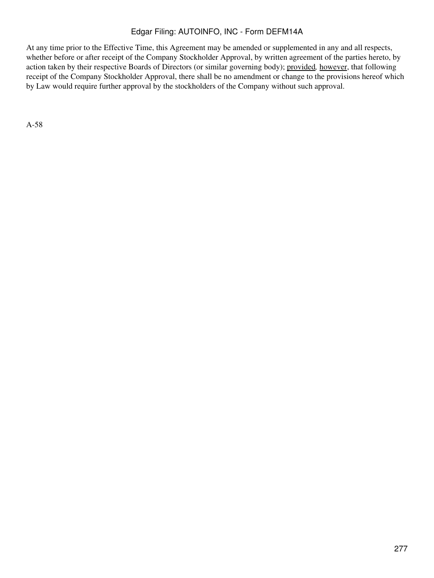At any time prior to the Effective Time, this Agreement may be amended or supplemented in any and all respects, whether before or after receipt of the Company Stockholder Approval, by written agreement of the parties hereto, by action taken by their respective Boards of Directors (or similar governing body); provided*,* however, that following receipt of the Company Stockholder Approval, there shall be no amendment or change to the provisions hereof which by Law would require further approval by the stockholders of the Company without such approval.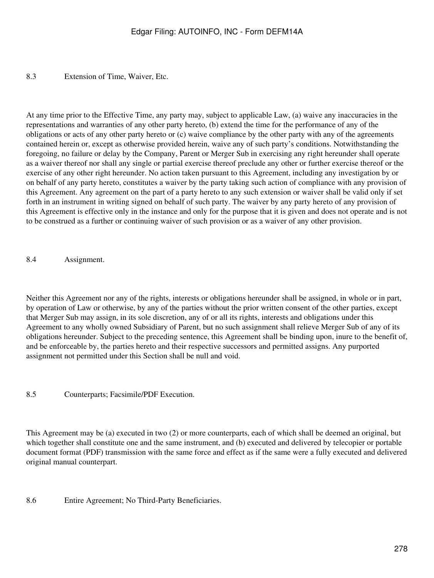#### 8.3 Extension of Time, Waiver, Etc.

At any time prior to the Effective Time, any party may, subject to applicable Law, (a) waive any inaccuracies in the representations and warranties of any other party hereto, (b) extend the time for the performance of any of the obligations or acts of any other party hereto or (c) waive compliance by the other party with any of the agreements contained herein or, except as otherwise provided herein, waive any of such party's conditions. Notwithstanding the foregoing, no failure or delay by the Company, Parent or Merger Sub in exercising any right hereunder shall operate as a waiver thereof nor shall any single or partial exercise thereof preclude any other or further exercise thereof or the exercise of any other right hereunder. No action taken pursuant to this Agreement, including any investigation by or on behalf of any party hereto, constitutes a waiver by the party taking such action of compliance with any provision of this Agreement. Any agreement on the part of a party hereto to any such extension or waiver shall be valid only if set forth in an instrument in writing signed on behalf of such party. The waiver by any party hereto of any provision of this Agreement is effective only in the instance and only for the purpose that it is given and does not operate and is not to be construed as a further or continuing waiver of such provision or as a waiver of any other provision.

8.4 Assignment.

Neither this Agreement nor any of the rights, interests or obligations hereunder shall be assigned, in whole or in part, by operation of Law or otherwise, by any of the parties without the prior written consent of the other parties, except that Merger Sub may assign, in its sole discretion, any of or all its rights, interests and obligations under this Agreement to any wholly owned Subsidiary of Parent, but no such assignment shall relieve Merger Sub of any of its obligations hereunder. Subject to the preceding sentence, this Agreement shall be binding upon, inure to the benefit of, and be enforceable by, the parties hereto and their respective successors and permitted assigns. Any purported assignment not permitted under this Section shall be null and void.

8.5 Counterparts; Facsimile/PDF Execution.

This Agreement may be (a) executed in two (2) or more counterparts, each of which shall be deemed an original, but which together shall constitute one and the same instrument, and (b) executed and delivered by telecopier or portable document format (PDF) transmission with the same force and effect as if the same were a fully executed and delivered original manual counterpart.

8.6 Entire Agreement; No Third-Party Beneficiaries.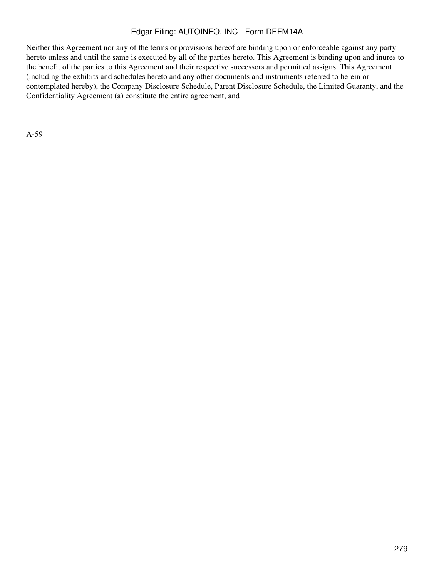Neither this Agreement nor any of the terms or provisions hereof are binding upon or enforceable against any party hereto unless and until the same is executed by all of the parties hereto. This Agreement is binding upon and inures to the benefit of the parties to this Agreement and their respective successors and permitted assigns. This Agreement (including the exhibits and schedules hereto and any other documents and instruments referred to herein or contemplated hereby), the Company Disclosure Schedule, Parent Disclosure Schedule, the Limited Guaranty, and the Confidentiality Agreement (a) constitute the entire agreement, and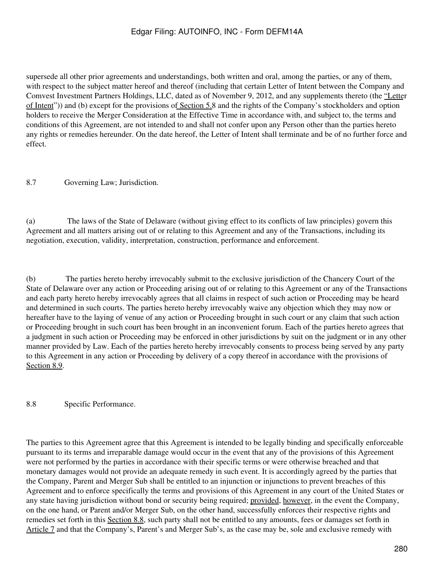supersede all other prior agreements and understandings, both written and oral, among the parties, or any of them, with respect to the subject matter hereof and thereof (including that certain Letter of Intent between the Company and Comvest Investment Partners Holdings, LLC, dated as of November 9, 2012, and any supplements thereto (the "Letter of Intent")) and (b) except for the provisions of Section 5.8 and the rights of the Company's stockholders and option holders to receive the Merger Consideration at the Effective Time in accordance with, and subject to, the terms and conditions of this Agreement, are not intended to and shall not confer upon any Person other than the parties hereto any rights or remedies hereunder. On the date hereof, the Letter of Intent shall terminate and be of no further force and effect.

#### 8.7 Governing Law; Jurisdiction.

(a) The laws of the State of Delaware (without giving effect to its conflicts of law principles) govern this Agreement and all matters arising out of or relating to this Agreement and any of the Transactions, including its negotiation, execution, validity, interpretation, construction, performance and enforcement.

(b) The parties hereto hereby irrevocably submit to the exclusive jurisdiction of the Chancery Court of the State of Delaware over any action or Proceeding arising out of or relating to this Agreement or any of the Transactions and each party hereto hereby irrevocably agrees that all claims in respect of such action or Proceeding may be heard and determined in such courts. The parties hereto hereby irrevocably waive any objection which they may now or hereafter have to the laying of venue of any action or Proceeding brought in such court or any claim that such action or Proceeding brought in such court has been brought in an inconvenient forum. Each of the parties hereto agrees that a judgment in such action or Proceeding may be enforced in other jurisdictions by suit on the judgment or in any other manner provided by Law. Each of the parties hereto hereby irrevocably consents to process being served by any party to this Agreement in any action or Proceeding by delivery of a copy thereof in accordance with the provisions of Section 8.9.

8.8 Specific Performance.

The parties to this Agreement agree that this Agreement is intended to be legally binding and specifically enforceable pursuant to its terms and irreparable damage would occur in the event that any of the provisions of this Agreement were not performed by the parties in accordance with their specific terms or were otherwise breached and that monetary damages would not provide an adequate remedy in such event. It is accordingly agreed by the parties that the Company, Parent and Merger Sub shall be entitled to an injunction or injunctions to prevent breaches of this Agreement and to enforce specifically the terms and provisions of this Agreement in any court of the United States or any state having jurisdiction without bond or security being required; provided, however, in the event the Company, on the one hand, or Parent and/or Merger Sub, on the other hand, successfully enforces their respective rights and remedies set forth in this Section 8.8, such party shall not be entitled to any amounts, fees or damages set forth in Article 7 and that the Company's, Parent's and Merger Sub's, as the case may be, sole and exclusive remedy with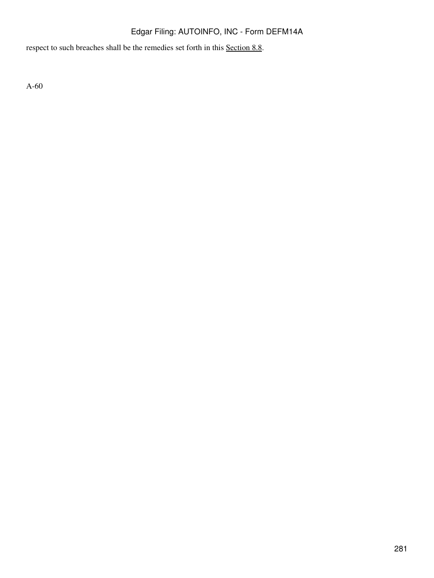respect to such breaches shall be the remedies set forth in this Section 8.8.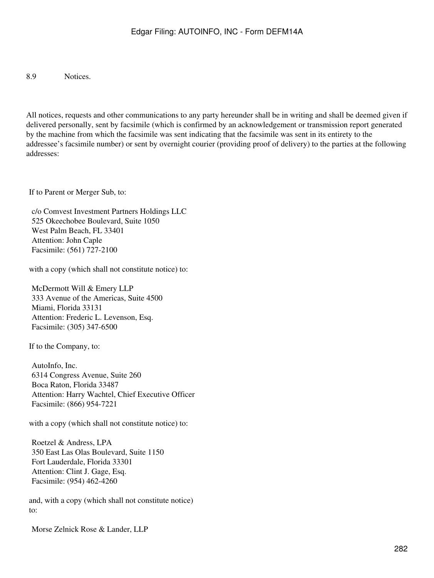8.9 Notices.

All notices, requests and other communications to any party hereunder shall be in writing and shall be deemed given if delivered personally, sent by facsimile (which is confirmed by an acknowledgement or transmission report generated by the machine from which the facsimile was sent indicating that the facsimile was sent in its entirety to the addressee's facsimile number) or sent by overnight courier (providing proof of delivery) to the parties at the following addresses:

If to Parent or Merger Sub, to:

c/o Comvest Investment Partners Holdings LLC 525 Okeechobee Boulevard, Suite 1050 West Palm Beach, FL 33401 Attention: John Caple Facsimile: (561) 727-2100

with a copy (which shall not constitute notice) to:

McDermott Will & Emery LLP 333 Avenue of the Americas, Suite 4500 Miami, Florida 33131 Attention: Frederic L. Levenson, Esq. Facsimile: (305) 347-6500

If to the Company, to:

AutoInfo, Inc. 6314 Congress Avenue, Suite 260 Boca Raton, Florida 33487 Attention: Harry Wachtel, Chief Executive Officer Facsimile: (866) 954-7221

with a copy (which shall not constitute notice) to:

Roetzel & Andress, LPA 350 East Las Olas Boulevard, Suite 1150 Fort Lauderdale, Florida 33301 Attention: Clint J. Gage, Esq. Facsimile: (954) 462-4260

and, with a copy (which shall not constitute notice) to:

Morse Zelnick Rose & Lander, LLP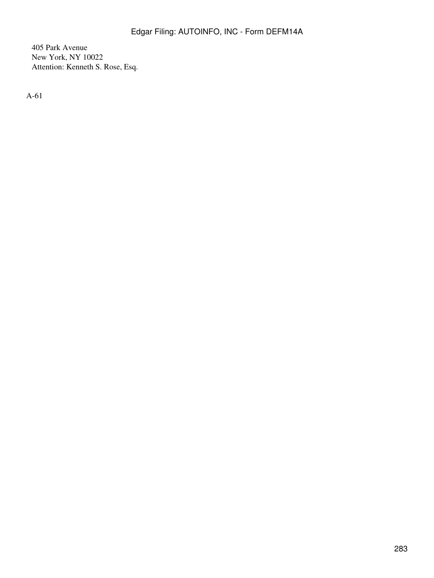405 Park Avenue New York, NY 10022 Attention: Kenneth S. Rose, Esq.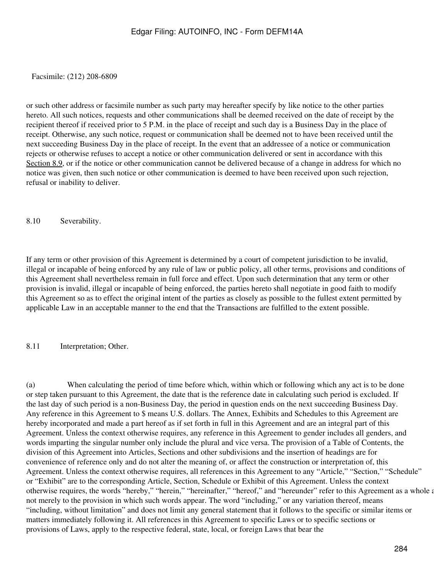Facsimile: (212) 208-6809

or such other address or facsimile number as such party may hereafter specify by like notice to the other parties hereto. All such notices, requests and other communications shall be deemed received on the date of receipt by the recipient thereof if received prior to 5 P.M. in the place of receipt and such day is a Business Day in the place of receipt. Otherwise, any such notice, request or communication shall be deemed not to have been received until the next succeeding Business Day in the place of receipt. In the event that an addressee of a notice or communication rejects or otherwise refuses to accept a notice or other communication delivered or sent in accordance with this Section 8.9, or if the notice or other communication cannot be delivered because of a change in address for which no notice was given, then such notice or other communication is deemed to have been received upon such rejection, refusal or inability to deliver.

8.10 Severability.

If any term or other provision of this Agreement is determined by a court of competent jurisdiction to be invalid, illegal or incapable of being enforced by any rule of law or public policy, all other terms, provisions and conditions of this Agreement shall nevertheless remain in full force and effect. Upon such determination that any term or other provision is invalid, illegal or incapable of being enforced, the parties hereto shall negotiate in good faith to modify this Agreement so as to effect the original intent of the parties as closely as possible to the fullest extent permitted by applicable Law in an acceptable manner to the end that the Transactions are fulfilled to the extent possible.

8.11 Interpretation; Other.

(a) When calculating the period of time before which, within which or following which any act is to be done or step taken pursuant to this Agreement, the date that is the reference date in calculating such period is excluded. If the last day of such period is a non-Business Day, the period in question ends on the next succeeding Business Day. Any reference in this Agreement to \$ means U.S. dollars. The Annex, Exhibits and Schedules to this Agreement are hereby incorporated and made a part hereof as if set forth in full in this Agreement and are an integral part of this Agreement. Unless the context otherwise requires, any reference in this Agreement to gender includes all genders, and words imparting the singular number only include the plural and vice versa. The provision of a Table of Contents, the division of this Agreement into Articles, Sections and other subdivisions and the insertion of headings are for convenience of reference only and do not alter the meaning of, or affect the construction or interpretation of, this Agreement. Unless the context otherwise requires, all references in this Agreement to any "Article," "Section," "Schedule" or "Exhibit" are to the corresponding Article, Section, Schedule or Exhibit of this Agreement. Unless the context otherwise requires, the words "hereby," "herein," "hereinafter," "hereof," and "hereunder" refer to this Agreement as a whole and not merely to the provision in which such words appear. The word "including," or any variation thereof, means "including, without limitation" and does not limit any general statement that it follows to the specific or similar items or matters immediately following it. All references in this Agreement to specific Laws or to specific sections or provisions of Laws, apply to the respective federal, state, local, or foreign Laws that bear the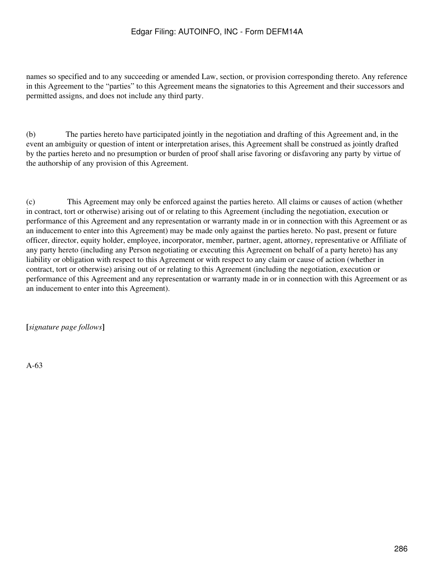names so specified and to any succeeding or amended Law, section, or provision corresponding thereto. Any reference in this Agreement to the "parties" to this Agreement means the signatories to this Agreement and their successors and permitted assigns, and does not include any third party.

(b) The parties hereto have participated jointly in the negotiation and drafting of this Agreement and, in the event an ambiguity or question of intent or interpretation arises, this Agreement shall be construed as jointly drafted by the parties hereto and no presumption or burden of proof shall arise favoring or disfavoring any party by virtue of the authorship of any provision of this Agreement.

(c) This Agreement may only be enforced against the parties hereto. All claims or causes of action (whether in contract, tort or otherwise) arising out of or relating to this Agreement (including the negotiation, execution or performance of this Agreement and any representation or warranty made in or in connection with this Agreement or as an inducement to enter into this Agreement) may be made only against the parties hereto. No past, present or future officer, director, equity holder, employee, incorporator, member, partner, agent, attorney, representative or Affiliate of any party hereto (including any Person negotiating or executing this Agreement on behalf of a party hereto) has any liability or obligation with respect to this Agreement or with respect to any claim or cause of action (whether in contract, tort or otherwise) arising out of or relating to this Agreement (including the negotiation, execution or performance of this Agreement and any representation or warranty made in or in connection with this Agreement or as an inducement to enter into this Agreement).

**[***signature page follows***]**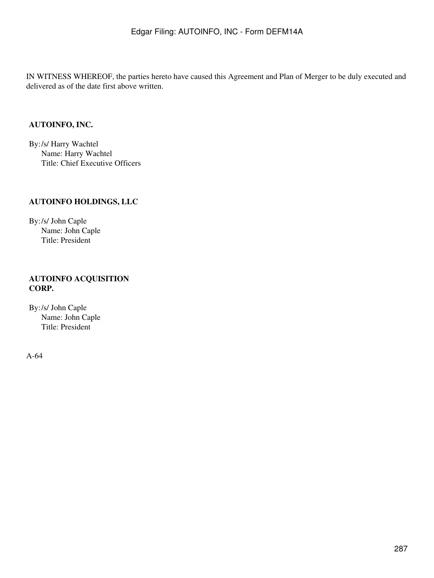IN WITNESS WHEREOF, the parties hereto have caused this Agreement and Plan of Merger to be duly executed and delivered as of the date first above written.

#### **AUTOINFO, INC.**

By:/s/ Harry Wachtel Name: Harry Wachtel Title: Chief Executive Officers

### **AUTOINFO HOLDINGS, LLC**

By:/s/ John Caple Name: John Caple Title: President

#### **AUTOINFO ACQUISITION CORP.**

By:/s/ John Caple Name: John Caple Title: President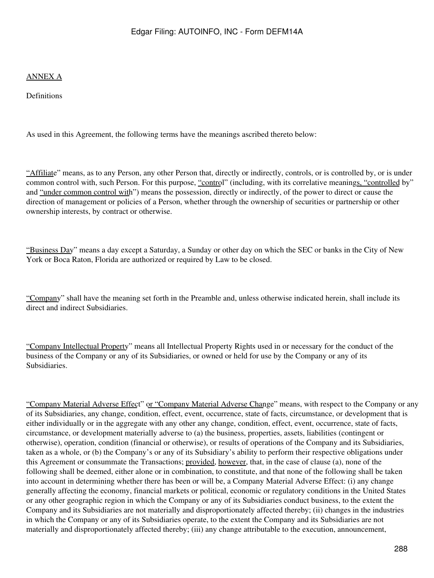#### ANNEX A

**Definitions** 

As used in this Agreement, the following terms have the meanings ascribed thereto below:

"Affiliate" means, as to any Person, any other Person that, directly or indirectly, controls, or is controlled by, or is under common control with, such Person. For this purpose, "control" (including, with its correlative meanings, "controlled by" and "under common control with") means the possession, directly or indirectly, of the power to direct or cause the direction of management or policies of a Person, whether through the ownership of securities or partnership or other ownership interests, by contract or otherwise.

"Business Day" means a day except a Saturday, a Sunday or other day on which the SEC or banks in the City of New York or Boca Raton, Florida are authorized or required by Law to be closed.

"Company" shall have the meaning set forth in the Preamble and, unless otherwise indicated herein, shall include its direct and indirect Subsidiaries.

"Company Intellectual Property" means all Intellectual Property Rights used in or necessary for the conduct of the business of the Company or any of its Subsidiaries, or owned or held for use by the Company or any of its Subsidiaries.

"Company Material Adverse Effect" or "Company Material Adverse Change" means, with respect to the Company or any of its Subsidiaries, any change, condition, effect, event, occurrence, state of facts, circumstance, or development that is either individually or in the aggregate with any other any change, condition, effect, event, occurrence, state of facts, circumstance, or development materially adverse to (a) the business, properties, assets, liabilities (contingent or otherwise), operation, condition (financial or otherwise), or results of operations of the Company and its Subsidiaries, taken as a whole, or (b) the Company's or any of its Subsidiary's ability to perform their respective obligations under this Agreement or consummate the Transactions; provided, however, that, in the case of clause (a), none of the following shall be deemed, either alone or in combination, to constitute, and that none of the following shall be taken into account in determining whether there has been or will be, a Company Material Adverse Effect: (i) any change generally affecting the economy, financial markets or political, economic or regulatory conditions in the United States or any other geographic region in which the Company or any of its Subsidiaries conduct business, to the extent the Company and its Subsidiaries are not materially and disproportionately affected thereby; (ii) changes in the industries in which the Company or any of its Subsidiaries operate, to the extent the Company and its Subsidiaries are not materially and disproportionately affected thereby; (iii) any change attributable to the execution, announcement,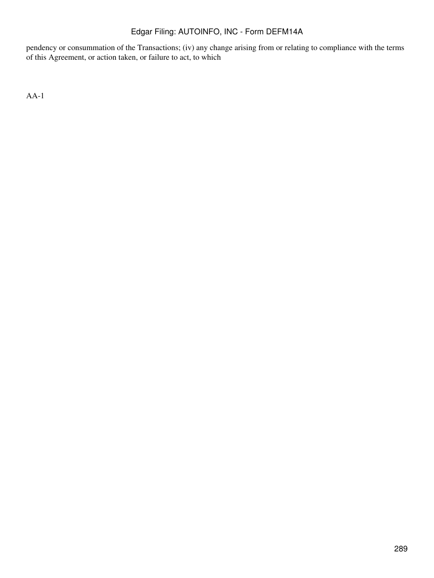pendency or consummation of the Transactions; (iv) any change arising from or relating to compliance with the terms of this Agreement, or action taken, or failure to act, to which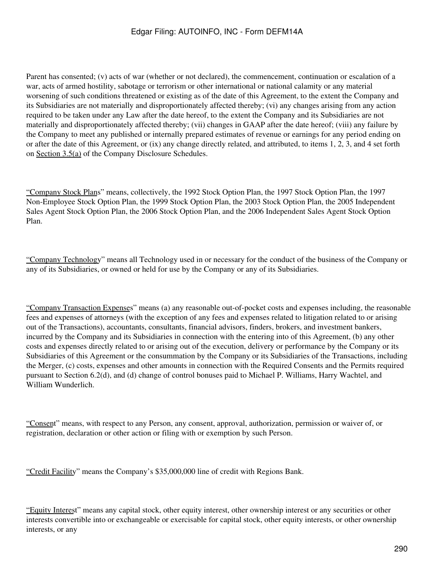Parent has consented; (v) acts of war (whether or not declared), the commencement, continuation or escalation of a war, acts of armed hostility, sabotage or terrorism or other international or national calamity or any material worsening of such conditions threatened or existing as of the date of this Agreement, to the extent the Company and its Subsidiaries are not materially and disproportionately affected thereby; (vi) any changes arising from any action required to be taken under any Law after the date hereof, to the extent the Company and its Subsidiaries are not materially and disproportionately affected thereby; (vii) changes in GAAP after the date hereof; (viii) any failure by the Company to meet any published or internally prepared estimates of revenue or earnings for any period ending on or after the date of this Agreement, or (ix) any change directly related, and attributed, to items 1, 2, 3, and 4 set forth on Section 3.5(a) of the Company Disclosure Schedules.

"Company Stock Plans" means, collectively, the 1992 Stock Option Plan, the 1997 Stock Option Plan, the 1997 Non-Employee Stock Option Plan, the 1999 Stock Option Plan, the 2003 Stock Option Plan, the 2005 Independent Sales Agent Stock Option Plan, the 2006 Stock Option Plan, and the 2006 Independent Sales Agent Stock Option Plan.

"Company Technology" means all Technology used in or necessary for the conduct of the business of the Company or any of its Subsidiaries, or owned or held for use by the Company or any of its Subsidiaries.

"Company Transaction Expenses" means (a) any reasonable out-of-pocket costs and expenses including, the reasonable fees and expenses of attorneys (with the exception of any fees and expenses related to litigation related to or arising out of the Transactions), accountants, consultants, financial advisors, finders, brokers, and investment bankers, incurred by the Company and its Subsidiaries in connection with the entering into of this Agreement, (b) any other costs and expenses directly related to or arising out of the execution, delivery or performance by the Company or its Subsidiaries of this Agreement or the consummation by the Company or its Subsidiaries of the Transactions, including the Merger, (c) costs, expenses and other amounts in connection with the Required Consents and the Permits required pursuant to Section 6.2(d), and (d) change of control bonuses paid to Michael P. Williams, Harry Wachtel, and William Wunderlich.

"Consent" means, with respect to any Person, any consent, approval, authorization, permission or waiver of, or registration, declaration or other action or filing with or exemption by such Person.

"Credit Facility" means the Company's \$35,000,000 line of credit with Regions Bank.

"Equity Interest" means any capital stock, other equity interest, other ownership interest or any securities or other interests convertible into or exchangeable or exercisable for capital stock, other equity interests, or other ownership interests, or any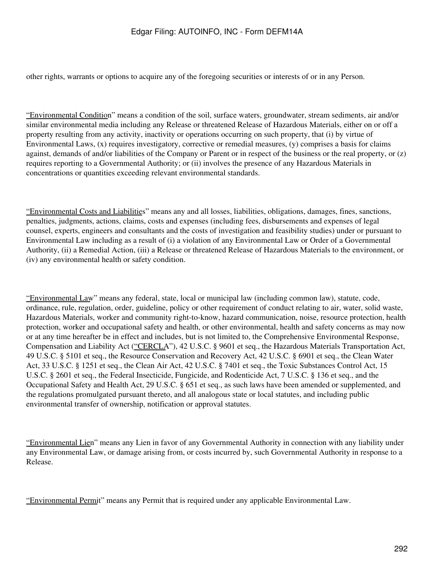other rights, warrants or options to acquire any of the foregoing securities or interests of or in any Person.

"Environmental Condition" means a condition of the soil, surface waters, groundwater, stream sediments, air and/or similar environmental media including any Release or threatened Release of Hazardous Materials, either on or off a property resulting from any activity, inactivity or operations occurring on such property, that (i) by virtue of Environmental Laws,  $(x)$  requires investigatory, corrective or remedial measures,  $(y)$  comprises a basis for claims against, demands of and/or liabilities of the Company or Parent or in respect of the business or the real property, or (z) requires reporting to a Governmental Authority; or (ii) involves the presence of any Hazardous Materials in concentrations or quantities exceeding relevant environmental standards.

"Environmental Costs and Liabilities" means any and all losses, liabilities, obligations, damages, fines, sanctions, penalties, judgments, actions, claims, costs and expenses (including fees, disbursements and expenses of legal counsel, experts, engineers and consultants and the costs of investigation and feasibility studies) under or pursuant to Environmental Law including as a result of (i) a violation of any Environmental Law or Order of a Governmental Authority, (ii) a Remedial Action, (iii) a Release or threatened Release of Hazardous Materials to the environment, or (iv) any environmental health or safety condition.

"Environmental Law" means any federal, state, local or municipal law (including common law), statute, code, ordinance, rule, regulation, order, guideline, policy or other requirement of conduct relating to air, water, solid waste, Hazardous Materials, worker and community right-to-know, hazard communication, noise, resource protection, health protection, worker and occupational safety and health, or other environmental, health and safety concerns as may now or at any time hereafter be in effect and includes, but is not limited to, the Comprehensive Environmental Response, Compensation and Liability Act ("CERCLA"), 42 U.S.C. § 9601 et seq., the Hazardous Materials Transportation Act, 49 U.S.C. § 5101 et seq., the Resource Conservation and Recovery Act, 42 U.S.C. § 6901 et seq., the Clean Water Act, 33 U.S.C. § 1251 et seq., the Clean Air Act, 42 U.S.C. § 7401 et seq., the Toxic Substances Control Act, 15 U.S.C. § 2601 et seq., the Federal Insecticide, Fungicide, and Rodenticide Act, 7 U.S.C. § 136 et seq., and the Occupational Safety and Health Act, 29 U.S.C. § 651 et seq., as such laws have been amended or supplemented, and the regulations promulgated pursuant thereto, and all analogous state or local statutes, and including public environmental transfer of ownership, notification or approval statutes.

"Environmental Lien" means any Lien in favor of any Governmental Authority in connection with any liability under any Environmental Law, or damage arising from, or costs incurred by, such Governmental Authority in response to a Release.

"Environmental Permit" means any Permit that is required under any applicable Environmental Law.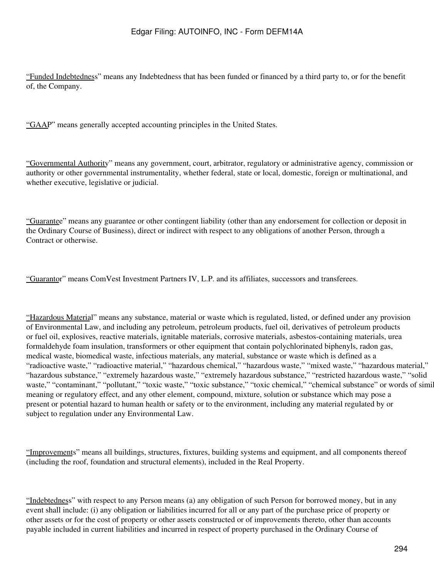"Funded Indebtedness" means any Indebtedness that has been funded or financed by a third party to, or for the benefit of, the Company.

"GAAP" means generally accepted accounting principles in the United States.

"Governmental Authority" means any government, court, arbitrator, regulatory or administrative agency, commission or authority or other governmental instrumentality, whether federal, state or local, domestic, foreign or multinational, and whether executive, legislative or judicial.

"Guarantee" means any guarantee or other contingent liability (other than any endorsement for collection or deposit in the Ordinary Course of Business), direct or indirect with respect to any obligations of another Person, through a Contract or otherwise.

"Guarantor" means ComVest Investment Partners IV, L.P. and its affiliates, successors and transferees.

"Hazardous Material" means any substance, material or waste which is regulated, listed, or defined under any provision of Environmental Law, and including any petroleum, petroleum products, fuel oil, derivatives of petroleum products or fuel oil, explosives, reactive materials, ignitable materials, corrosive materials, asbestos-containing materials, urea formaldehyde foam insulation, transformers or other equipment that contain polychlorinated biphenyls, radon gas, medical waste, biomedical waste, infectious materials, any material, substance or waste which is defined as a "radioactive waste," "radioactive material," "hazardous chemical," "hazardous waste," "mixed waste," "hazardous material," "hazardous substance," "extremely hazardous waste," "extremely hazardous substance," "restricted hazardous waste," "solid waste," "contaminant," "pollutant," "toxic waste," "toxic substance," "toxic chemical," "chemical substance" or words of simil meaning or regulatory effect, and any other element, compound, mixture, solution or substance which may pose a present or potential hazard to human health or safety or to the environment, including any material regulated by or subject to regulation under any Environmental Law.

"Improvements" means all buildings, structures, fixtures, building systems and equipment, and all components thereof (including the roof, foundation and structural elements), included in the Real Property.

"Indebtedness" with respect to any Person means (a) any obligation of such Person for borrowed money, but in any event shall include: (i) any obligation or liabilities incurred for all or any part of the purchase price of property or other assets or for the cost of property or other assets constructed or of improvements thereto, other than accounts payable included in current liabilities and incurred in respect of property purchased in the Ordinary Course of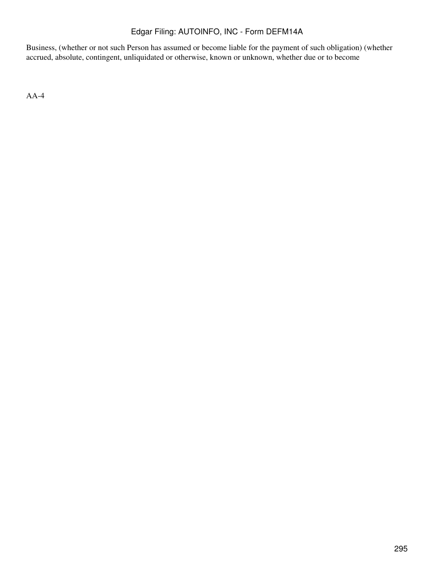Business, (whether or not such Person has assumed or become liable for the payment of such obligation) (whether accrued, absolute, contingent, unliquidated or otherwise, known or unknown, whether due or to become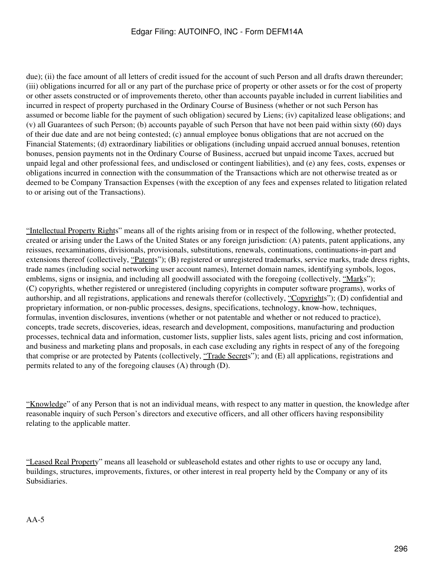due); (ii) the face amount of all letters of credit issued for the account of such Person and all drafts drawn thereunder; (iii) obligations incurred for all or any part of the purchase price of property or other assets or for the cost of property or other assets constructed or of improvements thereto, other than accounts payable included in current liabilities and incurred in respect of property purchased in the Ordinary Course of Business (whether or not such Person has assumed or become liable for the payment of such obligation) secured by Liens; (iv) capitalized lease obligations; and (v) all Guarantees of such Person; (b) accounts payable of such Person that have not been paid within sixty (60) days of their due date and are not being contested; (c) annual employee bonus obligations that are not accrued on the Financial Statements; (d) extraordinary liabilities or obligations (including unpaid accrued annual bonuses, retention bonuses, pension payments not in the Ordinary Course of Business, accrued but unpaid income Taxes, accrued but unpaid legal and other professional fees, and undisclosed or contingent liabilities), and (e) any fees, costs, expenses or obligations incurred in connection with the consummation of the Transactions which are not otherwise treated as or deemed to be Company Transaction Expenses (with the exception of any fees and expenses related to litigation related to or arising out of the Transactions).

"Intellectual Property Rights" means all of the rights arising from or in respect of the following, whether protected, created or arising under the Laws of the United States or any foreign jurisdiction: (A) patents, patent applications, any reissues, reexaminations, divisionals, provisionals, substitutions, renewals, continuations, continuations-in-part and extensions thereof (collectively, "Patents"); (B) registered or unregistered trademarks, service marks, trade dress rights, trade names (including social networking user account names), Internet domain names, identifying symbols, logos, emblems, signs or insignia, and including all goodwill associated with the foregoing (collectively, "Marks"); (C) copyrights, whether registered or unregistered (including copyrights in computer software programs), works of authorship, and all registrations, applications and renewals therefor (collectively, "Copyrights"); (D) confidential and proprietary information, or non-public processes, designs, specifications, technology, know-how, techniques, formulas, invention disclosures, inventions (whether or not patentable and whether or not reduced to practice), concepts, trade secrets, discoveries, ideas, research and development, compositions, manufacturing and production processes, technical data and information, customer lists, supplier lists, sales agent lists, pricing and cost information, and business and marketing plans and proposals, in each case excluding any rights in respect of any of the foregoing that comprise or are protected by Patents (collectively, "Trade Secrets"); and (E) all applications, registrations and permits related to any of the foregoing clauses (A) through (D).

"Knowledge" of any Person that is not an individual means, with respect to any matter in question, the knowledge after reasonable inquiry of such Person's directors and executive officers, and all other officers having responsibility relating to the applicable matter.

"Leased Real Property" means all leasehold or subleasehold estates and other rights to use or occupy any land, buildings, structures, improvements, fixtures, or other interest in real property held by the Company or any of its Subsidiaries.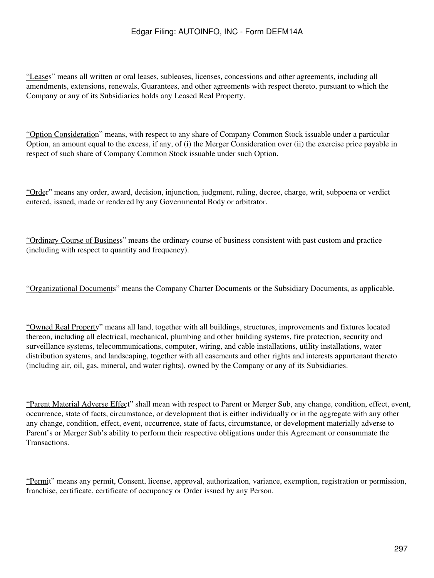"Leases" means all written or oral leases, subleases, licenses, concessions and other agreements, including all amendments, extensions, renewals, Guarantees, and other agreements with respect thereto, pursuant to which the Company or any of its Subsidiaries holds any Leased Real Property.

"Option Consideration" means, with respect to any share of Company Common Stock issuable under a particular Option, an amount equal to the excess, if any, of (i) the Merger Consideration over (ii) the exercise price payable in respect of such share of Company Common Stock issuable under such Option.

"Order" means any order, award, decision, injunction, judgment, ruling, decree, charge, writ, subpoena or verdict entered, issued, made or rendered by any Governmental Body or arbitrator.

"Ordinary Course of Business" means the ordinary course of business consistent with past custom and practice (including with respect to quantity and frequency).

"Organizational Documents" means the Company Charter Documents or the Subsidiary Documents, as applicable.

"Owned Real Property" means all land, together with all buildings, structures, improvements and fixtures located thereon, including all electrical, mechanical, plumbing and other building systems, fire protection, security and surveillance systems, telecommunications, computer, wiring, and cable installations, utility installations, water distribution systems, and landscaping, together with all easements and other rights and interests appurtenant thereto (including air, oil, gas, mineral, and water rights), owned by the Company or any of its Subsidiaries.

"Parent Material Adverse Effect" shall mean with respect to Parent or Merger Sub, any change, condition, effect, event, occurrence, state of facts, circumstance, or development that is either individually or in the aggregate with any other any change, condition, effect, event, occurrence, state of facts, circumstance, or development materially adverse to Parent's or Merger Sub's ability to perform their respective obligations under this Agreement or consummate the Transactions.

"Permit" means any permit, Consent, license, approval, authorization, variance, exemption, registration or permission, franchise, certificate, certificate of occupancy or Order issued by any Person.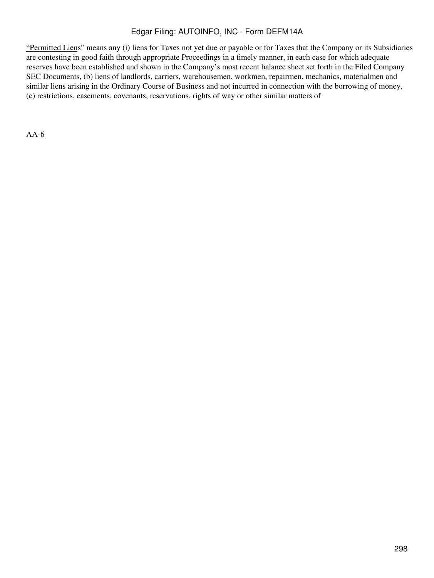"Permitted Liens" means any (i) liens for Taxes not yet due or payable or for Taxes that the Company or its Subsidiaries are contesting in good faith through appropriate Proceedings in a timely manner, in each case for which adequate reserves have been established and shown in the Company's most recent balance sheet set forth in the Filed Company SEC Documents, (b) liens of landlords, carriers, warehousemen, workmen, repairmen, mechanics, materialmen and similar liens arising in the Ordinary Course of Business and not incurred in connection with the borrowing of money, (c) restrictions, easements, covenants, reservations, rights of way or other similar matters of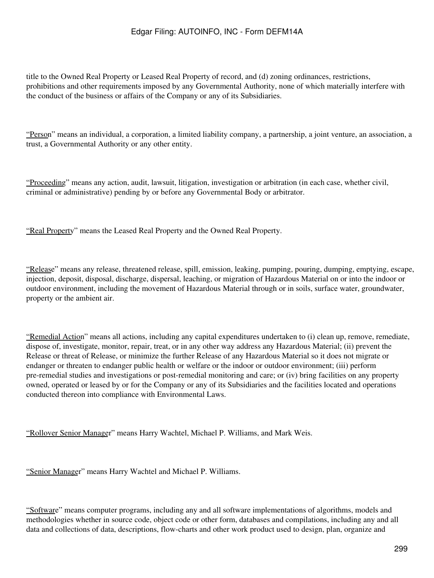title to the Owned Real Property or Leased Real Property of record, and (d) zoning ordinances, restrictions, prohibitions and other requirements imposed by any Governmental Authority, none of which materially interfere with the conduct of the business or affairs of the Company or any of its Subsidiaries.

"Person" means an individual, a corporation, a limited liability company, a partnership, a joint venture, an association, a trust, a Governmental Authority or any other entity.

"Proceeding" means any action, audit, lawsuit, litigation, investigation or arbitration (in each case, whether civil, criminal or administrative) pending by or before any Governmental Body or arbitrator.

"Real Property" means the Leased Real Property and the Owned Real Property.

"Release" means any release, threatened release, spill, emission, leaking, pumping, pouring, dumping, emptying, escape, injection, deposit, disposal, discharge, dispersal, leaching, or migration of Hazardous Material on or into the indoor or outdoor environment, including the movement of Hazardous Material through or in soils, surface water, groundwater, property or the ambient air.

"Remedial Action" means all actions, including any capital expenditures undertaken to (i) clean up, remove, remediate, dispose of, investigate, monitor, repair, treat, or in any other way address any Hazardous Material; (ii) prevent the Release or threat of Release, or minimize the further Release of any Hazardous Material so it does not migrate or endanger or threaten to endanger public health or welfare or the indoor or outdoor environment; (iii) perform pre-remedial studies and investigations or post-remedial monitoring and care; or (iv) bring facilities on any property owned, operated or leased by or for the Company or any of its Subsidiaries and the facilities located and operations conducted thereon into compliance with Environmental Laws.

"Rollover Senior Manager" means Harry Wachtel, Michael P. Williams, and Mark Weis.

"Senior Manager" means Harry Wachtel and Michael P. Williams.

"Software" means computer programs, including any and all software implementations of algorithms, models and methodologies whether in source code, object code or other form, databases and compilations, including any and all data and collections of data, descriptions, flow-charts and other work product used to design, plan, organize and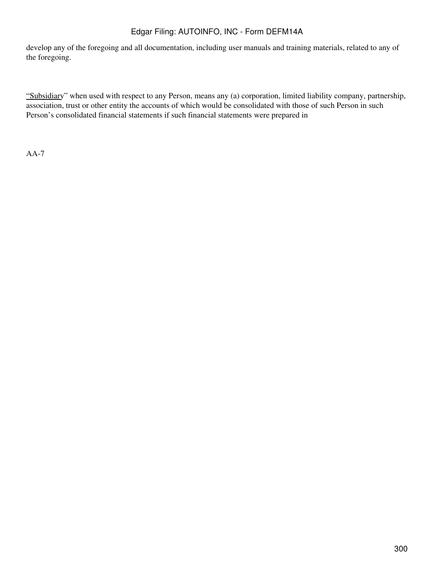develop any of the foregoing and all documentation, including user manuals and training materials, related to any of the foregoing.

"Subsidiary" when used with respect to any Person, means any (a) corporation, limited liability company, partnership, association, trust or other entity the accounts of which would be consolidated with those of such Person in such Person's consolidated financial statements if such financial statements were prepared in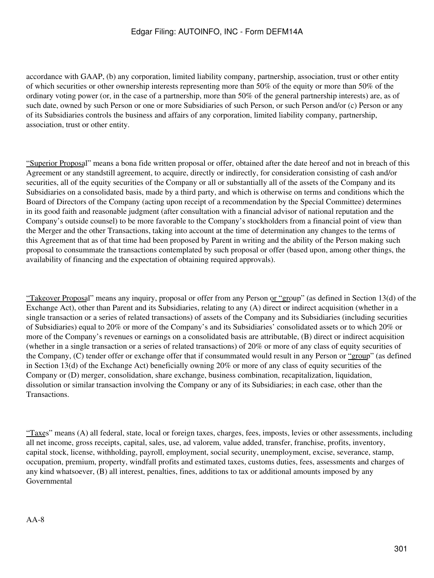accordance with GAAP, (b) any corporation, limited liability company, partnership, association, trust or other entity of which securities or other ownership interests representing more than 50% of the equity or more than 50% of the ordinary voting power (or, in the case of a partnership, more than 50% of the general partnership interests) are, as of such date, owned by such Person or one or more Subsidiaries of such Person, or such Person and/or (c) Person or any of its Subsidiaries controls the business and affairs of any corporation, limited liability company, partnership, association, trust or other entity.

"Superior Proposal" means a bona fide written proposal or offer, obtained after the date hereof and not in breach of this Agreement or any standstill agreement, to acquire, directly or indirectly, for consideration consisting of cash and/or securities, all of the equity securities of the Company or all or substantially all of the assets of the Company and its Subsidiaries on a consolidated basis, made by a third party, and which is otherwise on terms and conditions which the Board of Directors of the Company (acting upon receipt of a recommendation by the Special Committee) determines in its good faith and reasonable judgment (after consultation with a financial advisor of national reputation and the Company's outside counsel) to be more favorable to the Company's stockholders from a financial point of view than the Merger and the other Transactions, taking into account at the time of determination any changes to the terms of this Agreement that as of that time had been proposed by Parent in writing and the ability of the Person making such proposal to consummate the transactions contemplated by such proposal or offer (based upon, among other things, the availability of financing and the expectation of obtaining required approvals).

"Takeover Proposal" means any inquiry, proposal or offer from any Person or "group" (as defined in Section 13(d) of the Exchange Act), other than Parent and its Subsidiaries, relating to any (A) direct or indirect acquisition (whether in a single transaction or a series of related transactions) of assets of the Company and its Subsidiaries (including securities of Subsidiaries) equal to 20% or more of the Company's and its Subsidiaries' consolidated assets or to which 20% or more of the Company's revenues or earnings on a consolidated basis are attributable, (B) direct or indirect acquisition (whether in a single transaction or a series of related transactions) of 20% or more of any class of equity securities of the Company, (C) tender offer or exchange offer that if consummated would result in any Person or "group" (as defined in Section 13(d) of the Exchange Act) beneficially owning 20% or more of any class of equity securities of the Company or (D) merger, consolidation, share exchange, business combination, recapitalization, liquidation, dissolution or similar transaction involving the Company or any of its Subsidiaries; in each case, other than the Transactions.

"Taxes" means (A) all federal, state, local or foreign taxes, charges, fees, imposts, levies or other assessments, including all net income, gross receipts, capital, sales, use, ad valorem, value added, transfer, franchise, profits, inventory, capital stock, license, withholding, payroll, employment, social security, unemployment, excise, severance, stamp, occupation, premium, property, windfall profits and estimated taxes, customs duties, fees, assessments and charges of any kind whatsoever, (B) all interest, penalties, fines, additions to tax or additional amounts imposed by any Governmental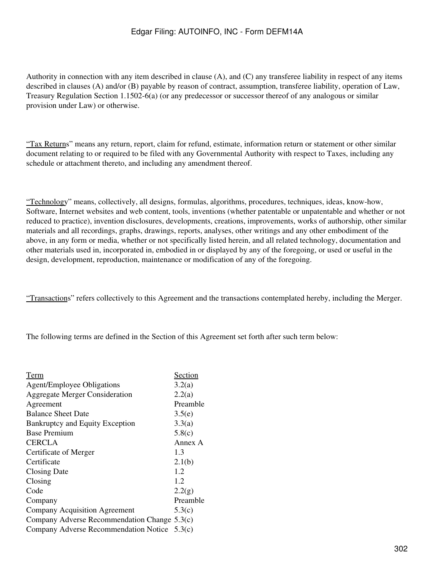Authority in connection with any item described in clause (A), and (C) any transferee liability in respect of any items described in clauses (A) and/or (B) payable by reason of contract, assumption, transferee liability, operation of Law, Treasury Regulation Section 1.1502-6(a) (or any predecessor or successor thereof of any analogous or similar provision under Law) or otherwise.

"Tax Returns" means any return, report, claim for refund, estimate, information return or statement or other similar document relating to or required to be filed with any Governmental Authority with respect to Taxes, including any schedule or attachment thereto, and including any amendment thereof.

"Technology" means, collectively, all designs, formulas, algorithms, procedures, techniques, ideas, know-how, Software, Internet websites and web content, tools, inventions (whether patentable or unpatentable and whether or not reduced to practice), invention disclosures, developments, creations, improvements, works of authorship, other similar materials and all recordings, graphs, drawings, reports, analyses, other writings and any other embodiment of the above, in any form or media, whether or not specifically listed herein, and all related technology, documentation and other materials used in, incorporated in, embodied in or displayed by any of the foregoing, or used or useful in the design, development, reproduction, maintenance or modification of any of the foregoing.

"Transactions" refers collectively to this Agreement and the transactions contemplated hereby, including the Merger.

The following terms are defined in the Section of this Agreement set forth after such term below:

| Term                                         | Section  |
|----------------------------------------------|----------|
| <b>Agent/Employee Obligations</b>            | 3.2(a)   |
| <b>Aggregate Merger Consideration</b>        | 2.2(a)   |
| Agreement                                    | Preamble |
| <b>Balance Sheet Date</b>                    | 3.5(e)   |
| <b>Bankruptcy and Equity Exception</b>       | 3.3(a)   |
| <b>Base Premium</b>                          | 5.8(c)   |
| <b>CERCLA</b>                                | Annex A  |
| Certificate of Merger                        | 1.3      |
| Certificate                                  | 2.1(b)   |
| Closing Date                                 | 1.2      |
| Closing                                      | 1.2      |
| Code                                         | 2.2(g)   |
| Company                                      | Preamble |
| Company Acquisition Agreement                | 5.3(c)   |
| Company Adverse Recommendation Change 5.3(c) |          |
| Company Adverse Recommendation Notice 5.3(c) |          |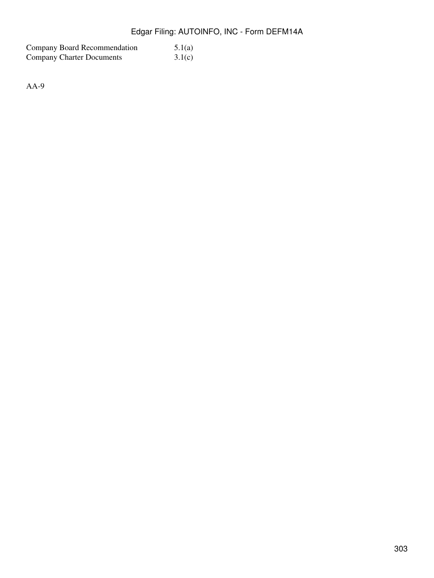| Company Board Recommendation     | 5.1(a) |
|----------------------------------|--------|
| <b>Company Charter Documents</b> | 3.1(c) |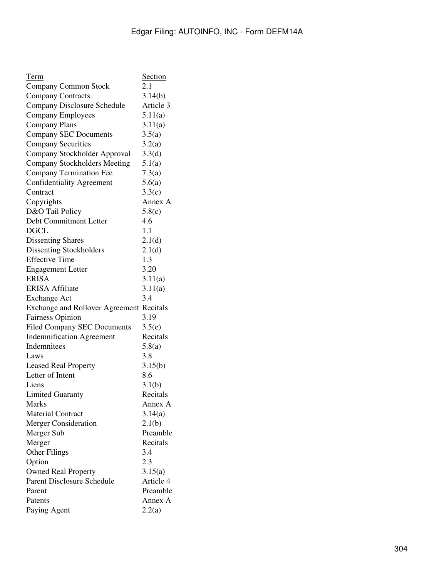| Term                                     | Section   |
|------------------------------------------|-----------|
| <b>Company Common Stock</b>              | 2.1       |
| <b>Company Contracts</b>                 | 3.14(b)   |
| Company Disclosure Schedule              | Article 3 |
| <b>Company Employees</b>                 | 5.11(a)   |
| <b>Company Plans</b>                     | 3.11(a)   |
| <b>Company SEC Documents</b>             | 3.5(a)    |
| <b>Company Securities</b>                | 3.2(a)    |
| Company Stockholder Approval             | 3.3(d)    |
| <b>Company Stockholders Meeting</b>      | 5.1(a)    |
| <b>Company Termination Fee</b>           | 7.3(a)    |
| <b>Confidentiality Agreement</b>         | 5.6(a)    |
| Contract                                 | 3.3(c)    |
| Copyrights                               | Annex A   |
| D&O Tail Policy                          | 5.8(c)    |
| Debt Commitment Letter                   | 4.6       |
| <b>DGCL</b>                              | 1.1       |
| <b>Dissenting Shares</b>                 | 2.1(d)    |
| <b>Dissenting Stockholders</b>           | 2.1(d)    |
| <b>Effective Time</b>                    | 1.3       |
| <b>Engagement Letter</b>                 | 3.20      |
| <b>ERISA</b>                             | 3.11(a)   |
| <b>ERISA Affiliate</b>                   | 3.11(a)   |
| <b>Exchange Act</b>                      | 3.4       |
| Exchange and Rollover Agreement Recitals |           |
| <b>Fairness Opinion</b>                  | 3.19      |
| <b>Filed Company SEC Documents</b>       | 3.5(e)    |
| <b>Indemnification Agreement</b>         | Recitals  |
| Indemnitees                              | 5.8(a)    |
| Laws                                     | 3.8       |
| <b>Leased Real Property</b>              | 3.15(b)   |
| Letter of Intent                         | 8.6       |
| Liens                                    | 3.1(b)    |
| <b>Limited Guaranty</b>                  | Recitals  |
| <b>Marks</b>                             | Annex A   |
| <b>Material Contract</b>                 | 3.14(a)   |
| <b>Merger Consideration</b>              | 2.1(b)    |
| Merger Sub                               | Preamble  |
| Merger                                   | Recitals  |
| <b>Other Filings</b>                     | 3.4       |
| Option                                   | 2.3       |
| <b>Owned Real Property</b>               | 3.15(a)   |
| <b>Parent Disclosure Schedule</b>        | Article 4 |
| Parent                                   | Preamble  |
| Patents                                  | Annex A   |
| Paying Agent                             | 2.2(a)    |
|                                          |           |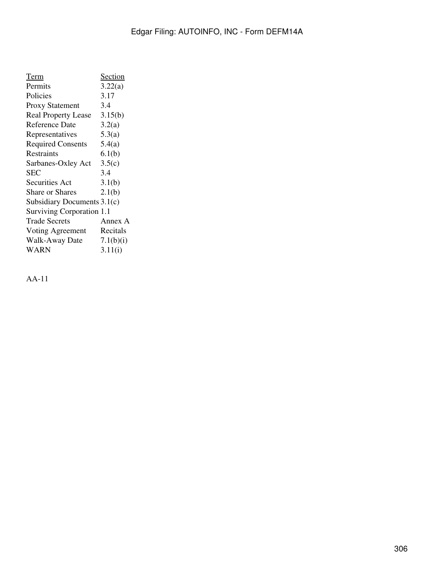| Term                        | <u>Section</u> |
|-----------------------------|----------------|
| Permits                     | 3.22(a)        |
| Policies                    | 3.17           |
| <b>Proxy Statement</b>      | 3.4            |
| <b>Real Property Lease</b>  | 3.15(b)        |
| Reference Date              | 3.2(a)         |
| Representatives             | 5.3(a)         |
| <b>Required Consents</b>    | 5.4(a)         |
| Restraints                  | 6.1(b)         |
| Sarbanes-Oxley Act          | 3.5(c)         |
| SEC                         | 3.4            |
| Securities Act              | 3.1(b)         |
| <b>Share or Shares</b>      | 2.1(b)         |
| Subsidiary Documents 3.1(c) |                |
| Surviving Corporation 1.1   |                |
| <b>Trade Secrets</b>        | Annex A        |
| Voting Agreement            | Recitals       |
| Walk-Away Date              | 7.1(b)(i)      |
| <b>WARN</b>                 | 3.11(i)        |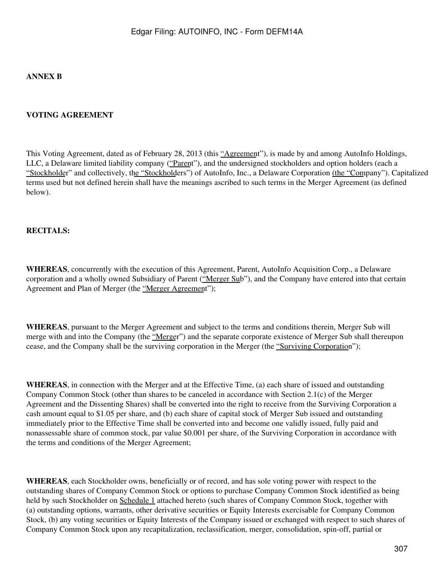#### **ANNEX B**

#### **VOTING AGREEMENT**

This Voting Agreement, dated as of February 28, 2013 (this "Agreement"), is made by and among AutoInfo Holdings, LLC, a Delaware limited liability company ("Parent"), and the undersigned stockholders and option holders (each a "Stockholder" and collectively, the "Stockholders") of AutoInfo, Inc., a Delaware Corporation (the "Company"). Capitalized terms used but not defined herein shall have the meanings ascribed to such terms in the Merger Agreement (as defined below).

#### **RECITALS:**

**WHEREAS**, concurrently with the execution of this Agreement, Parent, AutoInfo Acquisition Corp., a Delaware corporation and a wholly owned Subsidiary of Parent ("Merger Sub"), and the Company have entered into that certain Agreement and Plan of Merger (the "Merger Agreement");

**WHEREAS**, pursuant to the Merger Agreement and subject to the terms and conditions therein, Merger Sub will merge with and into the Company (the "Merger") and the separate corporate existence of Merger Sub shall thereupon cease, and the Company shall be the surviving corporation in the Merger (the "Surviving Corporation");

**WHEREAS**, in connection with the Merger and at the Effective Time, (a) each share of issued and outstanding Company Common Stock (other than shares to be canceled in accordance with Section 2.1(c) of the Merger Agreement and the Dissenting Shares) shall be converted into the right to receive from the Surviving Corporation a cash amount equal to \$1.05 per share, and (b) each share of capital stock of Merger Sub issued and outstanding immediately prior to the Effective Time shall be converted into and become one validly issued, fully paid and nonassessable share of common stock, par value \$0.001 per share, of the Surviving Corporation in accordance with the terms and conditions of the Merger Agreement;

**WHEREAS**, each Stockholder owns, beneficially or of record, and has sole voting power with respect to the outstanding shares of Company Common Stock or options to purchase Company Common Stock identified as being held by such Stockholder on Schedule 1 attached hereto (such shares of Company Common Stock, together with (a) outstanding options, warrants, other derivative securities or Equity Interests exercisable for Company Common Stock, (b) any voting securities or Equity Interests of the Company issued or exchanged with respect to such shares of Company Common Stock upon any recapitalization, reclassification, merger, consolidation, spin-off, partial or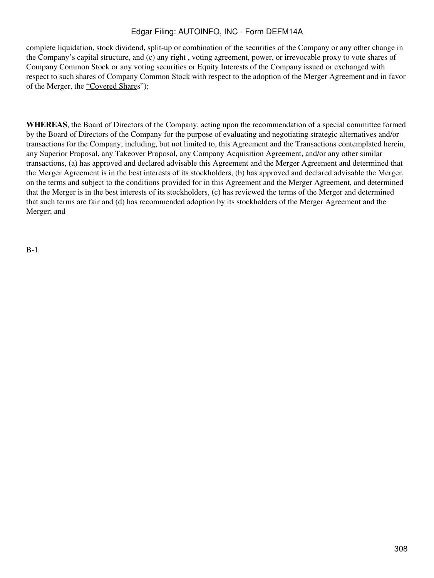complete liquidation, stock dividend, split-up or combination of the securities of the Company or any other change in the Company's capital structure, and (c) any right , voting agreement, power, or irrevocable proxy to vote shares of Company Common Stock or any voting securities or Equity Interests of the Company issued or exchanged with respect to such shares of Company Common Stock with respect to the adoption of the Merger Agreement and in favor of the Merger, the "Covered Shares");

**WHEREAS**, the Board of Directors of the Company, acting upon the recommendation of a special committee formed by the Board of Directors of the Company for the purpose of evaluating and negotiating strategic alternatives and/or transactions for the Company, including, but not limited to, this Agreement and the Transactions contemplated herein, any Superior Proposal, any Takeover Proposal, any Company Acquisition Agreement, and/or any other similar transactions, (a) has approved and declared advisable this Agreement and the Merger Agreement and determined that the Merger Agreement is in the best interests of its stockholders, (b) has approved and declared advisable the Merger, on the terms and subject to the conditions provided for in this Agreement and the Merger Agreement, and determined that the Merger is in the best interests of its stockholders, (c) has reviewed the terms of the Merger and determined that such terms are fair and (d) has recommended adoption by its stockholders of the Merger Agreement and the Merger; and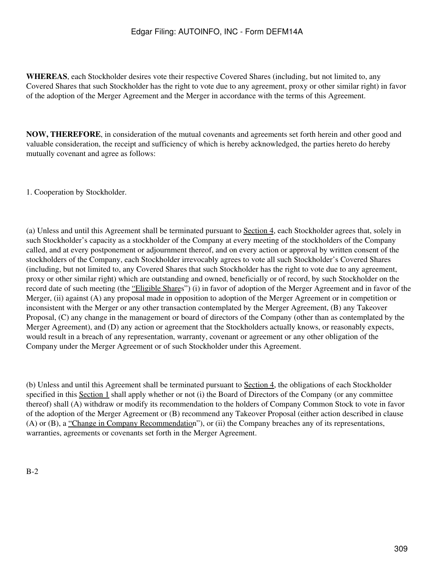**WHEREAS**, each Stockholder desires vote their respective Covered Shares (including, but not limited to, any Covered Shares that such Stockholder has the right to vote due to any agreement, proxy or other similar right) in favor of the adoption of the Merger Agreement and the Merger in accordance with the terms of this Agreement.

**NOW, THEREFORE**, in consideration of the mutual covenants and agreements set forth herein and other good and valuable consideration, the receipt and sufficiency of which is hereby acknowledged, the parties hereto do hereby mutually covenant and agree as follows:

1. Cooperation by Stockholder.

(a) Unless and until this Agreement shall be terminated pursuant to Section 4, each Stockholder agrees that, solely in such Stockholder's capacity as a stockholder of the Company at every meeting of the stockholders of the Company called, and at every postponement or adjournment thereof, and on every action or approval by written consent of the stockholders of the Company, each Stockholder irrevocably agrees to vote all such Stockholder's Covered Shares (including, but not limited to, any Covered Shares that such Stockholder has the right to vote due to any agreement, proxy or other similar right) which are outstanding and owned, beneficially or of record, by such Stockholder on the record date of such meeting (the "Eligible Shares") (i) in favor of adoption of the Merger Agreement and in favor of the Merger, (ii) against (A) any proposal made in opposition to adoption of the Merger Agreement or in competition or inconsistent with the Merger or any other transaction contemplated by the Merger Agreement, (B) any Takeover Proposal, (C) any change in the management or board of directors of the Company (other than as contemplated by the Merger Agreement), and (D) any action or agreement that the Stockholders actually knows, or reasonably expects, would result in a breach of any representation, warranty, covenant or agreement or any other obligation of the Company under the Merger Agreement or of such Stockholder under this Agreement.

(b) Unless and until this Agreement shall be terminated pursuant to Section 4, the obligations of each Stockholder specified in this Section 1 shall apply whether or not (i) the Board of Directors of the Company (or any committee thereof) shall (A) withdraw or modify its recommendation to the holders of Company Common Stock to vote in favor of the adoption of the Merger Agreement or (B) recommend any Takeover Proposal (either action described in clause (A) or (B), a "Change in Company Recommendation"), or (ii) the Company breaches any of its representations, warranties, agreements or covenants set forth in the Merger Agreement.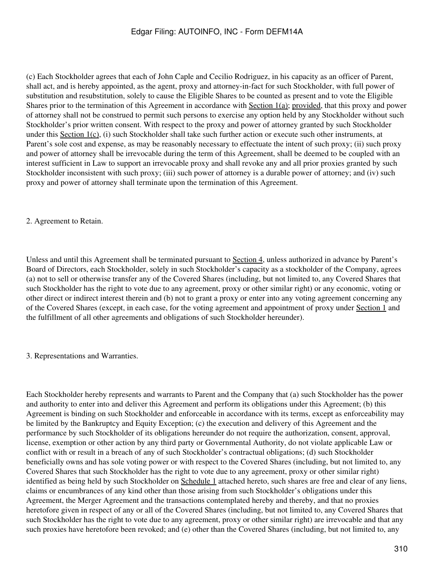(c) Each Stockholder agrees that each of John Caple and Cecilio Rodriguez, in his capacity as an officer of Parent, shall act, and is hereby appointed, as the agent, proxy and attorney-in-fact for such Stockholder, with full power of substitution and resubstitution, solely to cause the Eligible Shares to be counted as present and to vote the Eligible Shares prior to the termination of this Agreement in accordance with Section 1(a); provided, that this proxy and power of attorney shall not be construed to permit such persons to exercise any option held by any Stockholder without such Stockholder's prior written consent. With respect to the proxy and power of attorney granted by such Stockholder under this Section 1(c), (i) such Stockholder shall take such further action or execute such other instruments, at Parent's sole cost and expense, as may be reasonably necessary to effectuate the intent of such proxy; (ii) such proxy and power of attorney shall be irrevocable during the term of this Agreement, shall be deemed to be coupled with an interest sufficient in Law to support an irrevocable proxy and shall revoke any and all prior proxies granted by such Stockholder inconsistent with such proxy; (iii) such power of attorney is a durable power of attorney; and (iv) such proxy and power of attorney shall terminate upon the termination of this Agreement.

2. Agreement to Retain.

Unless and until this Agreement shall be terminated pursuant to Section 4, unless authorized in advance by Parent's Board of Directors, each Stockholder, solely in such Stockholder's capacity as a stockholder of the Company, agrees (a) not to sell or otherwise transfer any of the Covered Shares (including, but not limited to, any Covered Shares that such Stockholder has the right to vote due to any agreement, proxy or other similar right) or any economic, voting or other direct or indirect interest therein and (b) not to grant a proxy or enter into any voting agreement concerning any of the Covered Shares (except, in each case, for the voting agreement and appointment of proxy under Section 1 and the fulfillment of all other agreements and obligations of such Stockholder hereunder).

3. Representations and Warranties.

Each Stockholder hereby represents and warrants to Parent and the Company that (a) such Stockholder has the power and authority to enter into and deliver this Agreement and perform its obligations under this Agreement; (b) this Agreement is binding on such Stockholder and enforceable in accordance with its terms, except as enforceability may be limited by the Bankruptcy and Equity Exception; (c) the execution and delivery of this Agreement and the performance by such Stockholder of its obligations hereunder do not require the authorization, consent, approval, license, exemption or other action by any third party or Governmental Authority, do not violate applicable Law or conflict with or result in a breach of any of such Stockholder's contractual obligations; (d) such Stockholder beneficially owns and has sole voting power or with respect to the Covered Shares (including, but not limited to, any Covered Shares that such Stockholder has the right to vote due to any agreement, proxy or other similar right) identified as being held by such Stockholder on Schedule 1 attached hereto, such shares are free and clear of any liens, claims or encumbrances of any kind other than those arising from such Stockholder's obligations under this Agreement, the Merger Agreement and the transactions contemplated hereby and thereby, and that no proxies heretofore given in respect of any or all of the Covered Shares (including, but not limited to, any Covered Shares that such Stockholder has the right to vote due to any agreement, proxy or other similar right) are irrevocable and that any such proxies have heretofore been revoked; and (e) other than the Covered Shares (including, but not limited to, any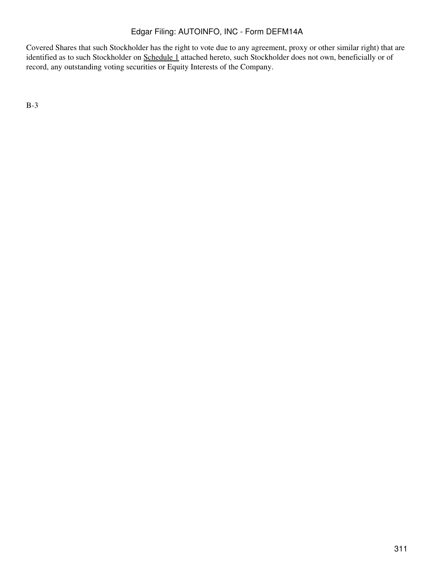Covered Shares that such Stockholder has the right to vote due to any agreement, proxy or other similar right) that are identified as to such Stockholder on Schedule 1 attached hereto, such Stockholder does not own, beneficially or of record, any outstanding voting securities or Equity Interests of the Company.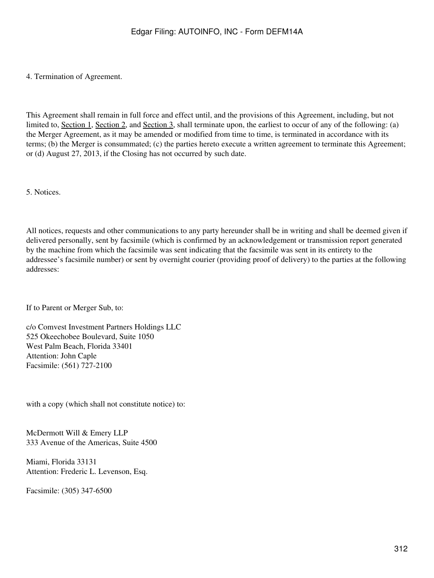#### 4. Termination of Agreement.

This Agreement shall remain in full force and effect until, and the provisions of this Agreement, including, but not limited to, Section 1, Section 2, and Section 3, shall terminate upon, the earliest to occur of any of the following: (a) the Merger Agreement, as it may be amended or modified from time to time, is terminated in accordance with its terms; (b) the Merger is consummated; (c) the parties hereto execute a written agreement to terminate this Agreement; or (d) August 27, 2013, if the Closing has not occurred by such date.

5. Notices.

All notices, requests and other communications to any party hereunder shall be in writing and shall be deemed given if delivered personally, sent by facsimile (which is confirmed by an acknowledgement or transmission report generated by the machine from which the facsimile was sent indicating that the facsimile was sent in its entirety to the addressee's facsimile number) or sent by overnight courier (providing proof of delivery) to the parties at the following addresses:

If to Parent or Merger Sub, to:

c/o Comvest Investment Partners Holdings LLC 525 Okeechobee Boulevard, Suite 1050 West Palm Beach, Florida 33401 Attention: John Caple Facsimile: (561) 727-2100

with a copy (which shall not constitute notice) to:

McDermott Will & Emery LLP 333 Avenue of the Americas, Suite 4500

Miami, Florida 33131 Attention: Frederic L. Levenson, Esq.

Facsimile: (305) 347-6500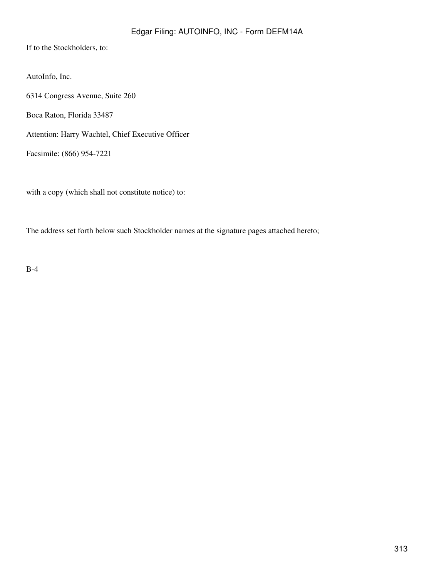If to the Stockholders, to:

AutoInfo, Inc.

6314 Congress Avenue, Suite 260

Boca Raton, Florida 33487

Attention: Harry Wachtel, Chief Executive Officer

Facsimile: (866) 954-7221

with a copy (which shall not constitute notice) to:

The address set forth below such Stockholder names at the signature pages attached hereto;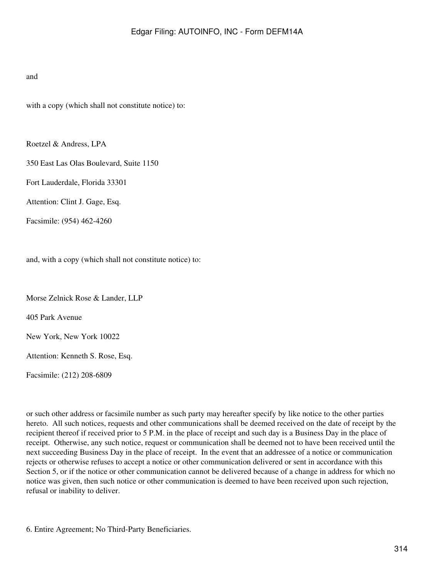#### and

with a copy (which shall not constitute notice) to:

Roetzel & Andress, LPA

350 East Las Olas Boulevard, Suite 1150

Fort Lauderdale, Florida 33301

Attention: Clint J. Gage, Esq.

Facsimile: (954) 462-4260

and, with a copy (which shall not constitute notice) to:

Morse Zelnick Rose & Lander, LLP

405 Park Avenue

New York, New York 10022

Attention: Kenneth S. Rose, Esq.

Facsimile: (212) 208-6809

or such other address or facsimile number as such party may hereafter specify by like notice to the other parties hereto. All such notices, requests and other communications shall be deemed received on the date of receipt by the recipient thereof if received prior to 5 P.M. in the place of receipt and such day is a Business Day in the place of receipt. Otherwise, any such notice, request or communication shall be deemed not to have been received until the next succeeding Business Day in the place of receipt. In the event that an addressee of a notice or communication rejects or otherwise refuses to accept a notice or other communication delivered or sent in accordance with this Section 5, or if the notice or other communication cannot be delivered because of a change in address for which no notice was given, then such notice or other communication is deemed to have been received upon such rejection, refusal or inability to deliver.

6. Entire Agreement; No Third-Party Beneficiaries.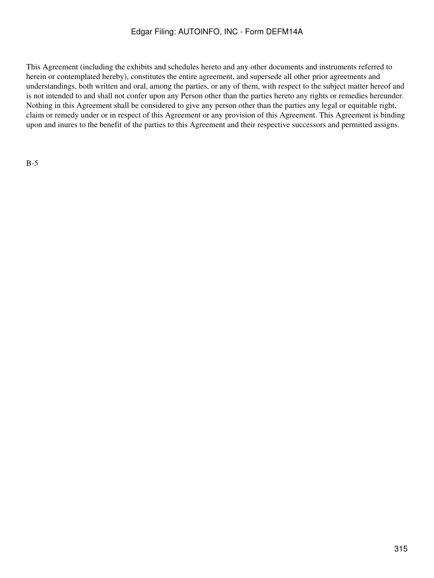This Agreement (including the exhibits and schedules hereto and any other documents and instruments referred to herein or contemplated hereby), constitutes the entire agreement, and supersede all other prior agreements and understandings, both written and oral, among the parties, or any of them, with respect to the subject matter hereof and is not intended to and shall not confer upon any Person other than the parties hereto any rights or remedies hereunder. Nothing in this Agreement shall be considered to give any person other than the parties any legal or equitable right, claim or remedy under or in respect of this Agreement or any provision of this Agreement. This Agreement is binding upon and inures to the benefit of the parties to this Agreement and their respective successors and permitted assigns.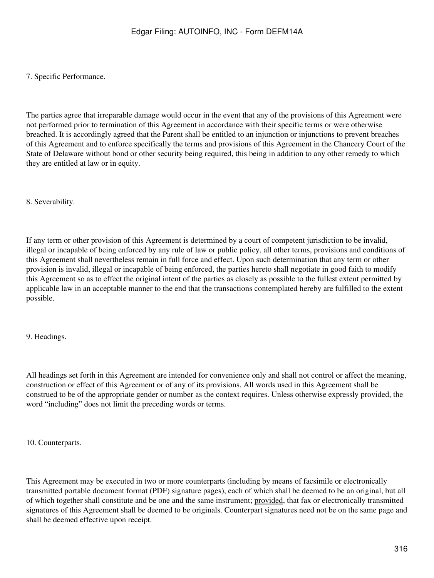7. Specific Performance.

The parties agree that irreparable damage would occur in the event that any of the provisions of this Agreement were not performed prior to termination of this Agreement in accordance with their specific terms or were otherwise breached. It is accordingly agreed that the Parent shall be entitled to an injunction or injunctions to prevent breaches of this Agreement and to enforce specifically the terms and provisions of this Agreement in the Chancery Court of the State of Delaware without bond or other security being required, this being in addition to any other remedy to which they are entitled at law or in equity.

8. Severability.

If any term or other provision of this Agreement is determined by a court of competent jurisdiction to be invalid, illegal or incapable of being enforced by any rule of law or public policy, all other terms, provisions and conditions of this Agreement shall nevertheless remain in full force and effect. Upon such determination that any term or other provision is invalid, illegal or incapable of being enforced, the parties hereto shall negotiate in good faith to modify this Agreement so as to effect the original intent of the parties as closely as possible to the fullest extent permitted by applicable law in an acceptable manner to the end that the transactions contemplated hereby are fulfilled to the extent possible.

9. Headings.

All headings set forth in this Agreement are intended for convenience only and shall not control or affect the meaning, construction or effect of this Agreement or of any of its provisions. All words used in this Agreement shall be construed to be of the appropriate gender or number as the context requires. Unless otherwise expressly provided, the word "including" does not limit the preceding words or terms.

10. Counterparts.

This Agreement may be executed in two or more counterparts (including by means of facsimile or electronically transmitted portable document format (PDF) signature pages), each of which shall be deemed to be an original, but all of which together shall constitute and be one and the same instrument; provided, that fax or electronically transmitted signatures of this Agreement shall be deemed to be originals. Counterpart signatures need not be on the same page and shall be deemed effective upon receipt.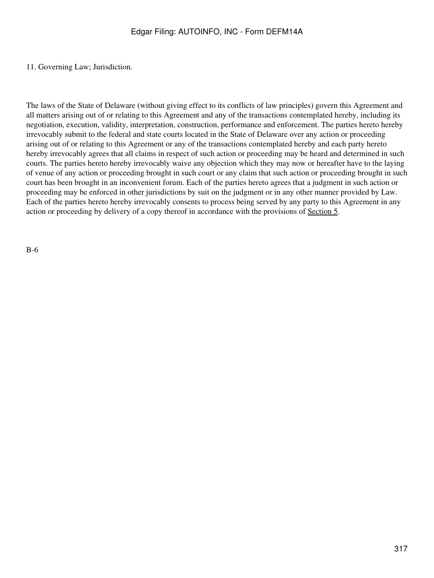#### 11. Governing Law; Jurisdiction.

The laws of the State of Delaware (without giving effect to its conflicts of law principles) govern this Agreement and all matters arising out of or relating to this Agreement and any of the transactions contemplated hereby, including its negotiation, execution, validity, interpretation, construction, performance and enforcement. The parties hereto hereby irrevocably submit to the federal and state courts located in the State of Delaware over any action or proceeding arising out of or relating to this Agreement or any of the transactions contemplated hereby and each party hereto hereby irrevocably agrees that all claims in respect of such action or proceeding may be heard and determined in such courts. The parties hereto hereby irrevocably waive any objection which they may now or hereafter have to the laying of venue of any action or proceeding brought in such court or any claim that such action or proceeding brought in such court has been brought in an inconvenient forum. Each of the parties hereto agrees that a judgment in such action or proceeding may be enforced in other jurisdictions by suit on the judgment or in any other manner provided by Law. Each of the parties hereto hereby irrevocably consents to process being served by any party to this Agreement in any action or proceeding by delivery of a copy thereof in accordance with the provisions of Section 5.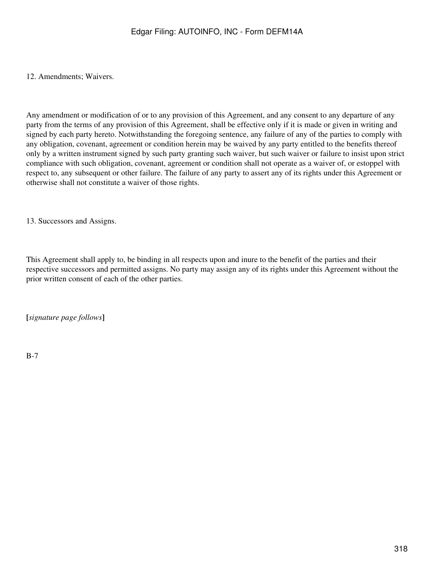12. Amendments; Waivers.

Any amendment or modification of or to any provision of this Agreement, and any consent to any departure of any party from the terms of any provision of this Agreement, shall be effective only if it is made or given in writing and signed by each party hereto. Notwithstanding the foregoing sentence, any failure of any of the parties to comply with any obligation, covenant, agreement or condition herein may be waived by any party entitled to the benefits thereof only by a written instrument signed by such party granting such waiver, but such waiver or failure to insist upon strict compliance with such obligation, covenant, agreement or condition shall not operate as a waiver of, or estoppel with respect to, any subsequent or other failure. The failure of any party to assert any of its rights under this Agreement or otherwise shall not constitute a waiver of those rights.

13. Successors and Assigns.

This Agreement shall apply to, be binding in all respects upon and inure to the benefit of the parties and their respective successors and permitted assigns. No party may assign any of its rights under this Agreement without the prior written consent of each of the other parties.

**[***signature page follows***]**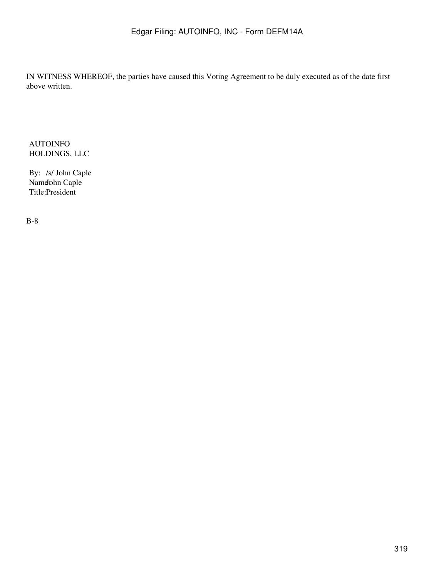IN WITNESS WHEREOF, the parties have caused this Voting Agreement to be duly executed as of the date first above written.

AUTOINFO HOLDINGS, LLC

By: /s/ John Caple NameJohn Caple Title:President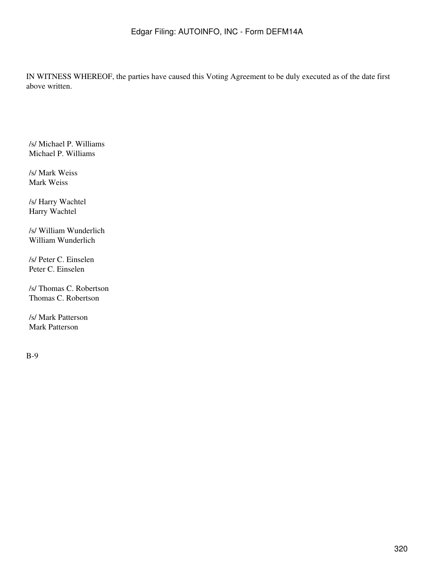IN WITNESS WHEREOF, the parties have caused this Voting Agreement to be duly executed as of the date first above written.

/s/ Michael P. Williams Michael P. Williams

/s/ Mark Weiss Mark Weiss

/s/ Harry Wachtel Harry Wachtel

/s/ William Wunderlich William Wunderlich

/s/ Peter C. Einselen Peter C. Einselen

/s/ Thomas C. Robertson Thomas C. Robertson

/s/ Mark Patterson Mark Patterson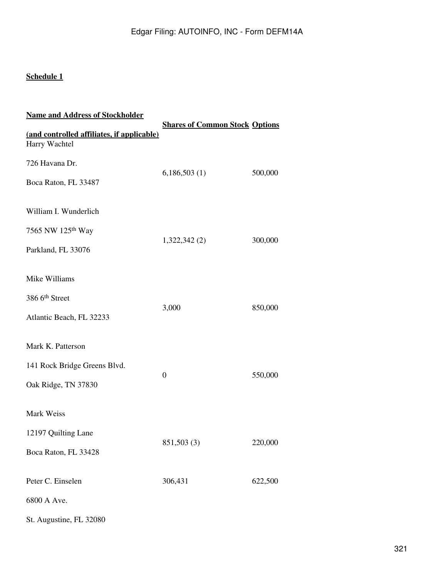# **Schedule 1**

| <b>Name and Address of Stockholder</b>                                       |                                       |         |
|------------------------------------------------------------------------------|---------------------------------------|---------|
| (and controlled affiliates, if applicable)<br>Harry Wachtel                  | <b>Shares of Common Stock Options</b> |         |
| 726 Havana Dr.<br>Boca Raton, FL 33487                                       | 6,186,503(1)                          | 500,000 |
| William I. Wunderlich<br>7565 NW 125 <sup>th</sup> Way<br>Parkland, FL 33076 | 1,322,342(2)                          | 300,000 |
| Mike Williams<br>386 6th Street<br>Atlantic Beach, FL 32233                  | 3,000                                 | 850,000 |
| Mark K. Patterson<br>141 Rock Bridge Greens Blvd.<br>Oak Ridge, TN 37830     | $\boldsymbol{0}$                      | 550,000 |
| Mark Weiss<br>12197 Quilting Lane<br>Boca Raton, FL 33428                    | 851,503 (3)                           | 220,000 |
| Peter C. Einselen<br>6800 A Ave.<br>St. Augustine, FL 32080                  | 306,431                               | 622,500 |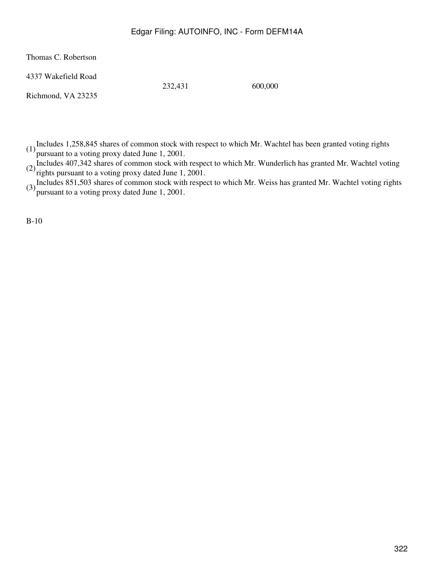Thomas C. Robertson

4337 Wakefield Road

232,431 600,000

Richmond, VA 23235

(1) Includes 1,258,845 shares of common stock with respect to which Mr. Wachtel has been granted voting rights pursuant to a voting proxy dated June 1, 2001.

(2) Includes 407,342 shares of common stock with respect to which Mr. Wunderlich has granted Mr. Wachtel voting rights pursuant to a voting proxy dated June 1, 2001.

(3) Includes 851,503 shares of common stock with respect to which Mr. Weiss has granted Mr. Wachtel voting rights pursuant to a voting proxy dated June 1, 2001.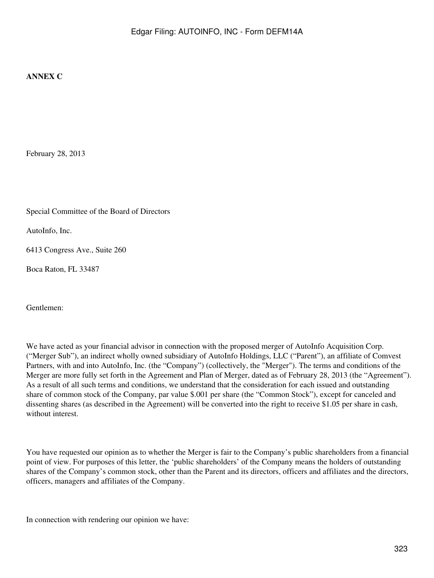#### **ANNEX C**

February 28, 2013

Special Committee of the Board of Directors

AutoInfo, Inc.

6413 Congress Ave., Suite 260

Boca Raton, FL 33487

Gentlemen:

We have acted as your financial advisor in connection with the proposed merger of AutoInfo Acquisition Corp. ("Merger Sub"), an indirect wholly owned subsidiary of AutoInfo Holdings, LLC ("Parent"), an affiliate of Comvest Partners, with and into AutoInfo, Inc. (the "Company") (collectively, the "Merger"). The terms and conditions of the Merger are more fully set forth in the Agreement and Plan of Merger, dated as of February 28, 2013 (the "Agreement"). As a result of all such terms and conditions, we understand that the consideration for each issued and outstanding share of common stock of the Company, par value \$.001 per share (the "Common Stock"), except for canceled and dissenting shares (as described in the Agreement) will be converted into the right to receive \$1.05 per share in cash, without interest.

You have requested our opinion as to whether the Merger is fair to the Company's public shareholders from a financial point of view. For purposes of this letter, the 'public shareholders' of the Company means the holders of outstanding shares of the Company's common stock, other than the Parent and its directors, officers and affiliates and the directors, officers, managers and affiliates of the Company.

In connection with rendering our opinion we have: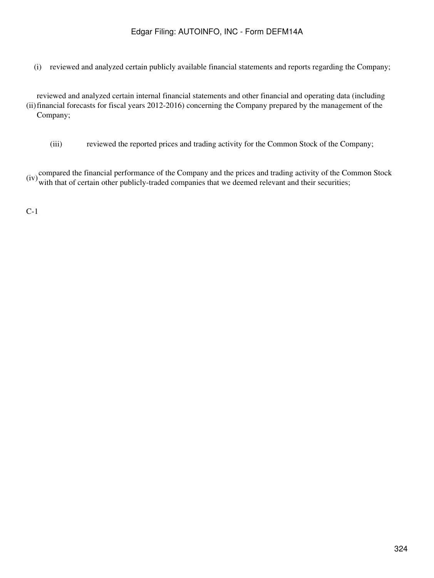(i) reviewed and analyzed certain publicly available financial statements and reports regarding the Company;

(ii) financial forecasts for fiscal years 2012-2016) concerning the Company prepared by the management of the reviewed and analyzed certain internal financial statements and other financial and operating data (including Company;

(iii) reviewed the reported prices and trading activity for the Common Stock of the Company;

(iv) compared the financial performance of the Company and the prices and trading activity of the Common Stock<br>with that of certain other publicly-traded companies that we deemed relevant and their securities;

C-1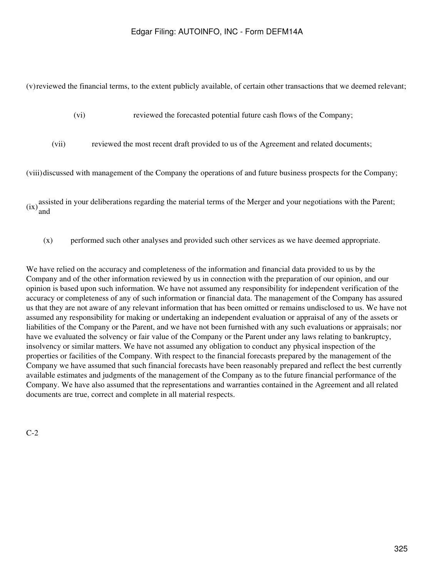(v)reviewed the financial terms, to the extent publicly available, of certain other transactions that we deemed relevant;

- (vi) reviewed the forecasted potential future cash flows of the Company;
- (vii) reviewed the most recent draft provided to us of the Agreement and related documents;

(viii)discussed with management of the Company the operations of and future business prospects for the Company;

 $(ix)$ <sup>assisted in your deliberations regarding the material terms of the Merger and your negotiations with the Parent;</sup> and

(x) performed such other analyses and provided such other services as we have deemed appropriate.

We have relied on the accuracy and completeness of the information and financial data provided to us by the Company and of the other information reviewed by us in connection with the preparation of our opinion, and our opinion is based upon such information. We have not assumed any responsibility for independent verification of the accuracy or completeness of any of such information or financial data. The management of the Company has assured us that they are not aware of any relevant information that has been omitted or remains undisclosed to us. We have not assumed any responsibility for making or undertaking an independent evaluation or appraisal of any of the assets or liabilities of the Company or the Parent, and we have not been furnished with any such evaluations or appraisals; nor have we evaluated the solvency or fair value of the Company or the Parent under any laws relating to bankruptcy, insolvency or similar matters. We have not assumed any obligation to conduct any physical inspection of the properties or facilities of the Company. With respect to the financial forecasts prepared by the management of the Company we have assumed that such financial forecasts have been reasonably prepared and reflect the best currently available estimates and judgments of the management of the Company as to the future financial performance of the Company. We have also assumed that the representations and warranties contained in the Agreement and all related documents are true, correct and complete in all material respects.

C-2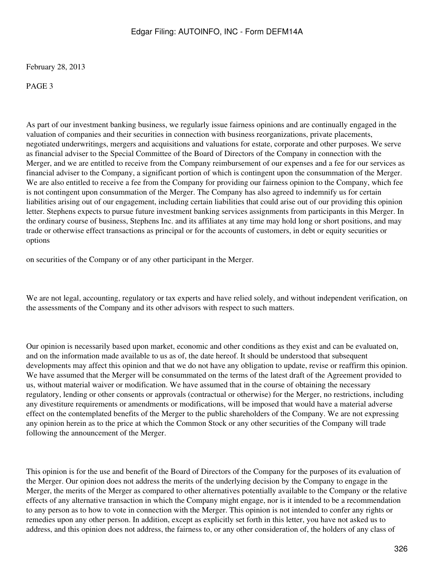February 28, 2013 

PAGE 3

As part of our investment banking business, we regularly issue fairness opinions and are continually engaged in the valuation of companies and their securities in connection with business reorganizations, private placements, negotiated underwritings, mergers and acquisitions and valuations for estate, corporate and other purposes. We serve as financial adviser to the Special Committee of the Board of Directors of the Company in connection with the Merger, and we are entitled to receive from the Company reimbursement of our expenses and a fee for our services as financial adviser to the Company, a significant portion of which is contingent upon the consummation of the Merger. We are also entitled to receive a fee from the Company for providing our fairness opinion to the Company, which fee is not contingent upon consummation of the Merger. The Company has also agreed to indemnify us for certain liabilities arising out of our engagement, including certain liabilities that could arise out of our providing this opinion letter. Stephens expects to pursue future investment banking services assignments from participants in this Merger. In the ordinary course of business, Stephens Inc. and its affiliates at any time may hold long or short positions, and may trade or otherwise effect transactions as principal or for the accounts of customers, in debt or equity securities or options

on securities of the Company or of any other participant in the Merger.

We are not legal, accounting, regulatory or tax experts and have relied solely, and without independent verification, on the assessments of the Company and its other advisors with respect to such matters.

Our opinion is necessarily based upon market, economic and other conditions as they exist and can be evaluated on, and on the information made available to us as of, the date hereof. It should be understood that subsequent developments may affect this opinion and that we do not have any obligation to update, revise or reaffirm this opinion. We have assumed that the Merger will be consummated on the terms of the latest draft of the Agreement provided to us, without material waiver or modification. We have assumed that in the course of obtaining the necessary regulatory, lending or other consents or approvals (contractual or otherwise) for the Merger, no restrictions, including any divestiture requirements or amendments or modifications, will be imposed that would have a material adverse effect on the contemplated benefits of the Merger to the public shareholders of the Company. We are not expressing any opinion herein as to the price at which the Common Stock or any other securities of the Company will trade following the announcement of the Merger.

This opinion is for the use and benefit of the Board of Directors of the Company for the purposes of its evaluation of the Merger. Our opinion does not address the merits of the underlying decision by the Company to engage in the Merger, the merits of the Merger as compared to other alternatives potentially available to the Company or the relative effects of any alternative transaction in which the Company might engage, nor is it intended to be a recommendation to any person as to how to vote in connection with the Merger. This opinion is not intended to confer any rights or remedies upon any other person. In addition, except as explicitly set forth in this letter, you have not asked us to address, and this opinion does not address, the fairness to, or any other consideration of, the holders of any class of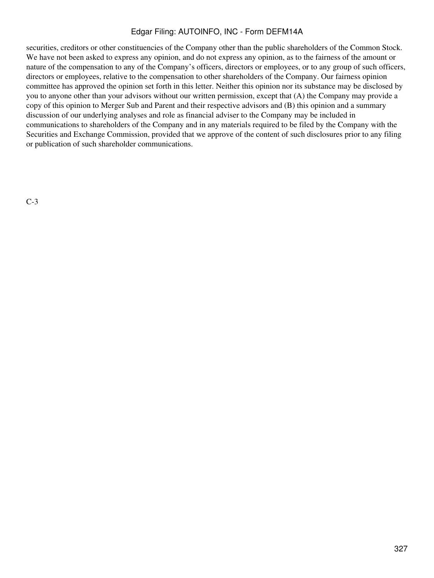securities, creditors or other constituencies of the Company other than the public shareholders of the Common Stock. We have not been asked to express any opinion, and do not express any opinion, as to the fairness of the amount or nature of the compensation to any of the Company's officers, directors or employees, or to any group of such officers, directors or employees, relative to the compensation to other shareholders of the Company. Our fairness opinion committee has approved the opinion set forth in this letter. Neither this opinion nor its substance may be disclosed by you to anyone other than your advisors without our written permission, except that (A) the Company may provide a copy of this opinion to Merger Sub and Parent and their respective advisors and (B) this opinion and a summary discussion of our underlying analyses and role as financial adviser to the Company may be included in communications to shareholders of the Company and in any materials required to be filed by the Company with the Securities and Exchange Commission, provided that we approve of the content of such disclosures prior to any filing or publication of such shareholder communications.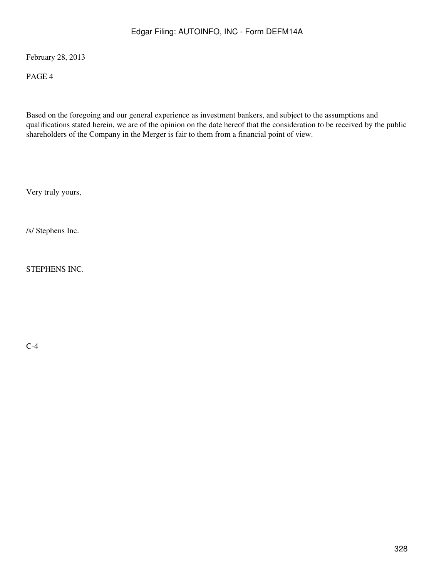February 28, 2013 

PAGE 4

Based on the foregoing and our general experience as investment bankers, and subject to the assumptions and qualifications stated herein, we are of the opinion on the date hereof that the consideration to be received by the public shareholders of the Company in the Merger is fair to them from a financial point of view.

Very truly yours,

/s/ Stephens Inc.

STEPHENS INC.

C-4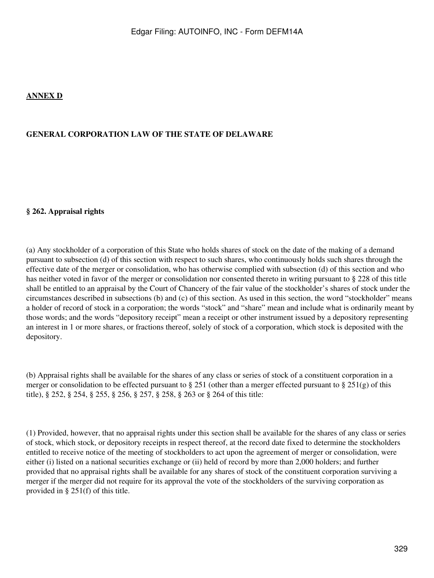### **ANNEX D**

### **GENERAL CORPORATION LAW OF THE STATE OF DELAWARE**

#### **§ 262. Appraisal rights**

(a) Any stockholder of a corporation of this State who holds shares of stock on the date of the making of a demand pursuant to subsection (d) of this section with respect to such shares, who continuously holds such shares through the effective date of the merger or consolidation, who has otherwise complied with subsection (d) of this section and who has neither voted in favor of the merger or consolidation nor consented thereto in writing pursuant to § 228 of this title shall be entitled to an appraisal by the Court of Chancery of the fair value of the stockholder's shares of stock under the circumstances described in subsections (b) and (c) of this section. As used in this section, the word "stockholder" means a holder of record of stock in a corporation; the words "stock" and "share" mean and include what is ordinarily meant by those words; and the words "depository receipt" mean a receipt or other instrument issued by a depository representing an interest in 1 or more shares, or fractions thereof, solely of stock of a corporation, which stock is deposited with the depository.

(b) Appraisal rights shall be available for the shares of any class or series of stock of a constituent corporation in a merger or consolidation to be effected pursuant to § 251 (other than a merger effected pursuant to § 251(g) of this title), § 252, § 254, § 255, § 256, § 257, § 258, § 263 or § 264 of this title:

(1) Provided, however, that no appraisal rights under this section shall be available for the shares of any class or series of stock, which stock, or depository receipts in respect thereof, at the record date fixed to determine the stockholders entitled to receive notice of the meeting of stockholders to act upon the agreement of merger or consolidation, were either (i) listed on a national securities exchange or (ii) held of record by more than 2,000 holders; and further provided that no appraisal rights shall be available for any shares of stock of the constituent corporation surviving a merger if the merger did not require for its approval the vote of the stockholders of the surviving corporation as provided in § 251(f) of this title.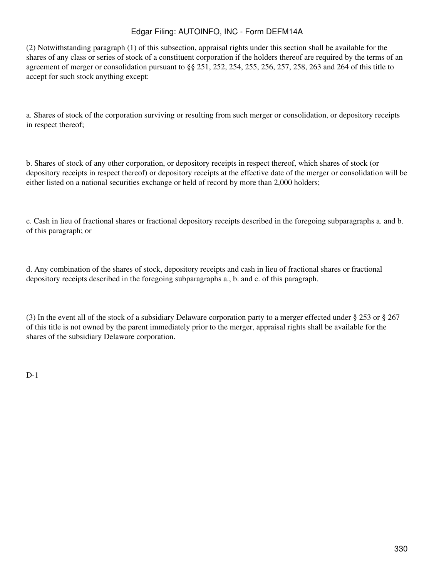(2) Notwithstanding paragraph (1) of this subsection, appraisal rights under this section shall be available for the shares of any class or series of stock of a constituent corporation if the holders thereof are required by the terms of an agreement of merger or consolidation pursuant to §§ 251, 252, 254, 255, 256, 257, 258, 263 and 264 of this title to accept for such stock anything except:

a. Shares of stock of the corporation surviving or resulting from such merger or consolidation, or depository receipts in respect thereof;

b. Shares of stock of any other corporation, or depository receipts in respect thereof, which shares of stock (or depository receipts in respect thereof) or depository receipts at the effective date of the merger or consolidation will be either listed on a national securities exchange or held of record by more than 2,000 holders;

c. Cash in lieu of fractional shares or fractional depository receipts described in the foregoing subparagraphs a. and b. of this paragraph; or

d. Any combination of the shares of stock, depository receipts and cash in lieu of fractional shares or fractional depository receipts described in the foregoing subparagraphs a., b. and c. of this paragraph.

(3) In the event all of the stock of a subsidiary Delaware corporation party to a merger effected under § 253 or § 267 of this title is not owned by the parent immediately prior to the merger, appraisal rights shall be available for the shares of the subsidiary Delaware corporation.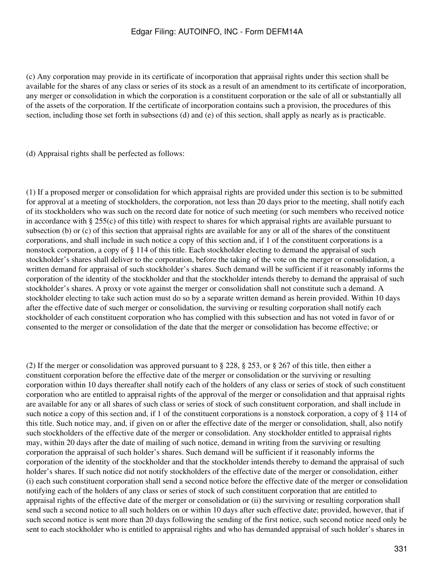(c) Any corporation may provide in its certificate of incorporation that appraisal rights under this section shall be available for the shares of any class or series of its stock as a result of an amendment to its certificate of incorporation, any merger or consolidation in which the corporation is a constituent corporation or the sale of all or substantially all of the assets of the corporation. If the certificate of incorporation contains such a provision, the procedures of this section, including those set forth in subsections (d) and (e) of this section, shall apply as nearly as is practicable.

(d) Appraisal rights shall be perfected as follows:

(1) If a proposed merger or consolidation for which appraisal rights are provided under this section is to be submitted for approval at a meeting of stockholders, the corporation, not less than 20 days prior to the meeting, shall notify each of its stockholders who was such on the record date for notice of such meeting (or such members who received notice in accordance with § 255(c) of this title) with respect to shares for which appraisal rights are available pursuant to subsection (b) or (c) of this section that appraisal rights are available for any or all of the shares of the constituent corporations, and shall include in such notice a copy of this section and, if 1 of the constituent corporations is a nonstock corporation, a copy of § 114 of this title. Each stockholder electing to demand the appraisal of such stockholder's shares shall deliver to the corporation, before the taking of the vote on the merger or consolidation, a written demand for appraisal of such stockholder's shares. Such demand will be sufficient if it reasonably informs the corporation of the identity of the stockholder and that the stockholder intends thereby to demand the appraisal of such stockholder's shares. A proxy or vote against the merger or consolidation shall not constitute such a demand. A stockholder electing to take such action must do so by a separate written demand as herein provided. Within 10 days after the effective date of such merger or consolidation, the surviving or resulting corporation shall notify each stockholder of each constituent corporation who has complied with this subsection and has not voted in favor of or consented to the merger or consolidation of the date that the merger or consolidation has become effective; or

(2) If the merger or consolidation was approved pursuant to § 228, § 253, or § 267 of this title, then either a constituent corporation before the effective date of the merger or consolidation or the surviving or resulting corporation within 10 days thereafter shall notify each of the holders of any class or series of stock of such constituent corporation who are entitled to appraisal rights of the approval of the merger or consolidation and that appraisal rights are available for any or all shares of such class or series of stock of such constituent corporation, and shall include in such notice a copy of this section and, if 1 of the constituent corporations is a nonstock corporation, a copy of § 114 of this title. Such notice may, and, if given on or after the effective date of the merger or consolidation, shall, also notify such stockholders of the effective date of the merger or consolidation. Any stockholder entitled to appraisal rights may, within 20 days after the date of mailing of such notice, demand in writing from the surviving or resulting corporation the appraisal of such holder's shares. Such demand will be sufficient if it reasonably informs the corporation of the identity of the stockholder and that the stockholder intends thereby to demand the appraisal of such holder's shares. If such notice did not notify stockholders of the effective date of the merger or consolidation, either (i) each such constituent corporation shall send a second notice before the effective date of the merger or consolidation notifying each of the holders of any class or series of stock of such constituent corporation that are entitled to appraisal rights of the effective date of the merger or consolidation or (ii) the surviving or resulting corporation shall send such a second notice to all such holders on or within 10 days after such effective date; provided, however, that if such second notice is sent more than 20 days following the sending of the first notice, such second notice need only be sent to each stockholder who is entitled to appraisal rights and who has demanded appraisal of such holder's shares in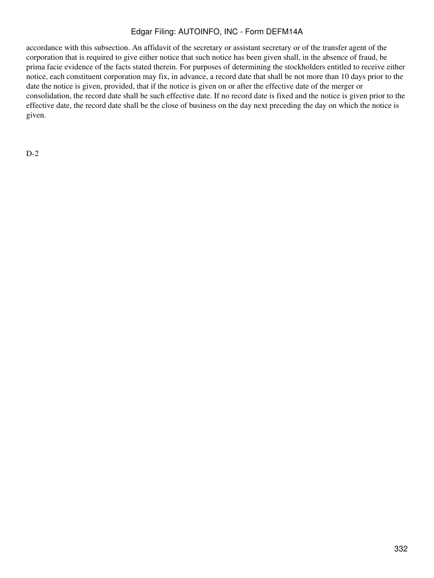accordance with this subsection. An affidavit of the secretary or assistant secretary or of the transfer agent of the corporation that is required to give either notice that such notice has been given shall, in the absence of fraud, be prima facie evidence of the facts stated therein. For purposes of determining the stockholders entitled to receive either notice, each constituent corporation may fix, in advance, a record date that shall be not more than 10 days prior to the date the notice is given, provided, that if the notice is given on or after the effective date of the merger or consolidation, the record date shall be such effective date. If no record date is fixed and the notice is given prior to the effective date, the record date shall be the close of business on the day next preceding the day on which the notice is given.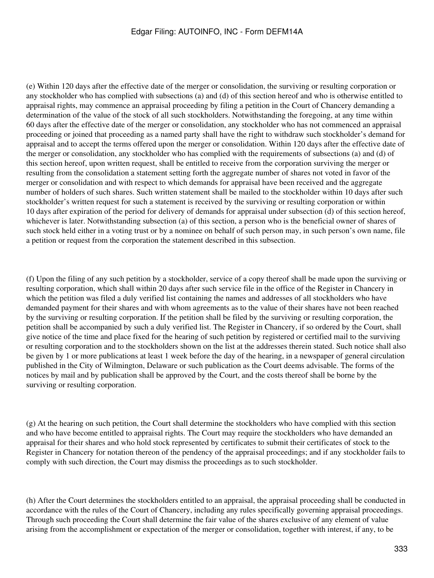(e) Within 120 days after the effective date of the merger or consolidation, the surviving or resulting corporation or any stockholder who has complied with subsections (a) and (d) of this section hereof and who is otherwise entitled to appraisal rights, may commence an appraisal proceeding by filing a petition in the Court of Chancery demanding a determination of the value of the stock of all such stockholders. Notwithstanding the foregoing, at any time within 60 days after the effective date of the merger or consolidation, any stockholder who has not commenced an appraisal proceeding or joined that proceeding as a named party shall have the right to withdraw such stockholder's demand for appraisal and to accept the terms offered upon the merger or consolidation. Within 120 days after the effective date of the merger or consolidation, any stockholder who has complied with the requirements of subsections (a) and (d) of this section hereof, upon written request, shall be entitled to receive from the corporation surviving the merger or resulting from the consolidation a statement setting forth the aggregate number of shares not voted in favor of the merger or consolidation and with respect to which demands for appraisal have been received and the aggregate number of holders of such shares. Such written statement shall be mailed to the stockholder within 10 days after such stockholder's written request for such a statement is received by the surviving or resulting corporation or within 10 days after expiration of the period for delivery of demands for appraisal under subsection (d) of this section hereof, whichever is later. Notwithstanding subsection (a) of this section, a person who is the beneficial owner of shares of such stock held either in a voting trust or by a nominee on behalf of such person may, in such person's own name, file a petition or request from the corporation the statement described in this subsection.

(f) Upon the filing of any such petition by a stockholder, service of a copy thereof shall be made upon the surviving or resulting corporation, which shall within 20 days after such service file in the office of the Register in Chancery in which the petition was filed a duly verified list containing the names and addresses of all stockholders who have demanded payment for their shares and with whom agreements as to the value of their shares have not been reached by the surviving or resulting corporation. If the petition shall be filed by the surviving or resulting corporation, the petition shall be accompanied by such a duly verified list. The Register in Chancery, if so ordered by the Court, shall give notice of the time and place fixed for the hearing of such petition by registered or certified mail to the surviving or resulting corporation and to the stockholders shown on the list at the addresses therein stated. Such notice shall also be given by 1 or more publications at least 1 week before the day of the hearing, in a newspaper of general circulation published in the City of Wilmington, Delaware or such publication as the Court deems advisable. The forms of the notices by mail and by publication shall be approved by the Court, and the costs thereof shall be borne by the surviving or resulting corporation.

(g) At the hearing on such petition, the Court shall determine the stockholders who have complied with this section and who have become entitled to appraisal rights. The Court may require the stockholders who have demanded an appraisal for their shares and who hold stock represented by certificates to submit their certificates of stock to the Register in Chancery for notation thereon of the pendency of the appraisal proceedings; and if any stockholder fails to comply with such direction, the Court may dismiss the proceedings as to such stockholder.

(h) After the Court determines the stockholders entitled to an appraisal, the appraisal proceeding shall be conducted in accordance with the rules of the Court of Chancery, including any rules specifically governing appraisal proceedings. Through such proceeding the Court shall determine the fair value of the shares exclusive of any element of value arising from the accomplishment or expectation of the merger or consolidation, together with interest, if any, to be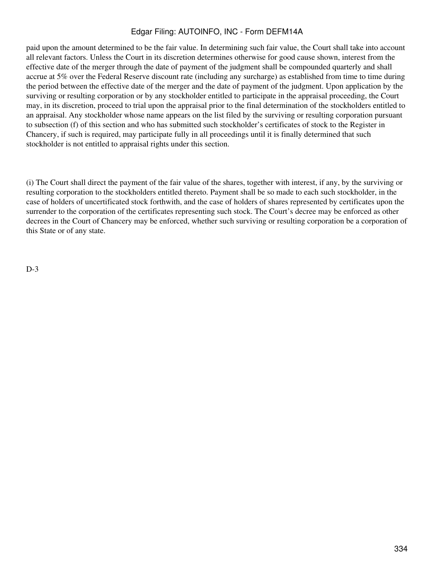paid upon the amount determined to be the fair value. In determining such fair value, the Court shall take into account all relevant factors. Unless the Court in its discretion determines otherwise for good cause shown, interest from the effective date of the merger through the date of payment of the judgment shall be compounded quarterly and shall accrue at 5% over the Federal Reserve discount rate (including any surcharge) as established from time to time during the period between the effective date of the merger and the date of payment of the judgment. Upon application by the surviving or resulting corporation or by any stockholder entitled to participate in the appraisal proceeding, the Court may, in its discretion, proceed to trial upon the appraisal prior to the final determination of the stockholders entitled to an appraisal. Any stockholder whose name appears on the list filed by the surviving or resulting corporation pursuant to subsection (f) of this section and who has submitted such stockholder's certificates of stock to the Register in Chancery, if such is required, may participate fully in all proceedings until it is finally determined that such stockholder is not entitled to appraisal rights under this section.

(i) The Court shall direct the payment of the fair value of the shares, together with interest, if any, by the surviving or resulting corporation to the stockholders entitled thereto. Payment shall be so made to each such stockholder, in the case of holders of uncertificated stock forthwith, and the case of holders of shares represented by certificates upon the surrender to the corporation of the certificates representing such stock. The Court's decree may be enforced as other decrees in the Court of Chancery may be enforced, whether such surviving or resulting corporation be a corporation of this State or of any state.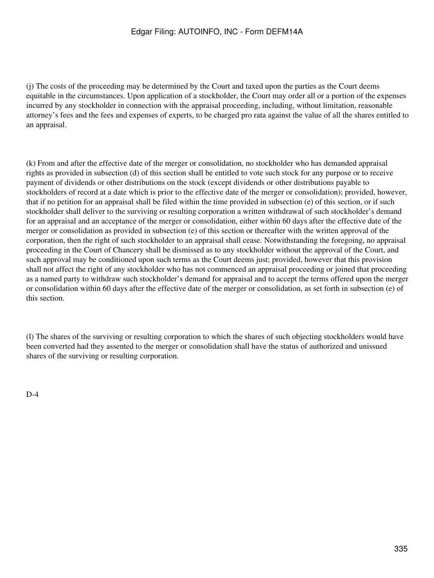(j) The costs of the proceeding may be determined by the Court and taxed upon the parties as the Court deems equitable in the circumstances. Upon application of a stockholder, the Court may order all or a portion of the expenses incurred by any stockholder in connection with the appraisal proceeding, including, without limitation, reasonable attorney's fees and the fees and expenses of experts, to be charged pro rata against the value of all the shares entitled to an appraisal.

(k) From and after the effective date of the merger or consolidation, no stockholder who has demanded appraisal rights as provided in subsection (d) of this section shall be entitled to vote such stock for any purpose or to receive payment of dividends or other distributions on the stock (except dividends or other distributions payable to stockholders of record at a date which is prior to the effective date of the merger or consolidation); provided, however, that if no petition for an appraisal shall be filed within the time provided in subsection (e) of this section, or if such stockholder shall deliver to the surviving or resulting corporation a written withdrawal of such stockholder's demand for an appraisal and an acceptance of the merger or consolidation, either within 60 days after the effective date of the merger or consolidation as provided in subsection (e) of this section or thereafter with the written approval of the corporation, then the right of such stockholder to an appraisal shall cease. Notwithstanding the foregoing, no appraisal proceeding in the Court of Chancery shall be dismissed as to any stockholder without the approval of the Court, and such approval may be conditioned upon such terms as the Court deems just; provided, however that this provision shall not affect the right of any stockholder who has not commenced an appraisal proceeding or joined that proceeding as a named party to withdraw such stockholder's demand for appraisal and to accept the terms offered upon the merger or consolidation within 60 days after the effective date of the merger or consolidation, as set forth in subsection (e) of this section.

(l) The shares of the surviving or resulting corporation to which the shares of such objecting stockholders would have been converted had they assented to the merger or consolidation shall have the status of authorized and unissued shares of the surviving or resulting corporation.